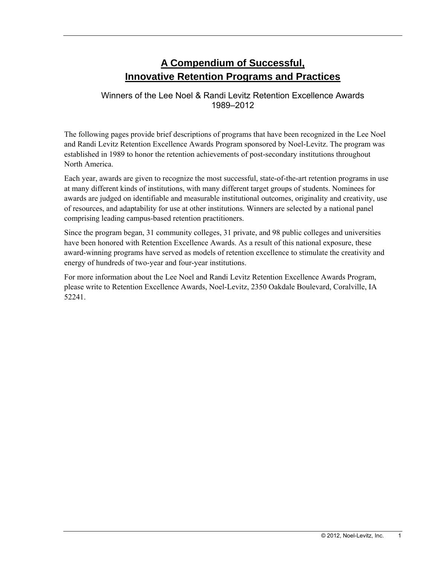# **A Compendium of Successful, Innovative Retention Programs and Practices**

### Winners of the Lee Noel & Randi Levitz Retention Excellence Awards 1989–2012

The following pages provide brief descriptions of programs that have been recognized in the Lee Noel and Randi Levitz Retention Excellence Awards Program sponsored by Noel-Levitz. The program was established in 1989 to honor the retention achievements of post-secondary institutions throughout North America.

Each year, awards are given to recognize the most successful, state-of-the-art retention programs in use at many different kinds of institutions, with many different target groups of students. Nominees for awards are judged on identifiable and measurable institutional outcomes, originality and creativity, use of resources, and adaptability for use at other institutions. Winners are selected by a national panel comprising leading campus-based retention practitioners.

Since the program began, 31 community colleges, 31 private, and 98 public colleges and universities have been honored with Retention Excellence Awards. As a result of this national exposure, these award-winning programs have served as models of retention excellence to stimulate the creativity and energy of hundreds of two-year and four-year institutions.

For more information about the Lee Noel and Randi Levitz Retention Excellence Awards Program, please write to Retention Excellence Awards, Noel-Levitz, 2350 Oakdale Boulevard, Coralville, IA 52241.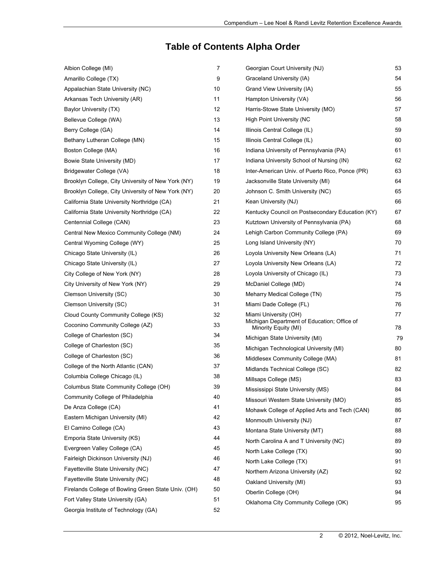# **Table of Contents Alpha Order**

| Albion College (MI)                                 | 7  | Georgian Court University (NJ)                                      | 53 |
|-----------------------------------------------------|----|---------------------------------------------------------------------|----|
| Amarillo College (TX)                               | 9  | Graceland University (IA)                                           | 54 |
| Appalachian State University (NC)                   | 10 | Grand View University (IA)                                          | 55 |
| Arkansas Tech University (AR)                       | 11 | Hampton University (VA)                                             | 56 |
| Baylor University (TX)                              | 12 | Harris-Stowe State University (MO)                                  | 57 |
| Bellevue College (WA)                               | 13 | High Point University (NC                                           | 58 |
| Berry College (GA)                                  | 14 | Illinois Central College (IL)                                       | 59 |
| Bethany Lutheran College (MN)                       | 15 | Illinois Central College (IL)                                       | 60 |
| Boston College (MA)                                 | 16 | Indiana University of Pennsylvania (PA)                             | 61 |
| Bowie State University (MD)                         | 17 | Indiana University School of Nursing (IN)                           | 62 |
| Bridgewater College (VA)                            | 18 | Inter-American Univ. of Puerto Rico, Ponce (PR)                     | 63 |
| Brooklyn College, City University of New York (NY)  | 19 | Jacksonville State University (MI)                                  | 64 |
| Brooklyn College, City University of New York (NY)  | 20 | Johnson C. Smith University (NC)                                    | 65 |
| California State University Northridge (CA)         | 21 | Kean University (NJ)                                                | 66 |
| California State University Northridge (CA)         | 22 | Kentucky Council on Postsecondary Education (KY)                    | 67 |
| Centennial College (CAN)                            | 23 | Kutztown University of Pennsylvania (PA)                            | 68 |
| Central New Mexico Community College (NM)           | 24 | Lehigh Carbon Community College (PA)                                | 69 |
| Central Wyoming College (WY)                        | 25 | Long Island University (NY)                                         | 70 |
| Chicago State University (IL)                       | 26 | Loyola University New Orleans (LA)                                  | 71 |
| Chicago State University (IL)                       | 27 | Loyola University New Orleans (LA)                                  | 72 |
| City College of New York (NY)                       | 28 | Loyola University of Chicago (IL)                                   | 73 |
| City University of New York (NY)                    | 29 | McDaniel College (MD)                                               | 74 |
| Clemson University (SC)                             | 30 | Meharry Medical College (TN)                                        | 75 |
| Clemson University (SC)                             | 31 | Miami Dade College (FL)                                             | 76 |
| Cloud County Community College (KS)                 | 32 | Miami University (OH)                                               | 77 |
| Coconino Community College (AZ)                     | 33 | Michigan Department of Education; Office of<br>Minority Equity (MI) | 78 |
| College of Charleston (SC)                          | 34 | Michigan State University (MI)                                      | 79 |
| College of Charleston (SC)                          | 35 | Michigan Technological University (MI)                              | 80 |
| College of Charleston (SC)                          | 36 | Middlesex Community College (MA)                                    | 81 |
| College of the North Atlantic (CAN)                 | 37 | Midlands Technical College (SC)                                     | 82 |
| Columbia College Chicago (IL)                       | 38 | Millsaps College (MS)                                               | 83 |
| Columbus State Community College (OH)               | 39 | Mississippi State University (MS)                                   | 84 |
| Community College of Philadelphia                   | 40 | Missouri Western State University (MO)                              | 85 |
| De Anza College (CA)                                | 41 | Mohawk College of Applied Arts and Tech (CAN)                       | 86 |
| Eastern Michigan University (MI)                    | 42 | Monmouth University (NJ)                                            | 87 |
| El Camino College (CA)                              | 43 | Montana State University (MT)                                       | 88 |
| Emporia State University (KS)                       | 44 | North Carolina A and T University (NC)                              | 89 |
| Evergreen Valley College (CA)                       | 45 | North Lake College (TX)                                             | 90 |
| Fairleigh Dickinson University (NJ)                 | 46 | North Lake College (TX)                                             | 91 |
| Fayetteville State University (NC)                  | 47 | Northern Arizona University (AZ)                                    | 92 |
| Fayetteville State University (NC)                  | 48 | Oakland University (MI)                                             | 93 |
| Firelands College of Bowling Green State Univ. (OH) | 50 | Oberlin College (OH)                                                | 94 |
| Fort Valley State University (GA)                   | 51 | Oklahoma City Community College (OK)                                | 95 |
| Georgia Institute of Technology (GA)                | 52 |                                                                     |    |
|                                                     |    |                                                                     |    |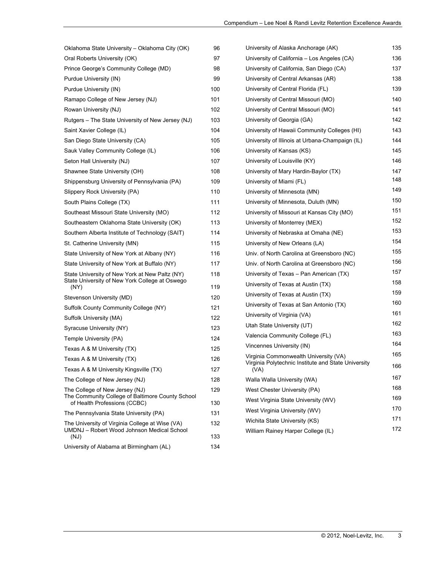| Oklahoma State University - Oklahoma City (OK)                                   | 96  | University of Alaska Anchorage (AK)                         | 135 |
|----------------------------------------------------------------------------------|-----|-------------------------------------------------------------|-----|
| Oral Roberts University (OK)                                                     | 97  | University of California – Los Angeles (CA)                 | 136 |
| Prince George's Community College (MD)                                           | 98  | University of California, San Diego (CA)                    | 137 |
| Purdue University (IN)                                                           | 99  | University of Central Arkansas (AR)                         | 138 |
| Purdue University (IN)                                                           | 100 | University of Central Florida (FL)                          | 139 |
| Ramapo College of New Jersey (NJ)                                                | 101 | University of Central Missouri (MO)                         | 140 |
| Rowan University (NJ)                                                            | 102 | University of Central Missouri (MO)                         | 141 |
| Rutgers – The State University of New Jersey (NJ)                                | 103 | University of Georgia (GA)                                  | 142 |
| Saint Xavier College (IL)                                                        | 104 | University of Hawaii Community Colleges (HI)                | 143 |
| San Diego State University (CA)                                                  | 105 | University of Illinois at Urbana-Champaign (IL)             | 144 |
| Sauk Valley Community College (IL)                                               | 106 | University of Kansas (KS)                                   | 145 |
| Seton Hall University (NJ)                                                       | 107 | University of Louisville (KY)                               | 146 |
| Shawnee State University (OH)                                                    | 108 | University of Mary Hardin-Baylor (TX)                       | 147 |
| Shippensburg University of Pennsylvania (PA)                                     | 109 | University of Miami (FL)                                    | 148 |
| Slippery Rock University (PA)                                                    | 110 | University of Minnesota (MN)                                | 149 |
| South Plains College (TX)                                                        | 111 | University of Minnesota, Duluth (MN)                        | 150 |
| Southeast Missouri State University (MO)                                         | 112 | University of Missouri at Kansas City (MO)                  | 151 |
| Southeastern Oklahoma State University (OK)                                      | 113 | University of Monterrey (MEX)                               | 152 |
| Southern Alberta Institute of Technology (SAIT)                                  | 114 | University of Nebraska at Omaha (NE)                        | 153 |
| St. Catherine University (MN)                                                    | 115 | University of New Orleans (LA)                              | 154 |
| State University of New York at Albany (NY)                                      | 116 | Univ. of North Carolina at Greensboro (NC)                  | 155 |
| State University of New York at Buffalo (NY)                                     | 117 | Univ. of North Carolina at Greensboro (NC)                  | 156 |
| State University of New York at New Paltz (NY)                                   | 118 | University of Texas – Pan American (TX)                     | 157 |
| State University of New York College at Oswego<br>(NY)                           | 119 | University of Texas at Austin (TX)                          | 158 |
| Stevenson University (MD)                                                        | 120 | University of Texas at Austin (TX)                          | 159 |
| Suffolk County Community College (NY)                                            | 121 | University of Texas at San Antonio (TX)                     | 160 |
| Suffolk University (MA)                                                          | 122 | University of Virginia (VA)                                 | 161 |
| Syracuse University (NY)                                                         | 123 | Utah State University (UT)                                  | 162 |
| Temple University (PA)                                                           | 124 | Valencia Community College (FL)                             | 163 |
| Texas A & M University (TX)                                                      | 125 | Vincennes University (IN)                                   | 164 |
| Texas A & M University (TX)                                                      | 126 | Virginia Commonwealth University (VA)                       | 165 |
| Texas A & M University Kingsville (TX)                                           | 127 | Virginia Polytechnic Institute and State University<br>(VA) | 166 |
| The College of New Jersey (NJ)                                                   | 128 | Walla Walla University (WA)                                 | 167 |
| The College of New Jersey (NJ)                                                   | 129 | West Chester University (PA)                                | 168 |
| The Community College of Baltimore County School<br>of Health Professions (CCBC) | 130 | West Virginia State University (WV)                         | 169 |
| The Pennsylvania State University (PA)                                           | 131 | West Virginia University (WV)                               | 170 |
| The University of Virginia College at Wise (VA)                                  | 132 | Wichita State University (KS)                               | 171 |
| UMDNJ - Robert Wood Johnson Medical School<br>(NJ)                               | 133 | William Rainey Harper College (IL)                          | 172 |
| University of Alabama at Birmingham (AL)                                         | 134 |                                                             |     |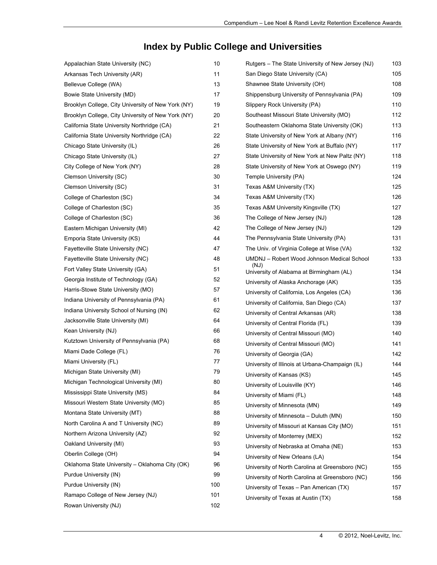# **Index by Public College and Universities**

| Appalachian State University (NC)                  | 10  | Rutgers – The State University of New Jersey (NJ) | 103 |
|----------------------------------------------------|-----|---------------------------------------------------|-----|
| Arkansas Tech University (AR)                      | 11  | San Diego State University (CA)                   | 105 |
| Bellevue College (WA)                              | 13  | Shawnee State University (OH)                     | 108 |
| Bowie State University (MD)                        | 17  | Shippensburg University of Pennsylvania (PA)      | 109 |
| Brooklyn College, City University of New York (NY) | 19  | Slippery Rock University (PA)                     | 110 |
| Brooklyn College, City University of New York (NY) | 20  | Southeast Missouri State University (MO)          | 112 |
| California State University Northridge (CA)        | 21  | Southeastern Oklahoma State University (OK)       | 113 |
| California State University Northridge (CA)        | 22  | State University of New York at Albany (NY)       | 116 |
| Chicago State University (IL)                      | 26  | State University of New York at Buffalo (NY)      | 117 |
| Chicago State University (IL)                      | 27  | State University of New York at New Paltz (NY)    | 118 |
| City College of New York (NY)                      | 28  | State University of New York at Oswego (NY)       | 119 |
| Clemson University (SC)                            | 30  | Temple University (PA)                            | 124 |
| Clemson University (SC)                            | 31  | Texas A&M University (TX)                         | 125 |
| College of Charleston (SC)                         | 34  | Texas A&M University (TX)                         | 126 |
| College of Charleston (SC)                         | 35  | Texas A&M University Kingsville (TX)              | 127 |
| College of Charleston (SC)                         | 36  | The College of New Jersey (NJ)                    | 128 |
| Eastern Michigan University (MI)                   | 42  | The College of New Jersey (NJ)                    | 129 |
| Emporia State University (KS)                      | 44  | The Pennsylvania State University (PA)            | 131 |
| Fayetteville State University (NC)                 | 47  | The Univ. of Virginia College at Wise (VA)        | 132 |
| Fayetteville State University (NC)                 | 48  | UMDNJ - Robert Wood Johnson Medical School        | 133 |
| Fort Valley State University (GA)                  | 51  | (NJ)<br>University of Alabama at Birmingham (AL)  | 134 |
| Georgia Institute of Technology (GA)               | 52  | University of Alaska Anchorage (AK)               | 135 |
| Harris-Stowe State University (MO)                 | 57  | University of California, Los Angeles (CA)        | 136 |
| Indiana University of Pennsylvania (PA)            | 61  | University of California, San Diego (CA)          | 137 |
| Indiana University School of Nursing (IN)          | 62  | University of Central Arkansas (AR)               | 138 |
| Jacksonville State University (MI)                 | 64  | University of Central Florida (FL)                | 139 |
| Kean University (NJ)                               | 66  | University of Central Missouri (MO)               | 140 |
| Kutztown University of Pennsylvania (PA)           | 68  | University of Central Missouri (MO)               | 141 |
| Miami Dade College (FL)                            | 76  | University of Georgia (GA)                        | 142 |
| Miami University (FL)                              | 77  | University of Illinois at Urbana-Champaign (IL)   | 144 |
| Michigan State University (MI)                     | 79  | University of Kansas (KS)                         | 145 |
| Michigan Technological University (MI)             | 80  | University of Louisville (KY)                     | 146 |
| Mississippi State University (MS)                  | 84  | University of Miami (FL)                          | 148 |
| Missouri Western State University (MO)             | 85  | University of Minnesota (MN)                      | 149 |
| Montana State University (MT)                      | 88  | University of Minnesota - Duluth (MN)             | 150 |
| North Carolina A and T University (NC)             | 89  | University of Missouri at Kansas City (MO)        | 151 |
| Northern Arizona University (AZ)                   | 92  | University of Monterrey (MEX)                     | 152 |
| Oakland University (MI)                            | 93  | University of Nebraska at Omaha (NE)              | 153 |
| Oberlin College (OH)                               | 94  | University of New Orleans (LA)                    | 154 |
| Oklahoma State University - Oklahoma City (OK)     | 96  | University of North Carolina at Greensboro (NC)   | 155 |
| Purdue University (IN)                             | 99  | University of North Carolina at Greensboro (NC)   | 156 |
| Purdue University (IN)                             | 100 | University of Texas - Pan American (TX)           | 157 |
| Ramapo College of New Jersey (NJ)                  | 101 | University of Texas at Austin (TX)                | 158 |
| Rowan University (NJ)                              | 102 |                                                   |     |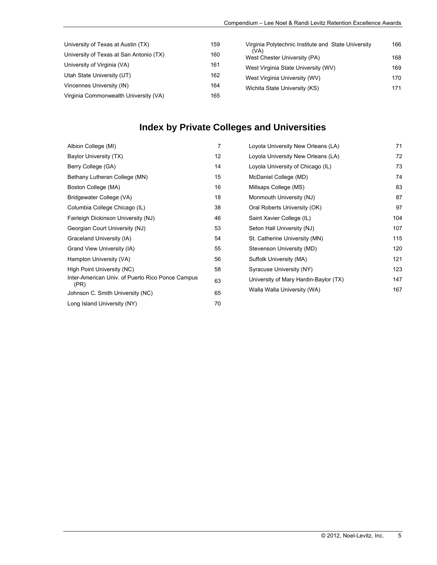| University of Texas at Austin (TX)      | 159 | Virginia Polytechnic Institute and State University | 166 |
|-----------------------------------------|-----|-----------------------------------------------------|-----|
| University of Texas at San Antonio (TX) | 160 | (VA)<br>West Chester University (PA)                | 168 |
| University of Virginia (VA)             | 161 | West Virginia State University (WV)                 | 169 |
| Utah State University (UT)              | 162 | West Virginia University (WV)                       | 170 |
| Vincennes University (IN)               | 164 | Wichita State University (KS)                       | 171 |
| Virginia Commonwealth University (VA)   | 165 |                                                     |     |

# **Index by Private Colleges and Universities**

| Albion College (MI)                                      | 7  | Loyola University New Orleans (LA)    | 71  |
|----------------------------------------------------------|----|---------------------------------------|-----|
| Baylor University (TX)                                   | 12 | Loyola University New Orleans (LA)    | 72  |
| Berry College (GA)                                       | 14 | Loyola University of Chicago (IL)     | 73  |
| Bethany Lutheran College (MN)                            | 15 | McDaniel College (MD)                 | 74  |
| Boston College (MA)                                      | 16 | Millsaps College (MS)                 | 83  |
| Bridgewater College (VA)                                 | 18 | Monmouth University (NJ)              | 87  |
| Columbia College Chicago (IL)                            | 38 | Oral Roberts University (OK)          | 97  |
| Fairleigh Dickinson University (NJ)                      | 46 | Saint Xavier College (IL)             | 104 |
| Georgian Court University (NJ)                           | 53 | Seton Hall University (NJ)            | 107 |
| Graceland University (IA)                                | 54 | St. Catherine University (MN)         | 115 |
| Grand View University (IA)                               | 55 | Stevenson University (MD)             | 120 |
| Hampton University (VA)                                  | 56 | Suffolk University (MA)               | 121 |
| High Point University (NC)                               | 58 | Syracuse University (NY)              | 123 |
| Inter-American Univ. of Puerto Rico Ponce Campus<br>(PR) | 63 | University of Mary Hardin-Baylor (TX) | 147 |
| Johnson C. Smith University (NC)                         | 65 | Walla Walla University (WA)           | 167 |
| Long Island University (NY)                              | 70 |                                       |     |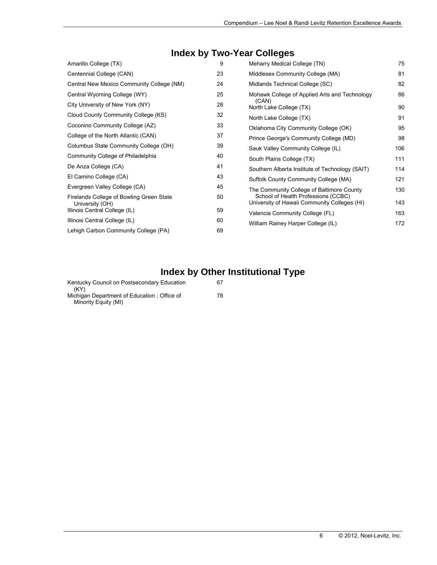# **Index by Two-Year Colleges**

| Amarillo College (TX)                                       | 9  | Meharry Medical College (TN)                                                        | 75  |
|-------------------------------------------------------------|----|-------------------------------------------------------------------------------------|-----|
| Centennial College (CAN)                                    | 23 | Middlesex Community College (MA)                                                    | 81  |
| Central New Mexico Community College (NM)                   | 24 | Midlands Technical College (SC)                                                     | 82  |
| Central Wyoming College (WY)                                | 25 | Mohawk College of Applied Arts and Technology                                       | 86  |
| City University of New York (NY)                            | 28 | (CAN)<br>North Lake College (TX)                                                    | 90  |
| Cloud County Community College (KS)                         | 32 | North Lake College (TX)                                                             | 91  |
| Coconino Community College (AZ)                             | 33 | Oklahoma City Community College (OK)                                                | 95  |
| College of the North Atlantic (CAN)                         | 37 | Prince George's Community College (MD)                                              | 98  |
| Columbus State Community College (OH)                       | 39 | Sauk Valley Community College (IL)                                                  | 106 |
| Community College of Philadelphia                           | 40 | South Plains College (TX)                                                           | 111 |
| De Anza College (CA)                                        | 41 | Southern Alberta Institute of Technology (SAIT)                                     | 114 |
| El Camino College (CA)                                      | 43 | Suffolk County Community College (MA)                                               | 121 |
| Evergreen Valley College (CA)                               | 45 | The Community College of Baltimore County                                           | 130 |
| Firelands College of Bowling Green State<br>University (OH) | 50 | School of Health Professions (CCBC)<br>University of Hawaii Community Colleges (HI) | 143 |
| Illinois Central College (IL)                               | 59 | Valencia Community College (FL)                                                     | 163 |
| Illinois Central College (IL)                               | 60 | William Rainey Harper College (IL)                                                  | 172 |
| Lehigh Carbon Community College (PA)                        | 69 |                                                                                     |     |

# **Index by Other Institutional Type**

| Kentucky Council on Postsecondary Education<br>(KY)                  | 67 |
|----------------------------------------------------------------------|----|
| Michigan Department of Education ; Office of<br>Minority Equity (MI) | 78 |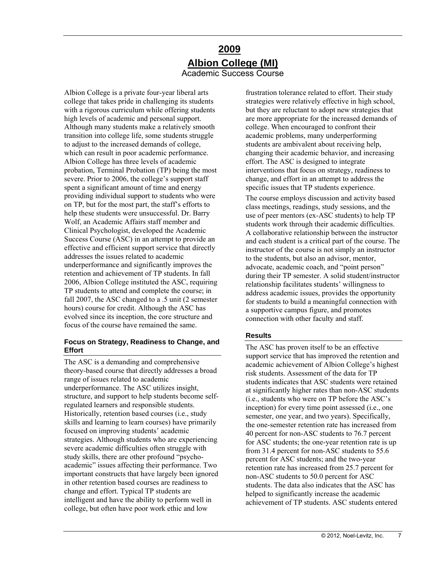### **2009 Albion College (MI)**  Academic Success Course

<span id="page-6-0"></span>Albion College is a private four-year liberal arts college that takes pride in challenging its students with a rigorous curriculum while offering students high levels of academic and personal support. Although many students make a relatively smooth transition into college life, some students struggle to adjust to the increased demands of college, which can result in poor academic performance. Albion College has three levels of academic probation, Terminal Probation (TP) being the most severe. Prior to 2006, the college's support staff spent a significant amount of time and energy providing individual support to students who were on TP, but for the most part, the staff's efforts to help these students were unsuccessful. Dr. Barry Wolf, an Academic Affairs staff member and Clinical Psychologist, developed the Academic Success Course (ASC) in an attempt to provide an effective and efficient support service that directly addresses the issues related to academic underperformance and significantly improves the retention and achievement of TP students. In fall 2006, Albion College instituted the ASC, requiring TP students to attend and complete the course; in fall 2007, the ASC changed to a .5 unit (2 semester hours) course for credit. Although the ASC has evolved since its inception, the core structure and focus of the course have remained the same.

### **Focus on Strategy, Readiness to Change, and Effort**

The ASC is a demanding and comprehensive theory-based course that directly addresses a broad range of issues related to academic underperformance. The ASC utilizes insight, structure, and support to help students become selfregulated learners and responsible students. Historically, retention based courses (i.e., study skills and learning to learn courses) have primarily focused on improving students' academic strategies. Although students who are experiencing severe academic difficulties often struggle with study skills, there are other profound "psychoacademic" issues affecting their performance. Two important constructs that have largely been ignored in other retention based courses are readiness to change and effort. Typical TP students are intelligent and have the ability to perform well in college, but often have poor work ethic and low

frustration tolerance related to effort. Their study strategies were relatively effective in high school, but they are reluctant to adopt new strategies that are more appropriate for the increased demands of college. When encouraged to confront their academic problems, many underperforming students are ambivalent about receiving help, changing their academic behavior, and increasing effort. The ASC is designed to integrate interventions that focus on strategy, readiness to change, and effort in an attempt to address the specific issues that TP students experience.

The course employs discussion and activity based class meetings, readings, study sessions, and the use of peer mentors (ex-ASC students) to help TP students work through their academic difficulties. A collaborative relationship between the instructor and each student is a critical part of the course. The instructor of the course is not simply an instructor to the students, but also an advisor, mentor, advocate, academic coach, and "point person" during their TP semester. A solid student/instructor relationship facilitates students' willingness to address academic issues, provides the opportunity for students to build a meaningful connection with a supportive campus figure, and promotes connection with other faculty and staff.

### **Results**

The ASC has proven itself to be an effective support service that has improved the retention and academic achievement of Albion College's highest risk students. Assessment of the data for TP students indicates that ASC students were retained at significantly higher rates than non-ASC students (i.e., students who were on TP before the ASC's inception) for every time point assessed (i.e., one semester, one year, and two years). Specifically, the one-semester retention rate has increased from 40 percent for non-ASC students to 76.7 percent for ASC students; the one-year retention rate is up from 31.4 percent for non-ASC students to 55.6 percent for ASC students; and the two-year retention rate has increased from 25.7 percent for non-ASC students to 50.0 percent for ASC students. The data also indicates that the ASC has helped to significantly increase the academic achievement of TP students. ASC students entered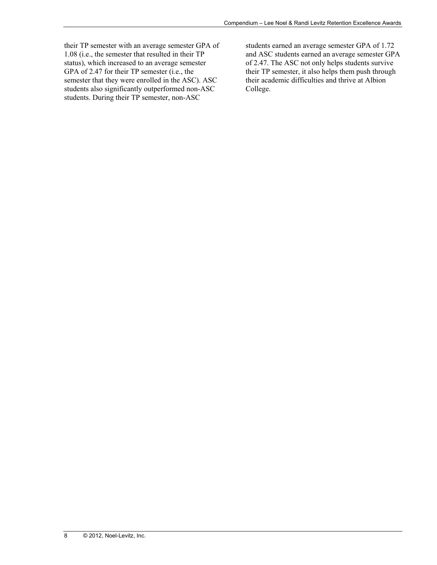their TP semester with an average semester GPA of 1.08 (i.e., the semester that resulted in their TP status), which increased to an average semester GPA of 2.47 for their TP semester (i.e., the semester that they were enrolled in the ASC). ASC students also significantly outperformed non-ASC students. During their TP semester, non-ASC

students earned an average semester GPA of 1.72 and ASC students earned an average semester GPA of 2.47. The ASC not only helps students survive their TP semester, it also helps them push through their academic difficulties and thrive at Albion College.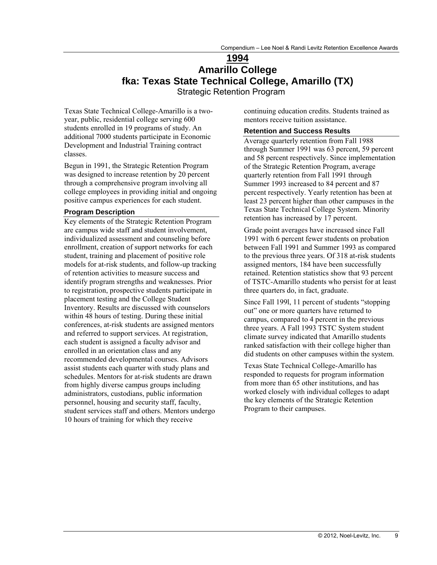### **1994 Amarillo College fka: Texas State Technical College, Amarillo (TX)**  Strategic Retention Program

<span id="page-8-0"></span>Texas State Technical College-Amarillo is a twoyear, public, residential college serving 600 students enrolled in 19 programs of study. An additional 7000 students participate in Economic Development and Industrial Training contract classes.

Begun in 1991, the Strategic Retention Program was designed to increase retention by 20 percent through a comprehensive program involving all college employees in providing initial and ongoing positive campus experiences for each student.

#### **Program Description**

Key elements of the Strategic Retention Program are campus wide staff and student involvement, individualized assessment and counseling before enrollment, creation of support networks for each student, training and placement of positive role models for at-risk students, and follow-up tracking of retention activities to measure success and identify program strengths and weaknesses. Prior to registration, prospective students participate in placement testing and the College Student Inventory. Results are discussed with counselors within 48 hours of testing. During these initial conferences, at-risk students are assigned mentors and referred to support services. At registration, each student is assigned a faculty advisor and enrolled in an orientation class and any recommended developmental courses. Advisors assist students each quarter with study plans and schedules. Mentors for at-risk students are drawn from highly diverse campus groups including administrators, custodians, public information personnel, housing and security staff, faculty, student services staff and others. Mentors undergo 10 hours of training for which they receive

continuing education credits. Students trained as mentors receive tuition assistance.

#### **Retention and Success Results**

Average quarterly retention from Fall 1988 through Summer 1991 was 63 percent, 59 percent and 58 percent respectively. Since implementation of the Strategic Retention Program, average quarterly retention from Fall 1991 through Summer 1993 increased to 84 percent and 87 percent respectively. Yearly retention has been at least 23 percent higher than other campuses in the Texas State Technical College System. Minority retention has increased by 17 percent.

Grade point averages have increased since Fall 1991 with 6 percent fewer students on probation between Fall 1991 and Summer 1993 as compared to the previous three years. Of 318 at-risk students assigned mentors, 184 have been successfully retained. Retention statistics show that 93 percent of TSTC-Amarillo students who persist for at least three quarters do, in fact, graduate.

Since Fall 199l, 11 percent of students "stopping out" one or more quarters have returned to campus, compared to 4 percent in the previous three years. A Fall 1993 TSTC System student climate survey indicated that Amarillo students ranked satisfaction with their college higher than did students on other campuses within the system.

Texas State Technical College-Amarillo has responded to requests for program information from more than 65 other institutions, and has worked closely with individual colleges to adapt the key elements of the Strategic Retention Program to their campuses.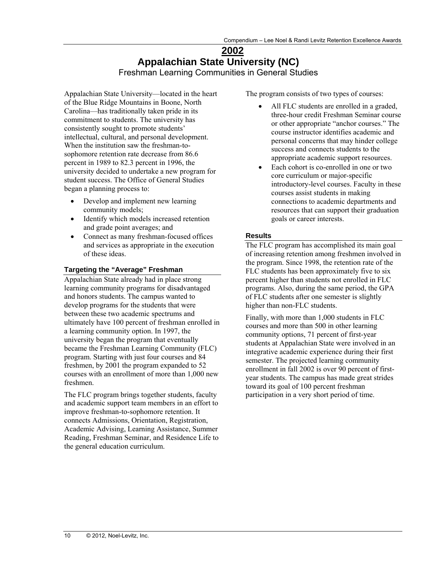### **2002 Appalachian State University (NC)**  Freshman Learning Communities in General Studies

<span id="page-9-0"></span>Appalachian State University—located in the heart of the Blue Ridge Mountains in Boone, North Carolina—has traditionally taken pride in its commitment to students. The university has consistently sought to promote students' intellectual, cultural, and personal development. When the institution saw the freshman-tosophomore retention rate decrease from 86.6 percent in 1989 to 82.3 percent in 1996, the university decided to undertake a new program for student success. The Office of General Studies began a planning process to:

- Develop and implement new learning community models;
- Identify which models increased retention and grade point averages; and
- Connect as many freshman-focused offices and services as appropriate in the execution of these ideas.

### **Targeting the "Average" Freshman**

Appalachian State already had in place strong learning community programs for disadvantaged and honors students. The campus wanted to develop programs for the students that were between these two academic spectrums and ultimately have 100 percent of freshman enrolled in a learning community option. In 1997, the university began the program that eventually became the Freshman Learning Community (FLC) program. Starting with just four courses and 84 freshmen, by 2001 the program expanded to 52 courses with an enrollment of more than 1,000 new freshmen.

The FLC program brings together students, faculty and academic support team members in an effort to improve freshman-to-sophomore retention. It connects Admissions, Orientation, Registration, Academic Advising, Learning Assistance, Summer Reading, Freshman Seminar, and Residence Life to the general education curriculum.

The program consists of two types of courses:

- All FLC students are enrolled in a graded, three-hour credit Freshman Seminar course or other appropriate "anchor courses." The course instructor identifies academic and personal concerns that may hinder college success and connects students to the appropriate academic support resources.
- Each cohort is co-enrolled in one or two core curriculum or major-specific introductory-level courses. Faculty in these courses assist students in making connections to academic departments and resources that can support their graduation goals or career interests.

### **Results**

The FLC program has accomplished its main goal of increasing retention among freshmen involved in the program. Since 1998, the retention rate of the FLC students has been approximately five to six percent higher than students not enrolled in FLC programs. Also, during the same period, the GPA of FLC students after one semester is slightly higher than non-FLC students.

Finally, with more than 1,000 students in FLC courses and more than 500 in other learning community options, 71 percent of first-year students at Appalachian State were involved in an integrative academic experience during their first semester. The projected learning community enrollment in fall 2002 is over 90 percent of firstyear students. The campus has made great strides toward its goal of 100 percent freshman participation in a very short period of time.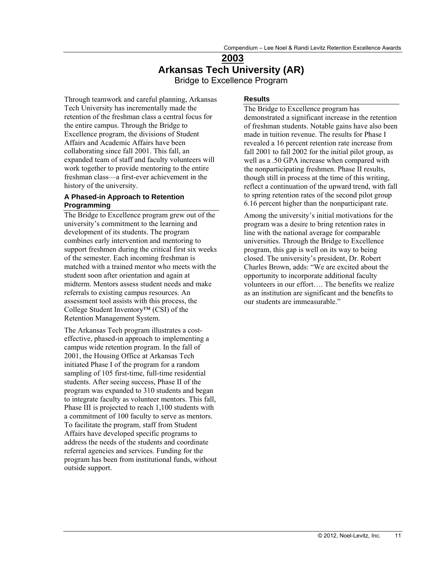# **2003 Arkansas Tech University (AR)**

Bridge to Excellence Program

<span id="page-10-0"></span>Through teamwork and careful planning, Arkansas Tech University has incrementally made the retention of the freshman class a central focus for the entire campus. Through the Bridge to Excellence program, the divisions of Student Affairs and Academic Affairs have been collaborating since fall 2001. This fall, an expanded team of staff and faculty volunteers will work together to provide mentoring to the entire freshman class—a first-ever achievement in the history of the university.

### **A Phased-in Approach to Retention Programming**

The Bridge to Excellence program grew out of the university's commitment to the learning and development of its students. The program combines early intervention and mentoring to support freshmen during the critical first six weeks of the semester. Each incoming freshman is matched with a trained mentor who meets with the student soon after orientation and again at midterm. Mentors assess student needs and make referrals to existing campus resources. An assessment tool assists with this process, the College Student Inventory™ (CSI) of the Retention Management System.

The Arkansas Tech program illustrates a costeffective, phased-in approach to implementing a campus wide retention program. In the fall of 2001, the Housing Office at Arkansas Tech initiated Phase I of the program for a random sampling of 105 first-time, full-time residential students. After seeing success, Phase II of the program was expanded to 310 students and began to integrate faculty as volunteer mentors. This fall, Phase III is projected to reach 1,100 students with a commitment of 100 faculty to serve as mentors. To facilitate the program, staff from Student Affairs have developed specific programs to address the needs of the students and coordinate referral agencies and services. Funding for the program has been from institutional funds, without outside support.

### **Results**

The Bridge to Excellence program has demonstrated a significant increase in the retention of freshman students. Notable gains have also been made in tuition revenue. The results for Phase I revealed a 16 percent retention rate increase from fall 2001 to fall 2002 for the initial pilot group, as well as a .50 GPA increase when compared with the nonparticipating freshmen. Phase II results, though still in process at the time of this writing, reflect a continuation of the upward trend, with fall to spring retention rates of the second pilot group 6.16 percent higher than the nonparticipant rate.

Among the university's initial motivations for the program was a desire to bring retention rates in line with the national average for comparable universities. Through the Bridge to Excellence program, this gap is well on its way to being closed. The university's president, Dr. Robert Charles Brown, adds: "We are excited about the opportunity to incorporate additional faculty volunteers in our effort…. The benefits we realize as an institution are significant and the benefits to our students are immeasurable."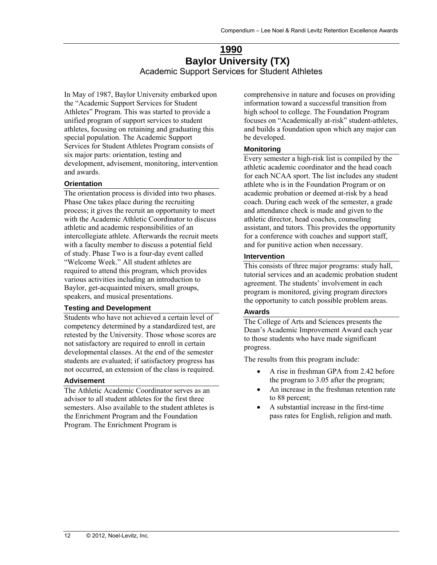### **1990 Baylor University (TX)**  Academic Support Services for Student Athletes

<span id="page-11-0"></span>In May of 1987, Baylor University embarked upon the "Academic Support Services for Student Athletes" Program. This was started to provide a unified program of support services to student athletes, focusing on retaining and graduating this special population. The Academic Support Services for Student Athletes Program consists of six major parts: orientation, testing and development, advisement, monitoring, intervention and awards.

### **Orientation**

The orientation process is divided into two phases. Phase One takes place during the recruiting process; it gives the recruit an opportunity to meet with the Academic Athletic Coordinator to discuss athletic and academic responsibilities of an intercollegiate athlete. Afterwards the recruit meets with a faculty member to discuss a potential field of study. Phase Two is a four-day event called "Welcome Week." All student athletes are required to attend this program, which provides various activities including an introduction to Baylor, get-acquainted mixers, small groups, speakers, and musical presentations.

### **Testing and Development**

Students who have not achieved a certain level of competency determined by a standardized test, are retested by the University. Those whose scores are not satisfactory are required to enroll in certain developmental classes. At the end of the semester students are evaluated; if satisfactory progress has not occurred, an extension of the class is required.

#### **Advisement**

The Athletic Academic Coordinator serves as an advisor to all student athletes for the first three semesters. Also available to the student athletes is the Enrichment Program and the Foundation Program. The Enrichment Program is

comprehensive in nature and focuses on providing information toward a successful transition from high school to college. The Foundation Program focuses on "Academically at-risk" student-athletes, and builds a foundation upon which any major can be developed.

### **Monitoring**

Every semester a high-risk list is compiled by the athletic academic coordinator and the head coach for each NCAA sport. The list includes any student athlete who is in the Foundation Program or on academic probation or deemed at-risk by a head coach. During each week of the semester, a grade and attendance check is made and given to the athletic director, head coaches, counseling assistant, and tutors. This provides the opportunity for a conference with coaches and support staff, and for punitive action when necessary.

### **Intervention**

This consists of three major programs: study hall, tutorial services and an academic probation student agreement. The students' involvement in each program is monitored, giving program directors the opportunity to catch possible problem areas.

#### **Awards**

The College of Arts and Sciences presents the Dean's Academic Improvement Award each year to those students who have made significant progress.

The results from this program include:

- A rise in freshman GPA from 2.42 before the program to 3.05 after the program;
- An increase in the freshman retention rate to 88 percent;
- A substantial increase in the first-time pass rates for English, religion and math.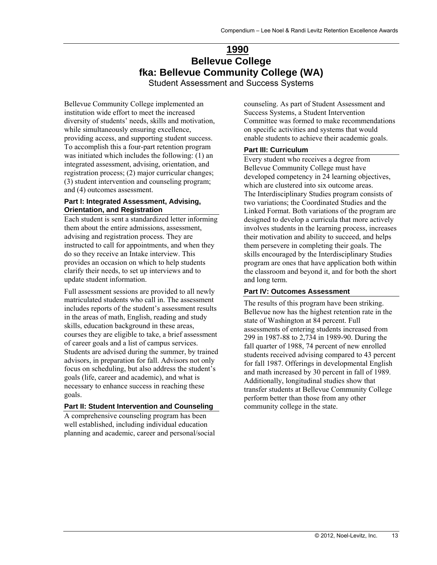# **1990 Bellevue College fka: Bellevue Community College (WA)**

Student Assessment and Success Systems

<span id="page-12-0"></span>Bellevue Community College implemented an institution wide effort to meet the increased diversity of students' needs, skills and motivation, while simultaneously ensuring excellence, providing access, and supporting student success. To accomplish this a four-part retention program was initiated which includes the following: (1) an integrated assessment, advising, orientation, and registration process; (2) major curricular changes; (3) student intervention and counseling program; and (4) outcomes assessment.

#### **Part I: Integrated Assessment, Advising, Orientation, and Registration**

Each student is sent a standardized letter informing them about the entire admissions, assessment, advising and registration process. They are instructed to call for appointments, and when they do so they receive an Intake interview. This provides an occasion on which to help students clarify their needs, to set up interviews and to update student information.

Full assessment sessions are provided to all newly matriculated students who call in. The assessment includes reports of the student's assessment results in the areas of math, English, reading and study skills, education background in these areas, courses they are eligible to take, a brief assessment of career goals and a list of campus services. Students are advised during the summer, by trained advisors, in preparation for fall. Advisors not only focus on scheduling, but also address the student's goals (life, career and academic), and what is necessary to enhance success in reaching these goals.

### **Part II: Student Intervention and Counseling**

A comprehensive counseling program has been well established, including individual education planning and academic, career and personal/social counseling. As part of Student Assessment and Success Systems, a Student Intervention Committee was formed to make recommendations on specific activities and systems that would enable students to achieve their academic goals.

### **Part III: Curriculum**

Every student who receives a degree from Bellevue Community College must have developed competency in 24 learning objectives, which are clustered into six outcome areas. The Interdisciplinary Studies program consists of two variations; the Coordinated Studies and the Linked Format. Both variations of the program are designed to develop a curricula that more actively involves students in the learning process, increases their motivation and ability to succeed, and helps them persevere in completing their goals. The skills encouraged by the Interdisciplinary Studies program are ones that have application both within the classroom and beyond it, and for both the short and long term.

### **Part IV: Outcomes Assessment**

The results of this program have been striking. Bellevue now has the highest retention rate in the state of Washington at 84 percent. Full assessments of entering students increased from 299 in 1987-88 to 2,734 in 1989-90. During the fall quarter of 1988, 74 percent of new enrolled students received advising compared to 43 percent for fall 1987. Offerings in developmental English and math increased by 30 percent in fall of 1989. Additionally, longitudinal studies show that transfer students at Bellevue Community College perform better than those from any other community college in the state.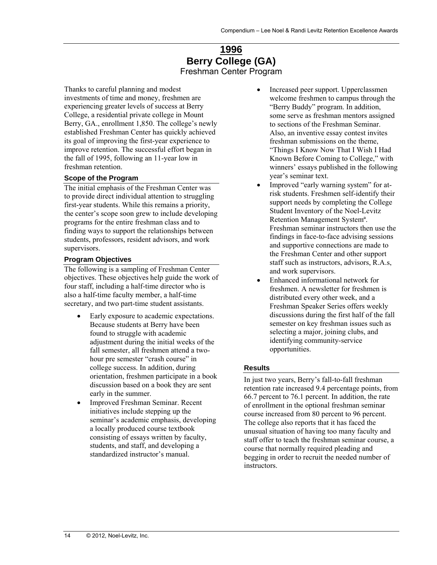### **1996 Berry College (GA)**  Freshman Center Program

<span id="page-13-0"></span>Thanks to careful planning and modest investments of time and money, freshmen are experiencing greater levels of success at Berry College, a residential private college in Mount Berry, GA., enrollment 1,850. The college's newly established Freshman Center has quickly achieved its goal of improving the first-year experience to improve retention. The successful effort began in the fall of 1995, following an 11-year low in freshman retention.

### **Scope of the Program**

The initial emphasis of the Freshman Center was to provide direct individual attention to struggling first-year students. While this remains a priority, the center's scope soon grew to include developing programs for the entire freshman class and to finding ways to support the relationships between students, professors, resident advisors, and work supervisors.

#### **Program Objectives**

The following is a sampling of Freshman Center objectives. These objectives help guide the work of four staff, including a half-time director who is also a half-time faculty member, a half-time secretary, and two part-time student assistants.

- Early exposure to academic expectations. Because students at Berry have been found to struggle with academic adjustment during the initial weeks of the fall semester, all freshmen attend a twohour pre semester "crash course" in college success. In addition, during orientation, freshmen participate in a book discussion based on a book they are sent early in the summer.
- Improved Freshman Seminar. Recent initiatives include stepping up the seminar's academic emphasis, developing a locally produced course textbook consisting of essays written by faculty, students, and staff, and developing a standardized instructor's manual.
- Increased peer support. Upperclassmen welcome freshmen to campus through the "Berry Buddy" program. In addition, some serve as freshman mentors assigned to sections of the Freshman Seminar. Also, an inventive essay contest invites freshman submissions on the theme, "Things I Know Now That I Wish I Had Known Before Coming to College," with winners' essays published in the following year's seminar text.
- Improved "early warning system" for atrisk students. Freshmen self-identify their support needs by completing the College Student Inventory of the Noel-Levitz Retention Management Systemª. Freshman seminar instructors then use the findings in face-to-face advising sessions and supportive connections are made to the Freshman Center and other support staff such as instructors, advisors, R.A.s, and work supervisors.
- Enhanced informational network for freshmen. A newsletter for freshmen is distributed every other week, and a Freshman Speaker Series offers weekly discussions during the first half of the fall semester on key freshman issues such as selecting a major, joining clubs, and identifying community-service opportunities.

#### **Results**

In just two years, Berry's fall-to-fall freshman retention rate increased 9.4 percentage points, from 66.7 percent to 76.1 percent. In addition, the rate of enrollment in the optional freshman seminar course increased from 80 percent to 96 percent. The college also reports that it has faced the unusual situation of having too many faculty and staff offer to teach the freshman seminar course, a course that normally required pleading and begging in order to recruit the needed number of instructors.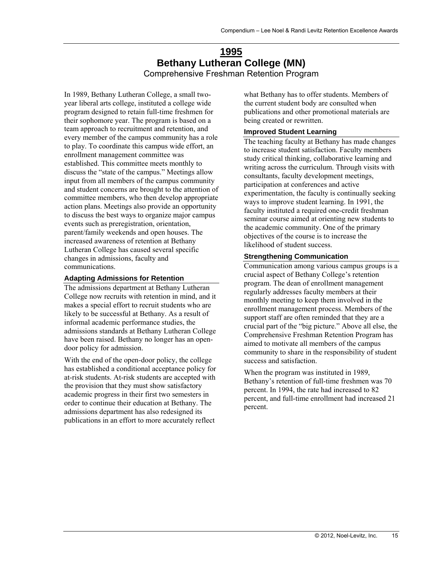### **1995 Bethany Lutheran College (MN)**  Comprehensive Freshman Retention Program

<span id="page-14-0"></span>In 1989, Bethany Lutheran College, a small twoyear liberal arts college, instituted a college wide program designed to retain full-time freshmen for their sophomore year. The program is based on a team approach to recruitment and retention, and every member of the campus community has a role to play. To coordinate this campus wide effort, an enrollment management committee was established. This committee meets monthly to discuss the "state of the campus." Meetings allow input from all members of the campus community and student concerns are brought to the attention of committee members, who then develop appropriate action plans. Meetings also provide an opportunity to discuss the best ways to organize major campus events such as preregistration, orientation, parent/family weekends and open houses. The increased awareness of retention at Bethany Lutheran College has caused several specific changes in admissions, faculty and communications.

### **Adapting Admissions for Retention**

The admissions department at Bethany Lutheran College now recruits with retention in mind, and it makes a special effort to recruit students who are likely to be successful at Bethany. As a result of informal academic performance studies, the admissions standards at Bethany Lutheran College have been raised. Bethany no longer has an opendoor policy for admission.

With the end of the open-door policy, the college has established a conditional acceptance policy for at-risk students. At-risk students are accepted with the provision that they must show satisfactory academic progress in their first two semesters in order to continue their education at Bethany. The admissions department has also redesigned its publications in an effort to more accurately reflect

what Bethany has to offer students. Members of the current student body are consulted when publications and other promotional materials are being created or rewritten.

### **Improved Student Learning**

The teaching faculty at Bethany has made changes to increase student satisfaction. Faculty members study critical thinking, collaborative learning and writing across the curriculum. Through visits with consultants, faculty development meetings, participation at conferences and active experimentation, the faculty is continually seeking ways to improve student learning. In 1991, the faculty instituted a required one-credit freshman seminar course aimed at orienting new students to the academic community. One of the primary objectives of the course is to increase the likelihood of student success.

#### **Strengthening Communication**

Communication among various campus groups is a crucial aspect of Bethany College's retention program. The dean of enrollment management regularly addresses faculty members at their monthly meeting to keep them involved in the enrollment management process. Members of the support staff are often reminded that they are a crucial part of the "big picture." Above all else, the Comprehensive Freshman Retention Program has aimed to motivate all members of the campus community to share in the responsibility of student success and satisfaction.

When the program was instituted in 1989, Bethany's retention of full-time freshmen was 70 percent. In 1994, the rate had increased to 82 percent, and full-time enrollment had increased 21 percent.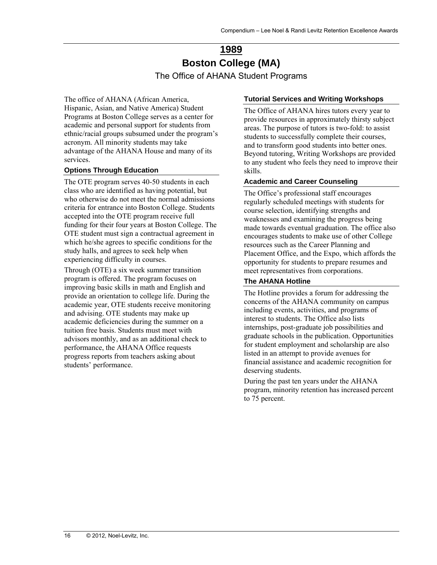# **1989 Boston College (MA)**  The Office of AHANA Student Programs

<span id="page-15-0"></span>The office of AHANA (African America, Hispanic, Asian, and Native America) Student Programs at Boston College serves as a center for academic and personal support for students from ethnic/racial groups subsumed under the program's acronym. All minority students may take advantage of the AHANA House and many of its services.

### **Options Through Education**

The OTE program serves 40-50 students in each class who are identified as having potential, but who otherwise do not meet the normal admissions criteria for entrance into Boston College. Students accepted into the OTE program receive full funding for their four years at Boston College. The OTE student must sign a contractual agreement in which he/she agrees to specific conditions for the study halls, and agrees to seek help when experiencing difficulty in courses.

Through (OTE) a six week summer transition program is offered. The program focuses on improving basic skills in math and English and provide an orientation to college life. During the academic year, OTE students receive monitoring and advising. OTE students may make up academic deficiencies during the summer on a tuition free basis. Students must meet with advisors monthly, and as an additional check to performance, the AHANA Office requests progress reports from teachers asking about students' performance.

### **Tutorial Services and Writing Workshops**

The Office of AHANA hires tutors every year to provide resources in approximately thirsty subject areas. The purpose of tutors is two-fold: to assist students to successfully complete their courses, and to transform good students into better ones. Beyond tutoring, Writing Workshops are provided to any student who feels they need to improve their skills.

### **Academic and Career Counseling**

The Office's professional staff encourages regularly scheduled meetings with students for course selection, identifying strengths and weaknesses and examining the progress being made towards eventual graduation. The office also encourages students to make use of other College resources such as the Career Planning and Placement Office, and the Expo, which affords the opportunity for students to prepare resumes and meet representatives from corporations.

### **The AHANA Hotline**

The Hotline provides a forum for addressing the concerns of the AHANA community on campus including events, activities, and programs of interest to students. The Office also lists internships, post-graduate job possibilities and graduate schools in the publication. Opportunities for student employment and scholarship are also listed in an attempt to provide avenues for financial assistance and academic recognition for deserving students.

During the past ten years under the AHANA program, minority retention has increased percent to 75 percent.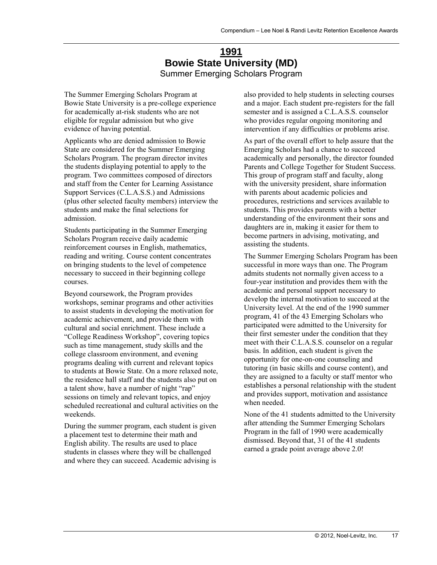### **1991 Bowie State University (MD)**  Summer Emerging Scholars Program

<span id="page-16-0"></span>The Summer Emerging Scholars Program at Bowie State University is a pre-college experience for academically at-risk students who are not eligible for regular admission but who give evidence of having potential.

Applicants who are denied admission to Bowie State are considered for the Summer Emerging Scholars Program. The program director invites the students displaying potential to apply to the program. Two committees composed of directors and staff from the Center for Learning Assistance Support Services (C.L.A.S.S.) and Admissions (plus other selected faculty members) interview the students and make the final selections for admission.

Students participating in the Summer Emerging Scholars Program receive daily academic reinforcement courses in English, mathematics, reading and writing. Course content concentrates on bringing students to the level of competence necessary to succeed in their beginning college courses.

Beyond coursework, the Program provides workshops, seminar programs and other activities to assist students in developing the motivation for academic achievement, and provide them with cultural and social enrichment. These include a "College Readiness Workshop", covering topics such as time management, study skills and the college classroom environment, and evening programs dealing with current and relevant topics to students at Bowie State. On a more relaxed note, the residence hall staff and the students also put on a talent show, have a number of night "rap" sessions on timely and relevant topics, and enjoy scheduled recreational and cultural activities on the weekends.

During the summer program, each student is given a placement test to determine their math and English ability. The results are used to place students in classes where they will be challenged and where they can succeed. Academic advising is

also provided to help students in selecting courses and a major. Each student pre-registers for the fall semester and is assigned a C.L.A.S.S. counselor who provides regular ongoing monitoring and intervention if any difficulties or problems arise.

As part of the overall effort to help assure that the Emerging Scholars had a chance to succeed academically and personally, the director founded Parents and College Together for Student Success. This group of program staff and faculty, along with the university president, share information with parents about academic policies and procedures, restrictions and services available to students. This provides parents with a better understanding of the environment their sons and daughters are in, making it easier for them to become partners in advising, motivating, and assisting the students.

The Summer Emerging Scholars Program has been successful in more ways than one. The Program admits students not normally given access to a four-year institution and provides them with the academic and personal support necessary to develop the internal motivation to succeed at the University level. At the end of the 1990 summer program, 41 of the 43 Emerging Scholars who participated were admitted to the University for their first semester under the condition that they meet with their C.L.A.S.S. counselor on a regular basis. In addition, each student is given the opportunity for one-on-one counseling and tutoring (in basic skills and course content), and they are assigned to a faculty or staff mentor who establishes a personal relationship with the student and provides support, motivation and assistance when needed.

None of the 41 students admitted to the University after attending the Summer Emerging Scholars Program in the fall of 1990 were academically dismissed. Beyond that, 31 of the 41 students earned a grade point average above 2.0!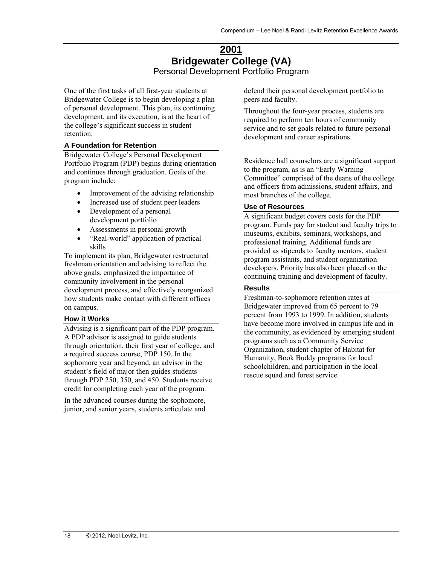### **2001 Bridgewater College (VA)**  Personal Development Portfolio Program

<span id="page-17-0"></span>One of the first tasks of all first-year students at Bridgewater College is to begin developing a plan of personal development. This plan, its continuing development, and its execution, is at the heart of the college's significant success in student retention.

### **A Foundation for Retention**

Bridgewater College's Personal Development Portfolio Program (PDP) begins during orientation and continues through graduation. Goals of the program include:

- Improvement of the advising relationship
- Increased use of student peer leaders
- Development of a personal development portfolio
- Assessments in personal growth
- "Real-world" application of practical skills

To implement its plan, Bridgewater restructured freshman orientation and advising to reflect the above goals, emphasized the importance of community involvement in the personal development process, and effectively reorganized how students make contact with different offices on campus.

#### **How it Works**

Advising is a significant part of the PDP program. A PDP advisor is assigned to guide students through orientation, their first year of college, and a required success course, PDP 150. In the sophomore year and beyond, an advisor in the student's field of major then guides students through PDP 250, 350, and 450. Students receive credit for completing each year of the program.

In the advanced courses during the sophomore, junior, and senior years, students articulate and defend their personal development portfolio to peers and faculty.

Throughout the four-year process, students are required to perform ten hours of community service and to set goals related to future personal development and career aspirations.

Residence hall counselors are a significant support to the program, as is an "Early Warning Committee" comprised of the deans of the college and officers from admissions, student affairs, and most branches of the college.

### **Use of Resources**

A significant budget covers costs for the PDP program. Funds pay for student and faculty trips to museums, exhibits, seminars, workshops, and professional training. Additional funds are provided as stipends to faculty mentors, student program assistants, and student organization developers. Priority has also been placed on the continuing training and development of faculty.

### **Results**

Freshman-to-sophomore retention rates at Bridgewater improved from 65 percent to 79 percent from 1993 to 1999. In addition, students have become more involved in campus life and in the community, as evidenced by emerging student programs such as a Community Service Organization, student chapter of Habitat for Humanity, Book Buddy programs for local schoolchildren, and participation in the local rescue squad and forest service.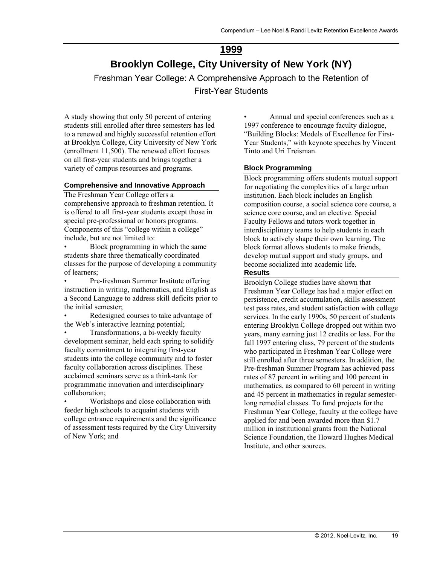# **1999**

# <span id="page-18-0"></span>**Brooklyn College, City University of New York (NY)**

Freshman Year College: A Comprehensive Approach to the Retention of First-Year Students

A study showing that only 50 percent of entering students still enrolled after three semesters has led to a renewed and highly successful retention effort at Brooklyn College, City University of New York (enrollment 11,500). The renewed effort focuses on all first-year students and brings together a variety of campus resources and programs.

### **Comprehensive and Innovative Approach**

The Freshman Year College offers a comprehensive approach to freshman retention. It is offered to all first-year students except those in special pre-professional or honors programs. Components of this "college within a college" include, but are not limited to:

• Block programming in which the same students share three thematically coordinated classes for the purpose of developing a community of learners;

• Pre-freshman Summer Institute offering instruction in writing, mathematics, and English as a Second Language to address skill deficits prior to the initial semester;

Redesigned courses to take advantage of the Web's interactive learning potential;

• Transformations, a bi-weekly faculty development seminar, held each spring to solidify faculty commitment to integrating first-year students into the college community and to foster faculty collaboration across disciplines. These acclaimed seminars serve as a think-tank for programmatic innovation and interdisciplinary collaboration;

• Workshops and close collaboration with feeder high schools to acquaint students with college entrance requirements and the significance of assessment tests required by the City University of New York; and

• Annual and special conferences such as a 1997 conference to encourage faculty dialogue, "Building Blocks: Models of Excellence for First-Year Students," with keynote speeches by Vincent Tinto and Uri Treisman.

### **Block Programming**

Block programming offers students mutual support for negotiating the complexities of a large urban institution. Each block includes an English composition course, a social science core course, a science core course, and an elective. Special Faculty Fellows and tutors work together in interdisciplinary teams to help students in each block to actively shape their own learning. The block format allows students to make friends, develop mutual support and study groups, and become socialized into academic life.

### **Results**

Brooklyn College studies have shown that Freshman Year College has had a major effect on persistence, credit accumulation, skills assessment test pass rates, and student satisfaction with college services. In the early 1990s, 50 percent of students entering Brooklyn College dropped out within two years, many earning just 12 credits or less. For the fall 1997 entering class, 79 percent of the students who participated in Freshman Year College were still enrolled after three semesters. In addition, the Pre-freshman Summer Program has achieved pass rates of 87 percent in writing and 100 percent in mathematics, as compared to 60 percent in writing and 45 percent in mathematics in regular semesterlong remedial classes. To fund projects for the Freshman Year College, faculty at the college have applied for and been awarded more than \$1.7 million in institutional grants from the National Science Foundation, the Howard Hughes Medical Institute, and other sources.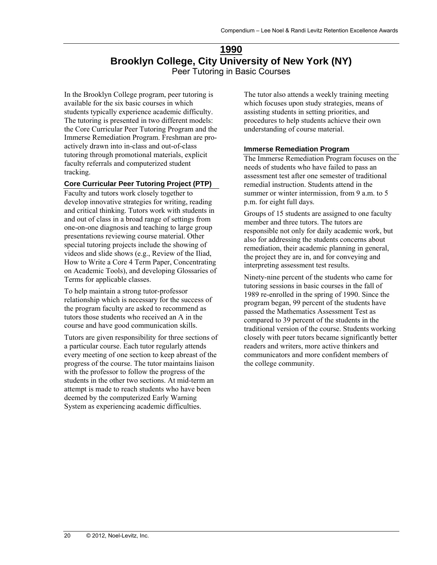### **1990 Brooklyn College, City University of New York (NY)**  Peer Tutoring in Basic Courses

<span id="page-19-0"></span>In the Brooklyn College program, peer tutoring is available for the six basic courses in which students typically experience academic difficulty. The tutoring is presented in two different models: the Core Curricular Peer Tutoring Program and the Immerse Remediation Program. Freshman are proactively drawn into in-class and out-of-class tutoring through promotional materials, explicit faculty referrals and computerized student tracking.

### **Core Curricular Peer Tutoring Project (PTP)**

Faculty and tutors work closely together to develop innovative strategies for writing, reading and critical thinking. Tutors work with students in and out of class in a broad range of settings from one-on-one diagnosis and teaching to large group presentations reviewing course material. Other special tutoring projects include the showing of videos and slide shows (e.g., Review of the Iliad, How to Write a Core 4 Term Paper, Concentrating on Academic Tools), and developing Glossaries of Terms for applicable classes.

To help maintain a strong tutor-professor relationship which is necessary for the success of the program faculty are asked to recommend as tutors those students who received an A in the course and have good communication skills.

Tutors are given responsibility for three sections of a particular course. Each tutor regularly attends every meeting of one section to keep abreast of the progress of the course. The tutor maintains liaison with the professor to follow the progress of the students in the other two sections. At mid-term an attempt is made to reach students who have been deemed by the computerized Early Warning System as experiencing academic difficulties.

The tutor also attends a weekly training meeting which focuses upon study strategies, means of assisting students in setting priorities, and procedures to help students achieve their own understanding of course material.

### **Immerse Remediation Program**

The Immerse Remediation Program focuses on the needs of students who have failed to pass an assessment test after one semester of traditional remedial instruction. Students attend in the summer or winter intermission, from 9 a.m. to 5 p.m. for eight full days.

Groups of 15 students are assigned to one faculty member and three tutors. The tutors are responsible not only for daily academic work, but also for addressing the students concerns about remediation, their academic planning in general, the project they are in, and for conveying and interpreting assessment test results.

Ninety-nine percent of the students who came for tutoring sessions in basic courses in the fall of 1989 re-enrolled in the spring of 1990. Since the program began, 99 percent of the students have passed the Mathematics Assessment Test as compared to 39 percent of the students in the traditional version of the course. Students working closely with peer tutors became significantly better readers and writers, more active thinkers and communicators and more confident members of the college community.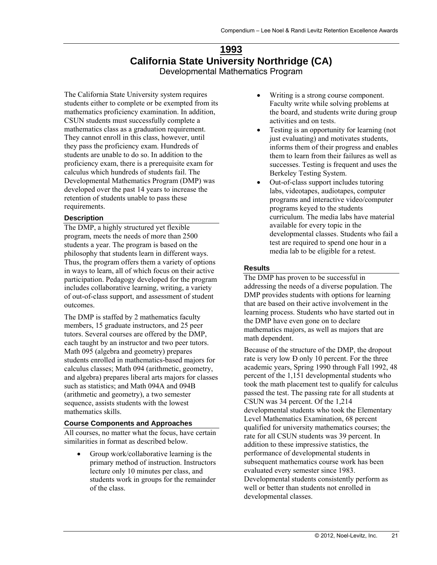### **1993 California State University Northridge (CA)**  Developmental Mathematics Program

<span id="page-20-0"></span>The California State University system requires students either to complete or be exempted from its mathematics proficiency examination. In addition, CSUN students must successfully complete a mathematics class as a graduation requirement. They cannot enroll in this class, however, until they pass the proficiency exam. Hundreds of students are unable to do so. In addition to the proficiency exam, there is a prerequisite exam for calculus which hundreds of students fail. The Developmental Mathematics Program (DMP) was developed over the past 14 years to increase the retention of students unable to pass these requirements.

### **Description**

The DMP, a highly structured yet flexible program, meets the needs of more than 2500 students a year. The program is based on the philosophy that students learn in different ways. Thus, the program offers them a variety of options in ways to learn, all of which focus on their active participation. Pedagogy developed for the program includes collaborative learning, writing, a variety of out-of-class support, and assessment of student outcomes.

The DMP is staffed by 2 mathematics faculty members, 15 graduate instructors, and 25 peer tutors. Several courses are offered by the DMP, each taught by an instructor and two peer tutors. Math 095 (algebra and geometry) prepares students enrolled in mathematics-based majors for calculus classes; Math 094 (arithmetic, geometry, and algebra) prepares liberal arts majors for classes such as statistics; and Math 094A and 094B (arithmetic and geometry), a two semester sequence, assists students with the lowest mathematics skills.

#### **Course Components and Approaches**

All courses, no matter what the focus, have certain similarities in format as described below.

• Group work/collaborative learning is the primary method of instruction. Instructors lecture only 10 minutes per class, and students work in groups for the remainder of the class.

- Writing is a strong course component. Faculty write while solving problems at the board, and students write during group activities and on tests.
- Testing is an opportunity for learning (not just evaluating) and motivates students, informs them of their progress and enables them to learn from their failures as well as successes. Testing is frequent and uses the Berkeley Testing System.
- Out-of-class support includes tutoring labs, videotapes, audiotapes, computer programs and interactive video/computer programs keyed to the students curriculum. The media labs have material available for every topic in the developmental classes. Students who fail a test are required to spend one hour in a media lab to be eligible for a retest.

### **Results**

The DMP has proven to be successful in addressing the needs of a diverse population. The DMP provides students with options for learning that are based on their active involvement in the learning process. Students who have started out in the DMP have even gone on to declare mathematics majors, as well as majors that are math dependent.

Because of the structure of the DMP, the dropout rate is very low Ð only 10 percent. For the three academic years, Spring 1990 through Fall 1992, 48 percent of the 1,151 developmental students who took the math placement test to qualify for calculus passed the test. The passing rate for all students at CSUN was 34 percent. Of the 1,214 developmental students who took the Elementary Level Mathematics Examination, 68 percent qualified for university mathematics courses; the rate for all CSUN students was 39 percent. In addition to these impressive statistics, the performance of developmental students in subsequent mathematics course work has been evaluated every semester since 1983. Developmental students consistently perform as well or better than students not enrolled in developmental classes.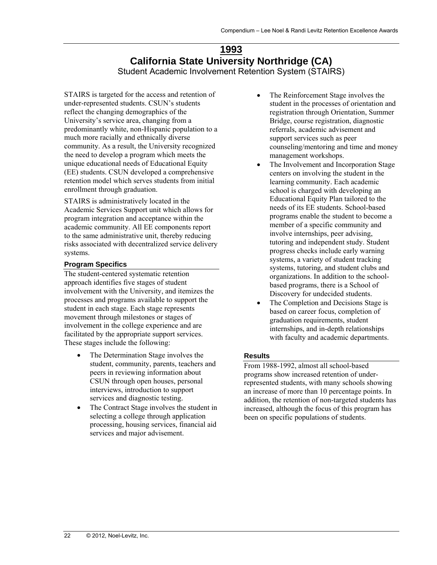### **1993 California State University Northridge (CA)**  Student Academic Involvement Retention System (STAIRS)

<span id="page-21-0"></span>STAIRS is targeted for the access and retention of under-represented students. CSUN's students reflect the changing demographics of the University's service area, changing from a predominantly white, non-Hispanic population to a much more racially and ethnically diverse community. As a result, the University recognized the need to develop a program which meets the unique educational needs of Educational Equity (EE) students. CSUN developed a comprehensive retention model which serves students from initial enrollment through graduation.

STAIRS is administratively located in the Academic Services Support unit which allows for program integration and acceptance within the academic community. All EE components report to the same administrative unit, thereby reducing risks associated with decentralized service delivery systems.

### **Program Specifics**

The student-centered systematic retention approach identifies five stages of student involvement with the University, and itemizes the processes and programs available to support the student in each stage. Each stage represents movement through milestones or stages of involvement in the college experience and are facilitated by the appropriate support services. These stages include the following:

- The Determination Stage involves the student, community, parents, teachers and peers in reviewing information about CSUN through open houses, personal interviews, introduction to support services and diagnostic testing.
- The Contract Stage involves the student in selecting a college through application processing, housing services, financial aid services and major advisement.
- The Reinforcement Stage involves the student in the processes of orientation and registration through Orientation, Summer Bridge, course registration, diagnostic referrals, academic advisement and support services such as peer counseling/mentoring and time and money management workshops.
- The Involvement and Incorporation Stage centers on involving the student in the learning community. Each academic school is charged with developing an Educational Equity Plan tailored to the needs of its EE students. School-based programs enable the student to become a member of a specific community and involve internships, peer advising, tutoring and independent study. Student progress checks include early warning systems, a variety of student tracking systems, tutoring, and student clubs and organizations. In addition to the schoolbased programs, there is a School of Discovery for undecided students.
- The Completion and Decisions Stage is based on career focus, completion of graduation requirements, student internships, and in-depth relationships with faculty and academic departments.

### **Results**

From 1988-1992, almost all school-based programs show increased retention of underrepresented students, with many schools showing an increase of more than 10 percentage points. In addition, the retention of non-targeted students has increased, although the focus of this program has been on specific populations of students.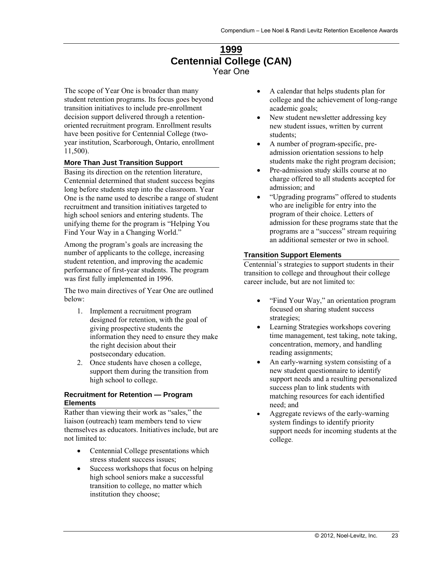### **1999 Centennial College (CAN)**  Year One

<span id="page-22-0"></span>The scope of Year One is broader than many student retention programs. Its focus goes beyond transition initiatives to include pre-enrollment decision support delivered through a retentionoriented recruitment program. Enrollment results have been positive for Centennial College (twoyear institution, Scarborough, Ontario, enrollment 11,500).

### **More Than Just Transition Support**

Basing its direction on the retention literature, Centennial determined that student success begins long before students step into the classroom. Year One is the name used to describe a range of student recruitment and transition initiatives targeted to high school seniors and entering students. The unifying theme for the program is "Helping You Find Your Way in a Changing World."

Among the program's goals are increasing the number of applicants to the college, increasing student retention, and improving the academic performance of first-year students. The program was first fully implemented in 1996.

The two main directives of Year One are outlined below:

- 1. Implement a recruitment program designed for retention, with the goal of giving prospective students the information they need to ensure they make the right decision about their postsecondary education.
- 2. Once students have chosen a college, support them during the transition from high school to college.

### **Recruitment for Retention — Program Elements**

Rather than viewing their work as "sales," the liaison (outreach) team members tend to view themselves as educators. Initiatives include, but are not limited to:

- Centennial College presentations which stress student success issues;
- Success workshops that focus on helping high school seniors make a successful transition to college, no matter which institution they choose;
- A calendar that helps students plan for college and the achievement of long-range academic goals;
- New student newsletter addressing key new student issues, written by current students;
- A number of program-specific, preadmission orientation sessions to help students make the right program decision;
- Pre-admission study skills course at no charge offered to all students accepted for admission; and
- "Upgrading programs" offered to students who are ineligible for entry into the program of their choice. Letters of admission for these programs state that the programs are a "success" stream requiring an additional semester or two in school.

### **Transition Support Elements**

Centennial's strategies to support students in their transition to college and throughout their college career include, but are not limited to:

- "Find Your Way," an orientation program focused on sharing student success strategies;
- Learning Strategies workshops covering time management, test taking, note taking, concentration, memory, and handling reading assignments;
- An early-warning system consisting of a new student questionnaire to identify support needs and a resulting personalized success plan to link students with matching resources for each identified need; and
- Aggregate reviews of the early-warning system findings to identify priority support needs for incoming students at the college.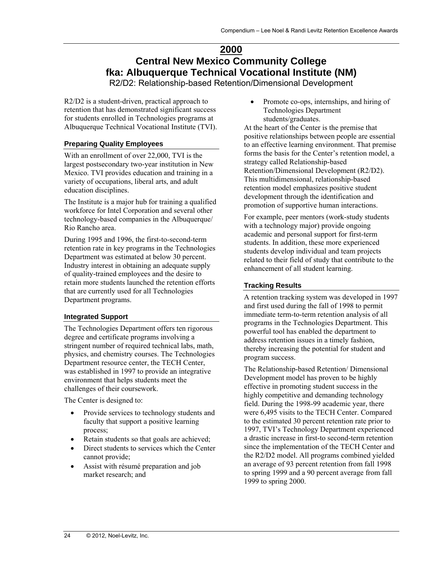# <span id="page-23-0"></span>**2000 Central New Mexico Community College fka: Albuquerque Technical Vocational Institute (NM)**

R2/D2: Relationship-based Retention/Dimensional Development

R2/D2 is a student-driven, practical approach to retention that has demonstrated significant success for students enrolled in Technologies programs at Albuquerque Technical Vocational Institute (TVI).

### **Preparing Quality Employees**

With an enrollment of over 22,000, TVI is the largest postsecondary two-year institution in New Mexico. TVI provides education and training in a variety of occupations, liberal arts, and adult education disciplines.

The Institute is a major hub for training a qualified workforce for Intel Corporation and several other technology-based companies in the Albuquerque/ Rio Rancho area.

During 1995 and 1996, the first-to-second-term retention rate in key programs in the Technologies Department was estimated at below 30 percent. Industry interest in obtaining an adequate supply of quality-trained employees and the desire to retain more students launched the retention efforts that are currently used for all Technologies Department programs.

### **Integrated Support**

The Technologies Department offers ten rigorous degree and certificate programs involving a stringent number of required technical labs, math, physics, and chemistry courses. The Technologies Department resource center, the TECH Center, was established in 1997 to provide an integrative environment that helps students meet the challenges of their coursework.

The Center is designed to:

- Provide services to technology students and faculty that support a positive learning process;
- Retain students so that goals are achieved;
- Direct students to services which the Center cannot provide;
- Assist with résumé preparation and job market research; and

• Promote co-ops, internships, and hiring of Technologies Department students/graduates.

At the heart of the Center is the premise that positive relationships between people are essential to an effective learning environment. That premise forms the basis for the Center's retention model, a strategy called Relationship-based Retention/Dimensional Development (R2/D2). This multidimensional, relationship-based retention model emphasizes positive student development through the identification and promotion of supportive human interactions.

For example, peer mentors (work-study students with a technology major) provide ongoing academic and personal support for first-term students. In addition, these more experienced students develop individual and team projects related to their field of study that contribute to the enhancement of all student learning.

### **Tracking Results**

A retention tracking system was developed in 1997 and first used during the fall of 1998 to permit immediate term-to-term retention analysis of all programs in the Technologies Department. This powerful tool has enabled the department to address retention issues in a timely fashion, thereby increasing the potential for student and program success.

The Relationship-based Retention/ Dimensional Development model has proven to be highly effective in promoting student success in the highly competitive and demanding technology field. During the 1998-99 academic year, there were 6,495 visits to the TECH Center. Compared to the estimated 30 percent retention rate prior to 1997, TVI's Technology Department experienced a drastic increase in first-to second-term retention since the implementation of the TECH Center and the R2/D2 model. All programs combined yielded an average of 93 percent retention from fall 1998 to spring 1999 and a 90 percent average from fall 1999 to spring 2000.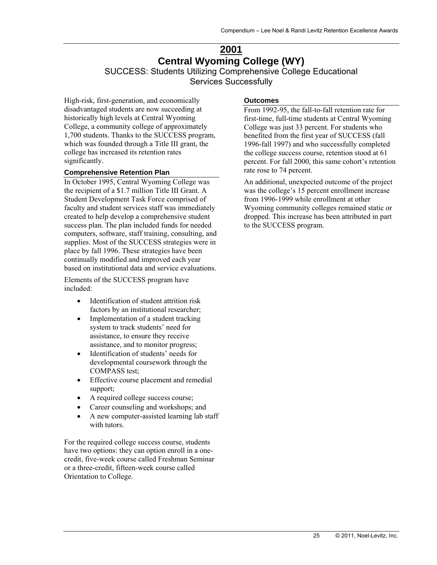# <span id="page-24-0"></span>**2001 Central Wyoming College (WY)**  SUCCESS: Students Utilizing Comprehensive College Educational

Services Successfully

High-risk, first-generation, and economically disadvantaged students are now succeeding at historically high levels at Central Wyoming College, a community college of approximately 1,700 students. Thanks to the SUCCESS program, which was founded through a Title III grant, the college has increased its retention rates significantly.

#### **Comprehensive Retention Plan**

In October 1995, Central Wyoming College was the recipient of a \$1.7 million Title III Grant. A Student Development Task Force comprised of faculty and student services staff was immediately created to help develop a comprehensive student success plan. The plan included funds for needed computers, software, staff training, consulting, and supplies. Most of the SUCCESS strategies were in place by fall 1996. These strategies have been continually modified and improved each year based on institutional data and service evaluations.

Elements of the SUCCESS program have included:

- Identification of student attrition risk factors by an institutional researcher;
- Implementation of a student tracking system to track students' need for assistance, to ensure they receive assistance, and to monitor progress;
- Identification of students' needs for developmental coursework through the COMPASS test;
- Effective course placement and remedial support;
- A required college success course;
- Career counseling and workshops; and
- A new computer-assisted learning lab staff with tutors.

For the required college success course, students have two options: they can option enroll in a onecredit, five-week course called Freshman Seminar or a three-credit, fifteen-week course called Orientation to College.

### **Outcomes**

From 1992-95, the fall-to-fall retention rate for first-time, full-time students at Central Wyoming College was just 33 percent. For students who benefited from the first year of SUCCESS (fall 1996-fall 1997) and who successfully completed the college success course, retention stood at 61 percent. For fall 2000, this same cohort's retention rate rose to 74 percent.

An additional, unexpected outcome of the project was the college's 15 percent enrollment increase from 1996-1999 while enrollment at other Wyoming community colleges remained static or dropped. This increase has been attributed in part to the SUCCESS program.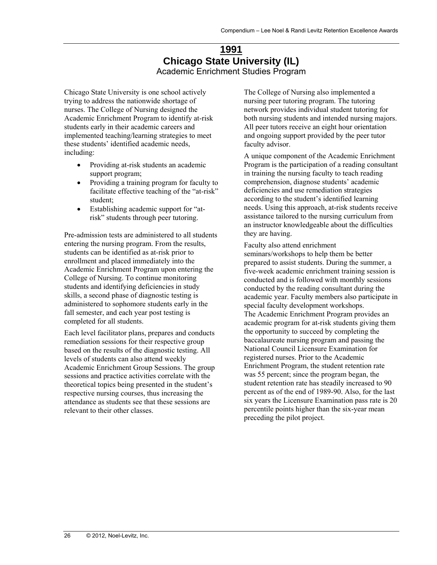### **1991 Chicago State University (IL)**  Academic Enrichment Studies Program

<span id="page-25-0"></span>Chicago State University is one school actively trying to address the nationwide shortage of nurses. The College of Nursing designed the Academic Enrichment Program to identify at-risk students early in their academic careers and implemented teaching/learning strategies to meet these students' identified academic needs, including:

- Providing at-risk students an academic support program;
- Providing a training program for faculty to facilitate effective teaching of the "at-risk" student;
- Establishing academic support for "atrisk" students through peer tutoring.

Pre-admission tests are administered to all students entering the nursing program. From the results, students can be identified as at-risk prior to enrollment and placed immediately into the Academic Enrichment Program upon entering the College of Nursing. To continue monitoring students and identifying deficiencies in study skills, a second phase of diagnostic testing is administered to sophomore students early in the fall semester, and each year post testing is completed for all students.

Each level facilitator plans, prepares and conducts remediation sessions for their respective group based on the results of the diagnostic testing. All levels of students can also attend weekly Academic Enrichment Group Sessions. The group sessions and practice activities correlate with the theoretical topics being presented in the student's respective nursing courses, thus increasing the attendance as students see that these sessions are relevant to their other classes.

The College of Nursing also implemented a nursing peer tutoring program. The tutoring network provides individual student tutoring for both nursing students and intended nursing majors. All peer tutors receive an eight hour orientation and ongoing support provided by the peer tutor faculty advisor.

A unique component of the Academic Enrichment Program is the participation of a reading consultant in training the nursing faculty to teach reading comprehension, diagnose students' academic deficiencies and use remediation strategies according to the student's identified learning needs. Using this approach, at-risk students receive assistance tailored to the nursing curriculum from an instructor knowledgeable about the difficulties they are having.

Faculty also attend enrichment seminars/workshops to help them be better prepared to assist students. During the summer, a five-week academic enrichment training session is conducted and is followed with monthly sessions conducted by the reading consultant during the academic year. Faculty members also participate in special faculty development workshops. The Academic Enrichment Program provides an academic program for at-risk students giving them the opportunity to succeed by completing the baccalaureate nursing program and passing the National Council Licensure Examination for registered nurses. Prior to the Academic Enrichment Program, the student retention rate was 55 percent; since the program began, the student retention rate has steadily increased to 90 percent as of the end of 1989-90. Also, for the last six years the Licensure Examination pass rate is 20 percentile points higher than the six-year mean preceding the pilot project.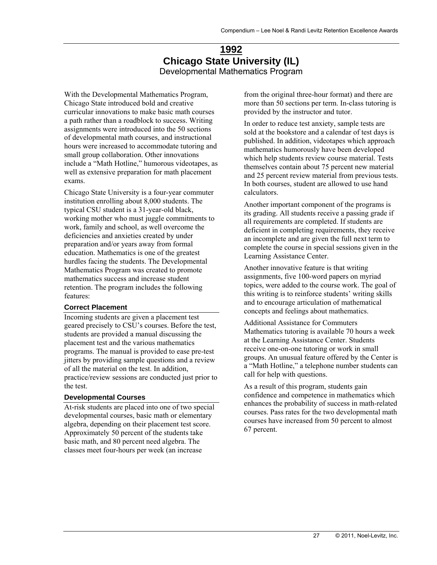### **1992 Chicago State University (IL)**  Developmental Mathematics Program

<span id="page-26-0"></span>With the Developmental Mathematics Program, Chicago State introduced bold and creative curricular innovations to make basic math courses a path rather than a roadblock to success. Writing assignments were introduced into the 50 sections of developmental math courses, and instructional hours were increased to accommodate tutoring and small group collaboration. Other innovations include a "Math Hotline," humorous videotapes, as well as extensive preparation for math placement exams.

Chicago State University is a four-year commuter institution enrolling about 8,000 students. The typical CSU student is a 31-year-old black, working mother who must juggle commitments to work, family and school, as well overcome the deficiencies and anxieties created by under preparation and/or years away from formal education. Mathematics is one of the greatest hurdles facing the students. The Developmental Mathematics Program was created to promote mathematics success and increase student retention. The program includes the following features:

#### **Correct Placement**

Incoming students are given a placement test geared precisely to CSU's courses. Before the test, students are provided a manual discussing the placement test and the various mathematics programs. The manual is provided to ease pre-test jitters by providing sample questions and a review of all the material on the test. In addition, practice/review sessions are conducted just prior to the test.

#### **Developmental Courses**

At-risk students are placed into one of two special developmental courses, basic math or elementary algebra, depending on their placement test score. Approximately 50 percent of the students take basic math, and 80 percent need algebra. The classes meet four-hours per week (an increase

from the original three-hour format) and there are more than 50 sections per term. In-class tutoring is provided by the instructor and tutor.

In order to reduce test anxiety, sample tests are sold at the bookstore and a calendar of test days is published. In addition, videotapes which approach mathematics humorously have been developed which help students review course material. Tests themselves contain about 75 percent new material and 25 percent review material from previous tests. In both courses, student are allowed to use hand calculators.

Another important component of the programs is its grading. All students receive a passing grade if all requirements are completed. If students are deficient in completing requirements, they receive an incomplete and are given the full next term to complete the course in special sessions given in the Learning Assistance Center.

Another innovative feature is that writing assignments, five 100-word papers on myriad topics, were added to the course work. The goal of this writing is to reinforce students' writing skills and to encourage articulation of mathematical concepts and feelings about mathematics.

Additional Assistance for Commuters Mathematics tutoring is available 70 hours a week at the Learning Assistance Center. Students receive one-on-one tutoring or work in small groups. An unusual feature offered by the Center is a "Math Hotline," a telephone number students can call for help with questions.

As a result of this program, students gain confidence and competence in mathematics which enhances the probability of success in math-related courses. Pass rates for the two developmental math courses have increased from 50 percent to almost 67 percent.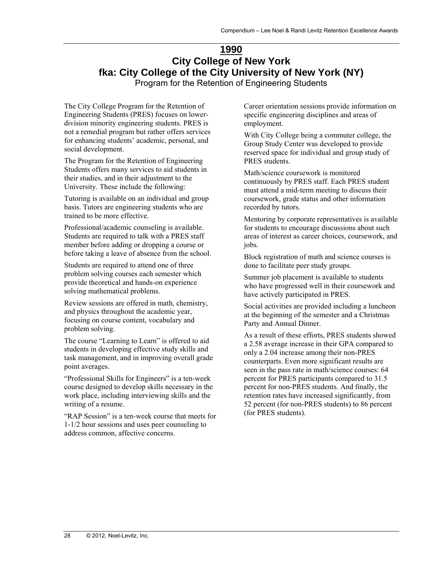# <span id="page-27-0"></span>**1990 City College of New York fka: City College of the City University of New York (NY)**

Program for the Retention of Engineering Students

The City College Program for the Retention of Engineering Students (PRES) focuses on lowerdivision minority engineering students. PRES is not a remedial program but rather offers services for enhancing students' academic, personal, and social development.

The Program for the Retention of Engineering Students offers many services to aid students in their studies, and in their adjustment to the University. These include the following:

Tutoring is available on an individual and group basis. Tutors are engineering students who are trained to be more effective.

Professional/academic counseling is available. Students are required to talk with a PRES staff member before adding or dropping a course or before taking a leave of absence from the school.

Students are required to attend one of three problem solving courses each semester which provide theoretical and hands-on experience solving mathematical problems.

Review sessions are offered in math, chemistry, and physics throughout the academic year, focusing on course content, vocabulary and problem solving.

The course "Learning to Learn" is offered to aid students in developing effective study skills and task management, and in improving overall grade point averages.

"Professional Skills for Engineers" is a ten-week course designed to develop skills necessary in the work place, including interviewing skills and the writing of a resume.

"RAP Session" is a ten-week course that meets for 1-1/2 hour sessions and uses peer counseling to address common, affective concerns.

Career orientation sessions provide information on specific engineering disciplines and areas of employment.

With City College being a commuter college, the Group Study Center was developed to provide reserved space for individual and group study of PRES students.

Math/science coursework is monitored continuously by PRES staff. Each PRES student must attend a mid-term meeting to discuss their coursework, grade status and other information recorded by tutors.

Mentoring by corporate representatives is available for students to encourage discussions about such areas of interest as career choices, coursework, and jobs.

Block registration of math and science courses is done to facilitate peer study groups.

Summer job placement is available to students who have progressed well in their coursework and have actively participated in PRES.

Social activities are provided including a luncheon at the beginning of the semester and a Christmas Party and Annual Dinner.

As a result of these efforts, PRES students showed a 2.58 average increase in their GPA compared to only a 2.04 increase among their non-PRES counterparts. Even more significant results are seen in the pass rate in math/science courses: 64 percent for PRES participants compared to 31.5 percent for non-PRES students. And finally, the retention rates have increased significantly, from 52 percent (for non-PRES students) to 86 percent (for PRES students).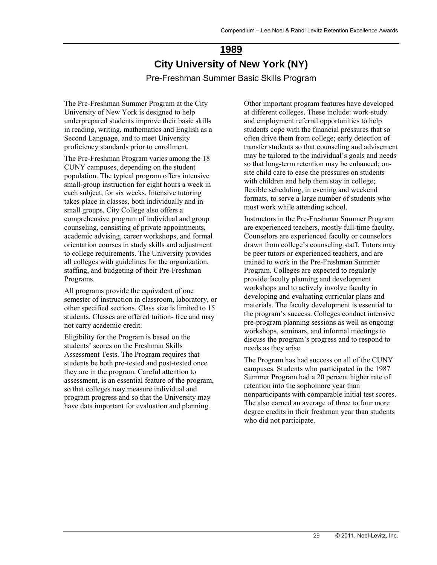# **1989 City University of New York (NY)**  Pre-Freshman Summer Basic Skills Program

<span id="page-28-0"></span>The Pre-Freshman Summer Program at the City University of New York is designed to help underprepared students improve their basic skills in reading, writing, mathematics and English as a Second Language, and to meet University proficiency standards prior to enrollment.

The Pre-Freshman Program varies among the 18 CUNY campuses, depending on the student population. The typical program offers intensive small-group instruction for eight hours a week in each subject, for six weeks. Intensive tutoring takes place in classes, both individually and in small groups. City College also offers a comprehensive program of individual and group counseling, consisting of private appointments, academic advising, career workshops, and formal orientation courses in study skills and adjustment to college requirements. The University provides all colleges with guidelines for the organization, staffing, and budgeting of their Pre-Freshman Programs.

All programs provide the equivalent of one semester of instruction in classroom, laboratory, or other specified sections. Class size is limited to 15 students. Classes are offered tuition- free and may not carry academic credit.

Eligibility for the Program is based on the students' scores on the Freshman Skills Assessment Tests. The Program requires that students be both pre-tested and post-tested once they are in the program. Careful attention to assessment, is an essential feature of the program, so that colleges may measure individual and program progress and so that the University may have data important for evaluation and planning.

Other important program features have developed at different colleges. These include: work-study and employment referral opportunities to help students cope with the financial pressures that so often drive them from college; early detection of transfer students so that counseling and advisement may be tailored to the individual's goals and needs so that long-term retention may be enhanced; onsite child care to ease the pressures on students with children and help them stay in college; flexible scheduling, in evening and weekend formats, to serve a large number of students who must work while attending school.

Instructors in the Pre-Freshman Summer Program are experienced teachers, mostly full-time faculty. Counselors are experienced faculty or counselors drawn from college's counseling staff. Tutors may be peer tutors or experienced teachers, and are trained to work in the Pre-Freshman Summer Program. Colleges are expected to regularly provide faculty planning and development workshops and to actively involve faculty in developing and evaluating curricular plans and materials. The faculty development is essential to the program's success. Colleges conduct intensive pre-program planning sessions as well as ongoing workshops, seminars, and informal meetings to discuss the program's progress and to respond to needs as they arise.

The Program has had success on all of the CUNY campuses. Students who participated in the 1987 Summer Program had a 20 percent higher rate of retention into the sophomore year than nonparticipants with comparable initial test scores. The also earned an average of three to four more degree credits in their freshman year than students who did not participate.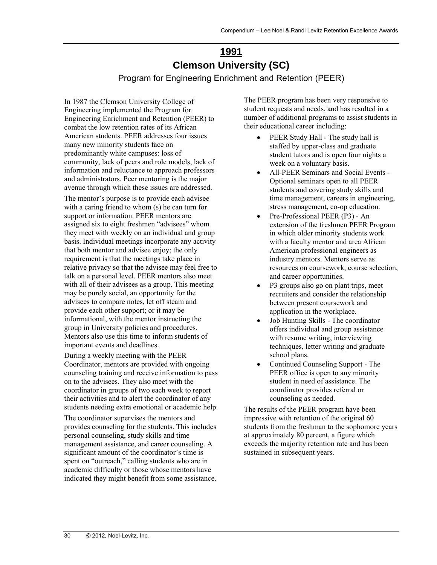# **1991 Clemson University (SC)**

Program for Engineering Enrichment and Retention (PEER)

<span id="page-29-0"></span>In 1987 the Clemson University College of Engineering implemented the Program for Engineering Enrichment and Retention (PEER) to combat the low retention rates of its African American students. PEER addresses four issues many new minority students face on predominantly white campuses: loss of community, lack of peers and role models, lack of information and reluctance to approach professors and administrators. Peer mentoring is the major avenue through which these issues are addressed.

The mentor's purpose is to provide each advisee with a caring friend to whom (s) he can turn for support or information. PEER mentors are assigned six to eight freshmen "advisees" whom they meet with weekly on an individual and group basis. Individual meetings incorporate any activity that both mentor and advisee enjoy; the only requirement is that the meetings take place in relative privacy so that the advisee may feel free to talk on a personal level. PEER mentors also meet with all of their advisees as a group. This meeting may be purely social, an opportunity for the advisees to compare notes, let off steam and provide each other support; or it may be informational, with the mentor instructing the group in University policies and procedures. Mentors also use this time to inform students of important events and deadlines.

During a weekly meeting with the PEER Coordinator, mentors are provided with ongoing counseling training and receive information to pass on to the advisees. They also meet with the coordinator in groups of two each week to report their activities and to alert the coordinator of any students needing extra emotional or academic help.

The coordinator supervises the mentors and provides counseling for the students. This includes personal counseling, study skills and time management assistance, and career counseling. A significant amount of the coordinator's time is spent on "outreach," calling students who are in academic difficulty or those whose mentors have indicated they might benefit from some assistance. The PEER program has been very responsive to student requests and needs, and has resulted in a number of additional programs to assist students in their educational career including:

- PEER Study Hall The study hall is staffed by upper-class and graduate student tutors and is open four nights a week on a voluntary basis.
- All-PEER Seminars and Social Events Optional seminars open to all PEER students and covering study skills and time management, careers in engineering, stress management, co-op education.
- Pre-Professional PEER (P3) An extension of the freshmen PEER Program in which older minority students work with a faculty mentor and area African American professional engineers as industry mentors. Mentors serve as resources on coursework, course selection, and career opportunities.
- P3 groups also go on plant trips, meet recruiters and consider the relationship between present coursework and application in the workplace.
- Job Hunting Skills The coordinator offers individual and group assistance with resume writing, interviewing techniques, letter writing and graduate school plans.
- Continued Counseling Support The PEER office is open to any minority student in need of assistance. The coordinator provides referral or counseling as needed.

The results of the PEER program have been impressive with retention of the original 60 students from the freshman to the sophomore years at approximately 80 percent, a figure which exceeds the majority retention rate and has been sustained in subsequent years.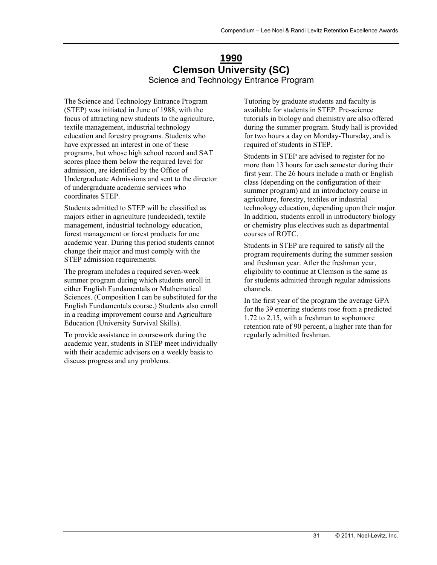### **1990 Clemson University (SC)**  Science and Technology Entrance Program

<span id="page-30-0"></span>The Science and Technology Entrance Program (STEP) was initiated in June of 1988, with the focus of attracting new students to the agriculture, textile management, industrial technology education and forestry programs. Students who have expressed an interest in one of these programs, but whose high school record and SAT scores place them below the required level for admission, are identified by the Office of Undergraduate Admissions and sent to the director of undergraduate academic services who coordinates STEP.

Students admitted to STEP will be classified as majors either in agriculture (undecided), textile management, industrial technology education, forest management or forest products for one academic year. During this period students cannot change their major and must comply with the STEP admission requirements.

The program includes a required seven-week summer program during which students enroll in either English Fundamentals or Mathematical Sciences. (Composition I can be substituted for the English Fundamentals course.) Students also enroll in a reading improvement course and Agriculture Education (University Survival Skills).

To provide assistance in coursework during the academic year, students in STEP meet individually with their academic advisors on a weekly basis to discuss progress and any problems.

Tutoring by graduate students and faculty is available for students in STEP. Pre-science tutorials in biology and chemistry are also offered during the summer program. Study hall is provided for two hours a day on Monday-Thursday, and is required of students in STEP.

Students in STEP are advised to register for no more than 13 hours for each semester during their first year. The 26 hours include a math or English class (depending on the configuration of their summer program) and an introductory course in agriculture, forestry, textiles or industrial technology education, depending upon their major. In addition, students enroll in introductory biology or chemistry plus electives such as departmental courses of ROTC.

Students in STEP are required to satisfy all the program requirements during the summer session and freshman year. After the freshman year, eligibility to continue at Clemson is the same as for students admitted through regular admissions channels.

In the first year of the program the average GPA for the 39 entering students rose from a predicted 1.72 to 2.15, with a freshman to sophomore retention rate of 90 percent, a higher rate than for regularly admitted freshman.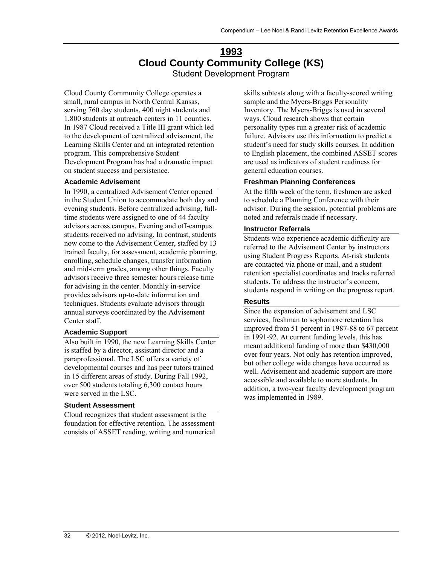### **1993 Cloud County Community College (KS)**  Student Development Program

<span id="page-31-0"></span>Cloud County Community College operates a small, rural campus in North Central Kansas, serving 760 day students, 400 night students and 1,800 students at outreach centers in 11 counties. In 1987 Cloud received a Title III grant which led to the development of centralized advisement, the Learning Skills Center and an integrated retention program. This comprehensive Student Development Program has had a dramatic impact on student success and persistence.

#### **Academic Advisement**

In 1990, a centralized Advisement Center opened in the Student Union to accommodate both day and evening students. Before centralized advising, fulltime students were assigned to one of 44 faculty advisors across campus. Evening and off-campus students received no advising. In contrast, students now come to the Advisement Center, staffed by 13 trained faculty, for assessment, academic planning, enrolling, schedule changes, transfer information and mid-term grades, among other things. Faculty advisors receive three semester hours release time for advising in the center. Monthly in-service provides advisors up-to-date information and techniques. Students evaluate advisors through annual surveys coordinated by the Advisement Center staff.

#### **Academic Support**

Also built in 1990, the new Learning Skills Center is staffed by a director, assistant director and a paraprofessional. The LSC offers a variety of developmental courses and has peer tutors trained in 15 different areas of study. During Fall 1992, over 500 students totaling 6,300 contact hours were served in the LSC.

#### **Student Assessment**

Cloud recognizes that student assessment is the foundation for effective retention. The assessment consists of ASSET reading, writing and numerical skills subtests along with a faculty-scored writing sample and the Myers-Briggs Personality Inventory. The Myers-Briggs is used in several ways. Cloud research shows that certain personality types run a greater risk of academic failure. Advisors use this information to predict a student's need for study skills courses. In addition to English placement, the combined ASSET scores are used as indicators of student readiness for general education courses.

### **Freshman Planning Conferences**

At the fifth week of the term, freshmen are asked to schedule a Planning Conference with their advisor. During the session, potential problems are noted and referrals made if necessary.

#### **Instructor Referrals**

Students who experience academic difficulty are referred to the Advisement Center by instructors using Student Progress Reports. At-risk students are contacted via phone or mail, and a student retention specialist coordinates and tracks referred students. To address the instructor's concern, students respond in writing on the progress report.

### **Results**

Since the expansion of advisement and LSC services, freshman to sophomore retention has improved from 51 percent in 1987-88 to 67 percent in 1991-92. At current funding levels, this has meant additional funding of more than \$430,000 over four years. Not only has retention improved, but other college wide changes have occurred as well. Advisement and academic support are more accessible and available to more students. In addition, a two-year faculty development program was implemented in 1989.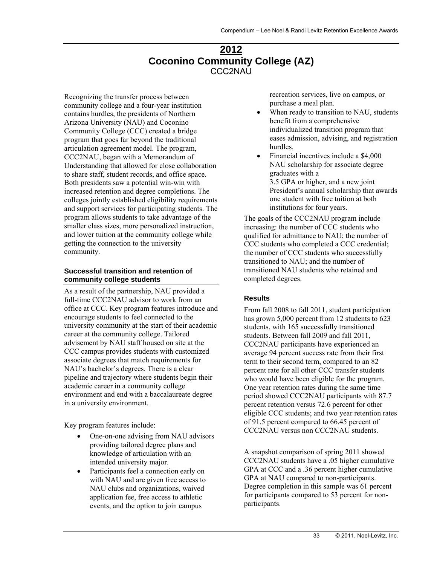### **2012 Coconino Community College (AZ)**  CCC2NAU

<span id="page-32-0"></span>Recognizing the transfer process between community college and a four-year institution contains hurdles, the presidents of Northern Arizona University (NAU) and Coconino Community College (CCC) created a bridge program that goes far beyond the traditional articulation agreement model. The program, CCC2NAU, began with a Memorandum of Understanding that allowed for close collaboration to share staff, student records, and office space. Both presidents saw a potential win-win with increased retention and degree completions. The colleges jointly established eligibility requirements and support services for participating students. The program allows students to take advantage of the smaller class sizes, more personalized instruction, and lower tuition at the community college while getting the connection to the university community.

#### **Successful transition and retention of community college students**

As a result of the partnership, NAU provided a full-time CCC2NAU advisor to work from an office at CCC. Key program features introduce and encourage students to feel connected to the university community at the start of their academic career at the community college. Tailored advisement by NAU staff housed on site at the CCC campus provides students with customized associate degrees that match requirements for NAU's bachelor's degrees. There is a clear pipeline and trajectory where students begin their academic career in a community college environment and end with a baccalaureate degree in a university environment.

Key program features include:

- One-on-one advising from NAU advisors providing tailored degree plans and knowledge of articulation with an intended university major.
- Participants feel a connection early on with NAU and are given free access to NAU clubs and organizations, waived application fee, free access to athletic events, and the option to join campus

recreation services, live on campus, or purchase a meal plan.

- When ready to transition to NAU, students benefit from a comprehensive individualized transition program that eases admission, advising, and registration hurdles.
- Financial incentives include a \$4,000 NAU scholarship for associate degree graduates with a 3.5 GPA or higher, and a new joint President's annual scholarship that awards one student with free tuition at both institutions for four years.

The goals of the CCC2NAU program include increasing: the number of CCC students who qualified for admittance to NAU; the number of CCC students who completed a CCC credential; the number of CCC students who successfully transitioned to NAU; and the number of transitioned NAU students who retained and completed degrees.

### **Results**

From fall 2008 to fall 2011, student participation has grown 5,000 percent from 12 students to 623 students, with 165 successfully transitioned students. Between fall 2009 and fall 2011, CCC2NAU participants have experienced an average 94 percent success rate from their first term to their second term, compared to an 82 percent rate for all other CCC transfer students who would have been eligible for the program. One year retention rates during the same time period showed CCC2NAU participants with 87.7 percent retention versus 72.6 percent for other eligible CCC students; and two year retention rates of 91.5 percent compared to 66.45 percent of CCC2NAU versus non CCC2NAU students.

A snapshot comparison of spring 2011 showed CCC2NAU students have a .05 higher cumulative GPA at CCC and a .36 percent higher cumulative GPA at NAU compared to non-participants. Degree completion in this sample was 61 percent for participants compared to 53 percent for nonparticipants.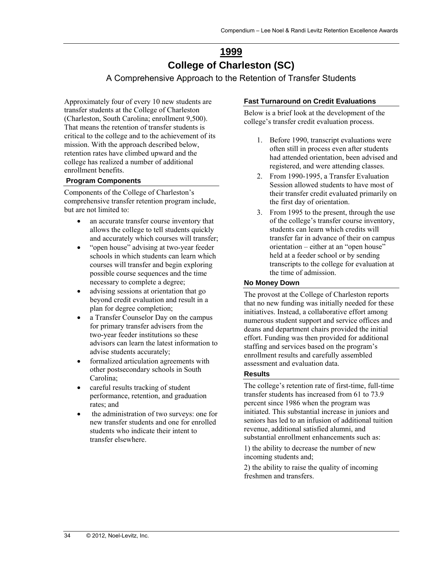# **1999 College of Charleston (SC)**

A Comprehensive Approach to the Retention of Transfer Students

<span id="page-33-0"></span>Approximately four of every 10 new students are transfer students at the College of Charleston (Charleston, South Carolina; enrollment 9,500). That means the retention of transfer students is critical to the college and to the achievement of its mission. With the approach described below, retention rates have climbed upward and the college has realized a number of additional enrollment benefits.

### **Program Components**

Components of the College of Charleston's comprehensive transfer retention program include, but are not limited to:

- an accurate transfer course inventory that allows the college to tell students quickly and accurately which courses will transfer;
- "open house" advising at two-year feeder schools in which students can learn which courses will transfer and begin exploring possible course sequences and the time necessary to complete a degree;
- advising sessions at orientation that go beyond credit evaluation and result in a plan for degree completion;
- a Transfer Counselor Day on the campus for primary transfer advisers from the two-year feeder institutions so these advisors can learn the latest information to advise students accurately;
- formalized articulation agreements with other postsecondary schools in South Carolina;
- careful results tracking of student performance, retention, and graduation rates; and
- the administration of two surveys: one for new transfer students and one for enrolled students who indicate their intent to transfer elsewhere.

### **Fast Turnaround on Credit Evaluations**

Below is a brief look at the development of the college's transfer credit evaluation process.

- 1. Before 1990, transcript evaluations were often still in process even after students had attended orientation, been advised and registered, and were attending classes.
- 2. From 1990-1995, a Transfer Evaluation Session allowed students to have most of their transfer credit evaluated primarily on the first day of orientation.
- 3. From 1995 to the present, through the use of the college's transfer course inventory, students can learn which credits will transfer far in advance of their on campus orientation – either at an "open house" held at a feeder school or by sending transcripts to the college for evaluation at the time of admission.

### **No Money Down**

The provost at the College of Charleston reports that no new funding was initially needed for these initiatives. Instead, a collaborative effort among numerous student support and service offices and deans and department chairs provided the initial effort. Funding was then provided for additional staffing and services based on the program's enrollment results and carefully assembled assessment and evaluation data.

### **Results**

The college's retention rate of first-time, full-time transfer students has increased from 61 to 73.9 percent since 1986 when the program was initiated. This substantial increase in juniors and seniors has led to an infusion of additional tuition revenue, additional satisfied alumni, and substantial enrollment enhancements such as:

1) the ability to decrease the number of new incoming students and;

2) the ability to raise the quality of incoming freshmen and transfers.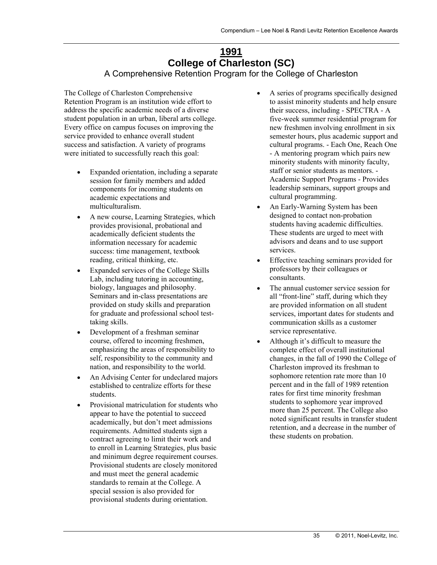# **1991 College of Charleston (SC)**

A Comprehensive Retention Program for the College of Charleston

<span id="page-34-0"></span>The College of Charleston Comprehensive Retention Program is an institution wide effort to address the specific academic needs of a diverse student population in an urban, liberal arts college. Every office on campus focuses on improving the service provided to enhance overall student success and satisfaction. A variety of programs were initiated to successfully reach this goal:

- Expanded orientation, including a separate session for family members and added components for incoming students on academic expectations and multiculturalism.
- A new course, Learning Strategies, which provides provisional, probational and academically deficient students the information necessary for academic success: time management, textbook reading, critical thinking, etc.
- Expanded services of the College Skills Lab, including tutoring in accounting, biology, languages and philosophy. Seminars and in-class presentations are provided on study skills and preparation for graduate and professional school testtaking skills.
- Development of a freshman seminar course, offered to incoming freshmen, emphasizing the areas of responsibility to self, responsibility to the community and nation, and responsibility to the world.
- An Advising Center for undeclared majors established to centralize efforts for these students.
- Provisional matriculation for students who appear to have the potential to succeed academically, but don't meet admissions requirements. Admitted students sign a contract agreeing to limit their work and to enroll in Learning Strategies, plus basic and minimum degree requirement courses. Provisional students are closely monitored and must meet the general academic standards to remain at the College. A special session is also provided for provisional students during orientation.
- A series of programs specifically designed to assist minority students and help ensure their success, including - SPECTRA - A five-week summer residential program for new freshmen involving enrollment in six semester hours, plus academic support and cultural programs. - Each One, Reach One - A mentoring program which pairs new minority students with minority faculty, staff or senior students as mentors. - Academic Support Programs - Provides leadership seminars, support groups and cultural programming.
- An Early-Warning System has been designed to contact non-probation students having academic difficulties. These students are urged to meet with advisors and deans and to use support services.
- Effective teaching seminars provided for professors by their colleagues or consultants.
- The annual customer service session for all "front-line" staff, during which they are provided information on all student services, important dates for students and communication skills as a customer service representative.
- Although it's difficult to measure the complete effect of overall institutional changes, in the fall of 1990 the College of Charleston improved its freshman to sophomore retention rate more than 10 percent and in the fall of 1989 retention rates for first time minority freshman students to sophomore year improved more than 25 percent. The College also noted significant results in transfer student retention, and a decrease in the number of these students on probation.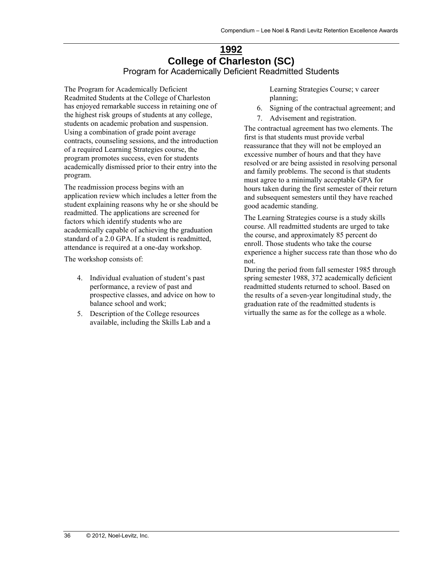### **1992 College of Charleston (SC)**  Program for Academically Deficient Readmitted Students

<span id="page-35-0"></span>The Program for Academically Deficient Readmited Students at the College of Charleston has enjoyed remarkable success in retaining one of the highest risk groups of students at any college, students on academic probation and suspension. Using a combination of grade point average contracts, counseling sessions, and the introduction of a required Learning Strategies course, the program promotes success, even for students academically dismissed prior to their entry into the program.

The readmission process begins with an application review which includes a letter from the student explaining reasons why he or she should be readmitted. The applications are screened for factors which identify students who are academically capable of achieving the graduation standard of a 2.0 GPA. If a student is readmitted, attendance is required at a one-day workshop.

The workshop consists of:

- 4. Individual evaluation of student's past performance, a review of past and prospective classes, and advice on how to balance school and work;
- 5. Description of the College resources available, including the Skills Lab and a

Learning Strategies Course; v career planning;

- 6. Signing of the contractual agreement; and
- 7. Advisement and registration.

The contractual agreement has two elements. The first is that students must provide verbal reassurance that they will not be employed an excessive number of hours and that they have resolved or are being assisted in resolving personal and family problems. The second is that students must agree to a minimally acceptable GPA for hours taken during the first semester of their return and subsequent semesters until they have reached good academic standing.

The Learning Strategies course is a study skills course. All readmitted students are urged to take the course, and approximately 85 percent do enroll. Those students who take the course experience a higher success rate than those who do not.

During the period from fall semester 1985 through spring semester 1988, 372 academically deficient readmitted students returned to school. Based on the results of a seven-year longitudinal study, the graduation rate of the readmitted students is virtually the same as for the college as a whole.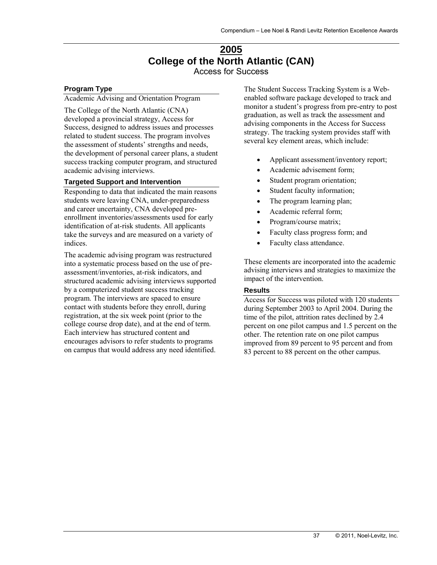### **2005 College of the North Atlantic (CAN)**  Access for Success

#### **Program Type**

Academic Advising and Orientation Program

The College of the North Atlantic (CNA) developed a provincial strategy, Access for Success, designed to address issues and processes related to student success. The program involves the assessment of students' strengths and needs, the development of personal career plans, a student success tracking computer program, and structured academic advising interviews.

#### **Targeted Support and Intervention**

Responding to data that indicated the main reasons students were leaving CNA, under-preparedness and career uncertainty, CNA developed preenrollment inventories/assessments used for early identification of at-risk students. All applicants take the surveys and are measured on a variety of indices.

The academic advising program was restructured into a systematic process based on the use of preassessment/inventories, at-risk indicators, and structured academic advising interviews supported by a computerized student success tracking program. The interviews are spaced to ensure contact with students before they enroll, during registration, at the six week point (prior to the college course drop date), and at the end of term. Each interview has structured content and encourages advisors to refer students to programs on campus that would address any need identified.

The Student Success Tracking System is a Webenabled software package developed to track and monitor a student's progress from pre-entry to post graduation, as well as track the assessment and advising components in the Access for Success strategy. The tracking system provides staff with several key element areas, which include:

- Applicant assessment/inventory report;
- Academic advisement form:
- Student program orientation;
- Student faculty information;
- The program learning plan;
- Academic referral form;
- Program/course matrix;
- Faculty class progress form; and
- Faculty class attendance.

These elements are incorporated into the academic advising interviews and strategies to maximize the impact of the intervention.

#### **Results**

Access for Success was piloted with 120 students during September 2003 to April 2004. During the time of the pilot, attrition rates declined by 2.4 percent on one pilot campus and 1.5 percent on the other. The retention rate on one pilot campus improved from 89 percent to 95 percent and from 83 percent to 88 percent on the other campus.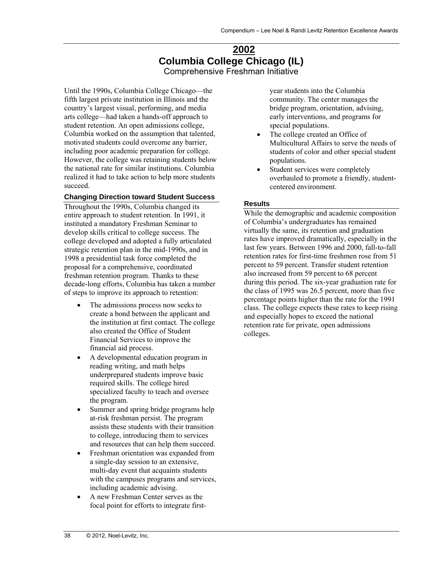### **2002 Columbia College Chicago (IL)**  Comprehensive Freshman Initiative

Until the 1990s, Columbia College Chicago—the fifth largest private institution in Illinois and the country's largest visual, performing, and media arts college—had taken a hands-off approach to student retention. An open admissions college, Columbia worked on the assumption that talented, motivated students could overcome any barrier, including poor academic preparation for college. However, the college was retaining students below the national rate for similar institutions. Columbia realized it had to take action to help more students succeed.

#### **Changing Direction toward Student Success**

Throughout the 1990s, Columbia changed its entire approach to student retention. In 1991, it instituted a mandatory Freshman Seminar to develop skills critical to college success. The college developed and adopted a fully articulated strategic retention plan in the mid-1990s, and in 1998 a presidential task force completed the proposal for a comprehensive, coordinated freshman retention program. Thanks to these decade-long efforts, Columbia has taken a number of steps to improve its approach to retention:

- The admissions process now seeks to create a bond between the applicant and the institution at first contact. The college also created the Office of Student Financial Services to improve the financial aid process.
- A developmental education program in reading writing, and math helps underprepared students improve basic required skills. The college hired specialized faculty to teach and oversee the program.
- Summer and spring bridge programs help at-risk freshman persist. The program assists these students with their transition to college, introducing them to services and resources that can help them succeed.
- Freshman orientation was expanded from a single-day session to an extensive, multi-day event that acquaints students with the campuses programs and services, including academic advising.
- A new Freshman Center serves as the focal point for efforts to integrate first-

year students into the Columbia community. The center manages the bridge program, orientation, advising, early interventions, and programs for special populations.

- The college created an Office of Multicultural Affairs to serve the needs of students of color and other special student populations.
- Student services were completely overhauled to promote a friendly, studentcentered environment.

#### **Results**

While the demographic and academic composition of Columbia's undergraduates has remained virtually the same, its retention and graduation rates have improved dramatically, especially in the last few years. Between 1996 and 2000, fall-to-fall retention rates for first-time freshmen rose from 51 percent to 59 percent. Transfer student retention also increased from 59 percent to 68 percent during this period. The six-year graduation rate for the class of 1995 was 26.5 percent, more than five percentage points higher than the rate for the 1991 class. The college expects these rates to keep rising and especially hopes to exceed the national retention rate for private, open admissions colleges.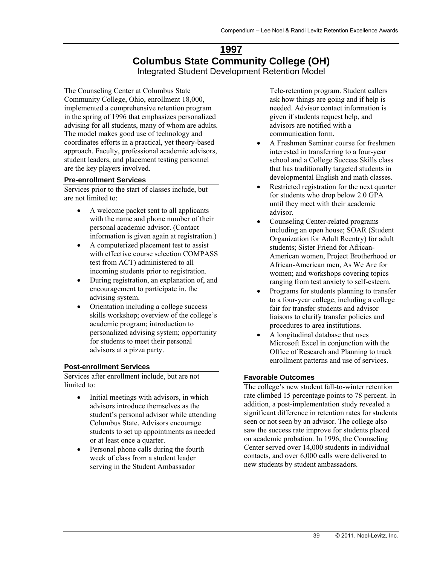### **1997 Columbus State Community College (OH)**  Integrated Student Development Retention Model

The Counseling Center at Columbus State Community College, Ohio, enrollment 18,000, implemented a comprehensive retention program in the spring of 1996 that emphasizes personalized advising for all students, many of whom are adults. The model makes good use of technology and coordinates efforts in a practical, yet theory-based approach. Faculty, professional academic advisors, student leaders, and placement testing personnel are the key players involved.

#### **Pre-enrollment Services**

Services prior to the start of classes include, but are not limited to:

- A welcome packet sent to all applicants with the name and phone number of their personal academic advisor. (Contact information is given again at registration.)
- A computerized placement test to assist with effective course selection COMPASS test from ACT) administered to all incoming students prior to registration.
- During registration, an explanation of, and encouragement to participate in, the advising system.
- Orientation including a college success skills workshop; overview of the college's academic program; introduction to personalized advising system; opportunity for students to meet their personal advisors at a pizza party.

#### **Post-enrollment Services**

Services after enrollment include, but are not limited to:

- Initial meetings with advisors, in which advisors introduce themselves as the student's personal advisor while attending Columbus State. Advisors encourage students to set up appointments as needed or at least once a quarter.
- Personal phone calls during the fourth week of class from a student leader serving in the Student Ambassador

Tele-retention program. Student callers ask how things are going and if help is needed. Advisor contact information is given if students request help, and advisors are notified with a communication form.

- A Freshmen Seminar course for freshmen interested in transferring to a four-year school and a College Success Skills class that has traditionally targeted students in developmental English and math classes.
- Restricted registration for the next quarter for students who drop below 2.0 GPA until they meet with their academic advisor.
- Counseling Center-related programs including an open house; SOAR (Student Organization for Adult Reentry) for adult students; Sister Friend for African-American women, Project Brotherhood or African-American men, As We Are for women; and workshops covering topics ranging from test anxiety to self-esteem.
- Programs for students planning to transfer to a four-year college, including a college fair for transfer students and advisor liaisons to clarify transfer policies and procedures to area institutions.
- A longitudinal database that uses Microsoft Excel in conjunction with the Office of Research and Planning to track enrollment patterns and use of services.

#### **Favorable Outcomes**

The college's new student fall-to-winter retention rate climbed 15 percentage points to 78 percent. In addition, a post-implementation study revealed a significant difference in retention rates for students seen or not seen by an advisor. The college also saw the success rate improve for students placed on academic probation. In 1996, the Counseling Center served over 14,000 students in individual contacts, and over 6,000 calls were delivered to new students by student ambassadors.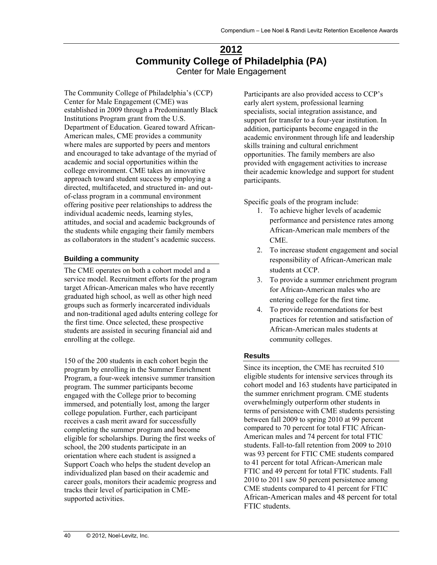### **2012 Community College of Philadelphia (PA)**  Center for Male Engagement

The Community College of Philadelphia's (CCP) Center for Male Engagement (CME) was established in 2009 through a Predominantly Black Institutions Program grant from the U.S. Department of Education. Geared toward African-American males, CME provides a community where males are supported by peers and mentors and encouraged to take advantage of the myriad of academic and social opportunities within the college environment. CME takes an innovative approach toward student success by employing a directed, multifaceted, and structured in- and outof-class program in a communal environment offering positive peer relationships to address the individual academic needs, learning styles, attitudes, and social and academic backgrounds of the students while engaging their family members as collaborators in the student's academic success.

#### **Building a community**

The CME operates on both a cohort model and a service model. Recruitment efforts for the program target African-American males who have recently graduated high school, as well as other high need groups such as formerly incarcerated individuals and non-traditional aged adults entering college for the first time. Once selected, these prospective students are assisted in securing financial aid and enrolling at the college.

150 of the 200 students in each cohort begin the program by enrolling in the Summer Enrichment Program, a four-week intensive summer transition program. The summer participants become engaged with the College prior to becoming immersed, and potentially lost, among the larger college population. Further, each participant receives a cash merit award for successfully completing the summer program and become eligible for scholarships. During the first weeks of school, the 200 students participate in an orientation where each student is assigned a Support Coach who helps the student develop an individualized plan based on their academic and career goals, monitors their academic progress and tracks their level of participation in CMEsupported activities.

Participants are also provided access to CCP's early alert system, professional learning specialists, social integration assistance, and support for transfer to a four-year institution. In addition, participants become engaged in the academic environment through life and leadership skills training and cultural enrichment opportunities. The family members are also provided with engagement activities to increase their academic knowledge and support for student participants.

Specific goals of the program include:

- 1. To achieve higher levels of academic performance and persistence rates among African-American male members of the CME.
- 2. To increase student engagement and social responsibility of African-American male students at CCP.
- 3. To provide a summer enrichment program for African-American males who are entering college for the first time.
- 4. To provide recommendations for best practices for retention and satisfaction of African-American males students at community colleges.

#### **Results**

Since its inception, the CME has recruited 510 eligible students for intensive services through its cohort model and 163 students have participated in the summer enrichment program. CME students overwhelmingly outperform other students in terms of persistence with CME students persisting between fall 2009 to spring 2010 at 99 percent compared to 70 percent for total FTIC African-American males and 74 percent for total FTIC students. Fall-to-fall retention from 2009 to 2010 was 93 percent for FTIC CME students compared to 41 percent for total African-American male FTIC and 49 percent for total FTIC students. Fall 2010 to 2011 saw 50 percent persistence among CME students compared to 41 percent for FTIC African-American males and 48 percent for total FTIC students.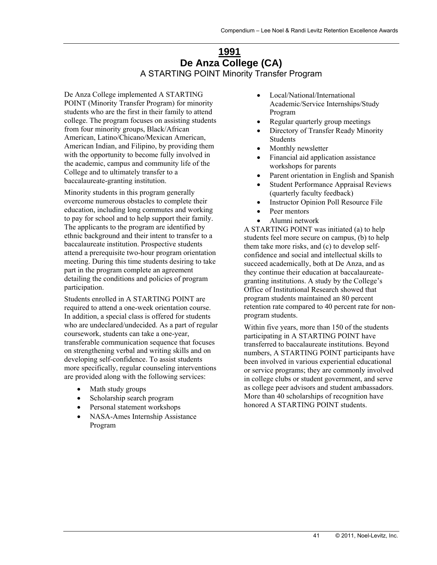### **1991 De Anza College (CA)**  A STARTING POINT Minority Transfer Program

De Anza College implemented A STARTING POINT (Minority Transfer Program) for minority students who are the first in their family to attend college. The program focuses on assisting students from four minority groups, Black/African American, Latino/Chicano/Mexican American, American Indian, and Filipino, by providing them with the opportunity to become fully involved in the academic, campus and community life of the College and to ultimately transfer to a baccalaureate-granting institution.

Minority students in this program generally overcome numerous obstacles to complete their education, including long commutes and working to pay for school and to help support their family. The applicants to the program are identified by ethnic background and their intent to transfer to a baccalaureate institution. Prospective students attend a prerequisite two-hour program orientation meeting. During this time students desiring to take part in the program complete an agreement detailing the conditions and policies of program participation.

Students enrolled in A STARTING POINT are required to attend a one-week orientation course. In addition, a special class is offered for students who are undeclared/undecided. As a part of regular coursework, students can take a one-year, transferable communication sequence that focuses on strengthening verbal and writing skills and on developing self-confidence. To assist students more specifically, regular counseling interventions are provided along with the following services:

- Math study groups
- Scholarship search program
- Personal statement workshops
- NASA-Ames Internship Assistance Program
- Local/National/International Academic/Service Internships/Study Program
- Regular quarterly group meetings
- Directory of Transfer Ready Minority Students
- Monthly newsletter
- Financial aid application assistance workshops for parents
- Parent orientation in English and Spanish
- Student Performance Appraisal Reviews (quarterly faculty feedback)
- Instructor Opinion Poll Resource File
- Peer mentors
- Alumni network

A STARTING POINT was initiated (a) to help students feel more secure on campus, (b) to help them take more risks, and (c) to develop selfconfidence and social and intellectual skills to succeed academically, both at De Anza, and as they continue their education at baccalaureategranting institutions. A study by the College's Office of Institutional Research showed that program students maintained an 80 percent retention rate compared to 40 percent rate for nonprogram students.

Within five years, more than 150 of the students participating in A STARTING POINT have transferred to baccalaureate institutions. Beyond numbers, A STARTING POINT participants have been involved in various experiential educational or service programs; they are commonly involved in college clubs or student government, and serve as college peer advisors and student ambassadors. More than 40 scholarships of recognition have honored A STARTING POINT students.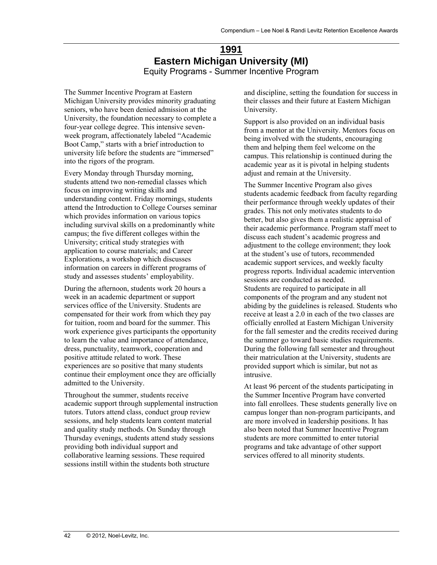### **1991 Eastern Michigan University (MI)**  Equity Programs - Summer Incentive Program

The Summer Incentive Program at Eastern Michigan University provides minority graduating seniors, who have been denied admission at the University, the foundation necessary to complete a four-year college degree. This intensive sevenweek program, affectionately labeled "Academic Boot Camp," starts with a brief introduction to university life before the students are "immersed" into the rigors of the program.

Every Monday through Thursday morning, students attend two non-remedial classes which focus on improving writing skills and understanding content. Friday mornings, students attend the Introduction to College Courses seminar which provides information on various topics including survival skills on a predominantly white campus; the five different colleges within the University; critical study strategies with application to course materials; and Career Explorations, a workshop which discusses information on careers in different programs of study and assesses students' employability.

During the afternoon, students work 20 hours a week in an academic department or support services office of the University. Students are compensated for their work from which they pay for tuition, room and board for the summer. This work experience gives participants the opportunity to learn the value and importance of attendance, dress, punctuality, teamwork, cooperation and positive attitude related to work. These experiences are so positive that many students continue their employment once they are officially admitted to the University.

Throughout the summer, students receive academic support through supplemental instruction tutors. Tutors attend class, conduct group review sessions, and help students learn content material and quality study methods. On Sunday through Thursday evenings, students attend study sessions providing both individual support and collaborative learning sessions. These required sessions instill within the students both structure

and discipline, setting the foundation for success in their classes and their future at Eastern Michigan University.

Support is also provided on an individual basis from a mentor at the University. Mentors focus on being involved with the students, encouraging them and helping them feel welcome on the campus. This relationship is continued during the academic year as it is pivotal in helping students adjust and remain at the University.

The Summer Incentive Program also gives students academic feedback from faculty regarding their performance through weekly updates of their grades. This not only motivates students to do better, but also gives them a realistic appraisal of their academic performance. Program staff meet to discuss each student's academic progress and adjustment to the college environment; they look at the student's use of tutors, recommended academic support services, and weekly faculty progress reports. Individual academic intervention sessions are conducted as needed. Students are required to participate in all components of the program and any student not abiding by the guidelines is released. Students who receive at least a 2.0 in each of the two classes are officially enrolled at Eastern Michigan University for the fall semester and the credits received during the summer go toward basic studies requirements. During the following fall semester and throughout their matriculation at the University, students are provided support which is similar, but not as intrusive.

At least 96 percent of the students participating in the Summer Incentive Program have converted into fall enrollees. These students generally live on campus longer than non-program participants, and are more involved in leadership positions. It has also been noted that Summer Incentive Program students are more committed to enter tutorial programs and take advantage of other support services offered to all minority students.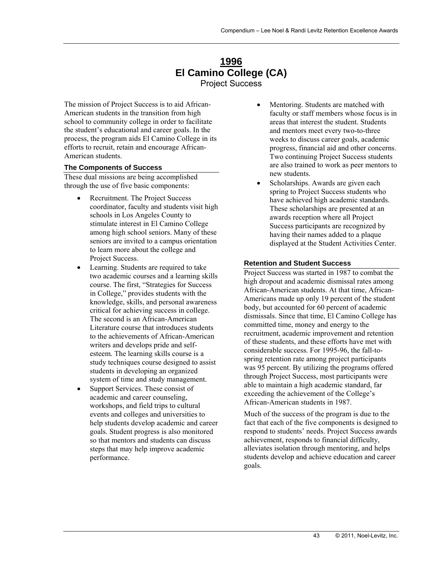### **1996 El Camino College (CA)**  Project Success

The mission of Project Success is to aid African-American students in the transition from high school to community college in order to facilitate the student's educational and career goals. In the process, the program aids El Camino College in its efforts to recruit, retain and encourage African-American students.

#### **The Components of Success**

These dual missions are being accomplished through the use of five basic components:

- Recruitment. The Project Success coordinator, faculty and students visit high schools in Los Angeles County to stimulate interest in El Camino College among high school seniors. Many of these seniors are invited to a campus orientation to learn more about the college and Project Success.
- Learning. Students are required to take two academic courses and a learning skills course. The first, "Strategies for Success in College," provides students with the knowledge, skills, and personal awareness critical for achieving success in college. The second is an African-American Literature course that introduces students to the achievements of African-American writers and develops pride and selfesteem. The learning skills course is a study techniques course designed to assist students in developing an organized system of time and study management.
- Support Services. These consist of academic and career counseling, workshops, and field trips to cultural events and colleges and universities to help students develop academic and career goals. Student progress is also monitored so that mentors and students can discuss steps that may help improve academic performance.
- Mentoring. Students are matched with faculty or staff members whose focus is in areas that interest the student. Students and mentors meet every two-to-three weeks to discuss career goals, academic progress, financial aid and other concerns. Two continuing Project Success students are also trained to work as peer mentors to new students.
- Scholarships. Awards are given each spring to Project Success students who have achieved high academic standards. These scholarships are presented at an awards reception where all Project Success participants are recognized by having their names added to a plaque displayed at the Student Activities Center.

#### **Retention and Student Success**

Project Success was started in 1987 to combat the high dropout and academic dismissal rates among African-American students. At that time, African-Americans made up only 19 percent of the student body, but accounted for 60 percent of academic dismissals. Since that time, El Camino College has committed time, money and energy to the recruitment, academic improvement and retention of these students, and these efforts have met with considerable success. For 1995-96, the fall-tospring retention rate among project participants was 95 percent. By utilizing the programs offered through Project Success, most participants were able to maintain a high academic standard, far exceeding the achievement of the College's African-American students in 1987.

Much of the success of the program is due to the fact that each of the five components is designed to respond to students' needs. Project Success awards achievement, responds to financial difficulty, alleviates isolation through mentoring, and helps students develop and achieve education and career goals.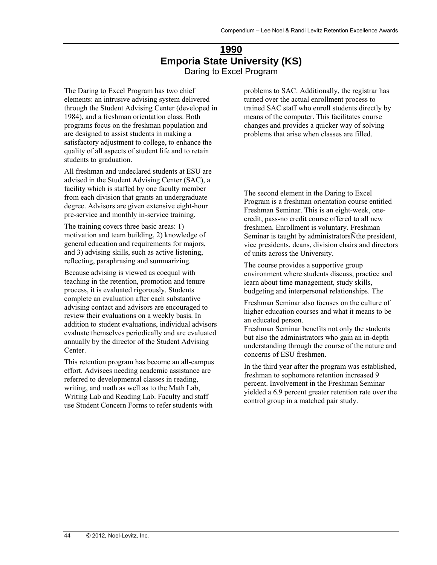### **1990 Emporia State University (KS)**  Daring to Excel Program

The Daring to Excel Program has two chief elements: an intrusive advising system delivered through the Student Advising Center (developed in 1984), and a freshman orientation class. Both programs focus on the freshman population and are designed to assist students in making a satisfactory adjustment to college, to enhance the quality of all aspects of student life and to retain students to graduation.

All freshman and undeclared students at ESU are advised in the Student Advising Center (SAC), a facility which is staffed by one faculty member from each division that grants an undergraduate degree. Advisors are given extensive eight-hour pre-service and monthly in-service training.

The training covers three basic areas: 1) motivation and team building, 2) knowledge of general education and requirements for majors, and 3) advising skills, such as active listening, reflecting, paraphrasing and summarizing.

Because advising is viewed as coequal with teaching in the retention, promotion and tenure process, it is evaluated rigorously. Students complete an evaluation after each substantive advising contact and advisors are encouraged to review their evaluations on a weekly basis. In addition to student evaluations, individual advisors evaluate themselves periodically and are evaluated annually by the director of the Student Advising Center.

This retention program has become an all-campus effort. Advisees needing academic assistance are referred to developmental classes in reading, writing, and math as well as to the Math Lab, Writing Lab and Reading Lab. Faculty and staff use Student Concern Forms to refer students with

problems to SAC. Additionally, the registrar has turned over the actual enrollment process to trained SAC staff who enroll students directly by means of the computer. This facilitates course changes and provides a quicker way of solving problems that arise when classes are filled.

The second element in the Daring to Excel Program is a freshman orientation course entitled Freshman Seminar. This is an eight-week, onecredit, pass-no credit course offered to all new freshmen. Enrollment is voluntary. Freshman Seminar is taught by administratorsÑthe president, vice presidents, deans, division chairs and directors of units across the University.

The course provides a supportive group environment where students discuss, practice and learn about time management, study skills, budgeting and interpersonal relationships. The

Freshman Seminar also focuses on the culture of higher education courses and what it means to be an educated person.

Freshman Seminar benefits not only the students but also the administrators who gain an in-depth understanding through the course of the nature and concerns of ESU freshmen.

In the third year after the program was established, freshman to sophomore retention increased 9 percent. Involvement in the Freshman Seminar yielded a 6.9 percent greater retention rate over the control group in a matched pair study.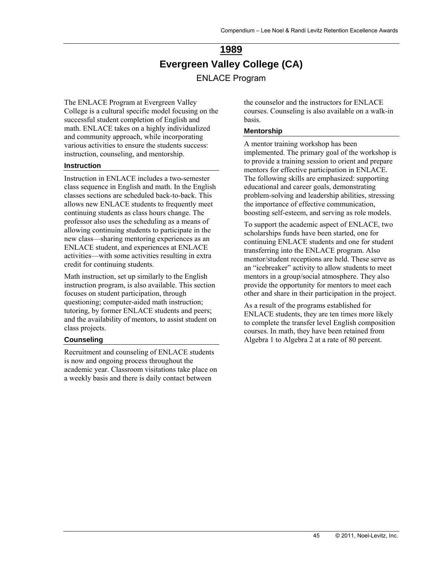# **1989 Evergreen Valley College (CA)**  ENLACE Program

The ENLACE Program at Evergreen Valley College is a cultural specific model focusing on the successful student completion of English and math. ENLACE takes on a highly individualized and community approach, while incorporating various activities to ensure the students success: instruction, counseling, and mentorship.

#### **Instruction**

Instruction in ENLACE includes a two-semester class sequence in English and math. In the English classes sections are scheduled back-to-back. This allows new ENLACE students to frequently meet continuing students as class hours change. The professor also uses the scheduling as a means of allowing continuing students to participate in the new class—sharing mentoring experiences as an ENLACE student, and experiences at ENLACE activities—with some activities resulting in extra credit for continuing students.

Math instruction, set up similarly to the English instruction program, is also available. This section focuses on student participation, through questioning; computer-aided math instruction; tutoring, by former ENLACE students and peers; and the availability of mentors, to assist student on class projects.

#### **Counseling**

Recruitment and counseling of ENLACE students is now and ongoing process throughout the academic year. Classroom visitations take place on a weekly basis and there is daily contact between

the counselor and the instructors for ENLACE courses. Counseling is also available on a walk-in basis.

#### **Mentorship**

A mentor training workshop has been implemented. The primary goal of the workshop is to provide a training session to orient and prepare mentors for effective participation in ENLACE. The following skills are emphasized: supporting educational and career goals, demonstrating problem-solving and leadership abilities, stressing the importance of effective communication, boosting self-esteem, and serving as role models.

To support the academic aspect of ENLACE, two scholarships funds have been started, one for continuing ENLACE students and one for student transferring into the ENLACE program. Also mentor/student receptions are held. These serve as an "icebreaker" activity to allow students to meet mentors in a group/social atmosphere. They also provide the opportunity for mentors to meet each other and share in their participation in the project.

As a result of the programs established for ENLACE students, they are ten times more likely to complete the transfer level English composition courses. In math, they have been retained from Algebra 1 to Algebra 2 at a rate of 80 percent.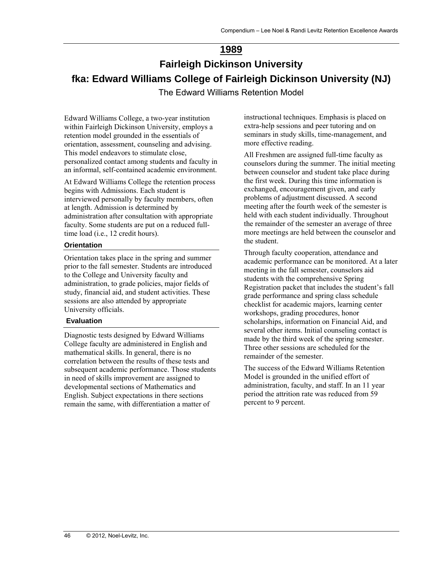### **1989**

# **Fairleigh Dickinson University fka: Edward Williams College of Fairleigh Dickinson University (NJ)**  The Edward Williams Retention Model

Edward Williams College, a two-year institution within Fairleigh Dickinson University, employs a retention model grounded in the essentials of orientation, assessment, counseling and advising. This model endeavors to stimulate close, personalized contact among students and faculty in an informal, self-contained academic environment.

At Edward Williams College the retention process begins with Admissions. Each student is interviewed personally by faculty members, often at length. Admission is determined by administration after consultation with appropriate faculty. Some students are put on a reduced fulltime load (i.e., 12 credit hours).

#### **Orientation**

Orientation takes place in the spring and summer prior to the fall semester. Students are introduced to the College and University faculty and administration, to grade policies, major fields of study, financial aid, and student activities. These sessions are also attended by appropriate University officials.

#### **Evaluation**

Diagnostic tests designed by Edward Williams College faculty are administered in English and mathematical skills. In general, there is no correlation between the results of these tests and subsequent academic performance. Those students in need of skills improvement are assigned to developmental sections of Mathematics and English. Subject expectations in there sections remain the same, with differentiation a matter of

instructional techniques. Emphasis is placed on extra-help sessions and peer tutoring and on seminars in study skills, time-management, and more effective reading.

All Freshmen are assigned full-time faculty as counselors during the summer. The initial meeting between counselor and student take place during the first week. During this time information is exchanged, encouragement given, and early problems of adjustment discussed. A second meeting after the fourth week of the semester is held with each student individually. Throughout the remainder of the semester an average of three more meetings are held between the counselor and the student.

Through faculty cooperation, attendance and academic performance can be monitored. At a later meeting in the fall semester, counselors aid students with the comprehensive Spring Registration packet that includes the student's fall grade performance and spring class schedule checklist for academic majors, learning center workshops, grading procedures, honor scholarships, information on Financial Aid, and several other items. Initial counseling contact is made by the third week of the spring semester. Three other sessions are scheduled for the remainder of the semester.

The success of the Edward Williams Retention Model is grounded in the unified effort of administration, faculty, and staff. In an 11 year period the attrition rate was reduced from 59 percent to 9 percent.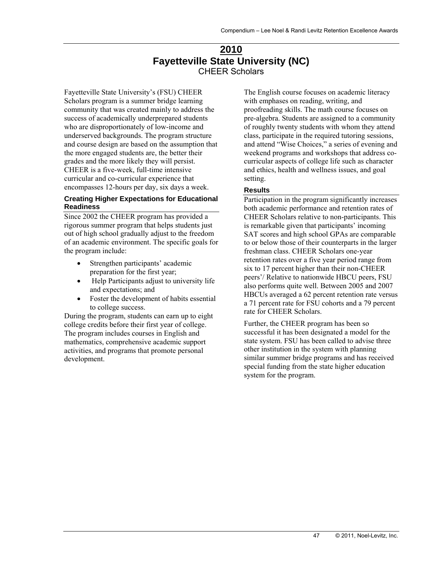### **2010 Fayetteville State University (NC)**  CHEER Scholars

Fayetteville State University's (FSU) CHEER Scholars program is a summer bridge learning community that was created mainly to address the success of academically underprepared students who are disproportionately of low-income and underserved backgrounds. The program structure and course design are based on the assumption that the more engaged students are, the better their grades and the more likely they will persist. CHEER is a five-week, full-time intensive curricular and co-curricular experience that encompasses 12-hours per day, six days a week.

#### **Creating Higher Expectations for Educational Readiness**

Since 2002 the CHEER program has provided a rigorous summer program that helps students just out of high school gradually adjust to the freedom of an academic environment. The specific goals for the program include:

- Strengthen participants' academic preparation for the first year;
- Help Participants adjust to university life and expectations; and
- Foster the development of habits essential to college success.

During the program, students can earn up to eight college credits before their first year of college. The program includes courses in English and mathematics, comprehensive academic support activities, and programs that promote personal development.

The English course focuses on academic literacy with emphases on reading, writing, and proofreading skills. The math course focuses on pre-algebra. Students are assigned to a community of roughly twenty students with whom they attend class, participate in the required tutoring sessions, and attend "Wise Choices," a series of evening and weekend programs and workshops that address cocurricular aspects of college life such as character and ethics, health and wellness issues, and goal setting.

#### **Results**

Participation in the program significantly increases both academic performance and retention rates of CHEER Scholars relative to non-participants. This is remarkable given that participants' incoming SAT scores and high school GPAs are comparable to or below those of their counterparts in the larger freshman class. CHEER Scholars one-year retention rates over a five year period range from six to 17 percent higher than their non-CHEER peers'/ Relative to nationwide HBCU peers, FSU also performs quite well. Between 2005 and 2007 HBCUs averaged a 62 percent retention rate versus a 71 percent rate for FSU cohorts and a 79 percent rate for CHEER Scholars.

Further, the CHEER program has been so successful it has been designated a model for the state system. FSU has been called to advise three other institution in the system with planning similar summer bridge programs and has received special funding from the state higher education system for the program.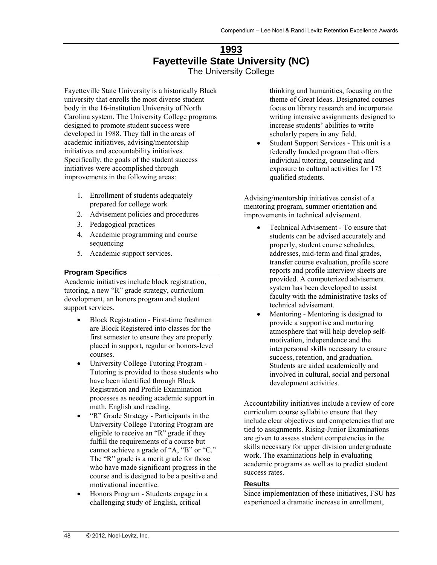### **1993 Fayetteville State University (NC)**  The University College

Fayetteville State University is a historically Black university that enrolls the most diverse student body in the 16-institution University of North Carolina system. The University College programs designed to promote student success were developed in 1988. They fall in the areas of academic initiatives, advising/mentorship initiatives and accountability initiatives. Specifically, the goals of the student success initiatives were accomplished through improvements in the following areas:

- 1. Enrollment of students adequately prepared for college work
- 2. Advisement policies and procedures
- 3. Pedagogical practices
- 4. Academic programming and course sequencing
- 5. Academic support services.

#### **Program Specifics**

Academic initiatives include block registration, tutoring, a new "R" grade strategy, curriculum development, an honors program and student support services.

- Block Registration First-time freshmen are Block Registered into classes for the first semester to ensure they are properly placed in support, regular or honors-level courses.
- University College Tutoring Program Tutoring is provided to those students who have been identified through Block Registration and Profile Examination processes as needing academic support in math, English and reading.
- "R" Grade Strategy Participants in the University College Tutoring Program are eligible to receive an "R" grade if they fulfill the requirements of a course but cannot achieve a grade of "A, "B" or "C." The "R" grade is a merit grade for those who have made significant progress in the course and is designed to be a positive and motivational incentive.
- Honors Program Students engage in a challenging study of English, critical

thinking and humanities, focusing on the theme of Great Ideas. Designated courses focus on library research and incorporate writing intensive assignments designed to increase students' abilities to write scholarly papers in any field.

 Student Support Services - This unit is a federally funded program that offers individual tutoring, counseling and exposure to cultural activities for 175 qualified students.

Advising/mentorship initiatives consist of a mentoring program, summer orientation and improvements in technical advisement.

- Technical Advisement To ensure that students can be advised accurately and properly, student course schedules, addresses, mid-term and final grades, transfer course evaluation, profile score reports and profile interview sheets are provided. A computerized advisement system has been developed to assist faculty with the administrative tasks of technical advisement.
- Mentoring Mentoring is designed to provide a supportive and nurturing atmosphere that will help develop selfmotivation, independence and the interpersonal skills necessary to ensure success, retention, and graduation. Students are aided academically and involved in cultural, social and personal development activities.

Accountability initiatives include a review of core curriculum course syllabi to ensure that they include clear objectives and competencies that are tied to assignments. Rising-Junior Examinations are given to assess student competencies in the skills necessary for upper division undergraduate work. The examinations help in evaluating academic programs as well as to predict student success rates.

#### **Results**

Since implementation of these initiatives, FSU has experienced a dramatic increase in enrollment,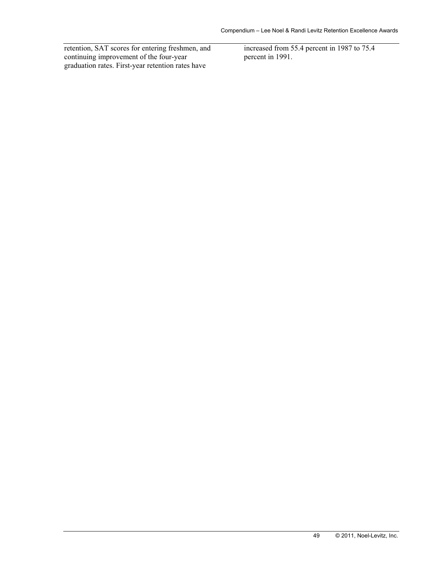retention, SAT scores for entering freshmen, and continuing improvement of the four-year graduation rates. First-year retention rates have

increased from 55.4 percent in 1987 to 75.4 percent in 1991.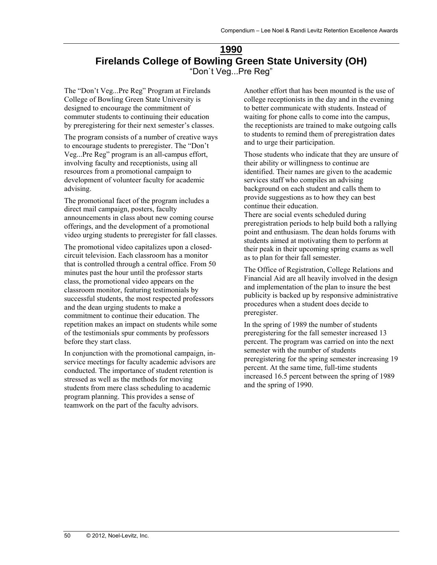### **1990 Firelands College of Bowling Green State University (OH)**  "Don`t Veg...Pre Reg"

The "Don't Veg...Pre Reg" Program at Firelands College of Bowling Green State University is designed to encourage the commitment of commuter students to continuing their education by preregistering for their next semester's classes.

The program consists of a number of creative ways to encourage students to preregister. The "Don't Veg...Pre Reg" program is an all-campus effort, involving faculty and receptionists, using all resources from a promotional campaign to development of volunteer faculty for academic advising.

The promotional facet of the program includes a direct mail campaign, posters, faculty announcements in class about new coming course offerings, and the development of a promotional video urging students to preregister for fall classes.

The promotional video capitalizes upon a closedcircuit television. Each classroom has a monitor that is controlled through a central office. From 50 minutes past the hour until the professor starts class, the promotional video appears on the classroom monitor, featuring testimonials by successful students, the most respected professors and the dean urging students to make a commitment to continue their education. The repetition makes an impact on students while some of the testimonials spur comments by professors before they start class.

In conjunction with the promotional campaign, inservice meetings for faculty academic advisors are conducted. The importance of student retention is stressed as well as the methods for moving students from mere class scheduling to academic program planning. This provides a sense of teamwork on the part of the faculty advisors.

Another effort that has been mounted is the use of college receptionists in the day and in the evening to better communicate with students. Instead of waiting for phone calls to come into the campus, the receptionists are trained to make outgoing calls to students to remind them of preregistration dates and to urge their participation.

Those students who indicate that they are unsure of their ability or willingness to continue are identified. Their names are given to the academic services staff who compiles an advising background on each student and calls them to provide suggestions as to how they can best continue their education.

There are social events scheduled during preregistration periods to help build both a rallying point and enthusiasm. The dean holds forums with students aimed at motivating them to perform at their peak in their upcoming spring exams as well as to plan for their fall semester.

The Office of Registration, College Relations and Financial Aid are all heavily involved in the design and implementation of the plan to insure the best publicity is backed up by responsive administrative procedures when a student does decide to preregister.

In the spring of 1989 the number of students preregistering for the fall semester increased 13 percent. The program was carried on into the next semester with the number of students preregistering for the spring semester increasing 19 percent. At the same time, full-time students increased 16.5 percent between the spring of 1989 and the spring of 1990.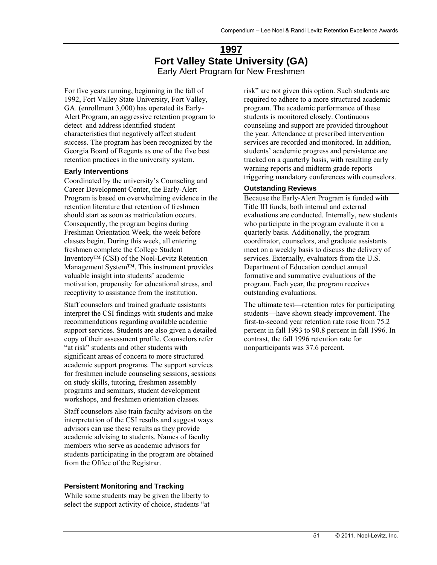### **1997 Fort Valley State University (GA)**  Early Alert Program for New Freshmen

For five years running, beginning in the fall of 1992, Fort Valley State University, Fort Valley, GA. (enrollment 3,000) has operated its Early-Alert Program, an aggressive retention program to detect and address identified student characteristics that negatively affect student success. The program has been recognized by the Georgia Board of Regents as one of the five best retention practices in the university system.

#### **Early Interventions**

Coordinated by the university's Counseling and Career Development Center, the Early-Alert Program is based on overwhelming evidence in the retention literature that retention of freshmen should start as soon as matriculation occurs. Consequently, the program begins during Freshman Orientation Week, the week before classes begin. During this week, all entering freshmen complete the College Student Inventory™ (CSI) of the Noel-Levitz Retention Management System™. This instrument provides valuable insight into students' academic motivation, propensity for educational stress, and receptivity to assistance from the institution.

Staff counselors and trained graduate assistants interpret the CSI findings with students and make recommendations regarding available academic support services. Students are also given a detailed copy of their assessment profile. Counselors refer "at risk" students and other students with significant areas of concern to more structured academic support programs. The support services for freshmen include counseling sessions, sessions on study skills, tutoring, freshmen assembly programs and seminars, student development workshops, and freshmen orientation classes.

Staff counselors also train faculty advisors on the interpretation of the CSI results and suggest ways advisors can use these results as they provide academic advising to students. Names of faculty members who serve as academic advisors for students participating in the program are obtained from the Office of the Registrar.

#### **Persistent Monitoring and Tracking**

While some students may be given the liberty to select the support activity of choice, students "at risk" are not given this option. Such students are required to adhere to a more structured academic program. The academic performance of these students is monitored closely. Continuous counseling and support are provided throughout the year. Attendance at prescribed intervention services are recorded and monitored. In addition, students' academic progress and persistence are tracked on a quarterly basis, with resulting early warning reports and midterm grade reports triggering mandatory conferences with counselors.

#### **Outstanding Reviews**

Because the Early-Alert Program is funded with Title III funds, both internal and external evaluations are conducted. Internally, new students who participate in the program evaluate it on a quarterly basis. Additionally, the program coordinator, counselors, and graduate assistants meet on a weekly basis to discuss the delivery of services. Externally, evaluators from the U.S. Department of Education conduct annual formative and summative evaluations of the program. Each year, the program receives outstanding evaluations.

The ultimate test—retention rates for participating students—have shown steady improvement. The first-to-second year retention rate rose from 75.2 percent in fall 1993 to 90.8 percent in fall 1996. In contrast, the fall 1996 retention rate for nonparticipants was 37.6 percent.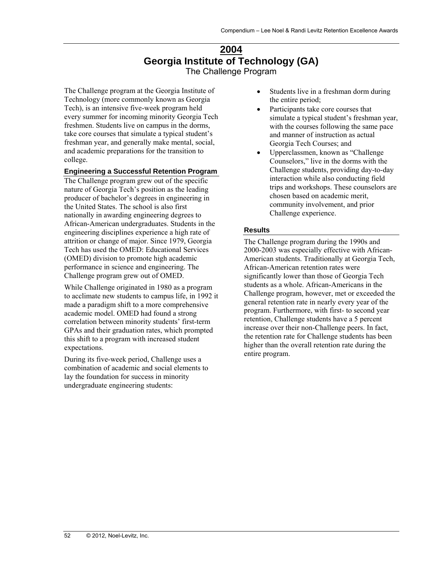### **2004 Georgia Institute of Technology (GA)**  The Challenge Program

The Challenge program at the Georgia Institute of Technology (more commonly known as Georgia Tech), is an intensive five-week program held every summer for incoming minority Georgia Tech freshmen. Students live on campus in the dorms, take core courses that simulate a typical student's freshman year, and generally make mental, social, and academic preparations for the transition to college.

#### **Engineering a Successful Retention Program**

The Challenge program grew out of the specific nature of Georgia Tech's position as the leading producer of bachelor's degrees in engineering in the United States. The school is also first nationally in awarding engineering degrees to African-American undergraduates. Students in the engineering disciplines experience a high rate of attrition or change of major. Since 1979, Georgia Tech has used the OMED: Educational Services (OMED) division to promote high academic performance in science and engineering. The Challenge program grew out of OMED.

While Challenge originated in 1980 as a program to acclimate new students to campus life, in 1992 it made a paradigm shift to a more comprehensive academic model. OMED had found a strong correlation between minority students' first-term GPAs and their graduation rates, which prompted this shift to a program with increased student expectations.

During its five-week period, Challenge uses a combination of academic and social elements to lay the foundation for success in minority undergraduate engineering students:

- Students live in a freshman dorm during the entire period;
- Participants take core courses that simulate a typical student's freshman year, with the courses following the same pace and manner of instruction as actual Georgia Tech Courses; and
- Upperclassmen, known as "Challenge Counselors," live in the dorms with the Challenge students, providing day-to-day interaction while also conducting field trips and workshops. These counselors are chosen based on academic merit, community involvement, and prior Challenge experience.

#### **Results**

The Challenge program during the 1990s and 2000-2003 was especially effective with African-American students. Traditionally at Georgia Tech, African-American retention rates were significantly lower than those of Georgia Tech students as a whole. African-Americans in the Challenge program, however, met or exceeded the general retention rate in nearly every year of the program. Furthermore, with first- to second year retention, Challenge students have a 5 percent increase over their non-Challenge peers. In fact, the retention rate for Challenge students has been higher than the overall retention rate during the entire program.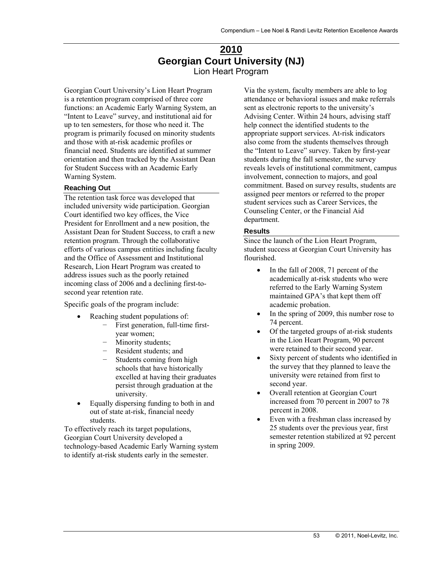### **2010 Georgian Court University (NJ)**  Lion Heart Program

Georgian Court University's Lion Heart Program is a retention program comprised of three core functions: an Academic Early Warning System, an "Intent to Leave" survey, and institutional aid for up to ten semesters, for those who need it. The program is primarily focused on minority students and those with at-risk academic profiles or financial need. Students are identified at summer orientation and then tracked by the Assistant Dean for Student Success with an Academic Early Warning System.

#### **Reaching Out**

The retention task force was developed that included university wide participation. Georgian Court identified two key offices, the Vice President for Enrollment and a new position, the Assistant Dean for Student Success, to craft a new retention program. Through the collaborative efforts of various campus entities including faculty and the Office of Assessment and Institutional Research, Lion Heart Program was created to address issues such as the poorly retained incoming class of 2006 and a declining first-tosecond year retention rate.

Specific goals of the program include:

- Reaching student populations of:
	- − First generation, full-time firstyear women;
	- − Minority students;
	- − Resident students; and<br>− Students coming from
	- Students coming from high schools that have historically excelled at having their graduates persist through graduation at the university.
- Equally dispersing funding to both in and out of state at-risk, financial needy students.

To effectively reach its target populations, Georgian Court University developed a technology-based Academic Early Warning system to identify at-risk students early in the semester.

Via the system, faculty members are able to log attendance or behavioral issues and make referrals sent as electronic reports to the university's Advising Center. Within 24 hours, advising staff help connect the identified students to the appropriate support services. At-risk indicators also come from the students themselves through the "Intent to Leave" survey. Taken by first-year students during the fall semester, the survey reveals levels of institutional commitment, campus involvement, connection to majors, and goal commitment. Based on survey results, students are assigned peer mentors or referred to the proper student services such as Career Services, the Counseling Center, or the Financial Aid department.

#### **Results**

Since the launch of the Lion Heart Program, student success at Georgian Court University has flourished.

- In the fall of 2008, 71 percent of the academically at-risk students who were referred to the Early Warning System maintained GPA's that kept them off academic probation.
- In the spring of 2009, this number rose to 74 percent.
- Of the targeted groups of at-risk students in the Lion Heart Program, 90 percent were retained to their second year.
- Sixty percent of students who identified in the survey that they planned to leave the university were retained from first to second year.
- Overall retention at Georgian Court increased from 70 percent in 2007 to 78 percent in 2008.
- Even with a freshman class increased by 25 students over the previous year, first semester retention stabilized at 92 percent in spring 2009.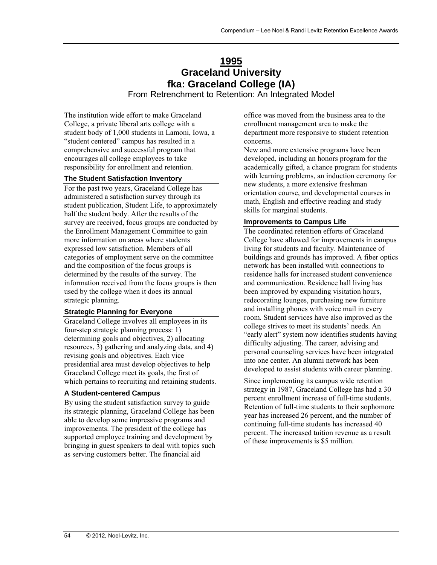# **1995 Graceland University fka: Graceland College (IA)**

From Retrenchment to Retention: An Integrated Model

The institution wide effort to make Graceland College, a private liberal arts college with a student body of 1,000 students in Lamoni, Iowa, a "student centered" campus has resulted in a comprehensive and successful program that encourages all college employees to take responsibility for enrollment and retention.

#### **The Student Satisfaction Inventory**

For the past two years, Graceland College has administered a satisfaction survey through its student publication, Student Life, to approximately half the student body. After the results of the survey are received, focus groups are conducted by the Enrollment Management Committee to gain more information on areas where students expressed low satisfaction. Members of all categories of employment serve on the committee and the composition of the focus groups is determined by the results of the survey. The information received from the focus groups is then used by the college when it does its annual strategic planning.

#### **Strategic Planning for Everyone**

Graceland College involves all employees in its four-step strategic planning process: 1) determining goals and objectives, 2) allocating resources, 3) gathering and analyzing data, and 4) revising goals and objectives. Each vice presidential area must develop objectives to help Graceland College meet its goals, the first of which pertains to recruiting and retaining students.

#### **A Student-centered Campus**

By using the student satisfaction survey to guide its strategic planning, Graceland College has been able to develop some impressive programs and improvements. The president of the college has supported employee training and development by bringing in guest speakers to deal with topics such as serving customers better. The financial aid

office was moved from the business area to the enrollment management area to make the department more responsive to student retention concerns.

New and more extensive programs have been developed, including an honors program for the academically gifted, a chance program for students with learning problems, an induction ceremony for new students, a more extensive freshman orientation course, and developmental courses in math, English and effective reading and study skills for marginal students.

#### **Improvements to Campus Life**

The coordinated retention efforts of Graceland College have allowed for improvements in campus living for students and faculty. Maintenance of buildings and grounds has improved. A fiber optics network has been installed with connections to residence halls for increased student convenience and communication. Residence hall living has been improved by expanding visitation hours, redecorating lounges, purchasing new furniture and installing phones with voice mail in every room. Student services have also improved as the college strives to meet its students' needs. An "early alert" system now identifies students having difficulty adjusting. The career, advising and personal counseling services have been integrated into one center. An alumni network has been developed to assist students with career planning.

Since implementing its campus wide retention strategy in 1987, Graceland College has had a 30 percent enrollment increase of full-time students. Retention of full-time students to their sophomore year has increased 26 percent, and the number of continuing full-time students has increased 40 percent. The increased tuition revenue as a result of these improvements is \$5 million.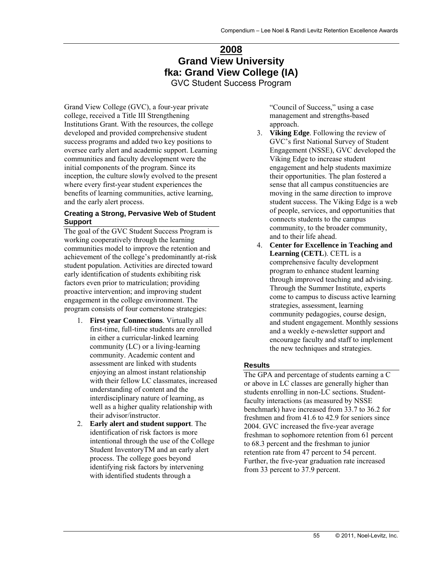# **2008 Grand View University fka: Grand View College (IA)**

GVC Student Success Program

Grand View College (GVC), a four-year private college, received a Title III Strengthening Institutions Grant. With the resources, the college developed and provided comprehensive student success programs and added two key positions to oversee early alert and academic support. Learning communities and faculty development were the initial components of the program. Since its inception, the culture slowly evolved to the present where every first-year student experiences the benefits of learning communities, active learning, and the early alert process.

#### **Creating a Strong, Pervasive Web of Student Support**

The goal of the GVC Student Success Program is working cooperatively through the learning communities model to improve the retention and achievement of the college's predominantly at-risk student population. Activities are directed toward early identification of students exhibiting risk factors even prior to matriculation; providing proactive intervention; and improving student engagement in the college environment. The program consists of four cornerstone strategies:

- 1. **First year Connections**. Virtually all first-time, full-time students are enrolled in either a curricular-linked learning community (LC) or a living-learning community. Academic content and assessment are linked with students enjoying an almost instant relationship with their fellow LC classmates, increased understanding of content and the interdisciplinary nature of learning, as well as a higher quality relationship with their advisor/instructor.
- 2. **Early alert and student support**. The identification of risk factors is more intentional through the use of the College Student InventoryTM and an early alert process. The college goes beyond identifying risk factors by intervening with identified students through a

"Council of Success," using a case management and strengths-based approach.

- 3. **Viking Edge**. Following the review of GVC's first National Survey of Student Engagement (NSSE), GVC developed the Viking Edge to increase student engagement and help students maximize their opportunities. The plan fostered a sense that all campus constituencies are moving in the same direction to improve student success. The Viking Edge is a web of people, services, and opportunities that connects students to the campus community, to the broader community, and to their life ahead.
- 4. **Center for Excellence in Teaching and Learning (CETL**). CETL is a comprehensive faculty development program to enhance student learning through improved teaching and advising. Through the Summer Institute, experts come to campus to discuss active learning strategies, assessment, learning community pedagogies, course design, and student engagement. Monthly sessions and a weekly e-newsletter support and encourage faculty and staff to implement the new techniques and strategies.

#### **Results**

The GPA and percentage of students earning a C or above in LC classes are generally higher than students enrolling in non-LC sections. Studentfaculty interactions (as measured by NSSE benchmark) have increased from 33.7 to 36.2 for freshmen and from 41.6 to 42.9 for seniors since 2004. GVC increased the five-year average freshman to sophomore retention from 61 percent to 68.3 percent and the freshman to junior retention rate from 47 percent to 54 percent. Further, the five-year graduation rate increased from 33 percent to 37.9 percent.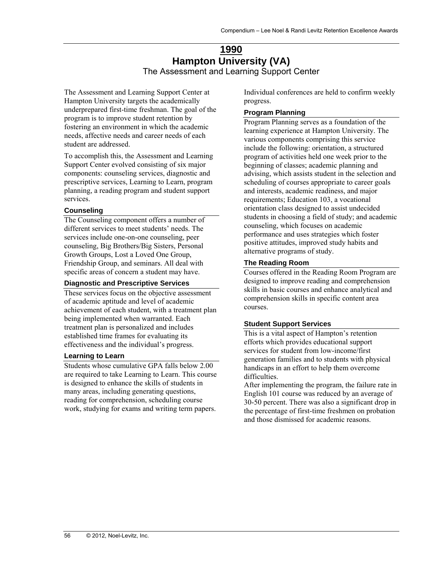### **1990 Hampton University (VA)**  The Assessment and Learning Support Center

The Assessment and Learning Support Center at Hampton University targets the academically underprepared first-time freshman. The goal of the program is to improve student retention by fostering an environment in which the academic needs, affective needs and career needs of each student are addressed.

To accomplish this, the Assessment and Learning Support Center evolved consisting of six major components: counseling services, diagnostic and prescriptive services, Learning to Learn, program planning, a reading program and student support services.

#### **Counseling**

The Counseling component offers a number of different services to meet students' needs. The services include one-on-one counseling, peer counseling, Big Brothers/Big Sisters, Personal Growth Groups, Lost a Loved One Group, Friendship Group, and seminars. All deal with specific areas of concern a student may have.

#### **Diagnostic and Prescriptive Services**

These services focus on the objective assessment of academic aptitude and level of academic achievement of each student, with a treatment plan being implemented when warranted. Each treatment plan is personalized and includes established time frames for evaluating its effectiveness and the individual's progress.

#### **Learning to Learn**

Students whose cumulative GPA falls below 2.00 are required to take Learning to Learn. This course is designed to enhance the skills of students in many areas, including generating questions, reading for comprehension, scheduling course work, studying for exams and writing term papers.

Individual conferences are held to confirm weekly progress.

### **Program Planning**

Program Planning serves as a foundation of the learning experience at Hampton University. The various components comprising this service include the following: orientation, a structured program of activities held one week prior to the beginning of classes; academic planning and advising, which assists student in the selection and scheduling of courses appropriate to career goals and interests, academic readiness, and major requirements; Education 103, a vocational orientation class designed to assist undecided students in choosing a field of study; and academic counseling, which focuses on academic performance and uses strategies which foster positive attitudes, improved study habits and alternative programs of study.

#### **The Reading Room**

Courses offered in the Reading Room Program are designed to improve reading and comprehension skills in basic courses and enhance analytical and comprehension skills in specific content area courses.

#### **Student Support Services**

This is a vital aspect of Hampton's retention efforts which provides educational support services for student from low-income/first generation families and to students with physical handicaps in an effort to help them overcome difficulties.

After implementing the program, the failure rate in English 101 course was reduced by an average of 30-50 percent. There was also a significant drop in the percentage of first-time freshmen on probation and those dismissed for academic reasons.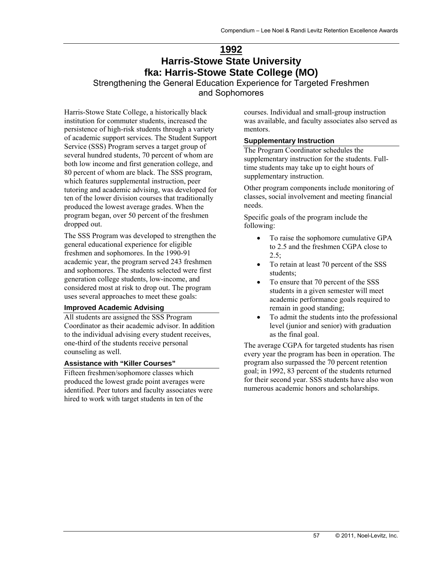### **1992 Harris-Stowe State University fka: Harris-Stowe State College (MO)**

Strengthening the General Education Experience for Targeted Freshmen and Sophomores

Harris-Stowe State College, a historically black institution for commuter students, increased the persistence of high-risk students through a variety of academic support services. The Student Support Service (SSS) Program serves a target group of several hundred students, 70 percent of whom are both low income and first generation college, and 80 percent of whom are black. The SSS program, which features supplemental instruction, peer tutoring and academic advising, was developed for ten of the lower division courses that traditionally produced the lowest average grades. When the program began, over 50 percent of the freshmen dropped out.

The SSS Program was developed to strengthen the general educational experience for eligible freshmen and sophomores. In the 1990-91 academic year, the program served 243 freshmen and sophomores. The students selected were first generation college students, low-income, and considered most at risk to drop out. The program uses several approaches to meet these goals:

#### **Improved Academic Advising**

All students are assigned the SSS Program Coordinator as their academic advisor. In addition to the individual advising every student receives, one-third of the students receive personal counseling as well.

#### **Assistance with "Killer Courses"**

Fifteen freshmen/sophomore classes which produced the lowest grade point averages were identified. Peer tutors and faculty associates were hired to work with target students in ten of the

courses. Individual and small-group instruction was available, and faculty associates also served as mentors.

#### **Supplementary Instruction**

The Program Coordinator schedules the supplementary instruction for the students. Fulltime students may take up to eight hours of supplementary instruction.

Other program components include monitoring of classes, social involvement and meeting financial needs.

Specific goals of the program include the following:

- To raise the sophomore cumulative GPA to 2.5 and the freshmen CGPA close to  $2.5$ ;
- To retain at least 70 percent of the SSS students;
- To ensure that 70 percent of the SSS students in a given semester will meet academic performance goals required to remain in good standing;
- To admit the students into the professional level (junior and senior) with graduation as the final goal.

The average CGPA for targeted students has risen every year the program has been in operation. The program also surpassed the 70 percent retention goal; in 1992, 83 percent of the students returned for their second year. SSS students have also won numerous academic honors and scholarships.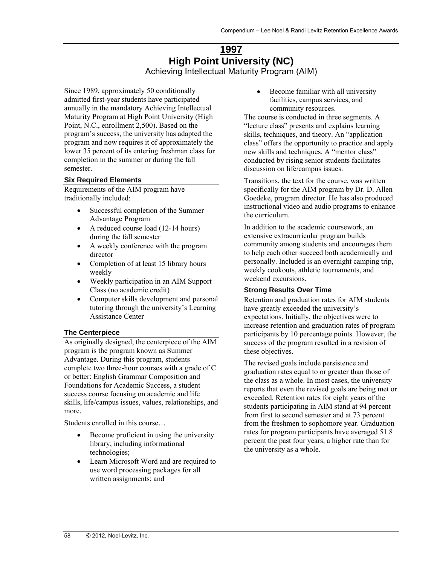### **1997 High Point University (NC)**  Achieving Intellectual Maturity Program (AIM)

Since 1989, approximately 50 conditionally admitted first-year students have participated annually in the mandatory Achieving Intellectual Maturity Program at High Point University (High Point, N.C., enrollment 2,500). Based on the program's success, the university has adapted the program and now requires it of approximately the lower 35 percent of its entering freshman class for completion in the summer or during the fall semester.

#### **Six Required Elements**

Requirements of the AIM program have traditionally included:

- Successful completion of the Summer Advantage Program
- A reduced course load (12-14 hours) during the fall semester
- A weekly conference with the program director
- Completion of at least 15 library hours weekly
- Weekly participation in an AIM Support Class (no academic credit)
- Computer skills development and personal tutoring through the university's Learning Assistance Center

#### **The Centerpiece**

As originally designed, the centerpiece of the AIM program is the program known as Summer Advantage. During this program, students complete two three-hour courses with a grade of C or better: English Grammar Composition and Foundations for Academic Success, a student success course focusing on academic and life skills, life/campus issues, values, relationships, and more.

Students enrolled in this course…

- Become proficient in using the university library, including informational technologies;
- Learn Microsoft Word and are required to use word processing packages for all written assignments; and

• Become familiar with all university facilities, campus services, and community resources.

The course is conducted in three segments. A "lecture class" presents and explains learning skills, techniques, and theory. An "application class" offers the opportunity to practice and apply new skills and techniques. A "mentor class" conducted by rising senior students facilitates discussion on life/campus issues.

Transitions, the text for the course, was written specifically for the AIM program by Dr. D. Allen Goedeke, program director. He has also produced instructional video and audio programs to enhance the curriculum.

In addition to the academic coursework, an extensive extracurricular program builds community among students and encourages them to help each other succeed both academically and personally. Included is an overnight camping trip, weekly cookouts, athletic tournaments, and weekend excursions.

#### **Strong Results Over Time**

Retention and graduation rates for AIM students have greatly exceeded the university's expectations. Initially, the objectives were to increase retention and graduation rates of program participants by 10 percentage points. However, the success of the program resulted in a revision of these objectives.

The revised goals include persistence and graduation rates equal to or greater than those of the class as a whole. In most cases, the university reports that even the revised goals are being met or exceeded. Retention rates for eight years of the students participating in AIM stand at 94 percent from first to second semester and at 73 percent from the freshmen to sophomore year. Graduation rates for program participants have averaged 51.8 percent the past four years, a higher rate than for the university as a whole.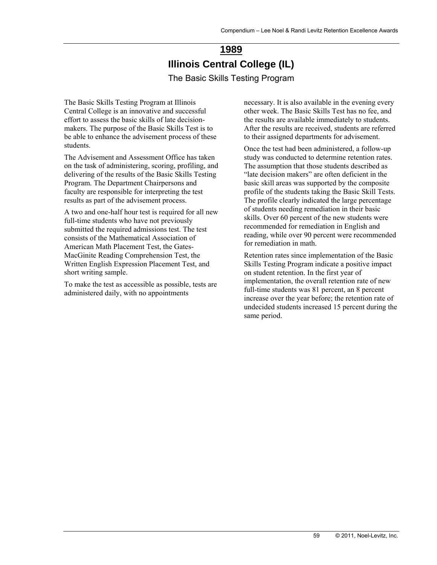# **1989 Illinois Central College (IL)**  The Basic Skills Testing Program

The Basic Skills Testing Program at Illinois Central College is an innovative and successful effort to assess the basic skills of late decisionmakers. The purpose of the Basic Skills Test is to be able to enhance the advisement process of these students.

The Advisement and Assessment Office has taken on the task of administering, scoring, profiling, and delivering of the results of the Basic Skills Testing Program. The Department Chairpersons and faculty are responsible for interpreting the test results as part of the advisement process.

A two and one-half hour test is required for all new full-time students who have not previously submitted the required admissions test. The test consists of the Mathematical Association of American Math Placement Test, the Gates-MacGinite Reading Comprehension Test, the Written English Expression Placement Test, and short writing sample.

To make the test as accessible as possible, tests are administered daily, with no appointments

necessary. It is also available in the evening every other week. The Basic Skills Test has no fee, and the results are available immediately to students. After the results are received, students are referred to their assigned departments for advisement.

Once the test had been administered, a follow-up study was conducted to determine retention rates. The assumption that those students described as "late decision makers" are often deficient in the basic skill areas was supported by the composite profile of the students taking the Basic Skill Tests. The profile clearly indicated the large percentage of students needing remediation in their basic skills. Over 60 percent of the new students were recommended for remediation in English and reading, while over 90 percent were recommended for remediation in math.

Retention rates since implementation of the Basic Skills Testing Program indicate a positive impact on student retention. In the first year of implementation, the overall retention rate of new full-time students was 81 percent, an 8 percent increase over the year before; the retention rate of undecided students increased 15 percent during the same period.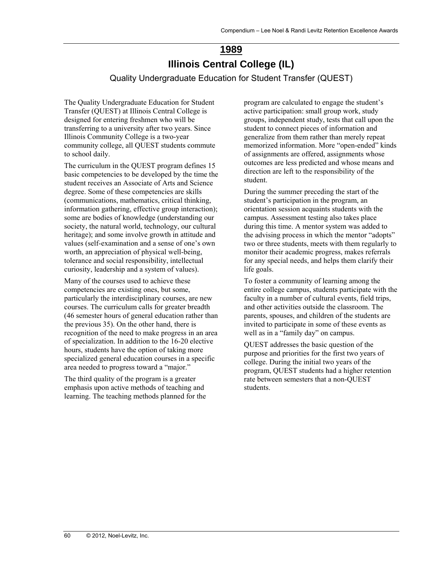# **1989 Illinois Central College (IL)**

Quality Undergraduate Education for Student Transfer (QUEST)

The Quality Undergraduate Education for Student Transfer (QUEST) at Illinois Central College is designed for entering freshmen who will be transferring to a university after two years. Since Illinois Community College is a two-year community college, all QUEST students commute to school daily.

The curriculum in the QUEST program defines 15 basic competencies to be developed by the time the student receives an Associate of Arts and Science degree. Some of these competencies are skills (communications, mathematics, critical thinking, information gathering, effective group interaction); some are bodies of knowledge (understanding our society, the natural world, technology, our cultural heritage); and some involve growth in attitude and values (self-examination and a sense of one's own worth, an appreciation of physical well-being, tolerance and social responsibility, intellectual curiosity, leadership and a system of values).

Many of the courses used to achieve these competencies are existing ones, but some, particularly the interdisciplinary courses, are new courses. The curriculum calls for greater breadth (46 semester hours of general education rather than the previous 35). On the other hand, there is recognition of the need to make progress in an area of specialization. In addition to the 16-20 elective hours, students have the option of taking more specialized general education courses in a specific area needed to progress toward a "major."

The third quality of the program is a greater emphasis upon active methods of teaching and learning. The teaching methods planned for the

program are calculated to engage the student's active participation: small group work, study groups, independent study, tests that call upon the student to connect pieces of information and generalize from them rather than merely repeat memorized information. More "open-ended" kinds of assignments are offered, assignments whose outcomes are less predicted and whose means and direction are left to the responsibility of the student.

During the summer preceding the start of the student's participation in the program, an orientation session acquaints students with the campus. Assessment testing also takes place during this time. A mentor system was added to the advising process in which the mentor "adopts" two or three students, meets with them regularly to monitor their academic progress, makes referrals for any special needs, and helps them clarify their life goals.

To foster a community of learning among the entire college campus, students participate with the faculty in a number of cultural events, field trips, and other activities outside the classroom. The parents, spouses, and children of the students are invited to participate in some of these events as well as in a "family day" on campus.

QUEST addresses the basic question of the purpose and priorities for the first two years of college. During the initial two years of the program, QUEST students had a higher retention rate between semesters that a non-QUEST students.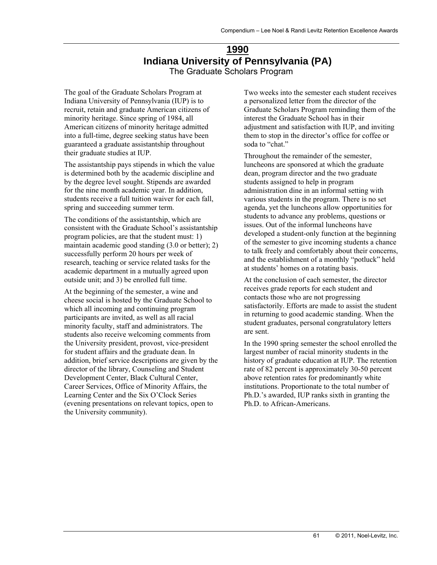### **1990 Indiana University of Pennsylvania (PA)**  The Graduate Scholars Program

The goal of the Graduate Scholars Program at Indiana University of Pennsylvania (IUP) is to recruit, retain and graduate American citizens of minority heritage. Since spring of 1984, all American citizens of minority heritage admitted into a full-time, degree seeking status have been guaranteed a graduate assistantship throughout their graduate studies at IUP.

The assistantship pays stipends in which the value is determined both by the academic discipline and by the degree level sought. Stipends are awarded for the nine month academic year. In addition, students receive a full tuition waiver for each fall, spring and succeeding summer term.

The conditions of the assistantship, which are consistent with the Graduate School's assistantship program policies, are that the student must: 1) maintain academic good standing (3.0 or better); 2) successfully perform 20 hours per week of research, teaching or service related tasks for the academic department in a mutually agreed upon outside unit; and 3) be enrolled full time.

At the beginning of the semester, a wine and cheese social is hosted by the Graduate School to which all incoming and continuing program participants are invited, as well as all racial minority faculty, staff and administrators. The students also receive welcoming comments from the University president, provost, vice-president for student affairs and the graduate dean. In addition, brief service descriptions are given by the director of the library, Counseling and Student Development Center, Black Cultural Center, Career Services, Office of Minority Affairs, the Learning Center and the Six O'Clock Series (evening presentations on relevant topics, open to the University community).

Two weeks into the semester each student receives a personalized letter from the director of the Graduate Scholars Program reminding them of the interest the Graduate School has in their adjustment and satisfaction with IUP, and inviting them to stop in the director's office for coffee or soda to "chat."

Throughout the remainder of the semester, luncheons are sponsored at which the graduate dean, program director and the two graduate students assigned to help in program administration dine in an informal setting with various students in the program. There is no set agenda, yet the luncheons allow opportunities for students to advance any problems, questions or issues. Out of the informal luncheons have developed a student-only function at the beginning of the semester to give incoming students a chance to talk freely and comfortably about their concerns, and the establishment of a monthly "potluck" held at students' homes on a rotating basis.

At the conclusion of each semester, the director receives grade reports for each student and contacts those who are not progressing satisfactorily. Efforts are made to assist the student in returning to good academic standing. When the student graduates, personal congratulatory letters are sent.

In the 1990 spring semester the school enrolled the largest number of racial minority students in the history of graduate education at IUP. The retention rate of 82 percent is approximately 30-50 percent above retention rates for predominantly white institutions. Proportionate to the total number of Ph.D.'s awarded, IUP ranks sixth in granting the Ph.D. to African-Americans.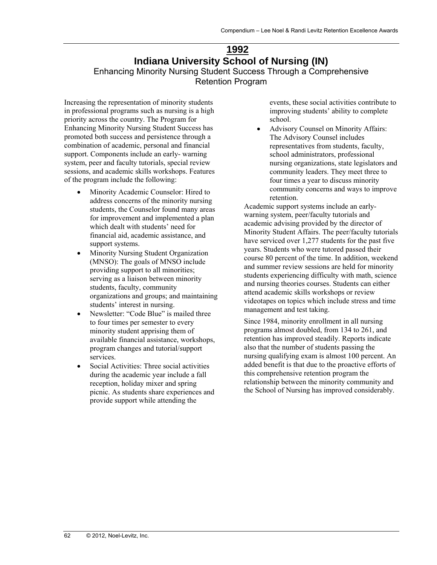### **1992 Indiana University School of Nursing (IN)**  Enhancing Minority Nursing Student Success Through a Comprehensive Retention Program

Increasing the representation of minority students in professional programs such as nursing is a high priority across the country. The Program for Enhancing Minority Nursing Student Success has promoted both success and persistence through a combination of academic, personal and financial support. Components include an early- warning system, peer and faculty tutorials, special review sessions, and academic skills workshops. Features of the program include the following:

- Minority Academic Counselor: Hired to address concerns of the minority nursing students, the Counselor found many areas for improvement and implemented a plan which dealt with students' need for financial aid, academic assistance, and support systems.
- Minority Nursing Student Organization (MNSO): The goals of MNSO include providing support to all minorities; serving as a liaison between minority students, faculty, community organizations and groups; and maintaining students' interest in nursing.
- Newsletter: "Code Blue" is mailed three to four times per semester to every minority student apprising them of available financial assistance, workshops, program changes and tutorial/support services.
- Social Activities: Three social activities during the academic year include a fall reception, holiday mixer and spring picnic. As students share experiences and provide support while attending the

events, these social activities contribute to improving students' ability to complete school.

 Advisory Counsel on Minority Affairs: The Advisory Counsel includes representatives from students, faculty, school administrators, professional nursing organizations, state legislators and community leaders. They meet three to four times a year to discuss minority community concerns and ways to improve retention.

Academic support systems include an earlywarning system, peer/faculty tutorials and academic advising provided by the director of Minority Student Affairs. The peer/faculty tutorials have serviced over 1,277 students for the past five years. Students who were tutored passed their course 80 percent of the time. In addition, weekend and summer review sessions are held for minority students experiencing difficulty with math, science and nursing theories courses. Students can either attend academic skills workshops or review videotapes on topics which include stress and time management and test taking.

Since 1984, minority enrollment in all nursing programs almost doubled, from 134 to 261, and retention has improved steadily. Reports indicate also that the number of students passing the nursing qualifying exam is almost 100 percent. An added benefit is that due to the proactive efforts of this comprehensive retention program the relationship between the minority community and the School of Nursing has improved considerably.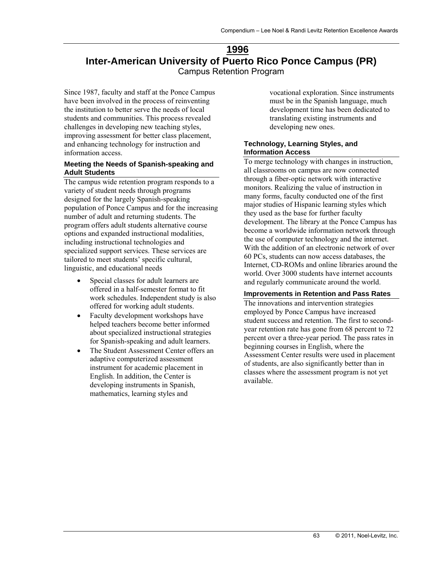### **1996 Inter-American University of Puerto Rico Ponce Campus (PR)**  Campus Retention Program

Since 1987, faculty and staff at the Ponce Campus have been involved in the process of reinventing the institution to better serve the needs of local students and communities. This process revealed challenges in developing new teaching styles, improving assessment for better class placement, and enhancing technology for instruction and information access.

#### **Meeting the Needs of Spanish-speaking and Adult Students**

The campus wide retention program responds to a variety of student needs through programs designed for the largely Spanish-speaking population of Ponce Campus and for the increasing number of adult and returning students. The program offers adult students alternative course options and expanded instructional modalities, including instructional technologies and specialized support services. These services are tailored to meet students' specific cultural, linguistic, and educational needs

- Special classes for adult learners are offered in a half-semester format to fit work schedules. Independent study is also offered for working adult students.
- Faculty development workshops have helped teachers become better informed about specialized instructional strategies for Spanish-speaking and adult learners.
- The Student Assessment Center offers an adaptive computerized assessment instrument for academic placement in English. In addition, the Center is developing instruments in Spanish, mathematics, learning styles and

vocational exploration. Since instruments must be in the Spanish language, much development time has been dedicated to translating existing instruments and developing new ones.

#### **Technology, Learning Styles, and Information Access**

To merge technology with changes in instruction, all classrooms on campus are now connected through a fiber-optic network with interactive monitors. Realizing the value of instruction in many forms, faculty conducted one of the first major studies of Hispanic learning styles which they used as the base for further faculty development. The library at the Ponce Campus has become a worldwide information network through the use of computer technology and the internet. With the addition of an electronic network of over 60 PCs, students can now access databases, the Internet, CD-ROMs and online libraries around the world. Over 3000 students have internet accounts and regularly communicate around the world.

#### **Improvements in Retention and Pass Rates**

The innovations and intervention strategies employed by Ponce Campus have increased student success and retention. The first to secondyear retention rate has gone from 68 percent to 72 percent over a three-year period. The pass rates in beginning courses in English, where the Assessment Center results were used in placement of students, are also significantly better than in classes where the assessment program is not yet available.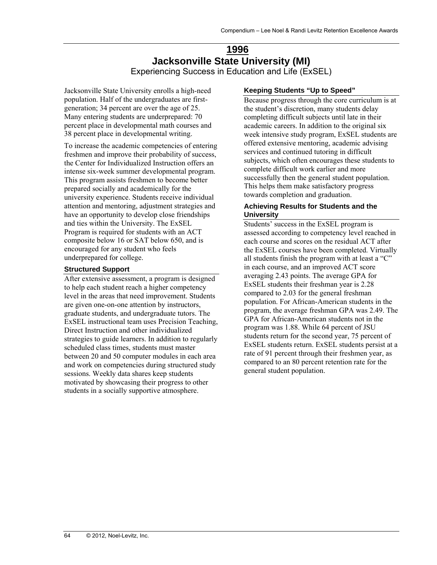### **1996 Jacksonville State University (MI)**  Experiencing Success in Education and Life (ExSEL)

Jacksonville State University enrolls a high-need population. Half of the undergraduates are firstgeneration; 34 percent are over the age of 25. Many entering students are underprepared: 70 percent place in developmental math courses and 38 percent place in developmental writing.

To increase the academic competencies of entering freshmen and improve their probability of success, the Center for Individualized Instruction offers an intense six-week summer developmental program. This program assists freshmen to become better prepared socially and academically for the university experience. Students receive individual attention and mentoring, adjustment strategies and have an opportunity to develop close friendships and ties within the University. The ExSEL Program is required for students with an ACT composite below 16 or SAT below 650, and is encouraged for any student who feels underprepared for college.

#### **Structured Support**

After extensive assessment, a program is designed to help each student reach a higher competency level in the areas that need improvement. Students are given one-on-one attention by instructors, graduate students, and undergraduate tutors. The ExSEL instructional team uses Precision Teaching, Direct Instruction and other individualized strategies to guide learners. In addition to regularly scheduled class times, students must master between 20 and 50 computer modules in each area and work on competencies during structured study sessions. Weekly data shares keep students motivated by showcasing their progress to other students in a socially supportive atmosphere.

#### **Keeping Students "Up to Speed"**

Because progress through the core curriculum is at the student's discretion, many students delay completing difficult subjects until late in their academic careers. In addition to the original six week intensive study program, ExSEL students are offered extensive mentoring, academic advising services and continued tutoring in difficult subjects, which often encourages these students to complete difficult work earlier and more successfully then the general student population. This helps them make satisfactory progress towards completion and graduation.

#### **Achieving Results for Students and the University**

Students' success in the ExSEL program is assessed according to competency level reached in each course and scores on the residual ACT after the ExSEL courses have been completed. Virtually all students finish the program with at least a "C" in each course, and an improved ACT score averaging 2.43 points. The average GPA for ExSEL students their freshman year is 2.28 compared to 2.03 for the general freshman population. For African-American students in the program, the average freshman GPA was 2.49. The GPA for African-American students not in the program was 1.88. While 64 percent of JSU students return for the second year, 75 percent of ExSEL students return. ExSEL students persist at a rate of 91 percent through their freshmen year, as compared to an 80 percent retention rate for the general student population.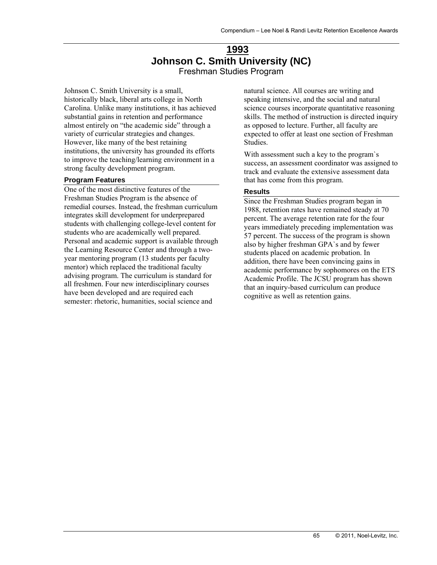### **1993 Johnson C. Smith University (NC)**  Freshman Studies Program

Johnson C. Smith University is a small, historically black, liberal arts college in North Carolina. Unlike many institutions, it has achieved substantial gains in retention and performance almost entirely on "the academic side" through a variety of curricular strategies and changes. However, like many of the best retaining institutions, the university has grounded its efforts to improve the teaching/learning environment in a strong faculty development program.

#### **Program Features**

One of the most distinctive features of the Freshman Studies Program is the absence of remedial courses. Instead, the freshman curriculum integrates skill development for underprepared students with challenging college-level content for students who are academically well prepared. Personal and academic support is available through the Learning Resource Center and through a twoyear mentoring program (13 students per faculty mentor) which replaced the traditional faculty advising program. The curriculum is standard for all freshmen. Four new interdisciplinary courses have been developed and are required each semester: rhetoric, humanities, social science and

natural science. All courses are writing and speaking intensive, and the social and natural science courses incorporate quantitative reasoning skills. The method of instruction is directed inquiry as opposed to lecture. Further, all faculty are expected to offer at least one section of Freshman Studies.

With assessment such a key to the program`s success, an assessment coordinator was assigned to track and evaluate the extensive assessment data that has come from this program.

#### **Results**

Since the Freshman Studies program began in 1988, retention rates have remained steady at 70 percent. The average retention rate for the four years immediately preceding implementation was 57 percent. The success of the program is shown also by higher freshman GPA`s and by fewer students placed on academic probation. In addition, there have been convincing gains in academic performance by sophomores on the ETS Academic Profile. The JCSU program has shown that an inquiry-based curriculum can produce cognitive as well as retention gains.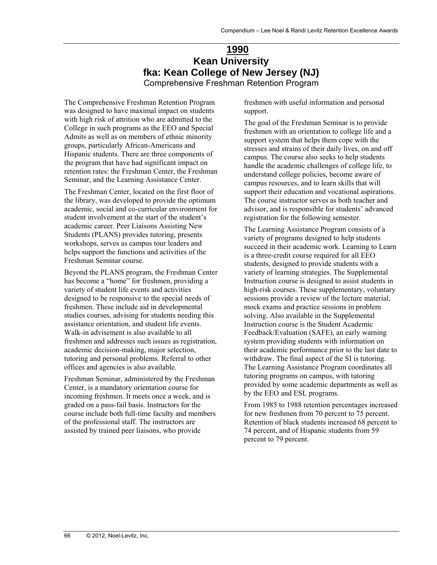# **1990 Kean University fka: Kean College of New Jersey (NJ)**

Comprehensive Freshman Retention Program

The Comprehensive Freshman Retention Program was designed to have maximal impact on students with high risk of attrition who are admitted to the College in such programs as the EEO and Special Admits as well as on members of ethnic minority groups, particularly African-Americans and Hispanic students. There are three components of the program that have had significant impact on retention rates: the Freshman Center, the Freshman Seminar, and the Learning Assistance Center.

The Freshman Center, located on the first floor of the library, was developed to provide the optimum academic, social and co-curricular environment for student involvement at the start of the student's academic career. Peer Liaisons Assisting New Students (PLANS) provides tutoring, presents workshops, serves as campus tour leaders and helps support the functions and activities of the Freshman Seminar course.

Beyond the PLANS program, the Freshman Center has become a "home" for freshmen, providing a variety of student life events and activities designed to be responsive to the special needs of freshmen. These include aid in developmental studies courses, advising for students needing this assistance orientation, and student life events. Walk-in advisement is also available to all freshmen and addresses such issues as registration, academic decision-making, major selection, tutoring and personal problems. Referral to other offices and agencies is also available.

Freshman Seminar, administered by the Freshman Center, is a mandatory orientation course for incoming freshmen. It meets once a week, and is graded on a pass-fail basis. Instructors for the course include both full-time faculty and members of the professional staff. The instructors are assisted by trained peer liaisons, who provide

freshmen with useful information and personal support.

The goal of the Freshman Seminar is to provide freshmen with an orientation to college life and a support system that helps them cope with the stresses and strains of their daily lives, on and off campus. The course also seeks to help students handle the academic challenges of college life, to understand college policies, become aware of campus resources, and to learn skills that will support their education and vocational aspirations. The course instructor serves as both teacher and advisor, and is responsible for students' advanced registration for the following semester.

The Learning Assistance Program consists of a variety of programs designed to help students succeed in their academic work. Learning to Learn is a three-credit course required for all EEO students, designed to provide students with a variety of learning strategies. The Supplemental Instruction course is designed to assist students in high-risk courses. These supplementary, voluntary sessions provide a review of the lecture material, mock exams and practice sessions in problem solving. Also available in the Supplemental Instruction course is the Student Academic Feedback/Evaluation (SAFE), an early warning system providing students with information on their academic performance prior to the last date to withdraw. The final aspect of the SI is tutoring. The Learning Assistance Program coordinates all tutoring programs on campus, with tutoring provided by some academic departments as well as by the EEO and ESL programs.

From 1985 to 1988 retention percentages increased for new freshmen from 70 percent to 75 percent. Retention of black students increased 68 percent to 74 percent, and of Hispanic students from 59 percent to 79 percent.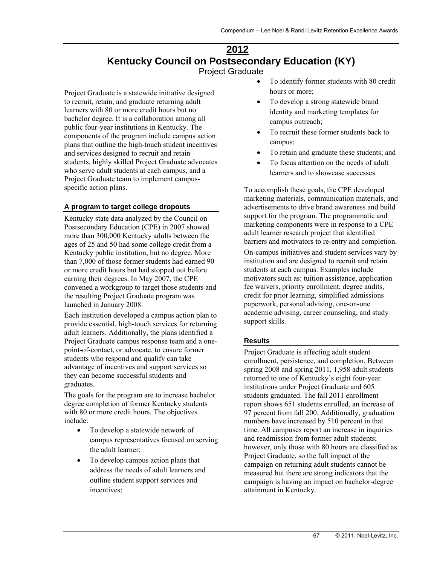### **2012 Kentucky Council on Postsecondary Education (KY)**  Project Graduate

Project Graduate is a statewide initiative designed to recruit, retain, and graduate returning adult learners with 80 or more credit hours but no bachelor degree. It is a collaboration among all public four-year institutions in Kentucky. The components of the program include campus action plans that outline the high-touch student incentives and services designed to recruit and retain students, highly skilled Project Graduate advocates who serve adult students at each campus, and a Project Graduate team to implement campusspecific action plans.

#### **A program to target college dropouts**

Kentucky state data analyzed by the Council on Postsecondary Education (CPE) in 2007 showed more than 300,000 Kentucky adults between the ages of 25 and 50 had some college credit from a Kentucky public institution, but no degree. More than 7,000 of those former students had earned 90 or more credit hours but had stopped out before earning their degrees. In May 2007, the CPE convened a workgroup to target those students and the resulting Project Graduate program was launched in January 2008.

Each institution developed a campus action plan to provide essential, high-touch services for returning adult learners. Additionally, the plans identified a Project Graduate campus response team and a onepoint-of-contact, or advocate, to ensure former students who respond and qualify can take advantage of incentives and support services so they can become successful students and graduates.

The goals for the program are to increase bachelor degree completion of former Kentucky students with 80 or more credit hours. The objectives include:

- To develop a statewide network of campus representatives focused on serving the adult learner;
- To develop campus action plans that address the needs of adult learners and outline student support services and incentives;
- To identify former students with 80 credit hours or more;
- To develop a strong statewide brand identity and marketing templates for campus outreach;
- To recruit these former students back to campus;
- To retain and graduate these students; and
- To focus attention on the needs of adult learners and to showcase successes.

To accomplish these goals, the CPE developed marketing materials, communication materials, and advertisements to drive brand awareness and build support for the program. The programmatic and marketing components were in response to a CPE adult learner research project that identified barriers and motivators to re-entry and completion.

On-campus initiatives and student services vary by institution and are designed to recruit and retain students at each campus. Examples include motivators such as: tuition assistance, application fee waivers, priority enrollment, degree audits, credit for prior learning, simplified admissions paperwork, personal advising, one-on-one academic advising, career counseling, and study support skills.

#### **Results**

Project Graduate is affecting adult student enrollment, persistence, and completion. Between spring 2008 and spring 2011, 1,958 adult students returned to one of Kentucky's eight four-year institutions under Project Graduate and 605 students graduated. The fall 2011 enrollment report shows 651 students enrolled, an increase of 97 percent from fall 200. Additionally, graduation numbers have increased by 510 percent in that time. All campuses report an increase in inquiries and readmission from former adult students; however, only those with 80 hours are classified as Project Graduate, so the full impact of the campaign on returning adult students cannot be measured but there are strong indicators that the campaign is having an impact on bachelor-degree attainment in Kentucky.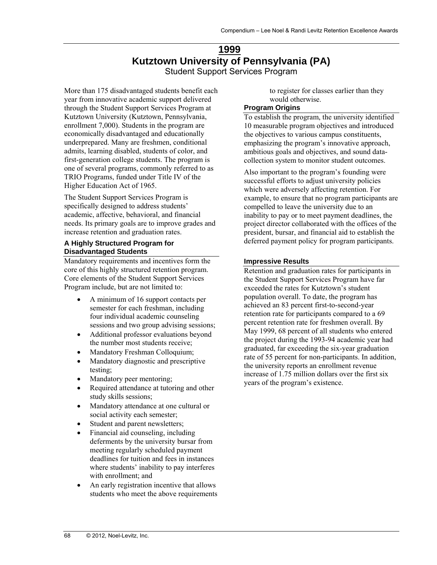### **1999 Kutztown University of Pennsylvania (PA)**  Student Support Services Program

More than 175 disadvantaged students benefit each year from innovative academic support delivered through the Student Support Services Program at Kutztown University (Kutztown, Pennsylvania, enrollment 7,000). Students in the program are economically disadvantaged and educationally underprepared. Many are freshmen, conditional admits, learning disabled, students of color, and first-generation college students. The program is one of several programs, commonly referred to as TRIO Programs, funded under Title IV of the Higher Education Act of 1965.

The Student Support Services Program is specifically designed to address students' academic, affective, behavioral, and financial needs. Its primary goals are to improve grades and increase retention and graduation rates.

#### **A Highly Structured Program for Disadvantaged Students**

Mandatory requirements and incentives form the core of this highly structured retention program. Core elements of the Student Support Services Program include, but are not limited to:

- A minimum of 16 support contacts per semester for each freshman, including four individual academic counseling sessions and two group advising sessions;
- Additional professor evaluations beyond the number most students receive;
- Mandatory Freshman Colloquium;
- Mandatory diagnostic and prescriptive testing;
- Mandatory peer mentoring;
- Required attendance at tutoring and other study skills sessions;
- Mandatory attendance at one cultural or social activity each semester;
- Student and parent newsletters;
- Financial aid counseling, including deferments by the university bursar from meeting regularly scheduled payment deadlines for tuition and fees in instances where students' inability to pay interferes with enrollment; and
- An early registration incentive that allows students who meet the above requirements

to register for classes earlier than they would otherwise.

#### **Program Origins**

To establish the program, the university identified 10 measurable program objectives and introduced the objectives to various campus constituents, emphasizing the program's innovative approach, ambitious goals and objectives, and sound datacollection system to monitor student outcomes.

Also important to the program's founding were successful efforts to adjust university policies which were adversely affecting retention. For example, to ensure that no program participants are compelled to leave the university due to an inability to pay or to meet payment deadlines, the project director collaborated with the offices of the president, bursar, and financial aid to establish the deferred payment policy for program participants.

#### **Impressive Results**

Retention and graduation rates for participants in the Student Support Services Program have far exceeded the rates for Kutztown's student population overall. To date, the program has achieved an 83 percent first-to-second-year retention rate for participants compared to a 69 percent retention rate for freshmen overall. By May 1999, 68 percent of all students who entered the project during the 1993-94 academic year had graduated, far exceeding the six-year graduation rate of 55 percent for non-participants. In addition, the university reports an enrollment revenue increase of 1.75 million dollars over the first six years of the program's existence.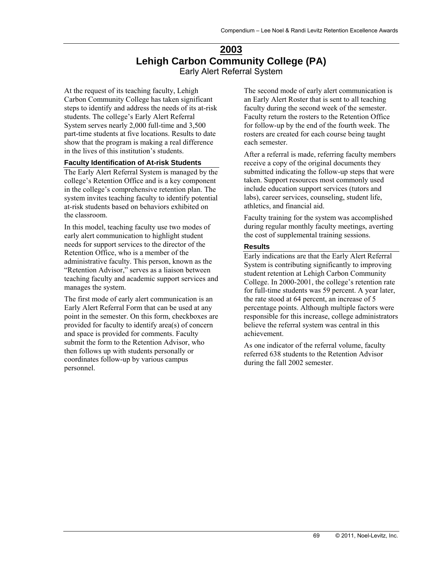### **2003 Lehigh Carbon Community College (PA)**  Early Alert Referral System

At the request of its teaching faculty, Lehigh Carbon Community College has taken significant steps to identify and address the needs of its at-risk students. The college's Early Alert Referral System serves nearly 2,000 full-time and 3,500 part-time students at five locations. Results to date show that the program is making a real difference in the lives of this institution's students.

#### **Faculty Identification of At-risk Students**

The Early Alert Referral System is managed by the college's Retention Office and is a key component in the college's comprehensive retention plan. The system invites teaching faculty to identify potential at-risk students based on behaviors exhibited on the classroom.

In this model, teaching faculty use two modes of early alert communication to highlight student needs for support services to the director of the Retention Office, who is a member of the administrative faculty. This person, known as the "Retention Advisor," serves as a liaison between teaching faculty and academic support services and manages the system.

The first mode of early alert communication is an Early Alert Referral Form that can be used at any point in the semester. On this form, checkboxes are provided for faculty to identify area(s) of concern and space is provided for comments. Faculty submit the form to the Retention Advisor, who then follows up with students personally or coordinates follow-up by various campus personnel.

The second mode of early alert communication is an Early Alert Roster that is sent to all teaching faculty during the second week of the semester. Faculty return the rosters to the Retention Office for follow-up by the end of the fourth week. The rosters are created for each course being taught each semester.

After a referral is made, referring faculty members receive a copy of the original documents they submitted indicating the follow-up steps that were taken. Support resources most commonly used include education support services (tutors and labs), career services, counseling, student life, athletics, and financial aid.

Faculty training for the system was accomplished during regular monthly faculty meetings, averting the cost of supplemental training sessions.

#### **Results**

Early indications are that the Early Alert Referral System is contributing significantly to improving student retention at Lehigh Carbon Community College. In 2000-2001, the college's retention rate for full-time students was 59 percent. A year later, the rate stood at 64 percent, an increase of 5 percentage points. Although multiple factors were responsible for this increase, college administrators believe the referral system was central in this achievement.

As one indicator of the referral volume, faculty referred 638 students to the Retention Advisor during the fall 2002 semester.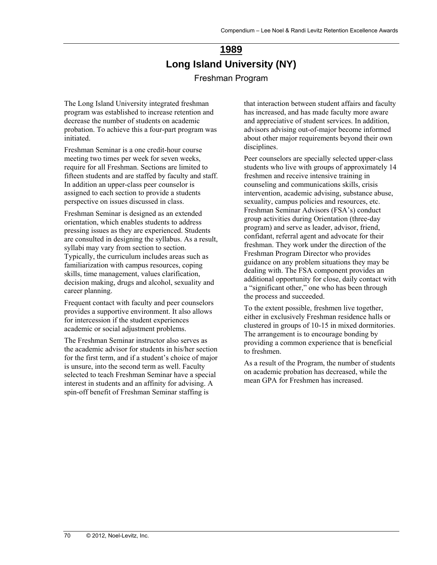# **1989 Long Island University (NY)**  Freshman Program

The Long Island University integrated freshman program was established to increase retention and decrease the number of students on academic probation. To achieve this a four-part program was initiated.

Freshman Seminar is a one credit-hour course meeting two times per week for seven weeks, require for all Freshman. Sections are limited to fifteen students and are staffed by faculty and staff. In addition an upper-class peer counselor is assigned to each section to provide a students perspective on issues discussed in class.

Freshman Seminar is designed as an extended orientation, which enables students to address pressing issues as they are experienced. Students are consulted in designing the syllabus. As a result, syllabi may vary from section to section. Typically, the curriculum includes areas such as familiarization with campus resources, coping skills, time management, values clarification, decision making, drugs and alcohol, sexuality and career planning.

Frequent contact with faculty and peer counselors provides a supportive environment. It also allows for intercession if the student experiences academic or social adjustment problems.

The Freshman Seminar instructor also serves as the academic advisor for students in his/her section for the first term, and if a student's choice of major is unsure, into the second term as well. Faculty selected to teach Freshman Seminar have a special interest in students and an affinity for advising. A spin-off benefit of Freshman Seminar staffing is

that interaction between student affairs and faculty has increased, and has made faculty more aware and appreciative of student services. In addition, advisors advising out-of-major become informed about other major requirements beyond their own disciplines.

Peer counselors are specially selected upper-class students who live with groups of approximately 14 freshmen and receive intensive training in counseling and communications skills, crisis intervention, academic advising, substance abuse, sexuality, campus policies and resources, etc. Freshman Seminar Advisors (FSA's) conduct group activities during Orientation (three-day program) and serve as leader, advisor, friend, confidant, referral agent and advocate for their freshman. They work under the direction of the Freshman Program Director who provides guidance on any problem situations they may be dealing with. The FSA component provides an additional opportunity for close, daily contact with a "significant other," one who has been through the process and succeeded.

To the extent possible, freshmen live together, either in exclusively Freshman residence halls or clustered in groups of 10-15 in mixed dormitories. The arrangement is to encourage bonding by providing a common experience that is beneficial to freshmen.

As a result of the Program, the number of students on academic probation has decreased, while the mean GPA for Freshmen has increased.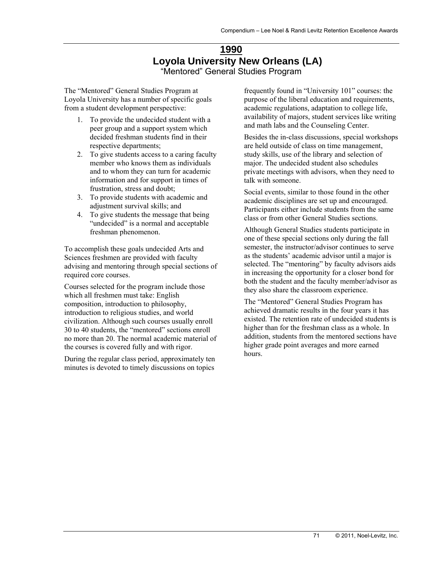### **1990 Loyola University New Orleans (LA)**  "Mentored" General Studies Program

The "Mentored" General Studies Program at Loyola University has a number of specific goals from a student development perspective:

- 1. To provide the undecided student with a peer group and a support system which decided freshman students find in their respective departments;
- 2. To give students access to a caring faculty member who knows them as individuals and to whom they can turn for academic information and for support in times of frustration, stress and doubt;
- 3. To provide students with academic and adjustment survival skills; and
- 4. To give students the message that being "undecided" is a normal and acceptable freshman phenomenon.

To accomplish these goals undecided Arts and Sciences freshmen are provided with faculty advising and mentoring through special sections of required core courses.

Courses selected for the program include those which all freshmen must take: English composition, introduction to philosophy, introduction to religious studies, and world civilization. Although such courses usually enroll 30 to 40 students, the "mentored" sections enroll no more than 20. The normal academic material of the courses is covered fully and with rigor.

During the regular class period, approximately ten minutes is devoted to timely discussions on topics

frequently found in "University 101" courses: the purpose of the liberal education and requirements, academic regulations, adaptation to college life, availability of majors, student services like writing and math labs and the Counseling Center.

Besides the in-class discussions, special workshops are held outside of class on time management, study skills, use of the library and selection of major. The undecided student also schedules private meetings with advisors, when they need to talk with someone.

Social events, similar to those found in the other academic disciplines are set up and encouraged. Participants either include students from the same class or from other General Studies sections.

Although General Studies students participate in one of these special sections only during the fall semester, the instructor/advisor continues to serve as the students' academic advisor until a major is selected. The "mentoring" by faculty advisors aids in increasing the opportunity for a closer bond for both the student and the faculty member/advisor as they also share the classroom experience.

The "Mentored" General Studies Program has achieved dramatic results in the four years it has existed. The retention rate of undecided students is higher than for the freshman class as a whole. In addition, students from the mentored sections have higher grade point averages and more earned hours.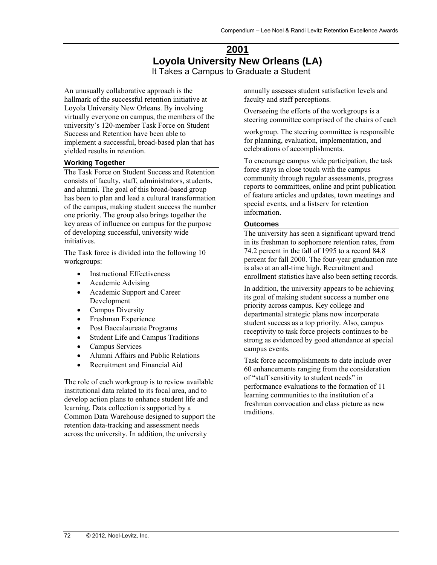### **2001 Loyola University New Orleans (LA)**  It Takes a Campus to Graduate a Student

An unusually collaborative approach is the hallmark of the successful retention initiative at Loyola University New Orleans. By involving virtually everyone on campus, the members of the university's 120-member Task Force on Student Success and Retention have been able to implement a successful, broad-based plan that has yielded results in retention.

#### **Working Together**

The Task Force on Student Success and Retention consists of faculty, staff, administrators, students, and alumni. The goal of this broad-based group has been to plan and lead a cultural transformation of the campus, making student success the number one priority. The group also brings together the key areas of influence on campus for the purpose of developing successful, university wide initiatives.

The Task force is divided into the following 10 workgroups:

- Instructional Effectiveness
- Academic Advising
- Academic Support and Career Development
- Campus Diversity
- Freshman Experience
- Post Baccalaureate Programs
- Student Life and Campus Traditions
- Campus Services
- Alumni Affairs and Public Relations
- Recruitment and Financial Aid

The role of each workgroup is to review available institutional data related to its focal area, and to develop action plans to enhance student life and learning. Data collection is supported by a Common Data Warehouse designed to support the retention data-tracking and assessment needs across the university. In addition, the university

annually assesses student satisfaction levels and faculty and staff perceptions.

Overseeing the efforts of the workgroups is a steering committee comprised of the chairs of each

workgroup. The steering committee is responsible for planning, evaluation, implementation, and celebrations of accomplishments.

To encourage campus wide participation, the task force stays in close touch with the campus community through regular assessments, progress reports to committees, online and print publication of feature articles and updates, town meetings and special events, and a listserv for retention information.

#### **Outcomes**

The university has seen a significant upward trend in its freshman to sophomore retention rates, from 74.2 percent in the fall of 1995 to a record 84.8 percent for fall 2000. The four-year graduation rate is also at an all-time high. Recruitment and enrollment statistics have also been setting records.

In addition, the university appears to be achieving its goal of making student success a number one priority across campus. Key college and departmental strategic plans now incorporate student success as a top priority. Also, campus receptivity to task force projects continues to be strong as evidenced by good attendance at special campus events.

Task force accomplishments to date include over 60 enhancements ranging from the consideration of "staff sensitivity to student needs" in performance evaluations to the formation of 11 learning communities to the institution of a freshman convocation and class picture as new traditions.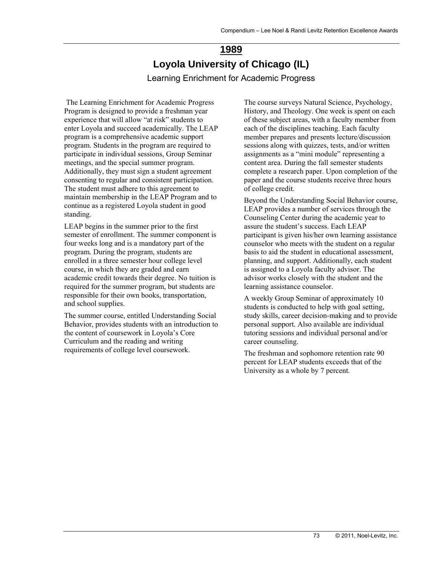# **1989 Loyola University of Chicago (IL)**  Learning Enrichment for Academic Progress

 The Learning Enrichment for Academic Progress Program is designed to provide a freshman year experience that will allow "at risk" students to enter Loyola and succeed academically. The LEAP program is a comprehensive academic support program. Students in the program are required to participate in individual sessions, Group Seminar meetings, and the special summer program. Additionally, they must sign a student agreement consenting to regular and consistent participation. The student must adhere to this agreement to maintain membership in the LEAP Program and to continue as a registered Loyola student in good standing.

LEAP begins in the summer prior to the first semester of enrollment. The summer component is four weeks long and is a mandatory part of the program. During the program, students are enrolled in a three semester hour college level course, in which they are graded and earn academic credit towards their degree. No tuition is required for the summer program, but students are responsible for their own books, transportation, and school supplies.

The summer course, entitled Understanding Social Behavior, provides students with an introduction to the content of coursework in Loyola's Core Curriculum and the reading and writing requirements of college level coursework.

The course surveys Natural Science, Psychology, History, and Theology. One week is spent on each of these subject areas, with a faculty member from each of the disciplines teaching. Each faculty member prepares and presents lecture/discussion sessions along with quizzes, tests, and/or written assignments as a "mini module" representing a content area. During the fall semester students complete a research paper. Upon completion of the paper and the course students receive three hours of college credit.

Beyond the Understanding Social Behavior course, LEAP provides a number of services through the Counseling Center during the academic year to assure the student's success. Each LEAP participant is given his/her own learning assistance counselor who meets with the student on a regular basis to aid the student in educational assessment, planning, and support. Additionally, each student is assigned to a Loyola faculty advisor. The advisor works closely with the student and the learning assistance counselor.

A weekly Group Seminar of approximately 10 students is conducted to help with goal setting, study skills, career decision-making and to provide personal support. Also available are individual tutoring sessions and individual personal and/or career counseling.

The freshman and sophomore retention rate 90 percent for LEAP students exceeds that of the University as a whole by 7 percent.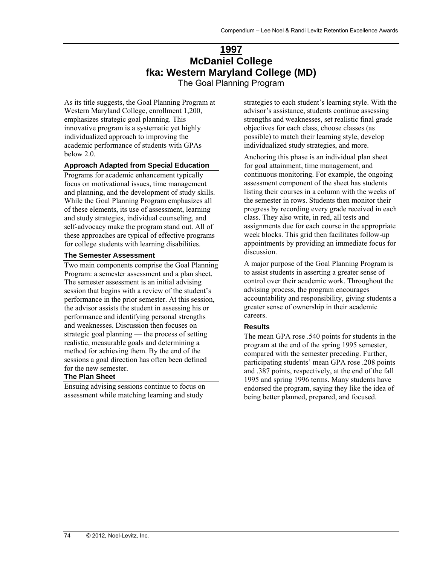# **1997 McDaniel College fka: Western Maryland College (MD)**

The Goal Planning Program

As its title suggests, the Goal Planning Program at Western Maryland College, enrollment 1,200, emphasizes strategic goal planning. This innovative program is a systematic yet highly individualized approach to improving the academic performance of students with GPAs below 2.0.

#### **Approach Adapted from Special Education**

Programs for academic enhancement typically focus on motivational issues, time management and planning, and the development of study skills. While the Goal Planning Program emphasizes all of these elements, its use of assessment, learning and study strategies, individual counseling, and self-advocacy make the program stand out. All of these approaches are typical of effective programs for college students with learning disabilities.

#### **The Semester Assessment**

Two main components comprise the Goal Planning Program: a semester assessment and a plan sheet. The semester assessment is an initial advising session that begins with a review of the student's performance in the prior semester. At this session, the advisor assists the student in assessing his or performance and identifying personal strengths and weaknesses. Discussion then focuses on strategic goal planning — the process of setting realistic, measurable goals and determining a method for achieving them. By the end of the sessions a goal direction has often been defined for the new semester.

## **The Plan Sheet**

Ensuing advising sessions continue to focus on assessment while matching learning and study

strategies to each student's learning style. With the advisor's assistance, students continue assessing strengths and weaknesses, set realistic final grade objectives for each class, choose classes (as possible) to match their learning style, develop individualized study strategies, and more.

Anchoring this phase is an individual plan sheet for goal attainment, time management, and continuous monitoring. For example, the ongoing assessment component of the sheet has students listing their courses in a column with the weeks of the semester in rows. Students then monitor their progress by recording every grade received in each class. They also write, in red, all tests and assignments due for each course in the appropriate week blocks. This grid then facilitates follow-up appointments by providing an immediate focus for discussion.

A major purpose of the Goal Planning Program is to assist students in asserting a greater sense of control over their academic work. Throughout the advising process, the program encourages accountability and responsibility, giving students a greater sense of ownership in their academic careers.

#### **Results**

The mean GPA rose .540 points for students in the program at the end of the spring 1995 semester, compared with the semester preceding. Further, participating students' mean GPA rose .208 points and .387 points, respectively, at the end of the fall 1995 and spring 1996 terms. Many students have endorsed the program, saying they like the idea of being better planned, prepared, and focused.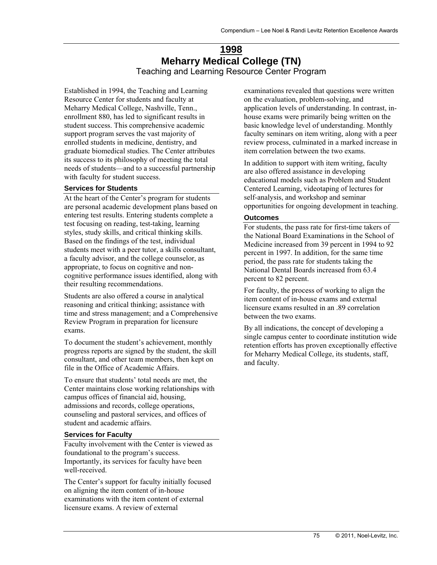# **1998 Meharry Medical College (TN)**  Teaching and Learning Resource Center Program

Established in 1994, the Teaching and Learning Resource Center for students and faculty at Meharry Medical College, Nashville, Tenn., enrollment 880, has led to significant results in student success. This comprehensive academic support program serves the vast majority of enrolled students in medicine, dentistry, and graduate biomedical studies. The Center attributes its success to its philosophy of meeting the total needs of students—and to a successful partnership with faculty for student success.

#### **Services for Students**

At the heart of the Center's program for students are personal academic development plans based on entering test results. Entering students complete a test focusing on reading, test-taking, learning styles, study skills, and critical thinking skills. Based on the findings of the test, individual students meet with a peer tutor, a skills consultant, a faculty advisor, and the college counselor, as appropriate, to focus on cognitive and noncognitive performance issues identified, along with their resulting recommendations.

Students are also offered a course in analytical reasoning and critical thinking; assistance with time and stress management; and a Comprehensive Review Program in preparation for licensure exams.

To document the student's achievement, monthly progress reports are signed by the student, the skill consultant, and other team members, then kept on file in the Office of Academic Affairs.

To ensure that students' total needs are met, the Center maintains close working relationships with campus offices of financial aid, housing, admissions and records, college operations, counseling and pastoral services, and offices of student and academic affairs.

#### **Services for Faculty**

Faculty involvement with the Center is viewed as foundational to the program's success. Importantly, its services for faculty have been well-received.

The Center's support for faculty initially focused on aligning the item content of in-house examinations with the item content of external licensure exams. A review of external

examinations revealed that questions were written on the evaluation, problem-solving, and application levels of understanding. In contrast, inhouse exams were primarily being written on the basic knowledge level of understanding. Monthly faculty seminars on item writing, along with a peer review process, culminated in a marked increase in item correlation between the two exams.

In addition to support with item writing, faculty are also offered assistance in developing educational models such as Problem and Student Centered Learning, videotaping of lectures for self-analysis, and workshop and seminar opportunities for ongoing development in teaching.

#### **Outcomes**

For students, the pass rate for first-time takers of the National Board Examinations in the School of Medicine increased from 39 percent in 1994 to 92 percent in 1997. In addition, for the same time period, the pass rate for students taking the National Dental Boards increased from 63.4 percent to 82 percent.

For faculty, the process of working to align the item content of in-house exams and external licensure exams resulted in an .89 correlation between the two exams.

By all indications, the concept of developing a single campus center to coordinate institution wide retention efforts has proven exceptionally effective for Meharry Medical College, its students, staff, and faculty.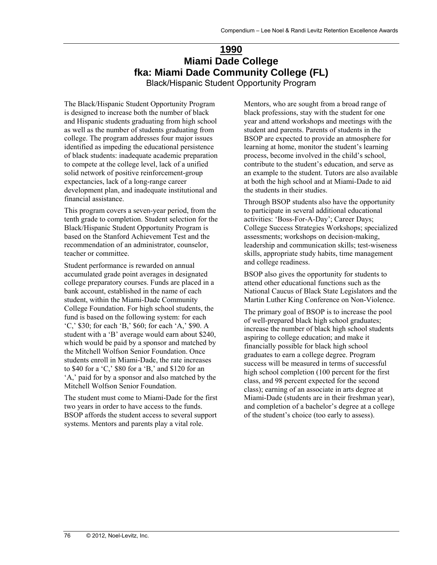# **1990 Miami Dade College fka: Miami Dade Community College (FL)**

Black/Hispanic Student Opportunity Program

The Black/Hispanic Student Opportunity Program is designed to increase both the number of black and Hispanic students graduating from high school as well as the number of students graduating from college. The program addresses four major issues identified as impeding the educational persistence of black students: inadequate academic preparation to compete at the college level, lack of a unified solid network of positive reinforcement-group expectancies, lack of a long-range career development plan, and inadequate institutional and financial assistance.

This program covers a seven-year period, from the tenth grade to completion. Student selection for the Black/Hispanic Student Opportunity Program is based on the Stanford Achievement Test and the recommendation of an administrator, counselor, teacher or committee.

Student performance is rewarded on annual accumulated grade point averages in designated college preparatory courses. Funds are placed in a bank account, established in the name of each student, within the Miami-Dade Community College Foundation. For high school students, the fund is based on the following system: for each 'C,' \$30; for each 'B,' \$60; for each 'A,' \$90. A student with a 'B' average would earn about \$240, which would be paid by a sponsor and matched by the Mitchell Wolfson Senior Foundation. Once students enroll in Miami-Dade, the rate increases to \$40 for a 'C,' \$80 for a 'B,' and \$120 for an 'A,' paid for by a sponsor and also matched by the Mitchell Wolfson Senior Foundation.

The student must come to Miami-Dade for the first two years in order to have access to the funds. BSOP affords the student access to several support systems. Mentors and parents play a vital role.

Mentors, who are sought from a broad range of black professions, stay with the student for one year and attend workshops and meetings with the student and parents. Parents of students in the BSOP are expected to provide an atmosphere for learning at home, monitor the student's learning process, become involved in the child's school, contribute to the student's education, and serve as an example to the student. Tutors are also available at both the high school and at Miami-Dade to aid the students in their studies.

Through BSOP students also have the opportunity to participate in several additional educational activities: 'Boss-For-A-Day'; Career Days; College Success Strategies Workshops; specialized assessments; workshops on decision-making, leadership and communication skills; test-wiseness skills, appropriate study habits, time management and college readiness.

BSOP also gives the opportunity for students to attend other educational functions such as the National Caucus of Black State Legislators and the Martin Luther King Conference on Non-Violence.

The primary goal of BSOP is to increase the pool of well-prepared black high school graduates; increase the number of black high school students aspiring to college education; and make it financially possible for black high school graduates to earn a college degree. Program success will be measured in terms of successful high school completion (100 percent for the first class, and 98 percent expected for the second class); earning of an associate in arts degree at Miami-Dade (students are in their freshman year), and completion of a bachelor's degree at a college of the student's choice (too early to assess).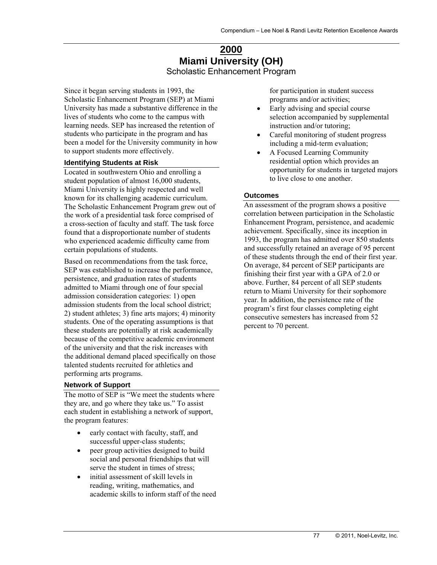# **2000 Miami University (OH)**  Scholastic Enhancement Program

Since it began serving students in 1993, the Scholastic Enhancement Program (SEP) at Miami University has made a substantive difference in the lives of students who come to the campus with learning needs. SEP has increased the retention of students who participate in the program and has been a model for the University community in how to support students more effectively.

#### **Identifying Students at Risk**

Located in southwestern Ohio and enrolling a student population of almost 16,000 students, Miami University is highly respected and well known for its challenging academic curriculum. The Scholastic Enhancement Program grew out of the work of a presidential task force comprised of a cross-section of faculty and staff. The task force found that a disproportionate number of students who experienced academic difficulty came from certain populations of students.

Based on recommendations from the task force, SEP was established to increase the performance, persistence, and graduation rates of students admitted to Miami through one of four special admission consideration categories: 1) open admission students from the local school district; 2) student athletes; 3) fine arts majors; 4) minority students. One of the operating assumptions is that these students are potentially at risk academically because of the competitive academic environment of the university and that the risk increases with the additional demand placed specifically on those talented students recruited for athletics and performing arts programs.

#### **Network of Support**

The motto of SEP is "We meet the students where they are, and go where they take us." To assist each student in establishing a network of support, the program features:

- early contact with faculty, staff, and successful upper-class students;
- peer group activities designed to build social and personal friendships that will serve the student in times of stress;
- initial assessment of skill levels in reading, writing, mathematics, and academic skills to inform staff of the need

for participation in student success programs and/or activities;

- Early advising and special course selection accompanied by supplemental instruction and/or tutoring;
- Careful monitoring of student progress including a mid-term evaluation;
- A Focused Learning Community residential option which provides an opportunity for students in targeted majors to live close to one another.

#### **Outcomes**

An assessment of the program shows a positive correlation between participation in the Scholastic Enhancement Program, persistence, and academic achievement. Specifically, since its inception in 1993, the program has admitted over 850 students and successfully retained an average of 95 percent of these students through the end of their first year. On average, 84 percent of SEP participants are finishing their first year with a GPA of 2.0 or above. Further, 84 percent of all SEP students return to Miami University for their sophomore year. In addition, the persistence rate of the program's first four classes completing eight consecutive semesters has increased from 52 percent to 70 percent.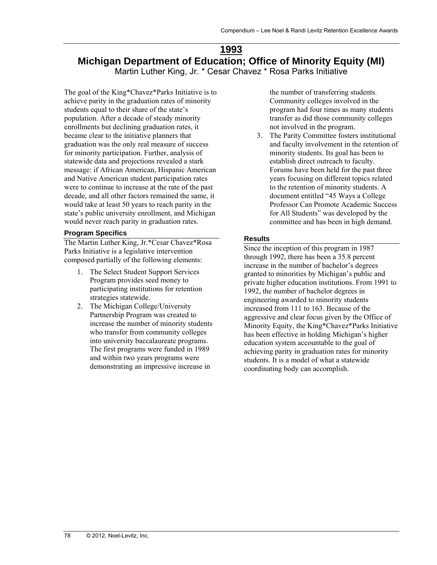## **1993 Michigan Department of Education; Office of Minority Equity (MI)**  Martin Luther King, Jr. \* Cesar Chavez \* Rosa Parks Initiative

The goal of the King\*Chavez\*Parks Initiative is to achieve parity in the graduation rates of minority students equal to their share of the state's population. After a decade of steady minority enrollments but declining graduation rates, it became clear to the initiative planners that graduation was the only real measure of success for minority participation. Further, analysis of statewide data and projections revealed a stark message: if African American, Hispanic American and Native American student participation rates were to continue to increase at the rate of the past decade, and all other factors remained the same, it would take at least 50 years to reach parity in the state's public university enrollment, and Michigan would never reach parity in graduation rates.

#### **Program Specifics**

The Martin Luther King, Jr.\*Cesar Chavez\*Rosa Parks Initiative is a legislative intervention composed partially of the following elements:

- 1. The Select Student Support Services Program provides seed money to participating institutions for retention strategies statewide.
- 2. The Michigan College/University Partnership Program was created to increase the number of minority students who transfer from community colleges into university baccalaureate programs. The first programs were funded in 1989 and within two years programs were demonstrating an impressive increase in

the number of transferring students. Community colleges involved in the program had four times as many students transfer as did those community colleges not involved in the program.

3. The Parity Committee fosters institutional and faculty involvement in the retention of minority students. Its goal has been to establish direct outreach to faculty. Forums have been held for the past three years focusing on different topics related to the retention of minority students. A document entitled "45 Ways a College Professor Can Promote Academic Success for All Students" was developed by the committee and has been in high demand.

#### **Results**

Since the inception of this program in 1987 through 1992, there has been a 35.8 percent increase in the number of bachelor's degrees granted to minorities by Michigan's public and private higher education institutions. From 1991 to 1992, the number of bachelor degrees in engineering awarded to minority students increased from 111 to 163. Because of the aggressive and clear focus given by the Office of Minority Equity, the King\*Chavez\*Parks Initiative has been effective in holding Michigan's higher education system accountable to the goal of achieving parity in graduation rates for minority students. It is a model of what a statewide coordinating body can accomplish.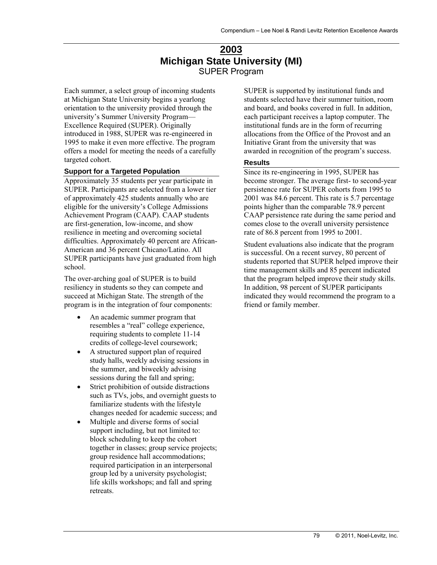# **2003 Michigan State University (MI)**  SUPER Program

Each summer, a select group of incoming students at Michigan State University begins a yearlong orientation to the university provided through the university's Summer University Program— Excellence Required (SUPER). Originally introduced in 1988, SUPER was re-engineered in 1995 to make it even more effective. The program offers a model for meeting the needs of a carefully targeted cohort.

#### **Support for a Targeted Population**

Approximately 35 students per year participate in SUPER. Participants are selected from a lower tier of approximately 425 students annually who are eligible for the university's College Admissions Achievement Program (CAAP). CAAP students are first-generation, low-income, and show resilience in meeting and overcoming societal difficulties. Approximately 40 percent are African-American and 36 percent Chicano/Latino. All SUPER participants have just graduated from high school.

The over-arching goal of SUPER is to build resiliency in students so they can compete and succeed at Michigan State. The strength of the program is in the integration of four components:

- An academic summer program that resembles a "real" college experience, requiring students to complete 11-14 credits of college-level coursework;
- A structured support plan of required study halls, weekly advising sessions in the summer, and biweekly advising sessions during the fall and spring;
- Strict prohibition of outside distractions such as TVs, jobs, and overnight guests to familiarize students with the lifestyle changes needed for academic success; and
- Multiple and diverse forms of social support including, but not limited to: block scheduling to keep the cohort together in classes; group service projects; group residence hall accommodations; required participation in an interpersonal group led by a university psychologist; life skills workshops; and fall and spring retreats.

SUPER is supported by institutional funds and students selected have their summer tuition, room and board, and books covered in full. In addition, each participant receives a laptop computer. The institutional funds are in the form of recurring allocations from the Office of the Provost and an Initiative Grant from the university that was awarded in recognition of the program's success.

#### **Results**

Since its re-engineering in 1995, SUPER has become stronger. The average first- to second-year persistence rate for SUPER cohorts from 1995 to 2001 was 84.6 percent. This rate is 5.7 percentage points higher than the comparable 78.9 percent CAAP persistence rate during the same period and comes close to the overall university persistence rate of 86.8 percent from 1995 to 2001.

Student evaluations also indicate that the program is successful. On a recent survey, 80 percent of students reported that SUPER helped improve their time management skills and 85 percent indicated that the program helped improve their study skills. In addition, 98 percent of SUPER participants indicated they would recommend the program to a friend or family member.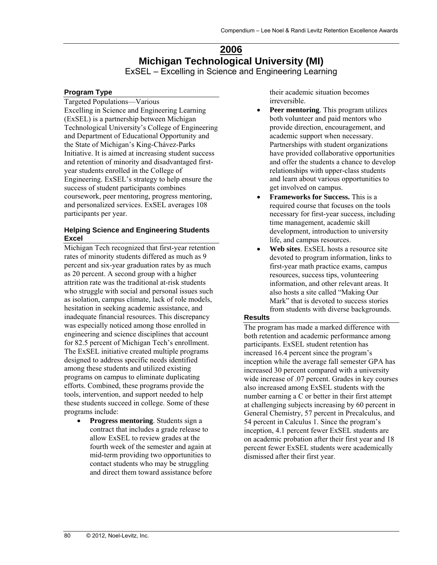## **2006 Michigan Technological University (MI)**  ExSEL – Excelling in Science and Engineering Learning

## **Program Type**

Targeted Populations—Various Excelling in Science and Engineering Learning (ExSEL) is a partnership between Michigan Technological University's College of Engineering and Department of Educational Opportunity and the State of Michigan's King-Chávez-Parks Initiative. It is aimed at increasing student success and retention of minority and disadvantaged firstyear students enrolled in the College of Engineering. ExSEL's strategy to help ensure the success of student participants combines coursework, peer mentoring, progress mentoring, and personalized services. ExSEL averages 108 participants per year.

## **Helping Science and Engineering Students Excel**

Michigan Tech recognized that first-year retention rates of minority students differed as much as 9 percent and six-year graduation rates by as much as 20 percent. A second group with a higher attrition rate was the traditional at-risk students who struggle with social and personal issues such as isolation, campus climate, lack of role models, hesitation in seeking academic assistance, and inadequate financial resources. This discrepancy was especially noticed among those enrolled in engineering and science disciplines that account for 82.5 percent of Michigan Tech's enrollment. The ExSEL initiative created multiple programs designed to address specific needs identified among these students and utilized existing programs on campus to eliminate duplicating efforts. Combined, these programs provide the tools, intervention, and support needed to help these students succeed in college. Some of these programs include:

 **Progress mentoring**. Students sign a contract that includes a grade release to allow ExSEL to review grades at the fourth week of the semester and again at mid-term providing two opportunities to contact students who may be struggling and direct them toward assistance before their academic situation becomes irreversible.

- **Peer mentoring**. This program utilizes both volunteer and paid mentors who provide direction, encouragement, and academic support when necessary. Partnerships with student organizations have provided collaborative opportunities and offer the students a chance to develop relationships with upper-class students and learn about various opportunities to get involved on campus.
- **Frameworks for Success.** This is a required course that focuses on the tools necessary for first-year success, including time management, academic skill development, introduction to university life, and campus resources.
- **Web sites**. ExSEL hosts a resource site devoted to program information, links to first-year math practice exams, campus resources, success tips, volunteering information, and other relevant areas. It also hosts a site called "Making Our Mark" that is devoted to success stories from students with diverse backgrounds.

## **Results**

The program has made a marked difference with both retention and academic performance among participants. ExSEL student retention has increased 16.4 percent since the program's inception while the average fall semester GPA has increased 30 percent compared with a university wide increase of .07 percent. Grades in key courses also increased among ExSEL students with the number earning a C or better in their first attempt at challenging subjects increasing by 60 percent in General Chemistry, 57 percent in Precalculus, and 54 percent in Calculus 1. Since the program's inception, 4.1 percent fewer ExSEL students are on academic probation after their first year and 18 percent fewer ExSEL students were academically dismissed after their first year.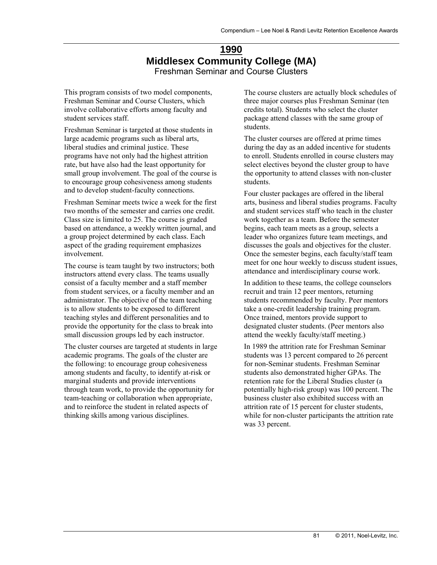# **1990 Middlesex Community College (MA)**  Freshman Seminar and Course Clusters

This program consists of two model components, Freshman Seminar and Course Clusters, which involve collaborative efforts among faculty and student services staff.

Freshman Seminar is targeted at those students in large academic programs such as liberal arts, liberal studies and criminal justice. These programs have not only had the highest attrition rate, but have also had the least opportunity for small group involvement. The goal of the course is to encourage group cohesiveness among students and to develop student-faculty connections.

Freshman Seminar meets twice a week for the first two months of the semester and carries one credit. Class size is limited to 25. The course is graded based on attendance, a weekly written journal, and a group project determined by each class. Each aspect of the grading requirement emphasizes involvement.

The course is team taught by two instructors; both instructors attend every class. The teams usually consist of a faculty member and a staff member from student services, or a faculty member and an administrator. The objective of the team teaching is to allow students to be exposed to different teaching styles and different personalities and to provide the opportunity for the class to break into small discussion groups led by each instructor.

The cluster courses are targeted at students in large academic programs. The goals of the cluster are the following: to encourage group cohesiveness among students and faculty, to identify at-risk or marginal students and provide interventions through team work, to provide the opportunity for team-teaching or collaboration when appropriate, and to reinforce the student in related aspects of thinking skills among various disciplines.

The course clusters are actually block schedules of three major courses plus Freshman Seminar (ten credits total). Students who select the cluster package attend classes with the same group of students.

The cluster courses are offered at prime times during the day as an added incentive for students to enroll. Students enrolled in course clusters may select electives beyond the cluster group to have the opportunity to attend classes with non-cluster students.

Four cluster packages are offered in the liberal arts, business and liberal studies programs. Faculty and student services staff who teach in the cluster work together as a team. Before the semester begins, each team meets as a group, selects a leader who organizes future team meetings, and discusses the goals and objectives for the cluster. Once the semester begins, each faculty/staff team meet for one hour weekly to discuss student issues, attendance and interdisciplinary course work.

In addition to these teams, the college counselors recruit and train 12 peer mentors, returning students recommended by faculty. Peer mentors take a one-credit leadership training program. Once trained, mentors provide support to designated cluster students. (Peer mentors also attend the weekly faculty/staff meeting.)

In 1989 the attrition rate for Freshman Seminar students was 13 percent compared to 26 percent for non-Seminar students. Freshman Seminar students also demonstrated higher GPAs. The retention rate for the Liberal Studies cluster (a potentially high-risk group) was 100 percent. The business cluster also exhibited success with an attrition rate of 15 percent for cluster students, while for non-cluster participants the attrition rate was 33 percent.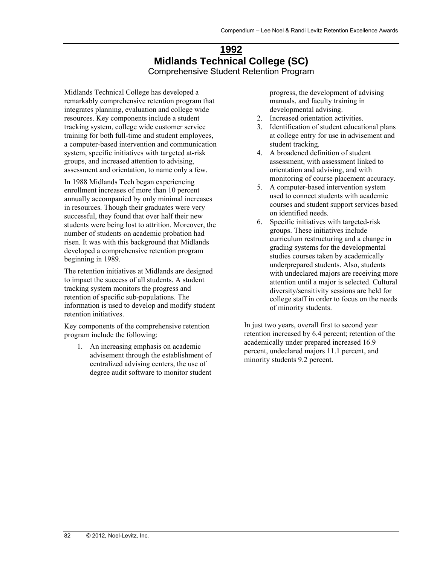# **1992 Midlands Technical College (SC)**  Comprehensive Student Retention Program

Midlands Technical College has developed a remarkably comprehensive retention program that integrates planning, evaluation and college wide resources. Key components include a student tracking system, college wide customer service training for both full-time and student employees, a computer-based intervention and communication system, specific initiatives with targeted at-risk groups, and increased attention to advising, assessment and orientation, to name only a few.

In 1988 Midlands Tech began experiencing enrollment increases of more than 10 percent annually accompanied by only minimal increases in resources. Though their graduates were very successful, they found that over half their new students were being lost to attrition. Moreover, the number of students on academic probation had risen. It was with this background that Midlands developed a comprehensive retention program beginning in 1989.

The retention initiatives at Midlands are designed to impact the success of all students. A student tracking system monitors the progress and retention of specific sub-populations. The information is used to develop and modify student retention initiatives.

Key components of the comprehensive retention program include the following:

1. An increasing emphasis on academic advisement through the establishment of centralized advising centers, the use of degree audit software to monitor student

progress, the development of advising manuals, and faculty training in developmental advising.

- 2. Increased orientation activities.
- 3. Identification of student educational plans at college entry for use in advisement and student tracking.
- 4. A broadened definition of student assessment, with assessment linked to orientation and advising, and with monitoring of course placement accuracy.
- 5. A computer-based intervention system used to connect students with academic courses and student support services based on identified needs.
- 6. Specific initiatives with targeted-risk groups. These initiatives include curriculum restructuring and a change in grading systems for the developmental studies courses taken by academically underprepared students. Also, students with undeclared majors are receiving more attention until a major is selected. Cultural diversity/sensitivity sessions are held for college staff in order to focus on the needs of minority students.

In just two years, overall first to second year retention increased by 6.4 percent; retention of the academically under prepared increased 16.9 percent, undeclared majors 11.1 percent, and minority students 9.2 percent.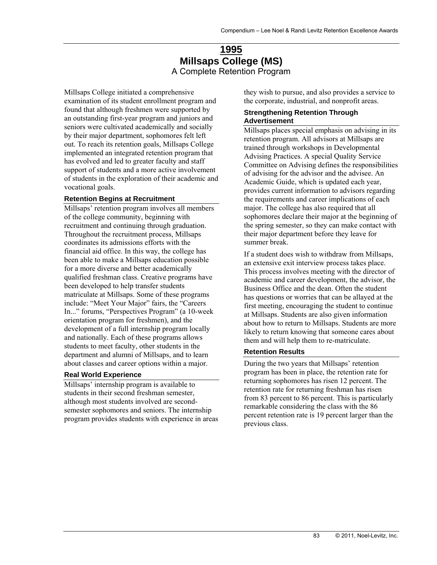# **1995 Millsaps College (MS)**  A Complete Retention Program

Millsaps College initiated a comprehensive examination of its student enrollment program and found that although freshmen were supported by an outstanding first-year program and juniors and seniors were cultivated academically and socially by their major department, sophomores felt left out. To reach its retention goals, Millsaps College implemented an integrated retention program that has evolved and led to greater faculty and staff support of students and a more active involvement of students in the exploration of their academic and vocational goals.

#### **Retention Begins at Recruitment**

Millsaps' retention program involves all members of the college community, beginning with recruitment and continuing through graduation. Throughout the recruitment process, Millsaps coordinates its admissions efforts with the financial aid office. In this way, the college has been able to make a Millsaps education possible for a more diverse and better academically qualified freshman class. Creative programs have been developed to help transfer students matriculate at Millsaps. Some of these programs include: "Meet Your Major" fairs, the "Careers In..." forums, "Perspectives Program" (a 10-week orientation program for freshmen), and the development of a full internship program locally and nationally. Each of these programs allows students to meet faculty, other students in the department and alumni of Millsaps, and to learn about classes and career options within a major.

#### **Real World Experience**

Millsaps' internship program is available to students in their second freshman semester, although most students involved are secondsemester sophomores and seniors. The internship program provides students with experience in areas they wish to pursue, and also provides a service to the corporate, industrial, and nonprofit areas.

#### **Strengthening Retention Through Advertisement**

Millsaps places special emphasis on advising in its retention program. All advisors at Millsaps are trained through workshops in Developmental Advising Practices. A special Quality Service Committee on Advising defines the responsibilities of advising for the advisor and the advisee. An Academic Guide, which is updated each year, provides current information to advisors regarding the requirements and career implications of each major. The college has also required that all sophomores declare their major at the beginning of the spring semester, so they can make contact with their major department before they leave for summer break.

If a student does wish to withdraw from Millsaps, an extensive exit interview process takes place. This process involves meeting with the director of academic and career development, the advisor, the Business Office and the dean. Often the student has questions or worries that can be allayed at the first meeting, encouraging the student to continue at Millsaps. Students are also given information about how to return to Millsaps. Students are more likely to return knowing that someone cares about them and will help them to re-matriculate.

### **Retention Results**

During the two years that Millsaps' retention program has been in place, the retention rate for returning sophomores has risen 12 percent. The retention rate for returning freshman has risen from 83 percent to 86 percent. This is particularly remarkable considering the class with the 86 percent retention rate is 19 percent larger than the previous class.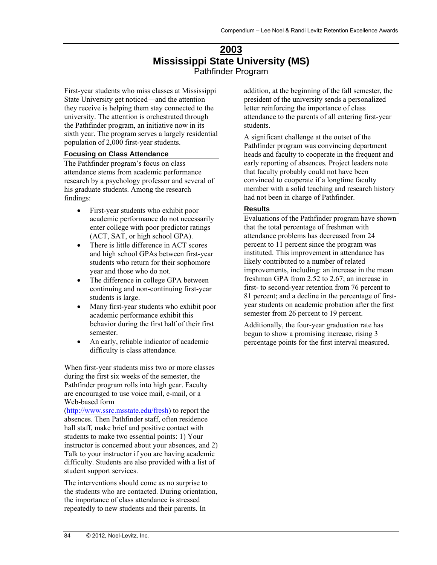# **2003 Mississippi State University (MS)**  Pathfinder Program

First-year students who miss classes at Mississippi State University get noticed—and the attention they receive is helping them stay connected to the university. The attention is orchestrated through the Pathfinder program, an initiative now in its sixth year. The program serves a largely residential population of 2,000 first-year students.

## **Focusing on Class Attendance**

The Pathfinder program's focus on class attendance stems from academic performance research by a psychology professor and several of his graduate students. Among the research findings:

- First-year students who exhibit poor academic performance do not necessarily enter college with poor predictor ratings (ACT, SAT, or high school GPA).
- There is little difference in ACT scores and high school GPAs between first-year students who return for their sophomore year and those who do not.
- The difference in college GPA between continuing and non-continuing first-year students is large.
- Many first-year students who exhibit poor academic performance exhibit this behavior during the first half of their first semester.
- An early, reliable indicator of academic difficulty is class attendance.

When first-year students miss two or more classes during the first six weeks of the semester, the Pathfinder program rolls into high gear. Faculty are encouraged to use voice mail, e-mail, or a Web-based form

(http://www.ssrc.msstate.edu/fresh) to report the absences. Then Pathfinder staff, often residence hall staff, make brief and positive contact with students to make two essential points: 1) Your instructor is concerned about your absences, and 2) Talk to your instructor if you are having academic difficulty. Students are also provided with a list of student support services.

The interventions should come as no surprise to the students who are contacted. During orientation, the importance of class attendance is stressed repeatedly to new students and their parents. In

addition, at the beginning of the fall semester, the president of the university sends a personalized letter reinforcing the importance of class attendance to the parents of all entering first-year students.

A significant challenge at the outset of the Pathfinder program was convincing department heads and faculty to cooperate in the frequent and early reporting of absences. Project leaders note that faculty probably could not have been convinced to cooperate if a longtime faculty member with a solid teaching and research history had not been in charge of Pathfinder.

## **Results**

Evaluations of the Pathfinder program have shown that the total percentage of freshmen with attendance problems has decreased from 24 percent to 11 percent since the program was instituted. This improvement in attendance has likely contributed to a number of related improvements, including: an increase in the mean freshman GPA from 2.52 to 2.67; an increase in first- to second-year retention from 76 percent to 81 percent; and a decline in the percentage of firstyear students on academic probation after the first semester from 26 percent to 19 percent.

Additionally, the four-year graduation rate has begun to show a promising increase, rising 3 percentage points for the first interval measured.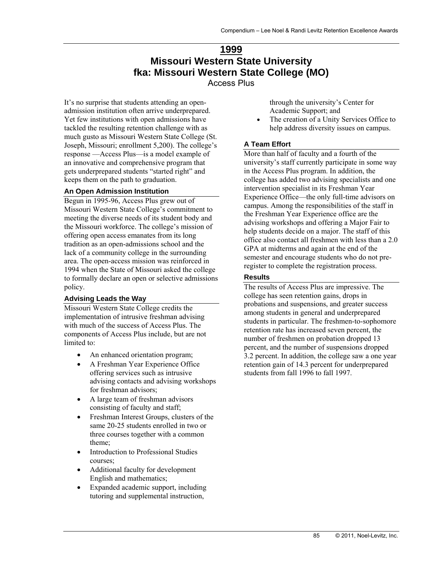# **1999 Missouri Western State University fka: Missouri Western State College (MO)**  Access Plus

It's no surprise that students attending an openadmission institution often arrive underprepared. Yet few institutions with open admissions have tackled the resulting retention challenge with as much gusto as Missouri Western State College (St. Joseph, Missouri; enrollment 5,200). The college's response —Access Plus—is a model example of an innovative and comprehensive program that gets underprepared students "started right" and keeps them on the path to graduation.

#### **An Open Admission Institution**

Begun in 1995-96, Access Plus grew out of Missouri Western State College's commitment to meeting the diverse needs of its student body and the Missouri workforce. The college's mission of offering open access emanates from its long tradition as an open-admissions school and the lack of a community college in the surrounding area. The open-access mission was reinforced in 1994 when the State of Missouri asked the college to formally declare an open or selective admissions policy.

#### **Advising Leads the Way**

Missouri Western State College credits the implementation of intrusive freshman advising with much of the success of Access Plus. The components of Access Plus include, but are not limited to:

- An enhanced orientation program;
- A Freshman Year Experience Office offering services such as intrusive advising contacts and advising workshops for freshman advisors;
- A large team of freshman advisors consisting of faculty and staff;
- Freshman Interest Groups, clusters of the same 20-25 students enrolled in two or three courses together with a common theme;
- Introduction to Professional Studies courses;
- Additional faculty for development English and mathematics;
- Expanded academic support, including tutoring and supplemental instruction,

through the university's Center for Academic Support; and

 The creation of a Unity Services Office to help address diversity issues on campus.

#### **A Team Effort**

More than half of faculty and a fourth of the university's staff currently participate in some way in the Access Plus program. In addition, the college has added two advising specialists and one intervention specialist in its Freshman Year Experience Office—the only full-time advisors on campus. Among the responsibilities of the staff in the Freshman Year Experience office are the advising workshops and offering a Major Fair to help students decide on a major. The staff of this office also contact all freshmen with less than a 2.0 GPA at midterms and again at the end of the semester and encourage students who do not preregister to complete the registration process.

#### **Results**

The results of Access Plus are impressive. The college has seen retention gains, drops in probations and suspensions, and greater success among students in general and underprepared students in particular. The freshmen-to-sophomore retention rate has increased seven percent, the number of freshmen on probation dropped 13 percent, and the number of suspensions dropped 3.2 percent. In addition, the college saw a one year retention gain of 14.3 percent for underprepared students from fall 1996 to fall 1997.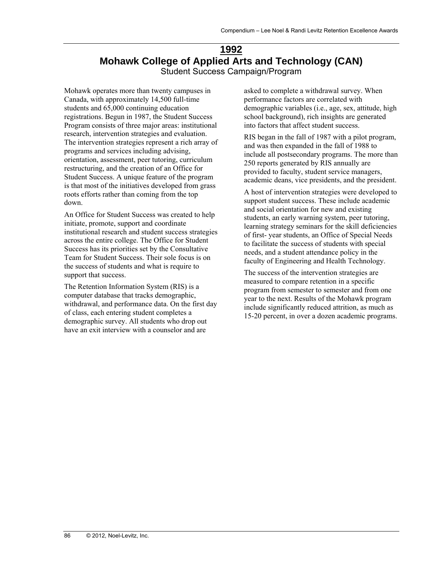# **1992 Mohawk College of Applied Arts and Technology (CAN)**  Student Success Campaign/Program

Mohawk operates more than twenty campuses in Canada, with approximately 14,500 full-time students and 65,000 continuing education registrations. Begun in 1987, the Student Success Program consists of three major areas: institutional research, intervention strategies and evaluation. The intervention strategies represent a rich array of programs and services including advising, orientation, assessment, peer tutoring, curriculum restructuring, and the creation of an Office for Student Success. A unique feature of the program is that most of the initiatives developed from grass roots efforts rather than coming from the top down.

An Office for Student Success was created to help initiate, promote, support and coordinate institutional research and student success strategies across the entire college. The Office for Student Success has its priorities set by the Consultative Team for Student Success. Their sole focus is on the success of students and what is require to support that success.

The Retention Information System (RIS) is a computer database that tracks demographic, withdrawal, and performance data. On the first day of class, each entering student completes a demographic survey. All students who drop out have an exit interview with a counselor and are

asked to complete a withdrawal survey. When performance factors are correlated with demographic variables (i.e., age, sex, attitude, high school background), rich insights are generated into factors that affect student success.

RIS began in the fall of 1987 with a pilot program, and was then expanded in the fall of 1988 to include all postsecondary programs. The more than 250 reports generated by RIS annually are provided to faculty, student service managers, academic deans, vice presidents, and the president.

A host of intervention strategies were developed to support student success. These include academic and social orientation for new and existing students, an early warning system, peer tutoring, learning strategy seminars for the skill deficiencies of first- year students, an Office of Special Needs to facilitate the success of students with special needs, and a student attendance policy in the faculty of Engineering and Health Technology.

The success of the intervention strategies are measured to compare retention in a specific program from semester to semester and from one year to the next. Results of the Mohawk program include significantly reduced attrition, as much as 15-20 percent, in over a dozen academic programs.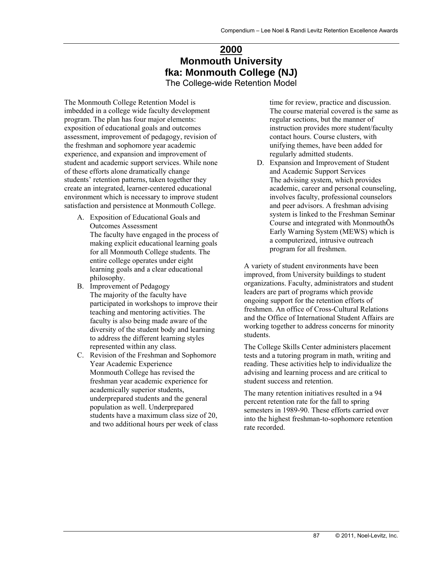# **2000 Monmouth University fka: Monmouth College (NJ)**  The College-wide Retention Model

The Monmouth College Retention Model is imbedded in a college wide faculty development program. The plan has four major elements: exposition of educational goals and outcomes assessment, improvement of pedagogy, revision of the freshman and sophomore year academic experience, and expansion and improvement of student and academic support services. While none of these efforts alone dramatically change students' retention patterns, taken together they create an integrated, learner-centered educational environment which is necessary to improve student satisfaction and persistence at Monmouth College.

- A. Exposition of Educational Goals and Outcomes Assessment The faculty have engaged in the process of making explicit educational learning goals for all Monmouth College students. The entire college operates under eight learning goals and a clear educational philosophy.
- B. Improvement of Pedagogy The majority of the faculty have participated in workshops to improve their teaching and mentoring activities. The faculty is also being made aware of the diversity of the student body and learning to address the different learning styles represented within any class.
- C. Revision of the Freshman and Sophomore Year Academic Experience Monmouth College has revised the freshman year academic experience for academically superior students, underprepared students and the general population as well. Underprepared students have a maximum class size of 20, and two additional hours per week of class

time for review, practice and discussion. The course material covered is the same as regular sections, but the manner of instruction provides more student/faculty contact hours. Course clusters, with unifying themes, have been added for regularly admitted students.

D. Expansion and Improvement of Student and Academic Support Services The advising system, which provides academic, career and personal counseling, involves faculty, professional counselors and peer advisors. A freshman advising system is linked to the Freshman Seminar Course and integrated with MonmouthÕs Early Warning System (MEWS) which is a computerized, intrusive outreach program for all freshmen.

A variety of student environments have been improved, from University buildings to student organizations. Faculty, administrators and student leaders are part of programs which provide ongoing support for the retention efforts of freshmen. An office of Cross-Cultural Relations and the Office of International Student Affairs are working together to address concerns for minority students.

The College Skills Center administers placement tests and a tutoring program in math, writing and reading. These activities help to individualize the advising and learning process and are critical to student success and retention.

The many retention initiatives resulted in a 94 percent retention rate for the fall to spring semesters in 1989-90. These efforts carried over into the highest freshman-to-sophomore retention rate recorded.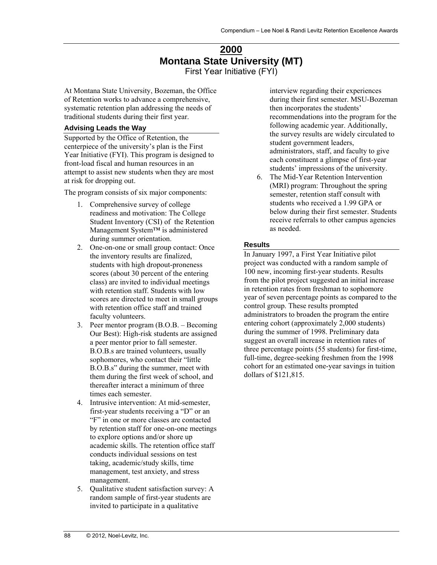# **2000 Montana State University (MT)**  First Year Initiative (FYI)

At Montana State University, Bozeman, the Office of Retention works to advance a comprehensive, systematic retention plan addressing the needs of traditional students during their first year.

## **Advising Leads the Way**

Supported by the Office of Retention, the centerpiece of the university's plan is the First Year Initiative (FYI). This program is designed to front-load fiscal and human resources in an attempt to assist new students when they are most at risk for dropping out.

The program consists of six major components:

- 1. Comprehensive survey of college readiness and motivation: The College Student Inventory (CSI) of the Retention Management System™ is administered during summer orientation.
- 2. One-on-one or small group contact: Once the inventory results are finalized, students with high dropout-proneness scores (about 30 percent of the entering class) are invited to individual meetings with retention staff. Students with low scores are directed to meet in small groups with retention office staff and trained faculty volunteers.
- 3. Peer mentor program (B.O.B. Becoming Our Best): High-risk students are assigned a peer mentor prior to fall semester. B.O.B.s are trained volunteers, usually sophomores, who contact their "little B.O.B.s" during the summer, meet with them during the first week of school, and thereafter interact a minimum of three times each semester.
- 4. Intrusive intervention: At mid-semester, first-year students receiving a "D" or an "F" in one or more classes are contacted by retention staff for one-on-one meetings to explore options and/or shore up academic skills. The retention office staff conducts individual sessions on test taking, academic/study skills, time management, test anxiety, and stress management.
- 5. Qualitative student satisfaction survey: A random sample of first-year students are invited to participate in a qualitative

interview regarding their experiences during their first semester. MSU-Bozeman then incorporates the students' recommendations into the program for the following academic year. Additionally, the survey results are widely circulated to student government leaders, administrators, staff, and faculty to give each constituent a glimpse of first-year students' impressions of the university.

6. The Mid-Year Retention Intervention (MRI) program: Throughout the spring semester, retention staff consult with students who received a 1.99 GPA or below during their first semester. Students receive referrals to other campus agencies as needed.

## **Results**

In January 1997, a First Year Initiative pilot project was conducted with a random sample of 100 new, incoming first-year students. Results from the pilot project suggested an initial increase in retention rates from freshman to sophomore year of seven percentage points as compared to the control group. These results prompted administrators to broaden the program the entire entering cohort (approximately 2,000 students) during the summer of 1998. Preliminary data suggest an overall increase in retention rates of three percentage points (55 students) for first-time, full-time, degree-seeking freshmen from the 1998 cohort for an estimated one-year savings in tuition dollars of \$121,815.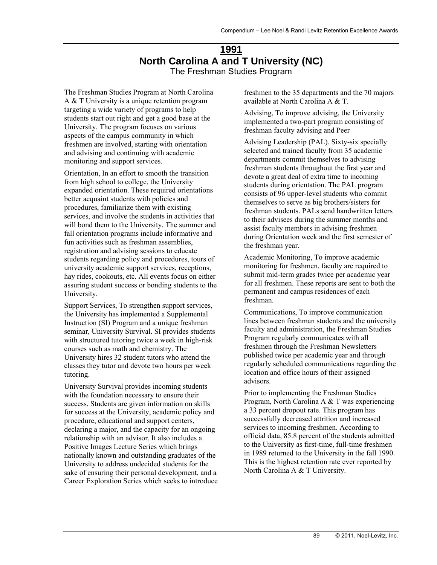# **1991 North Carolina A and T University (NC)**  The Freshman Studies Program

The Freshman Studies Program at North Carolina A & T University is a unique retention program targeting a wide variety of programs to help students start out right and get a good base at the University. The program focuses on various aspects of the campus community in which freshmen are involved, starting with orientation and advising and continuing with academic monitoring and support services.

Orientation, In an effort to smooth the transition from high school to college, the University expanded orientation. These required orientations better acquaint students with policies and procedures, familiarize them with existing services, and involve the students in activities that will bond them to the University. The summer and fall orientation programs include informative and fun activities such as freshman assemblies, registration and advising sessions to educate students regarding policy and procedures, tours of university academic support services, receptions, hay rides, cookouts, etc. All events focus on either assuring student success or bonding students to the University.

Support Services, To strengthen support services, the University has implemented a Supplemental Instruction (SI) Program and a unique freshman seminar, University Survival. SI provides students with structured tutoring twice a week in high-risk courses such as math and chemistry. The University hires 32 student tutors who attend the classes they tutor and devote two hours per week tutoring.

University Survival provides incoming students with the foundation necessary to ensure their success. Students are given information on skills for success at the University, academic policy and procedure, educational and support centers, declaring a major, and the capacity for an ongoing relationship with an advisor. It also includes a Positive Images Lecture Series which brings nationally known and outstanding graduates of the University to address undecided students for the sake of ensuring their personal development, and a Career Exploration Series which seeks to introduce freshmen to the 35 departments and the 70 majors available at North Carolina A & T.

Advising, To improve advising, the University implemented a two-part program consisting of freshman faculty advising and Peer

Advising Leadership (PAL). Sixty-six specially selected and trained faculty from 35 academic departments commit themselves to advising freshman students throughout the first year and devote a great deal of extra time to incoming students during orientation. The PAL program consists of 96 upper-level students who commit themselves to serve as big brothers/sisters for freshman students. PALs send handwritten letters to their advisees during the summer months and assist faculty members in advising freshmen during Orientation week and the first semester of the freshman year.

Academic Monitoring, To improve academic monitoring for freshmen, faculty are required to submit mid-term grades twice per academic year for all freshmen. These reports are sent to both the permanent and campus residences of each freshman.

Communications, To improve communication lines between freshman students and the university faculty and administration, the Freshman Studies Program regularly communicates with all freshmen through the Freshman Newsletters published twice per academic year and through regularly scheduled communications regarding the location and office hours of their assigned advisors.

Prior to implementing the Freshman Studies Program, North Carolina A & T was experiencing a 33 percent dropout rate. This program has successfully decreased attrition and increased services to incoming freshmen. According to official data, 85.8 percent of the students admitted to the University as first-time, full-time freshmen in 1989 returned to the University in the fall 1990. This is the highest retention rate ever reported by North Carolina A & T University.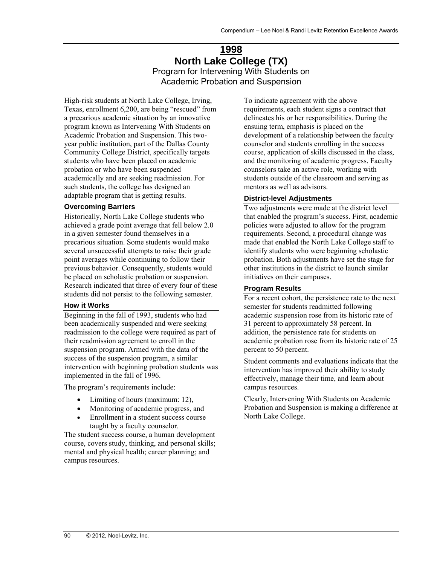# **1998 North Lake College (TX)**  Program for Intervening With Students on Academic Probation and Suspension

High-risk students at North Lake College, Irving, Texas, enrollment 6,200, are being "rescued" from a precarious academic situation by an innovative program known as Intervening With Students on Academic Probation and Suspension. This twoyear public institution, part of the Dallas County Community College District, specifically targets students who have been placed on academic probation or who have been suspended academically and are seeking readmission. For such students, the college has designed an adaptable program that is getting results.

#### **Overcoming Barriers**

Historically, North Lake College students who achieved a grade point average that fell below 2.0 in a given semester found themselves in a precarious situation. Some students would make several unsuccessful attempts to raise their grade point averages while continuing to follow their previous behavior. Consequently, students would be placed on scholastic probation or suspension. Research indicated that three of every four of these students did not persist to the following semester.

### **How it Works**

Beginning in the fall of 1993, students who had been academically suspended and were seeking readmission to the college were required as part of their readmission agreement to enroll in the suspension program. Armed with the data of the success of the suspension program, a similar intervention with beginning probation students was implemented in the fall of 1996.

The program's requirements include:

- Limiting of hours (maximum: 12),
- Monitoring of academic progress, and
- Enrollment in a student success course taught by a faculty counselor.

The student success course, a human development course, covers study, thinking, and personal skills; mental and physical health; career planning; and campus resources.

To indicate agreement with the above requirements, each student signs a contract that delineates his or her responsibilities. During the ensuing term, emphasis is placed on the development of a relationship between the faculty counselor and students enrolling in the success course, application of skills discussed in the class, and the monitoring of academic progress. Faculty counselors take an active role, working with students outside of the classroom and serving as mentors as well as advisors.

#### **District-level Adjustments**

Two adjustments were made at the district level that enabled the program's success. First, academic policies were adjusted to allow for the program requirements. Second, a procedural change was made that enabled the North Lake College staff to identify students who were beginning scholastic probation. Both adjustments have set the stage for other institutions in the district to launch similar initiatives on their campuses.

#### **Program Results**

For a recent cohort, the persistence rate to the next semester for students readmitted following academic suspension rose from its historic rate of 31 percent to approximately 58 percent. In addition, the persistence rate for students on academic probation rose from its historic rate of 25 percent to 50 percent.

Student comments and evaluations indicate that the intervention has improved their ability to study effectively, manage their time, and learn about campus resources.

Clearly, Intervening With Students on Academic Probation and Suspension is making a difference at North Lake College.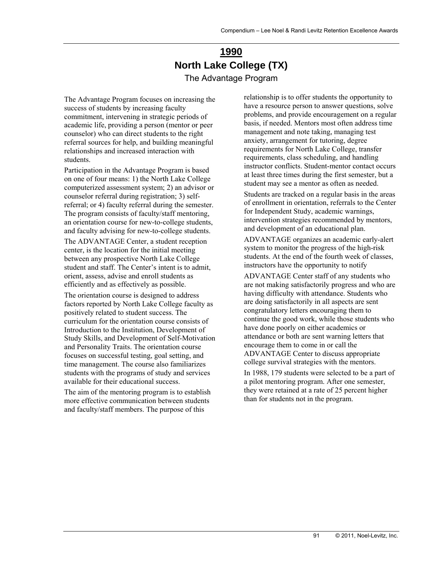# **1990 North Lake College (TX)**  The Advantage Program

The Advantage Program focuses on increasing the success of students by increasing faculty commitment, intervening in strategic periods of academic life, providing a person (mentor or peer counselor) who can direct students to the right referral sources for help, and building meaningful relationships and increased interaction with students.

Participation in the Advantage Program is based on one of four means: 1) the North Lake College computerized assessment system; 2) an advisor or counselor referral during registration; 3) selfreferral; or 4) faculty referral during the semester. The program consists of faculty/staff mentoring, an orientation course for new-to-college students, and faculty advising for new-to-college students.

The ADVANTAGE Center, a student reception center, is the location for the initial meeting between any prospective North Lake College student and staff. The Center's intent is to admit, orient, assess, advise and enroll students as efficiently and as effectively as possible.

The orientation course is designed to address factors reported by North Lake College faculty as positively related to student success. The curriculum for the orientation course consists of Introduction to the Institution, Development of Study Skills, and Development of Self-Motivation and Personality Traits. The orientation course focuses on successful testing, goal setting, and time management. The course also familiarizes students with the programs of study and services available for their educational success.

The aim of the mentoring program is to establish more effective communication between students and faculty/staff members. The purpose of this

relationship is to offer students the opportunity to have a resource person to answer questions, solve problems, and provide encouragement on a regular basis, if needed. Mentors most often address time management and note taking, managing test anxiety, arrangement for tutoring, degree requirements for North Lake College, transfer requirements, class scheduling, and handling instructor conflicts. Student-mentor contact occurs at least three times during the first semester, but a student may see a mentor as often as needed.

Students are tracked on a regular basis in the areas of enrollment in orientation, referrals to the Center for Independent Study, academic warnings, intervention strategies recommended by mentors, and development of an educational plan.

ADVANTAGE organizes an academic early-alert system to monitor the progress of the high-risk students. At the end of the fourth week of classes, instructors have the opportunity to notify

ADVANTAGE Center staff of any students who are not making satisfactorily progress and who are having difficulty with attendance. Students who are doing satisfactorily in all aspects are sent congratulatory letters encouraging them to continue the good work, while those students who have done poorly on either academics or attendance or both are sent warning letters that encourage them to come in or call the ADVANTAGE Center to discuss appropriate college survival strategies with the mentors.

In 1988, 179 students were selected to be a part of a pilot mentoring program. After one semester, they were retained at a rate of 25 percent higher than for students not in the program.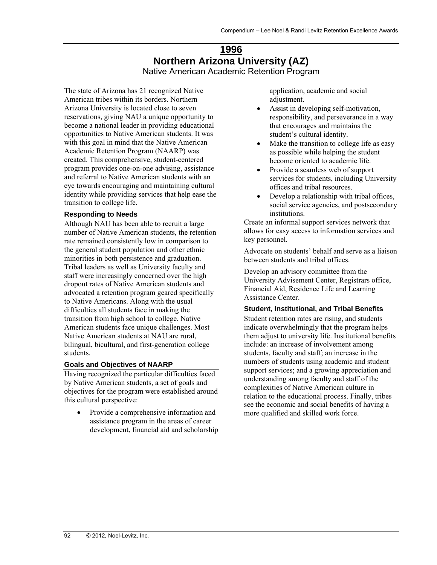## **1996 Northern Arizona University (AZ)**  Native American Academic Retention Program

The state of Arizona has 21 recognized Native American tribes within its borders. Northern Arizona University is located close to seven reservations, giving NAU a unique opportunity to become a national leader in providing educational opportunities to Native American students. It was with this goal in mind that the Native American Academic Retention Program (NAARP) was created. This comprehensive, student-centered program provides one-on-one advising, assistance and referral to Native American students with an eye towards encouraging and maintaining cultural identity while providing services that help ease the transition to college life.

#### **Responding to Needs**

Although NAU has been able to recruit a large number of Native American students, the retention rate remained consistently low in comparison to the general student population and other ethnic minorities in both persistence and graduation. Tribal leaders as well as University faculty and staff were increasingly concerned over the high dropout rates of Native American students and advocated a retention program geared specifically to Native Americans. Along with the usual difficulties all students face in making the transition from high school to college, Native American students face unique challenges. Most Native American students at NAU are rural, bilingual, bicultural, and first-generation college students.

## **Goals and Objectives of NAARP**

Having recognized the particular difficulties faced by Native American students, a set of goals and objectives for the program were established around this cultural perspective:

 Provide a comprehensive information and assistance program in the areas of career development, financial aid and scholarship application, academic and social adjustment.

- Assist in developing self-motivation, responsibility, and perseverance in a way that encourages and maintains the student's cultural identity.
- Make the transition to college life as easy as possible while helping the student become oriented to academic life.
- Provide a seamless web of support services for students, including University offices and tribal resources.
- Develop a relationship with tribal offices, social service agencies, and postsecondary institutions.

Create an informal support services network that allows for easy access to information services and key personnel.

Advocate on students' behalf and serve as a liaison between students and tribal offices.

Develop an advisory committee from the University Advisement Center, Registrars office, Financial Aid, Residence Life and Learning Assistance Center.

#### **Student, Institutional, and Tribal Benefits**

Student retention rates are rising, and students indicate overwhelmingly that the program helps them adjust to university life. Institutional benefits include: an increase of involvement among students, faculty and staff; an increase in the numbers of students using academic and student support services; and a growing appreciation and understanding among faculty and staff of the complexities of Native American culture in relation to the educational process. Finally, tribes see the economic and social benefits of having a more qualified and skilled work force.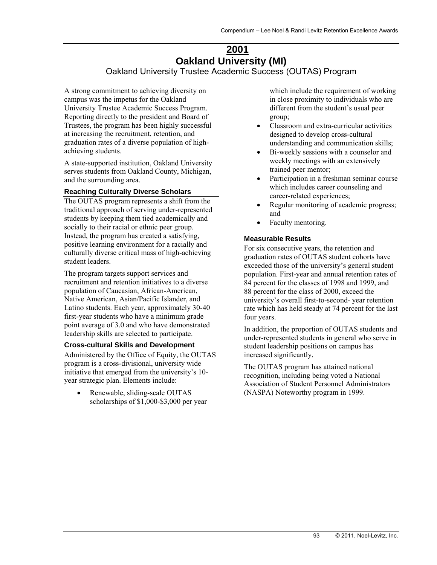# **2001 Oakland University (MI)**

Oakland University Trustee Academic Success (OUTAS) Program

A strong commitment to achieving diversity on campus was the impetus for the Oakland University Trustee Academic Success Program. Reporting directly to the president and Board of Trustees, the program has been highly successful at increasing the recruitment, retention, and graduation rates of a diverse population of highachieving students.

A state-supported institution, Oakland University serves students from Oakland County, Michigan, and the surrounding area.

#### **Reaching Culturally Diverse Scholars**

The OUTAS program represents a shift from the traditional approach of serving under-represented students by keeping them tied academically and socially to their racial or ethnic peer group. Instead, the program has created a satisfying, positive learning environment for a racially and culturally diverse critical mass of high-achieving student leaders.

The program targets support services and recruitment and retention initiatives to a diverse population of Caucasian, African-American, Native American, Asian/Pacific Islander, and Latino students. Each year, approximately 30-40 first-year students who have a minimum grade point average of 3.0 and who have demonstrated leadership skills are selected to participate.

#### **Cross-cultural Skills and Development**

Administered by the Office of Equity, the OUTAS program is a cross-divisional, university wide initiative that emerged from the university's 10 year strategic plan. Elements include:

• Renewable, sliding-scale OUTAS scholarships of \$1,000-\$3,000 per year which include the requirement of working in close proximity to individuals who are different from the student's usual peer group;

- Classroom and extra-curricular activities designed to develop cross-cultural understanding and communication skills;
- Bi-weekly sessions with a counselor and weekly meetings with an extensively trained peer mentor;
- Participation in a freshman seminar course which includes career counseling and career-related experiences;
- Regular monitoring of academic progress; and
- Faculty mentoring.

#### **Measurable Results**

For six consecutive years, the retention and graduation rates of OUTAS student cohorts have exceeded those of the university's general student population. First-year and annual retention rates of 84 percent for the classes of 1998 and 1999, and 88 percent for the class of 2000, exceed the university's overall first-to-second- year retention rate which has held steady at 74 percent for the last four years.

In addition, the proportion of OUTAS students and under-represented students in general who serve in student leadership positions on campus has increased significantly.

The OUTAS program has attained national recognition, including being voted a National Association of Student Personnel Administrators (NASPA) Noteworthy program in 1999.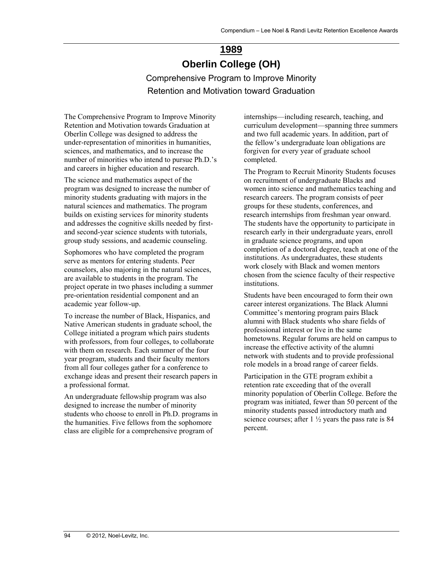# **1989 Oberlin College (OH)**

Comprehensive Program to Improve Minority Retention and Motivation toward Graduation

The Comprehensive Program to Improve Minority Retention and Motivation towards Graduation at Oberlin College was designed to address the under-representation of minorities in humanities, sciences, and mathematics, and to increase the number of minorities who intend to pursue Ph.D.'s and careers in higher education and research.

The science and mathematics aspect of the program was designed to increase the number of minority students graduating with majors in the natural sciences and mathematics. The program builds on existing services for minority students and addresses the cognitive skills needed by firstand second-year science students with tutorials, group study sessions, and academic counseling.

Sophomores who have completed the program serve as mentors for entering students. Peer counselors, also majoring in the natural sciences, are available to students in the program. The project operate in two phases including a summer pre-orientation residential component and an academic year follow-up.

To increase the number of Black, Hispanics, and Native American students in graduate school, the College initiated a program which pairs students with professors, from four colleges, to collaborate with them on research. Each summer of the four year program, students and their faculty mentors from all four colleges gather for a conference to exchange ideas and present their research papers in a professional format.

An undergraduate fellowship program was also designed to increase the number of minority students who choose to enroll in Ph.D. programs in the humanities. Five fellows from the sophomore class are eligible for a comprehensive program of

internships—including research, teaching, and curriculum development—spanning three summers and two full academic years. In addition, part of the fellow's undergraduate loan obligations are forgiven for every year of graduate school completed.

The Program to Recruit Minority Students focuses on recruitment of undergraduate Blacks and women into science and mathematics teaching and research careers. The program consists of peer groups for these students, conferences, and research internships from freshman year onward. The students have the opportunity to participate in research early in their undergraduate years, enroll in graduate science programs, and upon completion of a doctoral degree, teach at one of the institutions. As undergraduates, these students work closely with Black and women mentors chosen from the science faculty of their respective institutions.

Students have been encouraged to form their own career interest organizations. The Black Alumni Committee's mentoring program pairs Black alumni with Black students who share fields of professional interest or live in the same hometowns. Regular forums are held on campus to increase the effective activity of the alumni network with students and to provide professional role models in a broad range of career fields.

Participation in the GTE program exhibit a retention rate exceeding that of the overall minority population of Oberlin College. Before the program was initiated, fewer than 50 percent of the minority students passed introductory math and science courses; after  $1\frac{1}{2}$  years the pass rate is 84 percent.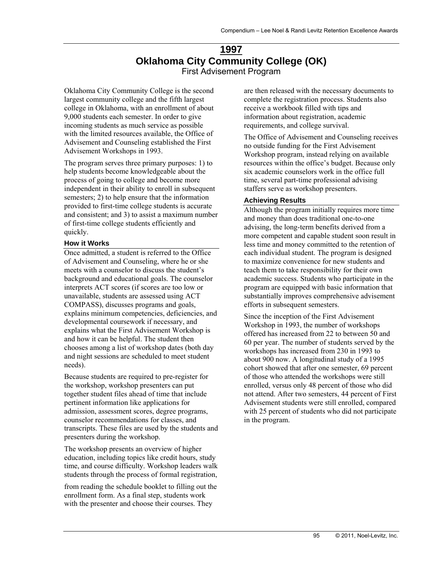# **1997 Oklahoma City Community College (OK)**  First Advisement Program

Oklahoma City Community College is the second largest community college and the fifth largest college in Oklahoma, with an enrollment of about 9,000 students each semester. In order to give incoming students as much service as possible with the limited resources available, the Office of Advisement and Counseling established the First Advisement Workshops in 1993.

The program serves three primary purposes: 1) to help students become knowledgeable about the process of going to college and become more independent in their ability to enroll in subsequent semesters; 2) to help ensure that the information provided to first-time college students is accurate and consistent; and 3) to assist a maximum number of first-time college students efficiently and quickly.

#### **How it Works**

Once admitted, a student is referred to the Office of Advisement and Counseling, where he or she meets with a counselor to discuss the student's background and educational goals. The counselor interprets ACT scores (if scores are too low or unavailable, students are assessed using ACT COMPASS), discusses programs and goals, explains minimum competencies, deficiencies, and developmental coursework if necessary, and explains what the First Advisement Workshop is and how it can be helpful. The student then chooses among a list of workshop dates (both day and night sessions are scheduled to meet student needs).

Because students are required to pre-register for the workshop, workshop presenters can put together student files ahead of time that include pertinent information like applications for admission, assessment scores, degree programs, counselor recommendations for classes, and transcripts. These files are used by the students and presenters during the workshop.

The workshop presents an overview of higher education, including topics like credit hours, study time, and course difficulty. Workshop leaders walk students through the process of formal registration,

from reading the schedule booklet to filling out the enrollment form. As a final step, students work with the presenter and choose their courses. They

are then released with the necessary documents to complete the registration process. Students also receive a workbook filled with tips and information about registration, academic requirements, and college survival.

The Office of Advisement and Counseling receives no outside funding for the First Advisement Workshop program, instead relying on available resources within the office's budget. Because only six academic counselors work in the office full time, several part-time professional advising staffers serve as workshop presenters.

#### **Achieving Results**

Although the program initially requires more time and money than does traditional one-to-one advising, the long-term benefits derived from a more competent and capable student soon result in less time and money committed to the retention of each individual student. The program is designed to maximize convenience for new students and teach them to take responsibility for their own academic success. Students who participate in the program are equipped with basic information that substantially improves comprehensive advisement efforts in subsequent semesters.

Since the inception of the First Advisement Workshop in 1993, the number of workshops offered has increased from 22 to between 50 and 60 per year. The number of students served by the workshops has increased from 230 in 1993 to about 900 now. A longitudinal study of a 1995 cohort showed that after one semester, 69 percent of those who attended the workshops were still enrolled, versus only 48 percent of those who did not attend. After two semesters, 44 percent of First Advisement students were still enrolled, compared with 25 percent of students who did not participate in the program.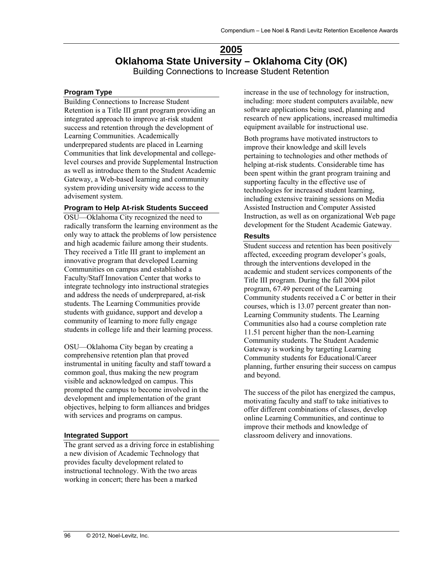## **2005 Oklahoma State University – Oklahoma City (OK)**  Building Connections to Increase Student Retention

## **Program Type**

Building Connections to Increase Student Retention is a Title III grant program providing an integrated approach to improve at-risk student success and retention through the development of Learning Communities. Academically underprepared students are placed in Learning Communities that link developmental and collegelevel courses and provide Supplemental Instruction as well as introduce them to the Student Academic Gateway, a Web-based learning and community system providing university wide access to the advisement system.

#### **Program to Help At-risk Students Succeed**

OSU—Oklahoma City recognized the need to radically transform the learning environment as the only way to attack the problems of low persistence and high academic failure among their students. They received a Title III grant to implement an innovative program that developed Learning Communities on campus and established a Faculty/Staff Innovation Center that works to integrate technology into instructional strategies and address the needs of underprepared, at-risk students. The Learning Communities provide students with guidance, support and develop a community of learning to more fully engage students in college life and their learning process.

OSU—Oklahoma City began by creating a comprehensive retention plan that proved instrumental in uniting faculty and staff toward a common goal, thus making the new program visible and acknowledged on campus. This prompted the campus to become involved in the development and implementation of the grant objectives, helping to form alliances and bridges with services and programs on campus.

## **Integrated Support**

The grant served as a driving force in establishing a new division of Academic Technology that provides faculty development related to instructional technology. With the two areas working in concert; there has been a marked

increase in the use of technology for instruction, including: more student computers available, new software applications being used, planning and research of new applications, increased multimedia equipment available for instructional use.

Both programs have motivated instructors to improve their knowledge and skill levels pertaining to technologies and other methods of helping at-risk students. Considerable time has been spent within the grant program training and supporting faculty in the effective use of technologies for increased student learning, including extensive training sessions on Media Assisted Instruction and Computer Assisted Instruction, as well as on organizational Web page development for the Student Academic Gateway.

## **Results**

Student success and retention has been positively affected, exceeding program developer's goals, through the interventions developed in the academic and student services components of the Title III program. During the fall 2004 pilot program, 67.49 percent of the Learning Community students received a C or better in their courses, which is 13.07 percent greater than non-Learning Community students. The Learning Communities also had a course completion rate 11.51 percent higher than the non-Learning Community students. The Student Academic Gateway is working by targeting Learning Community students for Educational/Career planning, further ensuring their success on campus and beyond.

The success of the pilot has energized the campus, motivating faculty and staff to take initiatives to offer different combinations of classes, develop online Learning Communities, and continue to improve their methods and knowledge of classroom delivery and innovations.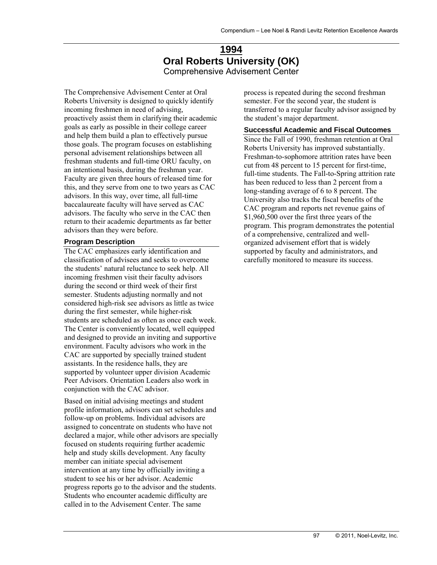# **1994 Oral Roberts University (OK)**  Comprehensive Advisement Center

The Comprehensive Advisement Center at Oral Roberts University is designed to quickly identify incoming freshmen in need of advising, proactively assist them in clarifying their academic goals as early as possible in their college career and help them build a plan to effectively pursue those goals. The program focuses on establishing personal advisement relationships between all freshman students and full-time ORU faculty, on an intentional basis, during the freshman year. Faculty are given three hours of released time for this, and they serve from one to two years as CAC advisors. In this way, over time, all full-time baccalaureate faculty will have served as CAC advisors. The faculty who serve in the CAC then return to their academic departments as far better advisors than they were before.

#### **Program Description**

The CAC emphasizes early identification and classification of advisees and seeks to overcome the students' natural reluctance to seek help. All incoming freshmen visit their faculty advisors during the second or third week of their first semester. Students adjusting normally and not considered high-risk see advisors as little as twice during the first semester, while higher-risk students are scheduled as often as once each week. The Center is conveniently located, well equipped and designed to provide an inviting and supportive environment. Faculty advisors who work in the CAC are supported by specially trained student assistants. In the residence halls, they are supported by volunteer upper division Academic Peer Advisors. Orientation Leaders also work in conjunction with the CAC advisor.

Based on initial advising meetings and student profile information, advisors can set schedules and follow-up on problems. Individual advisors are assigned to concentrate on students who have not declared a major, while other advisors are specially focused on students requiring further academic help and study skills development. Any faculty member can initiate special advisement intervention at any time by officially inviting a student to see his or her advisor. Academic progress reports go to the advisor and the students. Students who encounter academic difficulty are called in to the Advisement Center. The same

process is repeated during the second freshman semester. For the second year, the student is transferred to a regular faculty advisor assigned by the student's major department.

#### **Successful Academic and Fiscal Outcomes**

Since the Fall of 1990, freshman retention at Oral Roberts University has improved substantially. Freshman-to-sophomore attrition rates have been cut from 48 percent to 15 percent for first-time, full-time students. The Fall-to-Spring attrition rate has been reduced to less than 2 percent from a long-standing average of 6 to 8 percent. The University also tracks the fiscal benefits of the CAC program and reports net revenue gains of \$1,960,500 over the first three years of the program. This program demonstrates the potential of a comprehensive, centralized and wellorganized advisement effort that is widely supported by faculty and administrators, and carefully monitored to measure its success.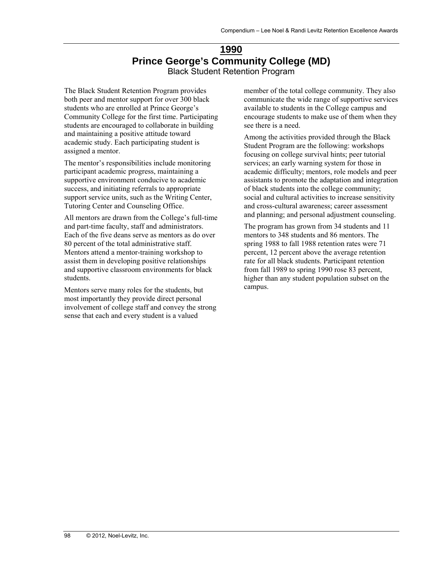# **1990 Prince George's Community College (MD)**  Black Student Retention Program

The Black Student Retention Program provides both peer and mentor support for over 300 black students who are enrolled at Prince George's Community College for the first time. Participating students are encouraged to collaborate in building and maintaining a positive attitude toward academic study. Each participating student is assigned a mentor.

The mentor's responsibilities include monitoring participant academic progress, maintaining a supportive environment conducive to academic success, and initiating referrals to appropriate support service units, such as the Writing Center, Tutoring Center and Counseling Office.

All mentors are drawn from the College's full-time and part-time faculty, staff and administrators. Each of the five deans serve as mentors as do over 80 percent of the total administrative staff. Mentors attend a mentor-training workshop to assist them in developing positive relationships and supportive classroom environments for black students.

Mentors serve many roles for the students, but most importantly they provide direct personal involvement of college staff and convey the strong sense that each and every student is a valued

member of the total college community. They also communicate the wide range of supportive services available to students in the College campus and encourage students to make use of them when they see there is a need.

Among the activities provided through the Black Student Program are the following: workshops focusing on college survival hints; peer tutorial services; an early warning system for those in academic difficulty; mentors, role models and peer assistants to promote the adaptation and integration of black students into the college community; social and cultural activities to increase sensitivity and cross-cultural awareness; career assessment and planning; and personal adjustment counseling.

The program has grown from 34 students and 11 mentors to 348 students and 86 mentors. The spring 1988 to fall 1988 retention rates were 71 percent, 12 percent above the average retention rate for all black students. Participant retention from fall 1989 to spring 1990 rose 83 percent, higher than any student population subset on the campus.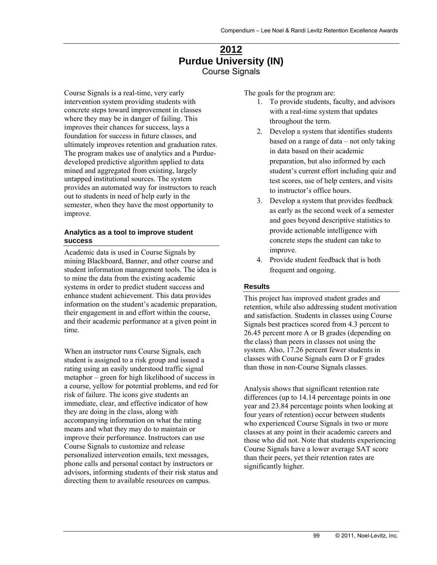# **2012 Purdue University (IN)**  Course Signals

Course Signals is a real-time, very early intervention system providing students with concrete steps toward improvement in classes where they may be in danger of failing. This improves their chances for success, lays a foundation for success in future classes, and ultimately improves retention and graduation rates. The program makes use of analytics and a Purduedeveloped predictive algorithm applied to data mined and aggregated from existing, largely untapped institutional sources. The system provides an automated way for instructors to reach out to students in need of help early in the semester, when they have the most opportunity to improve.

#### **Analytics as a tool to improve student success**

Academic data is used in Course Signals by mining Blackboard, Banner, and other course and student information management tools. The idea is to mine the data from the existing academic systems in order to predict student success and enhance student achievement. This data provides information on the student's academic preparation, their engagement in and effort within the course, and their academic performance at a given point in time.

When an instructor runs Course Signals, each student is assigned to a risk group and issued a rating using an easily understood traffic signal metaphor – green for high likelihood of success in a course, yellow for potential problems, and red for risk of failure. The icons give students an immediate, clear, and effective indicator of how they are doing in the class, along with accompanying information on what the rating means and what they may do to maintain or improve their performance. Instructors can use Course Signals to customize and release personalized intervention emails, text messages, phone calls and personal contact by instructors or advisors, informing students of their risk status and directing them to available resources on campus.

The goals for the program are:

- 1. To provide students, faculty, and advisors with a real-time system that updates throughout the term.
- 2. Develop a system that identifies students based on a range of data – not only taking in data based on their academic preparation, but also informed by each student's current effort including quiz and test scores, use of help centers, and visits to instructor's office hours.
- 3. Develop a system that provides feedback as early as the second week of a semester and goes beyond descriptive statistics to provide actionable intelligence with concrete steps the student can take to improve.
- 4. Provide student feedback that is both frequent and ongoing.

## **Results**

This project has improved student grades and retention, while also addressing student motivation and satisfaction. Students in classes using Course Signals best practices scored from 4.3 percent to 26.45 percent more A or B grades (depending on the class) than peers in classes not using the system. Also, 17.26 percent fewer students in classes with Course Signals earn D or F grades than those in non-Course Signals classes.

Analysis shows that significant retention rate differences (up to 14.14 percentage points in one year and 23.84 percentage points when looking at four years of retention) occur between students who experienced Course Signals in two or more classes at any point in their academic careers and those who did not. Note that students experiencing Course Signals have a lower average SAT score than their peers, yet their retention rates are significantly higher.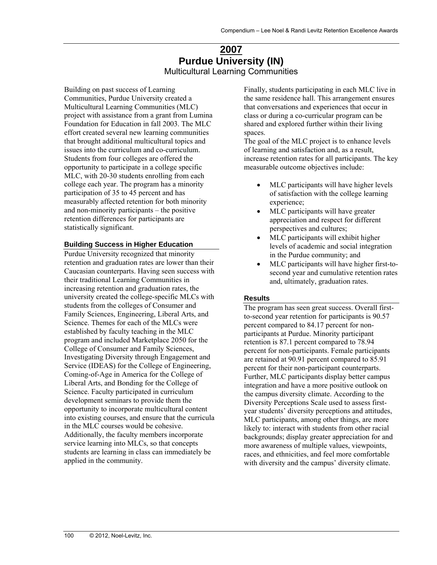# **2007 Purdue University (IN)**  Multicultural Learning Communities

Building on past success of Learning Communities, Purdue University created a Multicultural Learning Communities (MLC) project with assistance from a grant from Lumina Foundation for Education in fall 2003. The MLC effort created several new learning communities that brought additional multicultural topics and issues into the curriculum and co-curriculum. Students from four colleges are offered the opportunity to participate in a college specific MLC, with 20-30 students enrolling from each college each year. The program has a minority participation of 35 to 45 percent and has measurably affected retention for both minority and non-minority participants – the positive retention differences for participants are statistically significant.

#### **Building Success in Higher Education**

Purdue University recognized that minority retention and graduation rates are lower than their Caucasian counterparts. Having seen success with their traditional Learning Communities in increasing retention and graduation rates, the university created the college-specific MLCs with students from the colleges of Consumer and Family Sciences, Engineering, Liberal Arts, and Science. Themes for each of the MLCs were established by faculty teaching in the MLC program and included Marketplace 2050 for the College of Consumer and Family Sciences, Investigating Diversity through Engagement and Service (IDEAS) for the College of Engineering, Coming-of-Age in America for the College of Liberal Arts, and Bonding for the College of Science. Faculty participated in curriculum development seminars to provide them the opportunity to incorporate multicultural content into existing courses, and ensure that the curricula in the MLC courses would be cohesive. Additionally, the faculty members incorporate service learning into MLCs, so that concepts students are learning in class can immediately be applied in the community.

Finally, students participating in each MLC live in the same residence hall. This arrangement ensures that conversations and experiences that occur in class or during a co-curricular program can be shared and explored further within their living spaces.

The goal of the MLC project is to enhance levels of learning and satisfaction and, as a result, increase retention rates for all participants. The key measurable outcome objectives include:

- MLC participants will have higher levels of satisfaction with the college learning experience;
- MLC participants will have greater appreciation and respect for different perspectives and cultures;
- MLC participants will exhibit higher levels of academic and social integration in the Purdue community; and
- MLC participants will have higher first-tosecond year and cumulative retention rates and, ultimately, graduation rates.

#### **Results**

The program has seen great success. Overall firstto-second year retention for participants is 90.57 percent compared to 84.17 percent for nonparticipants at Purdue. Minority participant retention is 87.1 percent compared to 78.94 percent for non-participants. Female participants are retained at 90.91 percent compared to 85.91 percent for their non-participant counterparts. Further, MLC participants display better campus integration and have a more positive outlook on the campus diversity climate. According to the Diversity Perceptions Scale used to assess firstyear students' diversity perceptions and attitudes, MLC participants, among other things, are more likely to: interact with students from other racial backgrounds; display greater appreciation for and more awareness of multiple values, viewpoints, races, and ethnicities, and feel more comfortable with diversity and the campus' diversity climate.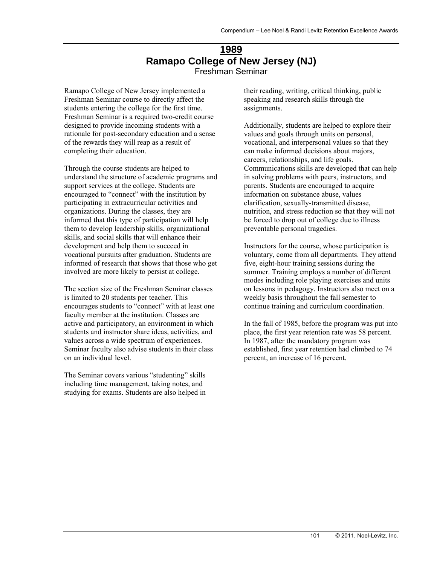# **1989 Ramapo College of New Jersey (NJ)**  Freshman Seminar

Ramapo College of New Jersey implemented a Freshman Seminar course to directly affect the students entering the college for the first time. Freshman Seminar is a required two-credit course designed to provide incoming students with a rationale for post-secondary education and a sense of the rewards they will reap as a result of completing their education.

Through the course students are helped to understand the structure of academic programs and support services at the college. Students are encouraged to "connect" with the institution by participating in extracurricular activities and organizations. During the classes, they are informed that this type of participation will help them to develop leadership skills, organizational skills, and social skills that will enhance their development and help them to succeed in vocational pursuits after graduation. Students are informed of research that shows that those who get involved are more likely to persist at college.

The section size of the Freshman Seminar classes is limited to 20 students per teacher. This encourages students to "connect" with at least one faculty member at the institution. Classes are active and participatory, an environment in which students and instructor share ideas, activities, and values across a wide spectrum of experiences. Seminar faculty also advise students in their class on an individual level.

The Seminar covers various "studenting" skills including time management, taking notes, and studying for exams. Students are also helped in

their reading, writing, critical thinking, public speaking and research skills through the assignments.

Additionally, students are helped to explore their values and goals through units on personal, vocational, and interpersonal values so that they can make informed decisions about majors, careers, relationships, and life goals. Communications skills are developed that can help in solving problems with peers, instructors, and parents. Students are encouraged to acquire information on substance abuse, values clarification, sexually-transmitted disease, nutrition, and stress reduction so that they will not be forced to drop out of college due to illness preventable personal tragedies.

Instructors for the course, whose participation is voluntary, come from all departments. They attend five, eight-hour training sessions during the summer. Training employs a number of different modes including role playing exercises and units on lessons in pedagogy. Instructors also meet on a weekly basis throughout the fall semester to continue training and curriculum coordination.

In the fall of 1985, before the program was put into place, the first year retention rate was 58 percent. In 1987, after the mandatory program was established, first year retention had climbed to 74 percent, an increase of 16 percent.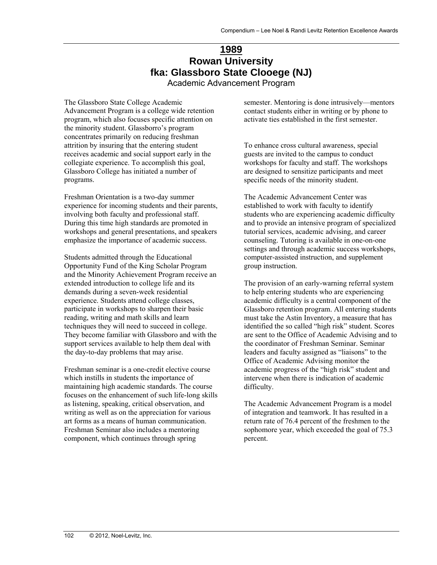# **1989 Rowan University fka: Glassboro State Clooege (NJ)**

Academic Advancement Program

The Glassboro State College Academic Advancement Program is a college wide retention program, which also focuses specific attention on the minority student. Glassborro's program concentrates primarily on reducing freshman attrition by insuring that the entering student receives academic and social support early in the collegiate experience. To accomplish this goal, Glassboro College has initiated a number of programs.

Freshman Orientation is a two-day summer experience for incoming students and their parents, involving both faculty and professional staff. During this time high standards are promoted in workshops and general presentations, and speakers emphasize the importance of academic success.

Students admitted through the Educational Opportunity Fund of the King Scholar Program and the Minority Achievement Program receive an extended introduction to college life and its demands during a seven-week residential experience. Students attend college classes, participate in workshops to sharpen their basic reading, writing and math skills and learn techniques they will need to succeed in college. They become familiar with Glassboro and with the support services available to help them deal with the day-to-day problems that may arise.

Freshman seminar is a one-credit elective course which instills in students the importance of maintaining high academic standards. The course focuses on the enhancement of such life-long skills as listening, speaking, critical observation, and writing as well as on the appreciation for various art forms as a means of human communication. Freshman Seminar also includes a mentoring component, which continues through spring

semester. Mentoring is done intrusively—mentors contact students either in writing or by phone to activate ties established in the first semester.

To enhance cross cultural awareness, special guests are invited to the campus to conduct workshops for faculty and staff. The workshops are designed to sensitize participants and meet specific needs of the minority student.

The Academic Advancement Center was established to work with faculty to identify students who are experiencing academic difficulty and to provide an intensive program of specialized tutorial services, academic advising, and career counseling. Tutoring is available in one-on-one settings and through academic success workshops, computer-assisted instruction, and supplement group instruction.

The provision of an early-warning referral system to help entering students who are experiencing academic difficulty is a central component of the Glassboro retention program. All entering students must take the Astin Inventory, a measure that has identified the so called "high risk" student. Scores are sent to the Office of Academic Advising and to the coordinator of Freshman Seminar. Seminar leaders and faculty assigned as "liaisons" to the Office of Academic Advising monitor the academic progress of the "high risk" student and intervene when there is indication of academic difficulty.

The Academic Advancement Program is a model of integration and teamwork. It has resulted in a return rate of 76.4 percent of the freshmen to the sophomore year, which exceeded the goal of 75.3 percent.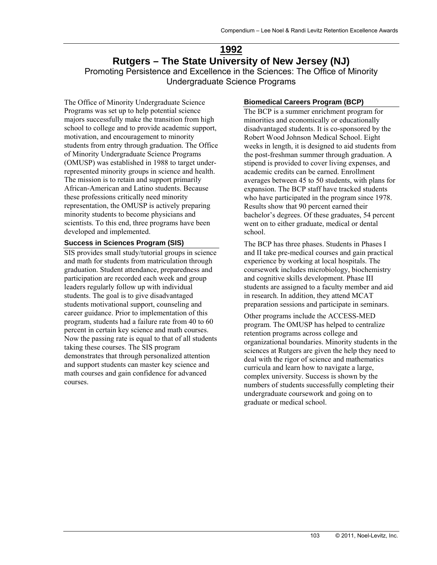# **1992 Rutgers – The State University of New Jersey (NJ)**  Promoting Persistence and Excellence in the Sciences: The Office of Minority Undergraduate Science Programs

The Office of Minority Undergraduate Science Programs was set up to help potential science majors successfully make the transition from high school to college and to provide academic support, motivation, and encouragement to minority students from entry through graduation. The Office of Minority Undergraduate Science Programs (OMUSP) was established in 1988 to target underrepresented minority groups in science and health. The mission is to retain and support primarily African-American and Latino students. Because these professions critically need minority representation, the OMUSP is actively preparing minority students to become physicians and scientists. To this end, three programs have been developed and implemented.

#### **Success in Sciences Program (SIS)**

SIS provides small study/tutorial groups in science and math for students from matriculation through graduation. Student attendance, preparedness and participation are recorded each week and group leaders regularly follow up with individual students. The goal is to give disadvantaged students motivational support, counseling and career guidance. Prior to implementation of this program, students had a failure rate from 40 to 60 percent in certain key science and math courses. Now the passing rate is equal to that of all students taking these courses. The SIS program demonstrates that through personalized attention and support students can master key science and math courses and gain confidence for advanced courses.

#### **Biomedical Careers Program (BCP)**

The BCP is a summer enrichment program for minorities and economically or educationally disadvantaged students. It is co-sponsored by the Robert Wood Johnson Medical School. Eight weeks in length, it is designed to aid students from the post-freshman summer through graduation. A stipend is provided to cover living expenses, and academic credits can be earned. Enrollment averages between 45 to 50 students, with plans for expansion. The BCP staff have tracked students who have participated in the program since 1978. Results show that 90 percent earned their bachelor's degrees. Of these graduates, 54 percent went on to either graduate, medical or dental school.

The BCP has three phases. Students in Phases I and II take pre-medical courses and gain practical experience by working at local hospitals. The coursework includes microbiology, biochemistry and cognitive skills development. Phase III students are assigned to a faculty member and aid in research. In addition, they attend MCAT preparation sessions and participate in seminars.

Other programs include the ACCESS-MED program. The OMUSP has helped to centralize retention programs across college and organizational boundaries. Minority students in the sciences at Rutgers are given the help they need to deal with the rigor of science and mathematics curricula and learn how to navigate a large, complex university. Success is shown by the numbers of students successfully completing their undergraduate coursework and going on to graduate or medical school.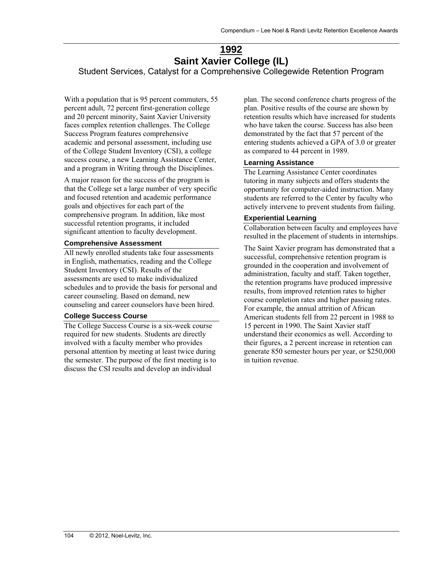# **1992 Saint Xavier College (IL)**

Student Services, Catalyst for a Comprehensive Collegewide Retention Program

With a population that is 95 percent commuters, 55 percent adult, 72 percent first-generation college and 20 percent minority, Saint Xavier University faces complex retention challenges. The College Success Program features comprehensive academic and personal assessment, including use of the College Student Inventory (CSI), a college success course, a new Learning Assistance Center, and a program in Writing through the Disciplines.

A major reason for the success of the program is that the College set a large number of very specific and focused retention and academic performance goals and objectives for each part of the comprehensive program. In addition, like most successful retention programs, it included significant attention to faculty development.

#### **Comprehensive Assessment**

All newly enrolled students take four assessments in English, mathematics, reading and the College Student Inventory (CSI). Results of the assessments are used to make individualized schedules and to provide the basis for personal and career counseling. Based on demand, new counseling and career counselors have been hired.

#### **College Success Course**

The College Success Course is a six-week course required for new students. Students are directly involved with a faculty member who provides personal attention by meeting at least twice during the semester. The purpose of the first meeting is to discuss the CSI results and develop an individual

plan. The second conference charts progress of the plan. Positive results of the course are shown by retention results which have increased for students who have taken the course. Success has also been demonstrated by the fact that 57 percent of the entering students achieved a GPA of 3.0 or greater as compared to 44 percent in 1989.

#### **Learning Assistance**

The Learning Assistance Center coordinates tutoring in many subjects and offers students the opportunity for computer-aided instruction. Many students are referred to the Center by faculty who actively intervene to prevent students from failing.

#### **Experiential Learning**

Collaboration between faculty and employees have resulted in the placement of students in internships.

The Saint Xavier program has demonstrated that a successful, comprehensive retention program is grounded in the cooperation and involvement of administration, faculty and staff. Taken together, the retention programs have produced impressive results, from improved retention rates to higher course completion rates and higher passing rates. For example, the annual attrition of African American students fell from 22 percent in 1988 to 15 percent in 1990. The Saint Xavier staff understand their economics as well. According to their figures, a 2 percent increase in retention can generate 850 semester hours per year, or \$250,000 in tuition revenue.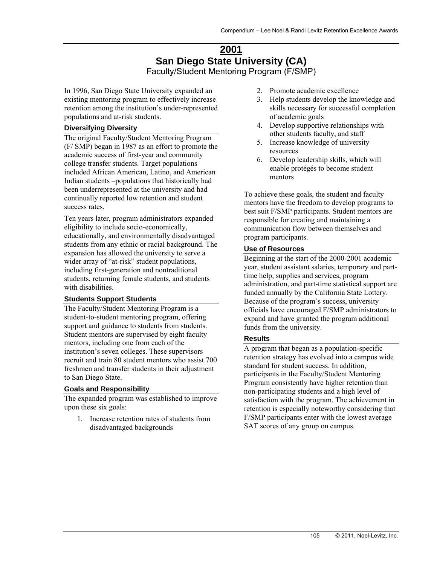# **2001 San Diego State University (CA)**  Faculty/Student Mentoring Program (F/SMP)

In 1996, San Diego State University expanded an existing mentoring program to effectively increase retention among the institution's under-represented populations and at-risk students.

## **Diversifying Diversity**

The original Faculty/Student Mentoring Program (F/ SMP) began in 1987 as an effort to promote the academic success of first-year and community college transfer students. Target populations included African American, Latino, and American Indian students –populations that historically had been underrepresented at the university and had continually reported low retention and student success rates.

Ten years later, program administrators expanded eligibility to include socio-economically, educationally, and environmentally disadvantaged students from any ethnic or racial background. The expansion has allowed the university to serve a wider array of "at-risk" student populations, including first-generation and nontraditional students, returning female students, and students with disabilities.

## **Students Support Students**

The Faculty/Student Mentoring Program is a student-to-student mentoring program, offering support and guidance to students from students. Student mentors are supervised by eight faculty mentors, including one from each of the institution's seven colleges. These supervisors recruit and train 80 student mentors who assist 700 freshmen and transfer students in their adjustment to San Diego State.

## **Goals and Responsibility**

The expanded program was established to improve upon these six goals:

1. Increase retention rates of students from disadvantaged backgrounds

- 2. Promote academic excellence
- 3. Help students develop the knowledge and skills necessary for successful completion of academic goals
- 4. Develop supportive relationships with other students faculty, and staff
- 5. Increase knowledge of university resources
- 6. Develop leadership skills, which will enable protégés to become student mentors

To achieve these goals, the student and faculty mentors have the freedom to develop programs to best suit F/SMP participants. Student mentors are responsible for creating and maintaining a communication flow between themselves and program participants.

## **Use of Resources**

Beginning at the start of the 2000-2001 academic year, student assistant salaries, temporary and parttime help, supplies and services, program administration, and part-time statistical support are funded annually by the California State Lottery. Because of the program's success, university officials have encouraged F/SMP administrators to expand and have granted the program additional funds from the university.

## **Results**

A program that began as a population-specific retention strategy has evolved into a campus wide standard for student success. In addition, participants in the Faculty/Student Mentoring Program consistently have higher retention than non-participating students and a high level of satisfaction with the program. The achievement in retention is especially noteworthy considering that F/SMP participants enter with the lowest average SAT scores of any group on campus.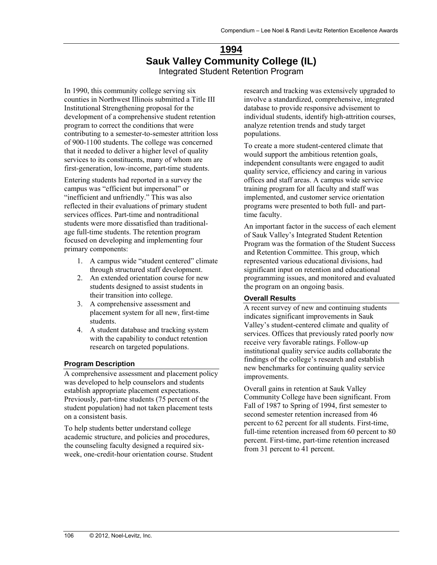# **1994 Sauk Valley Community College (IL)**  Integrated Student Retention Program

In 1990, this community college serving six counties in Northwest Illinois submitted a Title III Institutional Strengthening proposal for the development of a comprehensive student retention program to correct the conditions that were contributing to a semester-to-semester attrition loss of 900-1100 students. The college was concerned that it needed to deliver a higher level of quality services to its constituents, many of whom are first-generation, low-income, part-time students.

Entering students had reported in a survey the campus was "efficient but impersonal" or "inefficient and unfriendly." This was also reflected in their evaluations of primary student services offices. Part-time and nontraditional students were more dissatisfied than traditionalage full-time students. The retention program focused on developing and implementing four primary components:

- 1. A campus wide "student centered" climate through structured staff development.
- 2. An extended orientation course for new students designed to assist students in their transition into college.
- 3. A comprehensive assessment and placement system for all new, first-time students.
- 4. A student database and tracking system with the capability to conduct retention research on targeted populations.

## **Program Description**

A comprehensive assessment and placement policy was developed to help counselors and students establish appropriate placement expectations. Previously, part-time students (75 percent of the student population) had not taken placement tests on a consistent basis.

To help students better understand college academic structure, and policies and procedures, the counseling faculty designed a required sixweek, one-credit-hour orientation course. Student research and tracking was extensively upgraded to involve a standardized, comprehensive, integrated database to provide responsive advisement to individual students, identify high-attrition courses, analyze retention trends and study target populations.

To create a more student-centered climate that would support the ambitious retention goals, independent consultants were engaged to audit quality service, efficiency and caring in various offices and staff areas. A campus wide service training program for all faculty and staff was implemented, and customer service orientation programs were presented to both full- and parttime faculty.

An important factor in the success of each element of Sauk Valley's Integrated Student Retention Program was the formation of the Student Success and Retention Committee. This group, which represented various educational divisions, had significant input on retention and educational programming issues, and monitored and evaluated the program on an ongoing basis.

## **Overall Results**

A recent survey of new and continuing students indicates significant improvements in Sauk Valley's student-centered climate and quality of services. Offices that previously rated poorly now receive very favorable ratings. Follow-up institutional quality service audits collaborate the findings of the college's research and establish new benchmarks for continuing quality service improvements.

Overall gains in retention at Sauk Valley Community College have been significant. From Fall of 1987 to Spring of 1994, first semester to second semester retention increased from 46 percent to 62 percent for all students. First-time, full-time retention increased from 60 percent to 80 percent. First-time, part-time retention increased from 31 percent to 41 percent.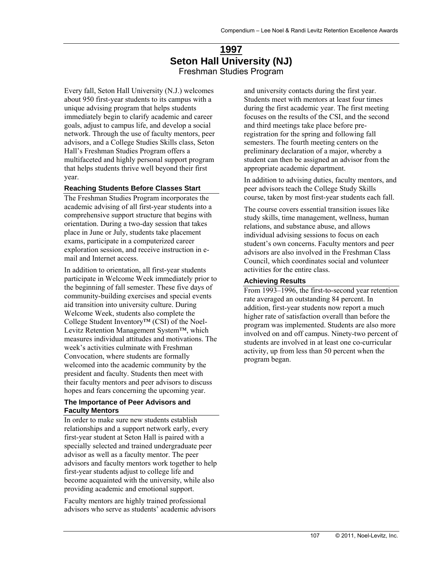# **1997 Seton Hall University (NJ)**  Freshman Studies Program

Every fall, Seton Hall University (N.J.) welcomes about 950 first-year students to its campus with a unique advising program that helps students immediately begin to clarify academic and career goals, adjust to campus life, and develop a social network. Through the use of faculty mentors, peer advisors, and a College Studies Skills class, Seton Hall's Freshman Studies Program offers a multifaceted and highly personal support program that helps students thrive well beyond their first year.

#### **Reaching Students Before Classes Start**

The Freshman Studies Program incorporates the academic advising of all first-year students into a comprehensive support structure that begins with orientation. During a two-day session that takes place in June or July, students take placement exams, participate in a computerized career exploration session, and receive instruction in email and Internet access.

In addition to orientation, all first-year students participate in Welcome Week immediately prior to the beginning of fall semester. These five days of community-building exercises and special events aid transition into university culture. During Welcome Week, students also complete the College Student Inventory™ (CSI) of the Noel-Levitz Retention Management System™, which measures individual attitudes and motivations. The week's activities culminate with Freshman Convocation, where students are formally welcomed into the academic community by the president and faculty. Students then meet with their faculty mentors and peer advisors to discuss hopes and fears concerning the upcoming year.

#### **The Importance of Peer Advisors and Faculty Mentors**

In order to make sure new students establish relationships and a support network early, every first-year student at Seton Hall is paired with a specially selected and trained undergraduate peer advisor as well as a faculty mentor. The peer advisors and faculty mentors work together to help first-year students adjust to college life and become acquainted with the university, while also providing academic and emotional support.

Faculty mentors are highly trained professional advisors who serve as students' academic advisors and university contacts during the first year. Students meet with mentors at least four times during the first academic year. The first meeting focuses on the results of the CSI, and the second and third meetings take place before preregistration for the spring and following fall semesters. The fourth meeting centers on the preliminary declaration of a major, whereby a student can then be assigned an advisor from the appropriate academic department.

In addition to advising duties, faculty mentors, and peer advisors teach the College Study Skills course, taken by most first-year students each fall.

The course covers essential transition issues like study skills, time management, wellness, human relations, and substance abuse, and allows individual advising sessions to focus on each student's own concerns. Faculty mentors and peer advisors are also involved in the Freshman Class Council, which coordinates social and volunteer activities for the entire class.

#### **Achieving Results**

From 1993–1996, the first-to-second year retention rate averaged an outstanding 84 percent. In addition, first-year students now report a much higher rate of satisfaction overall than before the program was implemented. Students are also more involved on and off campus. Ninety-two percent of students are involved in at least one co-curricular activity, up from less than 50 percent when the program began.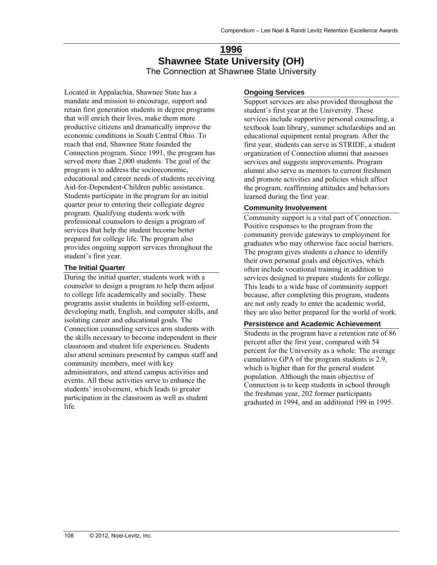## **1996 Shawnee State University (OH)** The Connection at Shawnee State University

Located in Appalachia, Shawnee State has a mandate and mission to encourage, support and retain first generation students in degree programs that will enrich their lives, make them more productive citizens and dramatically improve the economic conditions in South Central Ohio. To reach that end, Shawnee State founded the Connection program. Since 1991, the program has served more than 2,000 students. The goal of the program is to address the socioeconomic, educational and career needs of students receiving Aid-for-Dependent-Children public assistance. Students participate in the program for an initial quarter prior to entering their collegiate degree program. Qualifying students work with professional counselors to design a program of services that help the student become better prepared for college life. The program also provides ongoing support services throughout the student's first year.

## **The Initial Quarter**

During the initial quarter, students work with a counselor to design a program to help them adjust to college life academically and socially. These programs assist students in building self-esteem, developing math, English, and computer skills, and isolating career and educational goals. The Connection counseling services arm students with the skills necessary to become independent in their classroom and student life experiences. Students also attend seminars presented by campus staff and community members, meet with key administrators, and attend campus activities and events. All these activities serve to enhance the students' involvement, which leads to greater participation in the classroom as well as student life.

### **Ongoing Services**

Support services are also provided throughout the student's first year at the University. These services include supportive personal counseling, a textbook loan library, summer scholarships and an educational equipment rental program. After the first year, students can serve in STRIDE, a student organization of Connection alumni that assesses services and suggests improvements. Program alumni also serve as mentors to current freshmen and promote activities and policies which affect the program, reaffirming attitudes and behaviors learned during the first year.

## **Community Involvement**

Community support is a vital part of Connection. Positive responses to the program from the community provide gateways to employment for graduates who may otherwise face social barriers. The program gives students a chance to identify their own personal goals and objectives, which often include vocational training in addition to services designed to prepare students for college. This leads to a wide base of community support because, after completing this program, students are not only ready to enter the academic world, they are also better prepared for the world of work.

## **Persistence and Academic Achievement**

Students in the program have a retention rate of 86 percent after the first year, compared with 54 percent for the University as a whole. The average cumulative GPA of the program students is 2.9, which is higher than for the general student population. Although the main objective of Connection is to keep students in school through the freshman year, 202 former participants graduated in 1994, and an additional 199 in 1995.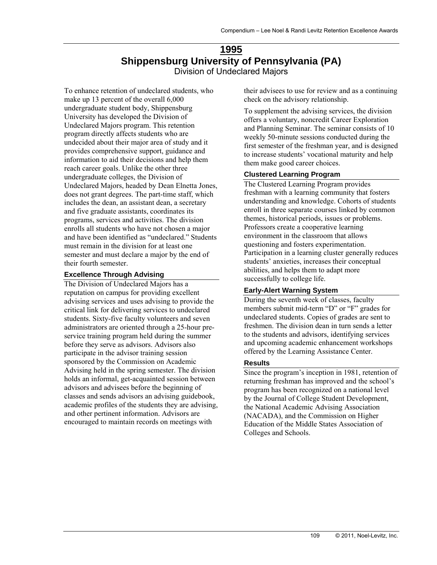# **1995 Shippensburg University of Pennsylvania (PA)**  Division of Undeclared Majors

To enhance retention of undeclared students, who make up 13 percent of the overall 6,000 undergraduate student body, Shippensburg University has developed the Division of Undeclared Majors program. This retention program directly affects students who are undecided about their major area of study and it provides comprehensive support, guidance and information to aid their decisions and help them reach career goals. Unlike the other three undergraduate colleges, the Division of Undeclared Majors, headed by Dean Elnetta Jones, does not grant degrees. The part-time staff, which includes the dean, an assistant dean, a secretary and five graduate assistants, coordinates its programs, services and activities. The division enrolls all students who have not chosen a major and have been identified as "undeclared." Students must remain in the division for at least one semester and must declare a major by the end of their fourth semester.

#### **Excellence Through Advising**

The Division of Undeclared Majors has a reputation on campus for providing excellent advising services and uses advising to provide the critical link for delivering services to undeclared students. Sixty-five faculty volunteers and seven administrators are oriented through a 25-hour preservice training program held during the summer before they serve as advisors. Advisors also participate in the advisor training session sponsored by the Commission on Academic Advising held in the spring semester. The division holds an informal, get-acquainted session between advisors and advisees before the beginning of classes and sends advisors an advising guidebook, academic profiles of the students they are advising, and other pertinent information. Advisors are encouraged to maintain records on meetings with

their advisees to use for review and as a continuing check on the advisory relationship.

To supplement the advising services, the division offers a voluntary, noncredit Career Exploration and Planning Seminar. The seminar consists of 10 weekly 50-minute sessions conducted during the first semester of the freshman year, and is designed to increase students' vocational maturity and help them make good career choices.

#### **Clustered Learning Program**

The Clustered Learning Program provides freshman with a learning community that fosters understanding and knowledge. Cohorts of students enroll in three separate courses linked by common themes, historical periods, issues or problems. Professors create a cooperative learning environment in the classroom that allows questioning and fosters experimentation. Participation in a learning cluster generally reduces students' anxieties, increases their conceptual abilities, and helps them to adapt more successfully to college life.

#### **Early-Alert Warning System**

During the seventh week of classes, faculty members submit mid-term "D" or "F" grades for undeclared students. Copies of grades are sent to freshmen. The division dean in turn sends a letter to the students and advisors, identifying services and upcoming academic enhancement workshops offered by the Learning Assistance Center.

#### **Results**

Since the program's inception in 1981, retention of returning freshman has improved and the school's program has been recognized on a national level by the Journal of College Student Development, the National Academic Advising Association (NACADA), and the Commission on Higher Education of the Middle States Association of Colleges and Schools.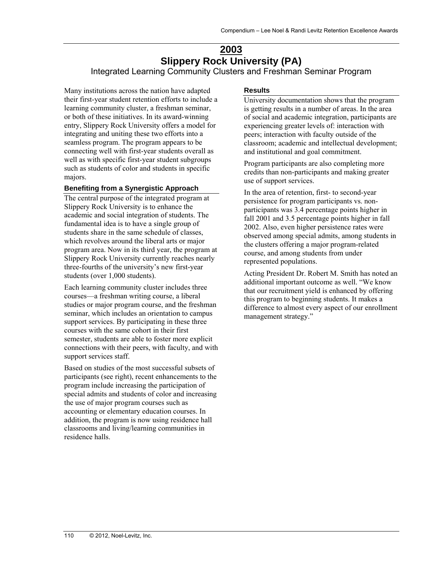# **2003 Slippery Rock University (PA)**  Integrated Learning Community Clusters and Freshman Seminar Program

Many institutions across the nation have adapted their first-year student retention efforts to include a learning community cluster, a freshman seminar, or both of these initiatives. In its award-winning entry, Slippery Rock University offers a model for integrating and uniting these two efforts into a seamless program. The program appears to be connecting well with first-year students overall as well as with specific first-year student subgroups such as students of color and students in specific majors.

### **Benefiting from a Synergistic Approach**

The central purpose of the integrated program at Slippery Rock University is to enhance the academic and social integration of students. The fundamental idea is to have a single group of students share in the same schedule of classes, which revolves around the liberal arts or major program area. Now in its third year, the program at Slippery Rock University currently reaches nearly three-fourths of the university's new first-year students (over 1,000 students).

Each learning community cluster includes three courses—a freshman writing course, a liberal studies or major program course, and the freshman seminar, which includes an orientation to campus support services. By participating in these three courses with the same cohort in their first semester, students are able to foster more explicit connections with their peers, with faculty, and with support services staff.

Based on studies of the most successful subsets of participants (see right), recent enhancements to the program include increasing the participation of special admits and students of color and increasing the use of major program courses such as accounting or elementary education courses. In addition, the program is now using residence hall classrooms and living/learning communities in residence halls.

#### **Results**

University documentation shows that the program is getting results in a number of areas. In the area of social and academic integration, participants are experiencing greater levels of: interaction with peers; interaction with faculty outside of the classroom; academic and intellectual development; and institutional and goal commitment.

Program participants are also completing more credits than non-participants and making greater use of support services.

In the area of retention, first- to second-year persistence for program participants vs. nonparticipants was 3.4 percentage points higher in fall 2001 and 3.5 percentage points higher in fall 2002. Also, even higher persistence rates were observed among special admits, among students in the clusters offering a major program-related course, and among students from under represented populations.

Acting President Dr. Robert M. Smith has noted an additional important outcome as well. "We know that our recruitment yield is enhanced by offering this program to beginning students. It makes a difference to almost every aspect of our enrollment management strategy."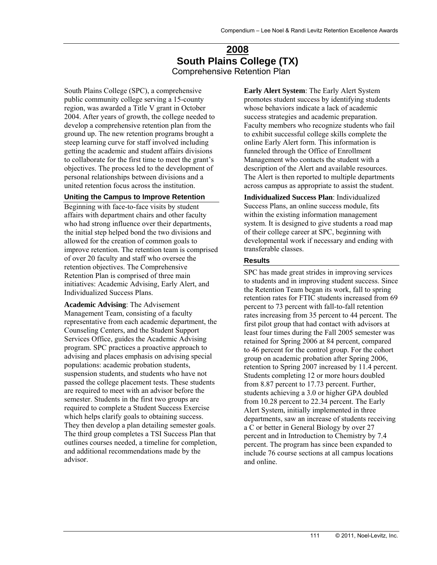# **2008 South Plains College (TX)**  Comprehensive Retention Plan

South Plains College (SPC), a comprehensive public community college serving a 15-county region, was awarded a Title V grant in October 2004. After years of growth, the college needed to develop a comprehensive retention plan from the ground up. The new retention programs brought a steep learning curve for staff involved including getting the academic and student affairs divisions to collaborate for the first time to meet the grant's objectives. The process led to the development of personal relationships between divisions and a united retention focus across the institution.

#### **Uniting the Campus to Improve Retention**

Beginning with face-to-face visits by student affairs with department chairs and other faculty who had strong influence over their departments, the initial step helped bond the two divisions and allowed for the creation of common goals to improve retention. The retention team is comprised of over 20 faculty and staff who oversee the retention objectives. The Comprehensive Retention Plan is comprised of three main initiatives: Academic Advising, Early Alert, and Individualized Success Plans.

**Academic Advising**: The Advisement Management Team, consisting of a faculty representative from each academic department, the Counseling Centers, and the Student Support Services Office, guides the Academic Advising program. SPC practices a proactive approach to advising and places emphasis on advising special populations: academic probation students, suspension students, and students who have not passed the college placement tests. These students are required to meet with an advisor before the semester. Students in the first two groups are required to complete a Student Success Exercise which helps clarify goals to obtaining success. They then develop a plan detailing semester goals. The third group completes a TSI Success Plan that outlines courses needed, a timeline for completion, and additional recommendations made by the advisor.

**Early Alert System**: The Early Alert System promotes student success by identifying students whose behaviors indicate a lack of academic success strategies and academic preparation. Faculty members who recognize students who fail to exhibit successful college skills complete the online Early Alert form. This information is funneled through the Office of Enrollment Management who contacts the student with a description of the Alert and available resources. The Alert is then reported to multiple departments across campus as appropriate to assist the student.

**Individualized Success Plan**: Individualized Success Plans, an online success module, fits within the existing information management system. It is designed to give students a road map of their college career at SPC, beginning with developmental work if necessary and ending with transferable classes.

#### **Results**

SPC has made great strides in improving services to students and in improving student success. Since the Retention Team began its work, fall to spring retention rates for FTIC students increased from 69 percent to 73 percent with fall-to-fall retention rates increasing from 35 percent to 44 percent. The first pilot group that had contact with advisors at least four times during the Fall 2005 semester was retained for Spring 2006 at 84 percent, compared to 46 percent for the control group. For the cohort group on academic probation after Spring 2006, retention to Spring 2007 increased by 11.4 percent. Students completing 12 or more hours doubled from 8.87 percent to 17.73 percent. Further, students achieving a 3.0 or higher GPA doubled from 10.28 percent to 22.34 percent. The Early Alert System, initially implemented in three departments, saw an increase of students receiving a C or better in General Biology by over 27 percent and in Introduction to Chemistry by 7.4 percent. The program has since been expanded to include 76 course sections at all campus locations and online.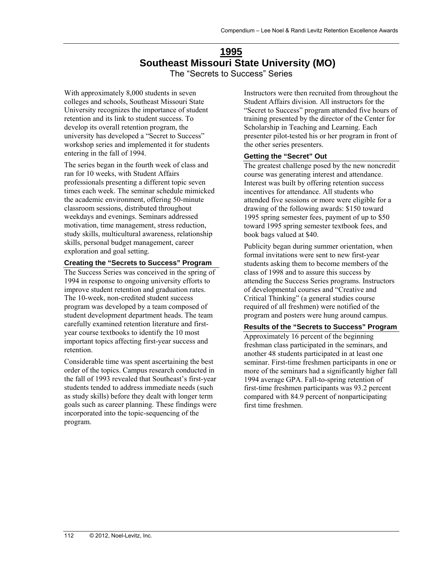# **1995 Southeast Missouri State University (MO)**  The "Secrets to Success" Series

With approximately 8,000 students in seven colleges and schools, Southeast Missouri State University recognizes the importance of student retention and its link to student success. To develop its overall retention program, the university has developed a "Secret to Success" workshop series and implemented it for students entering in the fall of 1994.

The series began in the fourth week of class and ran for 10 weeks, with Student Affairs professionals presenting a different topic seven times each week. The seminar schedule mimicked the academic environment, offering 50-minute classroom sessions, distributed throughout weekdays and evenings. Seminars addressed motivation, time management, stress reduction, study skills, multicultural awareness, relationship skills, personal budget management, career exploration and goal setting.

## **Creating the "Secrets to Success" Program**

The Success Series was conceived in the spring of 1994 in response to ongoing university efforts to improve student retention and graduation rates. The 10-week, non-credited student success program was developed by a team composed of student development department heads. The team carefully examined retention literature and firstyear course textbooks to identify the 10 most important topics affecting first-year success and retention.

Considerable time was spent ascertaining the best order of the topics. Campus research conducted in the fall of 1993 revealed that Southeast's first-year students tended to address immediate needs (such as study skills) before they dealt with longer term goals such as career planning. These findings were incorporated into the topic-sequencing of the program.

Instructors were then recruited from throughout the Student Affairs division. All instructors for the "Secret to Success" program attended five hours of training presented by the director of the Center for Scholarship in Teaching and Learning. Each presenter pilot-tested his or her program in front of the other series presenters.

#### **Getting the "Secret" Out**

The greatest challenge posed by the new noncredit course was generating interest and attendance. Interest was built by offering retention success incentives for attendance. All students who attended five sessions or more were eligible for a drawing of the following awards: \$150 toward 1995 spring semester fees, payment of up to \$50 toward 1995 spring semester textbook fees, and book bags valued at \$40.

Publicity began during summer orientation, when formal invitations were sent to new first-year students asking them to become members of the class of 1998 and to assure this success by attending the Success Series programs. Instructors of developmental courses and "Creative and Critical Thinking" (a general studies course required of all freshmen) were notified of the program and posters were hung around campus.

#### **Results of the "Secrets to Success" Program**

Approximately 16 percent of the beginning freshman class participated in the seminars, and another 48 students participated in at least one seminar. First-time freshmen participants in one or more of the seminars had a significantly higher fall 1994 average GPA. Fall-to-spring retention of first-time freshmen participants was 93.2 percent compared with 84.9 percent of nonparticipating first time freshmen.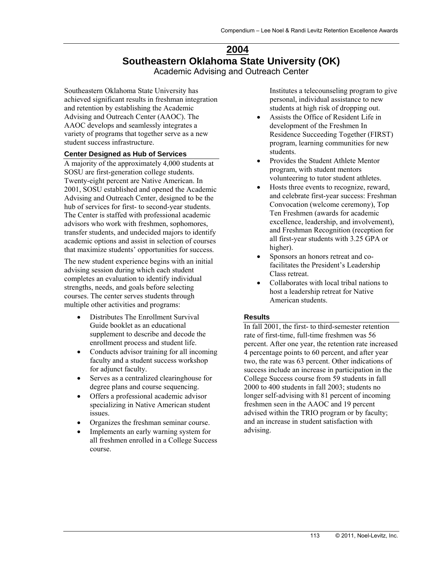# **2004 Southeastern Oklahoma State University (OK)**  Academic Advising and Outreach Center

Southeastern Oklahoma State University has achieved significant results in freshman integration and retention by establishing the Academic Advising and Outreach Center (AAOC). The AAOC develops and seamlessly integrates a variety of programs that together serve as a new student success infrastructure.

#### **Center Designed as Hub of Services**

A majority of the approximately 4,000 students at SOSU are first-generation college students. Twenty-eight percent are Native American. In 2001, SOSU established and opened the Academic Advising and Outreach Center, designed to be the hub of services for first- to second-year students. The Center is staffed with professional academic advisors who work with freshmen, sophomores, transfer students, and undecided majors to identify academic options and assist in selection of courses that maximize students' opportunities for success.

The new student experience begins with an initial advising session during which each student completes an evaluation to identify individual strengths, needs, and goals before selecting courses. The center serves students through multiple other activities and programs:

- Distributes The Enrollment Survival Guide booklet as an educational supplement to describe and decode the enrollment process and student life.
- Conducts advisor training for all incoming faculty and a student success workshop for adjunct faculty.
- Serves as a centralized clearinghouse for degree plans and course sequencing.
- Offers a professional academic advisor specializing in Native American student issues.
- Organizes the freshman seminar course.
- Implements an early warning system for all freshmen enrolled in a College Success course.

Institutes a telecounseling program to give personal, individual assistance to new students at high risk of dropping out.

- Assists the Office of Resident Life in development of the Freshmen In Residence Succeeding Together (FIRST) program, learning communities for new students.
- Provides the Student Athlete Mentor program, with student mentors volunteering to tutor student athletes.
- Hosts three events to recognize, reward, and celebrate first-year success: Freshman Convocation (welcome ceremony), Top Ten Freshmen (awards for academic excellence, leadership, and involvement), and Freshman Recognition (reception for all first-year students with 3.25 GPA or higher).
- Sponsors an honors retreat and cofacilitates the President's Leadership Class retreat.
- Collaborates with local tribal nations to host a leadership retreat for Native American students.

### **Results**

In fall 2001, the first- to third-semester retention rate of first-time, full-time freshmen was 56 percent. After one year, the retention rate increased 4 percentage points to 60 percent, and after year two, the rate was 63 percent. Other indications of success include an increase in participation in the College Success course from 59 students in fall 2000 to 400 students in fall 2003; students no longer self-advising with 81 percent of incoming freshmen seen in the AAOC and 19 percent advised within the TRIO program or by faculty; and an increase in student satisfaction with advising.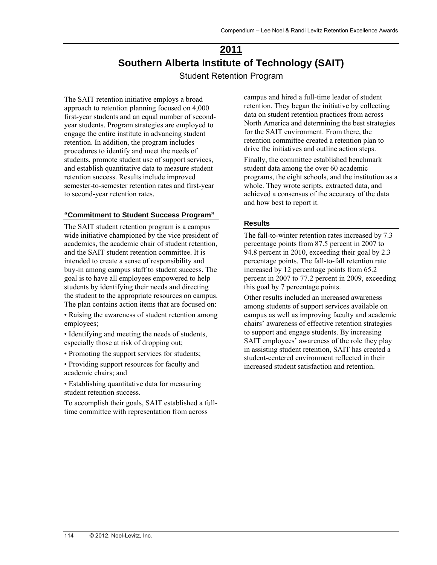# **2011 Southern Alberta Institute of Technology (SAIT)**  Student Retention Program

The SAIT retention initiative employs a broad approach to retention planning focused on 4,000 first-year students and an equal number of secondyear students. Program strategies are employed to engage the entire institute in advancing student retention. In addition, the program includes procedures to identify and meet the needs of students, promote student use of support services, and establish quantitative data to measure student retention success. Results include improved semester-to-semester retention rates and first-year to second-year retention rates.

#### **"Commitment to Student Success Program"**

The SAIT student retention program is a campus wide initiative championed by the vice president of academics, the academic chair of student retention, and the SAIT student retention committee. It is intended to create a sense of responsibility and buy-in among campus staff to student success. The goal is to have all employees empowered to help students by identifying their needs and directing the student to the appropriate resources on campus. The plan contains action items that are focused on:

• Raising the awareness of student retention among employees;

• Identifying and meeting the needs of students, especially those at risk of dropping out;

• Promoting the support services for students;

• Providing support resources for faculty and academic chairs; and

• Establishing quantitative data for measuring student retention success.

To accomplish their goals, SAIT established a fulltime committee with representation from across

campus and hired a full-time leader of student retention. They began the initiative by collecting data on student retention practices from across North America and determining the best strategies for the SAIT environment. From there, the retention committee created a retention plan to drive the initiatives and outline action steps.

Finally, the committee established benchmark student data among the over 60 academic programs, the eight schools, and the institution as a whole. They wrote scripts, extracted data, and achieved a consensus of the accuracy of the data and how best to report it.

#### **Results**

The fall-to-winter retention rates increased by 7.3 percentage points from 87.5 percent in 2007 to 94.8 percent in 2010, exceeding their goal by 2.3 percentage points. The fall-to-fall retention rate increased by 12 percentage points from 65.2 percent in 2007 to 77.2 percent in 2009, exceeding this goal by 7 percentage points.

Other results included an increased awareness among students of support services available on campus as well as improving faculty and academic chairs' awareness of effective retention strategies to support and engage students. By increasing SAIT employees' awareness of the role they play in assisting student retention, SAIT has created a student-centered environment reflected in their increased student satisfaction and retention.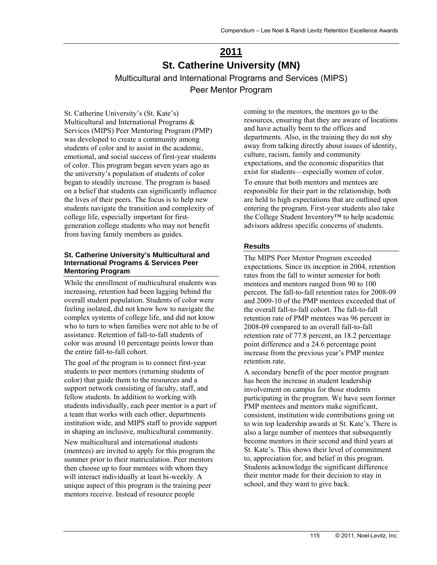# **2011 St. Catherine University (MN)**

Multicultural and International Programs and Services (MIPS) Peer Mentor Program

St. Catherine University's (St. Kate's) Multicultural and International Programs & Services (MIPS) Peer Mentoring Program (PMP) was developed to create a community among students of color and to assist in the academic, emotional, and social success of first-year students of color. This program began seven years ago as the university's population of students of color began to steadily increase. The program is based on a belief that students can significantly influence the lives of their peers. The focus is to help new students navigate the transition and complexity of college life, especially important for firstgeneration college students who may not benefit from having family members as guides.

#### **St. Catherine University's Multicultural and International Programs & Services Peer Mentoring Program**

While the enrollment of multicultural students was increasing, retention had been lagging behind the overall student population. Students of color were feeling isolated, did not know how to navigate the complex systems of college life, and did not know who to turn to when families were not able to be of assistance. Retention of fall-to-fall students of color was around 10 percentage points lower than the entire fall-to-fall cohort.

The goal of the program is to connect first-year students to peer mentors (returning students of color) that guide them to the resources and a support network consisting of faculty, staff, and fellow students. In addition to working with students individually, each peer mentor is a part of a team that works with each other, departments institution wide, and MIPS staff to provide support in shaping an inclusive, multicultural community.

New multicultural and international students (mentees) are invited to apply for this program the summer prior to their matriculation. Peer mentors then choose up to four mentees with whom they will interact individually at least bi-weekly. A unique aspect of this program is the training peer mentors receive. Instead of resource people

coming to the mentors, the mentors go to the resources, ensuring that they are aware of locations and have actually been to the offices and departments. Also, in the training they do not shy away from talking directly about issues of identity, culture, racism, family and community expectations, and the economic disparities that exist for students—especially women of color.

To ensure that both mentors and mentees are responsible for their part in the relationship, both are held to high expectations that are outlined upon entering the program. First-year students also take the College Student Inventory™ to help academic advisors address specific concerns of students.

#### **Results**

The MIPS Peer Mentor Program exceeded expectations. Since its inception in 2004, retention rates from the fall to winter semester for both mentees and mentors ranged from 90 to 100 percent. The fall-to-fall retention rates for 2008-09 and 2009-10 of the PMP mentees exceeded that of the overall fall-to-fall cohort. The fall-to-fall retention rate of PMP mentees was 96 percent in 2008-09 compared to an overall fall-to-fall retention rate of 77.8 percent, an 18.2 percentage point difference and a 24.6 percentage point increase from the previous year's PMP mentee retention rate.

A secondary benefit of the peer mentor program has been the increase in student leadership involvement on campus for those students participating in the program. We have seen former PMP mentees and mentors make significant, consistent, institution wide contributions going on to win top leadership awards at St. Kate's. There is also a large number of mentees that subsequently become mentors in their second and third years at St. Kate's. This shows their level of commitment to, appreciation for, and belief in this program. Students acknowledge the significant difference their mentor made for their decision to stay in school, and they want to give back.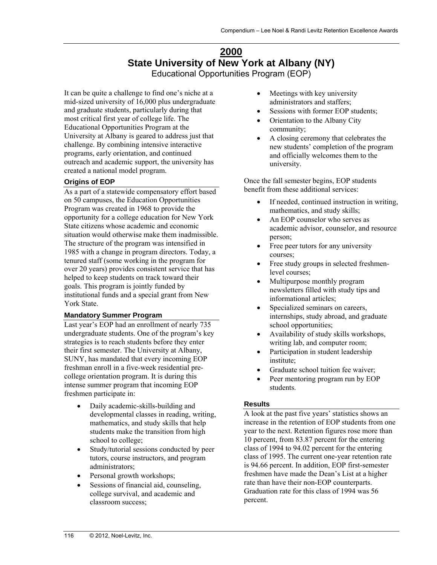# **2000 State University of New York at Albany (NY)**  Educational Opportunities Program (EOP)

It can be quite a challenge to find one's niche at a mid-sized university of 16,000 plus undergraduate and graduate students, particularly during that most critical first year of college life. The Educational Opportunities Program at the University at Albany is geared to address just that challenge. By combining intensive interactive programs, early orientation, and continued outreach and academic support, the university has created a national model program.

## **Origins of EOP**

As a part of a statewide compensatory effort based on 50 campuses, the Education Opportunities Program was created in 1968 to provide the opportunity for a college education for New York State citizens whose academic and economic situation would otherwise make them inadmissible. The structure of the program was intensified in 1985 with a change in program directors. Today, a tenured staff (some working in the program for over 20 years) provides consistent service that has helped to keep students on track toward their goals. This program is jointly funded by institutional funds and a special grant from New York State.

## **Mandatory Summer Program**

Last year's EOP had an enrollment of nearly 735 undergraduate students. One of the program's key strategies is to reach students before they enter their first semester. The University at Albany, SUNY, has mandated that every incoming EOP freshman enroll in a five-week residential precollege orientation program. It is during this intense summer program that incoming EOP freshmen participate in:

- Daily academic-skills-building and developmental classes in reading, writing, mathematics, and study skills that help students make the transition from high school to college;
- Study/tutorial sessions conducted by peer tutors, course instructors, and program administrators;
- Personal growth workshops;
- Sessions of financial aid, counseling, college survival, and academic and classroom success;
- Meetings with key university administrators and staffers;
- Sessions with former EOP students;
- Orientation to the Albany City community;
- A closing ceremony that celebrates the new students' completion of the program and officially welcomes them to the university.

Once the fall semester begins, EOP students benefit from these additional services:

- If needed, continued instruction in writing, mathematics, and study skills;
- An EOP counselor who serves as academic advisor, counselor, and resource person;
- Free peer tutors for any university courses;
- Free study groups in selected freshmenlevel courses;
- Multipurpose monthly program newsletters filled with study tips and informational articles;
- Specialized seminars on careers, internships, study abroad, and graduate school opportunities;
- Availability of study skills workshops, writing lab, and computer room;
- Participation in student leadership institute;
- Graduate school tuition fee waiver;
- Peer mentoring program run by EOP students.

## **Results**

A look at the past five years' statistics shows an increase in the retention of EOP students from one year to the next. Retention figures rose more than 10 percent, from 83.87 percent for the entering class of 1994 to 94.02 percent for the entering class of 1995. The current one-year retention rate is 94.66 percent. In addition, EOP first-semester freshmen have made the Dean's List at a higher rate than have their non-EOP counterparts. Graduation rate for this class of 1994 was 56 percent.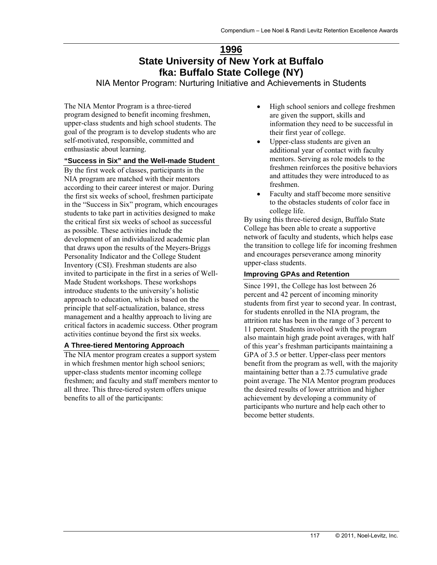# **1996 State University of New York at Buffalo fka: Buffalo State College (NY)**

NIA Mentor Program: Nurturing Initiative and Achievements in Students

The NIA Mentor Program is a three-tiered program designed to benefit incoming freshmen, upper-class students and high school students. The goal of the program is to develop students who are self-motivated, responsible, committed and enthusiastic about learning.

### **"Success in Six" and the Well-made Student**

By the first week of classes, participants in the NIA program are matched with their mentors according to their career interest or major. During the first six weeks of school, freshmen participate in the "Success in Six" program, which encourages students to take part in activities designed to make the critical first six weeks of school as successful as possible. These activities include the development of an individualized academic plan that draws upon the results of the Meyers-Briggs Personality Indicator and the College Student Inventory (CSI). Freshman students are also invited to participate in the first in a series of Well-Made Student workshops. These workshops introduce students to the university's holistic approach to education, which is based on the principle that self-actualization, balance, stress management and a healthy approach to living are critical factors in academic success. Other program activities continue beyond the first six weeks.

## **A Three-tiered Mentoring Approach**

The NIA mentor program creates a support system in which freshmen mentor high school seniors; upper-class students mentor incoming college freshmen; and faculty and staff members mentor to all three. This three-tiered system offers unique benefits to all of the participants:

- High school seniors and college freshmen are given the support, skills and information they need to be successful in their first year of college.
- Upper-class students are given an additional year of contact with faculty mentors. Serving as role models to the freshmen reinforces the positive behaviors and attitudes they were introduced to as freshmen.
- Faculty and staff become more sensitive to the obstacles students of color face in college life.

By using this three-tiered design, Buffalo State College has been able to create a supportive network of faculty and students, which helps ease the transition to college life for incoming freshmen and encourages perseverance among minority upper-class students.

#### **Improving GPAs and Retention**

Since 1991, the College has lost between 26 percent and 42 percent of incoming minority students from first year to second year. In contrast, for students enrolled in the NIA program, the attrition rate has been in the range of 3 percent to 11 percent. Students involved with the program also maintain high grade point averages, with half of this year's freshman participants maintaining a GPA of 3.5 or better. Upper-class peer mentors benefit from the program as well, with the majority maintaining better than a 2.75 cumulative grade point average. The NIA Mentor program produces the desired results of lower attrition and higher achievement by developing a community of participants who nurture and help each other to become better students.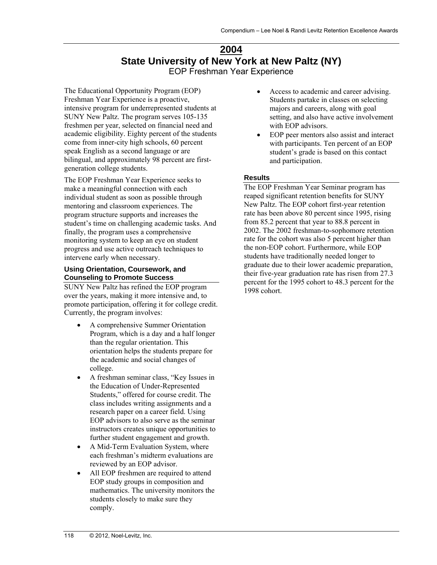## **2004 State University of New York at New Paltz (NY)**  EOP Freshman Year Experience

The Educational Opportunity Program (EOP) Freshman Year Experience is a proactive, intensive program for underrepresented students at SUNY New Paltz. The program serves 105-135 freshmen per year, selected on financial need and academic eligibility. Eighty percent of the students come from inner-city high schools, 60 percent speak English as a second language or are bilingual, and approximately 98 percent are firstgeneration college students.

The EOP Freshman Year Experience seeks to make a meaningful connection with each individual student as soon as possible through mentoring and classroom experiences. The program structure supports and increases the student's time on challenging academic tasks. And finally, the program uses a comprehensive monitoring system to keep an eye on student progress and use active outreach techniques to intervene early when necessary.

#### **Using Orientation, Coursework, and Counseling to Promote Success**

SUNY New Paltz has refined the EOP program over the years, making it more intensive and, to promote participation, offering it for college credit. Currently, the program involves:

- A comprehensive Summer Orientation Program, which is a day and a half longer than the regular orientation. This orientation helps the students prepare for the academic and social changes of college.
- A freshman seminar class, "Key Issues in the Education of Under-Represented Students," offered for course credit. The class includes writing assignments and a research paper on a career field. Using EOP advisors to also serve as the seminar instructors creates unique opportunities to further student engagement and growth.
- A Mid-Term Evaluation System, where each freshman's midterm evaluations are reviewed by an EOP advisor.
- All EOP freshmen are required to attend EOP study groups in composition and mathematics. The university monitors the students closely to make sure they comply.
- Access to academic and career advising. Students partake in classes on selecting majors and careers, along with goal setting, and also have active involvement with EOP advisors.
- EOP peer mentors also assist and interact with participants. Ten percent of an EOP student's grade is based on this contact and participation.

## **Results**

The EOP Freshman Year Seminar program has reaped significant retention benefits for SUNY New Paltz. The EOP cohort first-year retention rate has been above 80 percent since 1995, rising from 85.2 percent that year to 88.8 percent in 2002. The 2002 freshman-to-sophomore retention rate for the cohort was also 5 percent higher than the non-EOP cohort. Furthermore, while EOP students have traditionally needed longer to graduate due to their lower academic preparation, their five-year graduation rate has risen from 27.3 percent for the 1995 cohort to 48.3 percent for the 1998 cohort.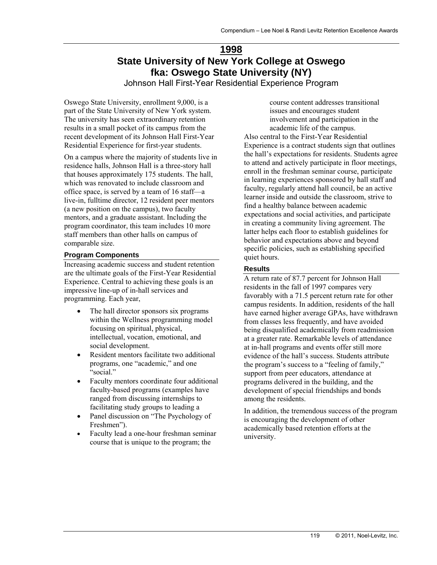# **1998 State University of New York College at Oswego fka: Oswego State University (NY)**

Johnson Hall First-Year Residential Experience Program

Oswego State University, enrollment 9,000, is a part of the State University of New York system. The university has seen extraordinary retention results in a small pocket of its campus from the recent development of its Johnson Hall First-Year Residential Experience for first-year students.

On a campus where the majority of students live in residence halls, Johnson Hall is a three-story hall that houses approximately 175 students. The hall, which was renovated to include classroom and office space, is served by a team of 16 staff—a live-in, fulltime director, 12 resident peer mentors (a new position on the campus), two faculty mentors, and a graduate assistant. Including the program coordinator, this team includes 10 more staff members than other halls on campus of comparable size.

### **Program Components**

Increasing academic success and student retention are the ultimate goals of the First-Year Residential Experience. Central to achieving these goals is an impressive line-up of in-hall services and programming. Each year,

- The hall director sponsors six programs within the Wellness programming model focusing on spiritual, physical, intellectual, vocation, emotional, and social development.
- Resident mentors facilitate two additional programs, one "academic," and one "social."
- Faculty mentors coordinate four additional faculty-based programs (examples have ranged from discussing internships to facilitating study groups to leading a
- Panel discussion on "The Psychology of Freshmen").
- Faculty lead a one-hour freshman seminar course that is unique to the program; the

course content addresses transitional issues and encourages student involvement and participation in the academic life of the campus. Also central to the First-Year Residential Experience is a contract students sign that outlines the hall's expectations for residents. Students agree to attend and actively participate in floor meetings, enroll in the freshman seminar course, participate in learning experiences sponsored by hall staff and faculty, regularly attend hall council, be an active learner inside and outside the classroom, strive to find a healthy balance between academic expectations and social activities, and participate in creating a community living agreement. The latter helps each floor to establish guidelines for behavior and expectations above and beyond specific policies, such as establishing specified quiet hours.

### **Results**

A return rate of 87.7 percent for Johnson Hall residents in the fall of 1997 compares very favorably with a 71.5 percent return rate for other campus residents. In addition, residents of the hall have earned higher average GPAs, have withdrawn from classes less frequently, and have avoided being disqualified academically from readmission at a greater rate. Remarkable levels of attendance at in-hall programs and events offer still more evidence of the hall's success. Students attribute the program's success to a "feeling of family," support from peer educators, attendance at programs delivered in the building, and the development of special friendships and bonds among the residents.

In addition, the tremendous success of the program is encouraging the development of other academically based retention efforts at the university.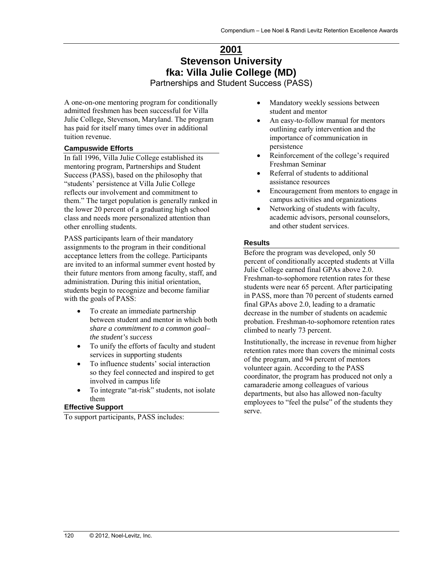# **2001 Stevenson University fka: Villa Julie College (MD)**

Partnerships and Student Success (PASS)

A one-on-one mentoring program for conditionally admitted freshmen has been successful for Villa Julie College, Stevenson, Maryland. The program has paid for itself many times over in additional tuition revenue.

## **Campuswide Efforts**

In fall 1996, Villa Julie College established its mentoring program, Partnerships and Student Success (PASS), based on the philosophy that "students' persistence at Villa Julie College reflects our involvement and commitment to them." The target population is generally ranked in the lower 20 percent of a graduating high school class and needs more personalized attention than other enrolling students.

PASS participants learn of their mandatory assignments to the program in their conditional acceptance letters from the college. Participants are invited to an informal summer event hosted by their future mentors from among faculty, staff, and administration. During this initial orientation, students begin to recognize and become familiar with the goals of PASS:

- To create an immediate partnership between student and mentor in which both *share a commitment to a common goal– the student's success*
- To unify the efforts of faculty and student services in supporting students
- To influence students' social interaction so they feel connected and inspired to get involved in campus life
- To integrate "at-risk" students, not isolate them

## **Effective Support**

To support participants, PASS includes:

- Mandatory weekly sessions between student and mentor
- An easy-to-follow manual for mentors outlining early intervention and the importance of communication in persistence
- Reinforcement of the college's required Freshman Seminar
- Referral of students to additional assistance resources
- Encouragement from mentors to engage in campus activities and organizations
- Networking of students with faculty, academic advisors, personal counselors, and other student services.

## **Results**

Before the program was developed, only 50 percent of conditionally accepted students at Villa Julie College earned final GPAs above 2.0. Freshman-to-sophomore retention rates for these students were near 65 percent. After participating in PASS, more than 70 percent of students earned final GPAs above 2.0, leading to a dramatic decrease in the number of students on academic probation. Freshman-to-sophomore retention rates climbed to nearly 73 percent.

Institutionally, the increase in revenue from higher retention rates more than covers the minimal costs of the program, and 94 percent of mentors volunteer again. According to the PASS coordinator, the program has produced not only a camaraderie among colleagues of various departments, but also has allowed non-faculty employees to "feel the pulse" of the students they serve.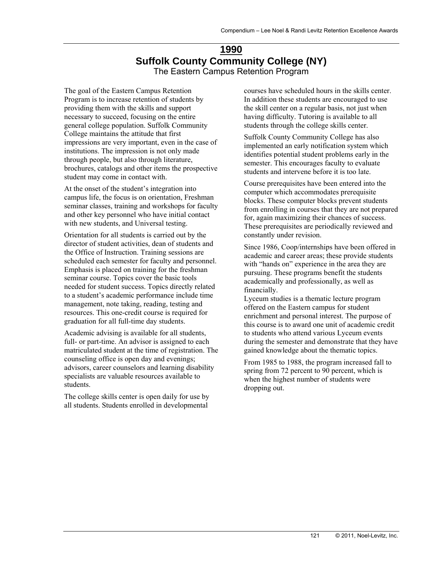# **1990 Suffolk County Community College (NY)**  The Eastern Campus Retention Program

The goal of the Eastern Campus Retention Program is to increase retention of students by providing them with the skills and support necessary to succeed, focusing on the entire general college population. Suffolk Community College maintains the attitude that first impressions are very important, even in the case of institutions. The impression is not only made through people, but also through literature, brochures, catalogs and other items the prospective student may come in contact with.

At the onset of the student's integration into campus life, the focus is on orientation, Freshman seminar classes, training and workshops for faculty and other key personnel who have initial contact with new students, and Universal testing.

Orientation for all students is carried out by the director of student activities, dean of students and the Office of Instruction. Training sessions are scheduled each semester for faculty and personnel. Emphasis is placed on training for the freshman seminar course. Topics cover the basic tools needed for student success. Topics directly related to a student's academic performance include time management, note taking, reading, testing and resources. This one-credit course is required for graduation for all full-time day students.

Academic advising is available for all students, full- or part-time. An advisor is assigned to each matriculated student at the time of registration. The counseling office is open day and evenings; advisors, career counselors and learning disability specialists are valuable resources available to students.

The college skills center is open daily for use by all students. Students enrolled in developmental

courses have scheduled hours in the skills center. In addition these students are encouraged to use the skill center on a regular basis, not just when having difficulty. Tutoring is available to all students through the college skills center.

Suffolk County Community College has also implemented an early notification system which identifies potential student problems early in the semester. This encourages faculty to evaluate students and intervene before it is too late.

Course prerequisites have been entered into the computer which accommodates prerequisite blocks. These computer blocks prevent students from enrolling in courses that they are not prepared for, again maximizing their chances of success. These prerequisites are periodically reviewed and constantly under revision.

Since 1986, Coop/internships have been offered in academic and career areas; these provide students with "hands on" experience in the area they are pursuing. These programs benefit the students academically and professionally, as well as financially.

Lyceum studies is a thematic lecture program offered on the Eastern campus for student enrichment and personal interest. The purpose of this course is to award one unit of academic credit to students who attend various Lyceum events during the semester and demonstrate that they have gained knowledge about the thematic topics.

From 1985 to 1988, the program increased fall to spring from 72 percent to 90 percent, which is when the highest number of students were dropping out.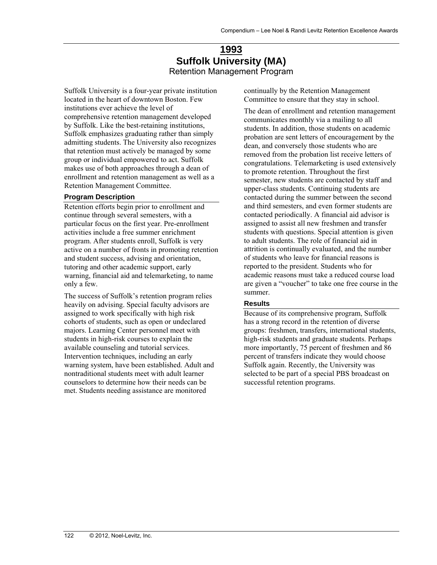# **1993 Suffolk University (MA)**  Retention Management Program

Suffolk University is a four-year private institution located in the heart of downtown Boston. Few institutions ever achieve the level of comprehensive retention management developed by Suffolk. Like the best-retaining institutions, Suffolk emphasizes graduating rather than simply admitting students. The University also recognizes that retention must actively be managed by some group or individual empowered to act. Suffolk makes use of both approaches through a dean of enrollment and retention management as well as a Retention Management Committee.

#### **Program Description**

Retention efforts begin prior to enrollment and continue through several semesters, with a particular focus on the first year. Pre-enrollment activities include a free summer enrichment program. After students enroll, Suffolk is very active on a number of fronts in promoting retention and student success, advising and orientation, tutoring and other academic support, early warning, financial aid and telemarketing, to name only a few.

The success of Suffolk's retention program relies heavily on advising. Special faculty advisors are assigned to work specifically with high risk cohorts of students, such as open or undeclared majors. Learning Center personnel meet with students in high-risk courses to explain the available counseling and tutorial services. Intervention techniques, including an early warning system, have been established. Adult and nontraditional students meet with adult learner counselors to determine how their needs can be met. Students needing assistance are monitored

continually by the Retention Management Committee to ensure that they stay in school.

The dean of enrollment and retention management communicates monthly via a mailing to all students. In addition, those students on academic probation are sent letters of encouragement by the dean, and conversely those students who are removed from the probation list receive letters of congratulations. Telemarketing is used extensively to promote retention. Throughout the first semester, new students are contacted by staff and upper-class students. Continuing students are contacted during the summer between the second and third semesters, and even former students are contacted periodically. A financial aid advisor is assigned to assist all new freshmen and transfer students with questions. Special attention is given to adult students. The role of financial aid in attrition is continually evaluated, and the number of students who leave for financial reasons is reported to the president. Students who for academic reasons must take a reduced course load are given a "voucher" to take one free course in the summer.

#### **Results**

Because of its comprehensive program, Suffolk has a strong record in the retention of diverse groups: freshmen, transfers, international students, high-risk students and graduate students. Perhaps more importantly, 75 percent of freshmen and 86 percent of transfers indicate they would choose Suffolk again. Recently, the University was selected to be part of a special PBS broadcast on successful retention programs.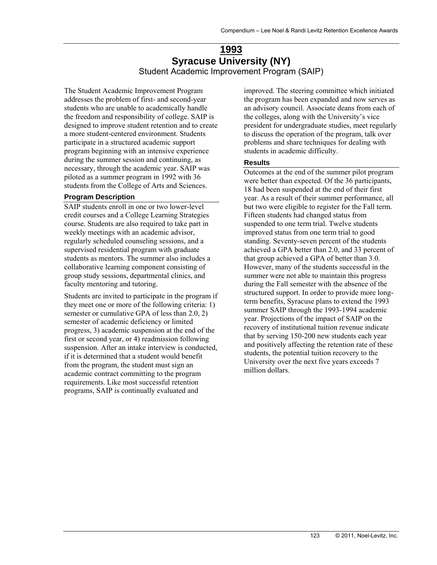# **1993 Syracuse University (NY)**  Student Academic Improvement Program (SAIP)

The Student Academic Improvement Program addresses the problem of first- and second-year students who are unable to academically handle the freedom and responsibility of college. SAIP is designed to improve student retention and to create a more student-centered environment. Students participate in a structured academic support program beginning with an intensive experience during the summer session and continuing, as necessary, through the academic year. SAIP was piloted as a summer program in 1992 with 36 students from the College of Arts and Sciences.

#### **Program Description**

SAIP students enroll in one or two lower-level credit courses and a College Learning Strategies course. Students are also required to take part in weekly meetings with an academic advisor, regularly scheduled counseling sessions, and a supervised residential program with graduate students as mentors. The summer also includes a collaborative learning component consisting of group study sessions, departmental clinics, and faculty mentoring and tutoring.

Students are invited to participate in the program if they meet one or more of the following criteria: 1) semester or cumulative GPA of less than 2.0, 2) semester of academic deficiency or limited progress, 3) academic suspension at the end of the first or second year, or 4) readmission following suspension. After an intake interview is conducted, if it is determined that a student would benefit from the program, the student must sign an academic contract committing to the program requirements. Like most successful retention programs, SAIP is continually evaluated and

improved. The steering committee which initiated the program has been expanded and now serves as an advisory council. Associate deans from each of the colleges, along with the University's vice president for undergraduate studies, meet regularly to discuss the operation of the program, talk over problems and share techniques for dealing with students in academic difficulty.

#### **Results**

Outcomes at the end of the summer pilot program were better than expected. Of the 36 participants, 18 had been suspended at the end of their first year. As a result of their summer performance, all but two were eligible to register for the Fall term. Fifteen students had changed status from suspended to one term trial. Twelve students improved status from one term trial to good standing. Seventy-seven percent of the students achieved a GPA better than 2.0, and 33 percent of that group achieved a GPA of better than 3.0. However, many of the students successful in the summer were not able to maintain this progress during the Fall semester with the absence of the structured support. In order to provide more longterm benefits, Syracuse plans to extend the 1993 summer SAIP through the 1993-1994 academic year. Projections of the impact of SAIP on the recovery of institutional tuition revenue indicate that by serving 150-200 new students each year and positively affecting the retention rate of these students, the potential tuition recovery to the University over the next five years exceeds 7 million dollars.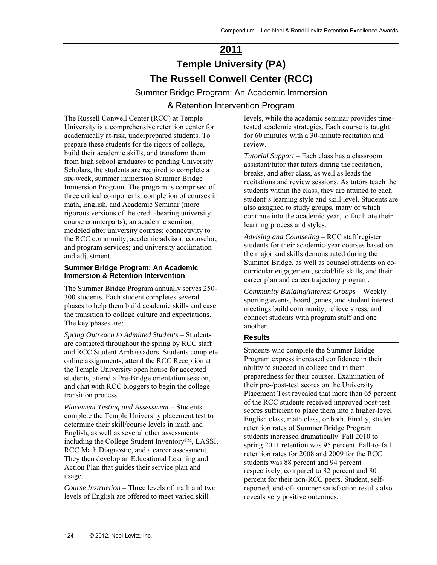# **2011 Temple University (PA) The Russell Conwell Center (RCC)**

Summer Bridge Program: An Academic Immersion & Retention Intervention Program

The Russell Conwell Center (RCC) at Temple University is a comprehensive retention center for academically at-risk, underprepared students. To prepare these students for the rigors of college, build their academic skills, and transform them from high school graduates to pending University Scholars, the students are required to complete a six-week, summer immersion Summer Bridge Immersion Program. The program is comprised of three critical components: completion of courses in math, English, and Academic Seminar (more rigorous versions of the credit-bearing university course counterparts); an academic seminar, modeled after university courses; connectivity to the RCC community, academic advisor, counselor, and program services; and university acclimation and adjustment.

### **Summer Bridge Program: An Academic Immersion & Retention Intervention**

The Summer Bridge Program annually serves 250- 300 students. Each student completes several phases to help them build academic skills and ease the transition to college culture and expectations. The key phases are:

*Spring Outreach to Admitted Students* – Students are contacted throughout the spring by RCC staff and RCC Student Ambassadors. Students complete online assignments, attend the RCC Reception at the Temple University open house for accepted students, attend a Pre-Bridge orientation session, and chat with RCC bloggers to begin the college transition process.

*Placement Testing and Assessment* – Students complete the Temple University placement test to determine their skill/course levels in math and English, as well as several other assessments including the College Student Inventory™, LASSI, RCC Math Diagnostic, and a career assessment. They then develop an Educational Learning and Action Plan that guides their service plan and usage.

*Course Instruction* – Three levels of math and two levels of English are offered to meet varied skill

levels, while the academic seminar provides timetested academic strategies. Each course is taught for 60 minutes with a 30-minute recitation and review.

*Tutorial Support* – Each class has a classroom assistant/tutor that tutors during the recitation, breaks, and after class, as well as leads the recitations and review sessions. As tutors teach the students within the class, they are attuned to each student's learning style and skill level. Students are also assigned to study groups, many of which continue into the academic year, to facilitate their learning process and styles.

*Advising and Counseling* – RCC staff register students for their academic-year courses based on the major and skills demonstrated during the Summer Bridge, as well as counsel students on cocurricular engagement, social/life skills, and their career plan and career trajectory program.

*Community Building/Interest Groups* – Weekly sporting events, board games, and student interest meetings build community, relieve stress, and connect students with program staff and one another.

## **Results**

Students who complete the Summer Bridge Program express increased confidence in their ability to succeed in college and in their preparedness for their courses. Examination of their pre-/post-test scores on the University Placement Test revealed that more than 65 percent of the RCC students received improved post-test scores sufficient to place them into a higher-level English class, math class, or both. Finally, student retention rates of Summer Bridge Program students increased dramatically. Fall 2010 to spring 2011 retention was 95 percent. Fall-to-fall retention rates for 2008 and 2009 for the RCC students was 88 percent and 94 percent respectively, compared to 82 percent and 80 percent for their non-RCC peers. Student, selfreported, end-of- summer satisfaction results also reveals very positive outcomes.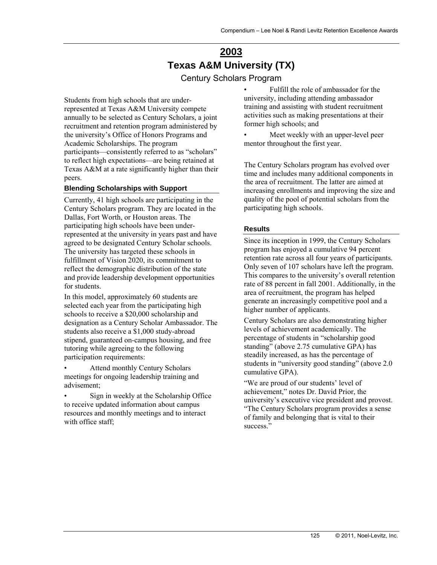# **2003 Texas A&M University (TX)**

Century Scholars Program

Students from high schools that are underrepresented at Texas A&M University compete annually to be selected as Century Scholars, a joint recruitment and retention program administered by the university's Office of Honors Programs and Academic Scholarships. The program participants—consistently referred to as "scholars" to reflect high expectations—are being retained at Texas A&M at a rate significantly higher than their peers.

#### **Blending Scholarships with Support**

Currently, 41 high schools are participating in the Century Scholars program. They are located in the Dallas, Fort Worth, or Houston areas. The participating high schools have been underrepresented at the university in years past and have agreed to be designated Century Scholar schools. The university has targeted these schools in fulfillment of Vision 2020, its commitment to reflect the demographic distribution of the state and provide leadership development opportunities for students.

In this model, approximately 60 students are selected each year from the participating high schools to receive a \$20,000 scholarship and designation as a Century Scholar Ambassador. The students also receive a \$1,000 study-abroad stipend, guaranteed on-campus housing, and free tutoring while agreeing to the following participation requirements:

• Attend monthly Century Scholars meetings for ongoing leadership training and advisement;

• Sign in weekly at the Scholarship Office to receive updated information about campus resources and monthly meetings and to interact with office staff:

• Fulfill the role of ambassador for the university, including attending ambassador training and assisting with student recruitment activities such as making presentations at their former high schools; and

Meet weekly with an upper-level peer mentor throughout the first year.

The Century Scholars program has evolved over time and includes many additional components in the area of recruitment. The latter are aimed at increasing enrollments and improving the size and quality of the pool of potential scholars from the participating high schools.

#### **Results**

Since its inception in 1999, the Century Scholars program has enjoyed a cumulative 94 percent retention rate across all four years of participants. Only seven of 107 scholars have left the program. This compares to the university's overall retention rate of 88 percent in fall 2001. Additionally, in the area of recruitment, the program has helped generate an increasingly competitive pool and a higher number of applicants.

Century Scholars are also demonstrating higher levels of achievement academically. The percentage of students in "scholarship good standing" (above 2.75 cumulative GPA) has steadily increased, as has the percentage of students in "university good standing" (above 2.0 cumulative GPA).

"We are proud of our students' level of achievement," notes Dr. David Prior, the university's executive vice president and provost. "The Century Scholars program provides a sense of family and belonging that is vital to their success."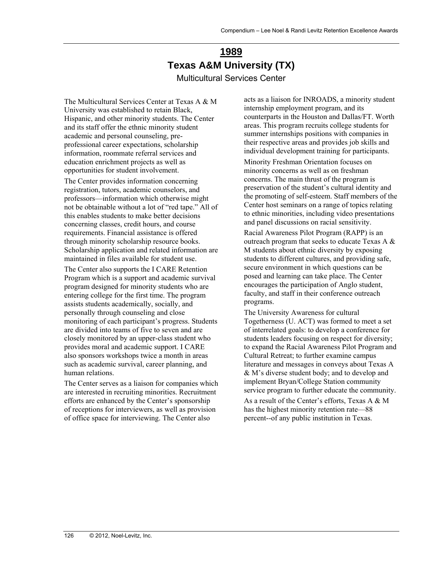# **1989 Texas A&M University (TX)**  Multicultural Services Center

The Multicultural Services Center at Texas A & M University was established to retain Black, Hispanic, and other minority students. The Center and its staff offer the ethnic minority student academic and personal counseling, preprofessional career expectations, scholarship information, roommate referral services and education enrichment projects as well as opportunities for student involvement.

The Center provides information concerning registration, tutors, academic counselors, and professors—information which otherwise might not be obtainable without a lot of "red tape." All of this enables students to make better decisions concerning classes, credit hours, and course requirements. Financial assistance is offered through minority scholarship resource books. Scholarship application and related information are maintained in files available for student use.

The Center also supports the I CARE Retention Program which is a support and academic survival program designed for minority students who are entering college for the first time. The program assists students academically, socially, and personally through counseling and close monitoring of each participant's progress. Students are divided into teams of five to seven and are closely monitored by an upper-class student who provides moral and academic support. I CARE also sponsors workshops twice a month in areas such as academic survival, career planning, and human relations.

The Center serves as a liaison for companies which are interested in recruiting minorities. Recruitment efforts are enhanced by the Center's sponsorship of receptions for interviewers, as well as provision of office space for interviewing. The Center also

acts as a liaison for INROADS, a minority student internship employment program, and its counterparts in the Houston and Dallas/FT. Worth areas. This program recruits college students for summer internships positions with companies in their respective areas and provides job skills and individual development training for participants.

Minority Freshman Orientation focuses on minority concerns as well as on freshman concerns. The main thrust of the program is preservation of the student's cultural identity and the promoting of self-esteem. Staff members of the Center host seminars on a range of topics relating to ethnic minorities, including video presentations and panel discussions on racial sensitivity.

Racial Awareness Pilot Program (RAPP) is an outreach program that seeks to educate Texas A & M students about ethnic diversity by exposing students to different cultures, and providing safe, secure environment in which questions can be posed and learning can take place. The Center encourages the participation of Anglo student, faculty, and staff in their conference outreach programs.

The University Awareness for cultural Togetherness (U. ACT) was formed to meet a set of interrelated goals: to develop a conference for students leaders focusing on respect for diversity; to expand the Racial Awareness Pilot Program and Cultural Retreat; to further examine campus literature and messages in conveys about Texas A & M's diverse student body; and to develop and implement Bryan/College Station community service program to further educate the community.

As a result of the Center's efforts, Texas A & M has the highest minority retention rate—88 percent--of any public institution in Texas.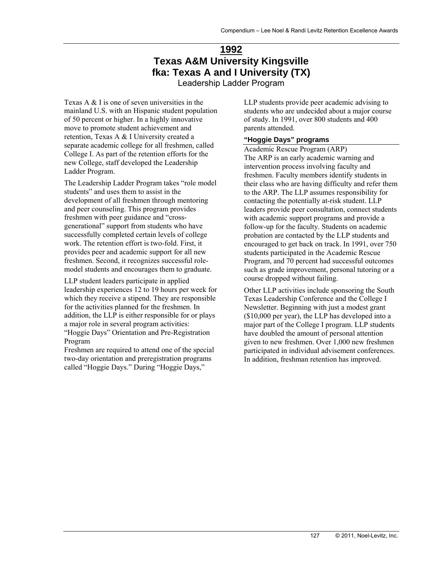# **1992 Texas A&M University Kingsville fka: Texas A and I University (TX)**

Leadership Ladder Program

Texas A & I is one of seven universities in the mainland U.S. with an Hispanic student population of 50 percent or higher. In a highly innovative move to promote student achievement and retention, Texas A & I University created a separate academic college for all freshmen, called College I. As part of the retention efforts for the new College, staff developed the Leadership Ladder Program.

The Leadership Ladder Program takes "role model students" and uses them to assist in the development of all freshmen through mentoring and peer counseling. This program provides freshmen with peer guidance and "crossgenerational" support from students who have successfully completed certain levels of college work. The retention effort is two-fold. First, it provides peer and academic support for all new freshmen. Second, it recognizes successful rolemodel students and encourages them to graduate.

LLP student leaders participate in applied leadership experiences 12 to 19 hours per week for which they receive a stipend. They are responsible for the activities planned for the freshmen. In addition, the LLP is either responsible for or plays a major role in several program activities:

"Hoggie Days" Orientation and Pre-Registration Program

Freshmen are required to attend one of the special two-day orientation and preregistration programs called "Hoggie Days." During "Hoggie Days,"

LLP students provide peer academic advising to students who are undecided about a major course of study. In 1991, over 800 students and 400 parents attended.

#### **"Hoggie Days" programs**

Academic Rescue Program (ARP) The ARP is an early academic warning and intervention process involving faculty and freshmen. Faculty members identify students in their class who are having difficulty and refer them to the ARP. The LLP assumes responsibility for contacting the potentially at-risk student. LLP leaders provide peer consultation, connect students with academic support programs and provide a follow-up for the faculty. Students on academic probation are contacted by the LLP students and encouraged to get back on track. In 1991, over 750 students participated in the Academic Rescue Program, and 70 percent had successful outcomes such as grade improvement, personal tutoring or a course dropped without failing.

Other LLP activities include sponsoring the South Texas Leadership Conference and the College I Newsletter. Beginning with just a modest grant (\$10,000 per year), the LLP has developed into a major part of the College I program. LLP students have doubled the amount of personal attention given to new freshmen. Over 1,000 new freshmen participated in individual advisement conferences. In addition, freshman retention has improved.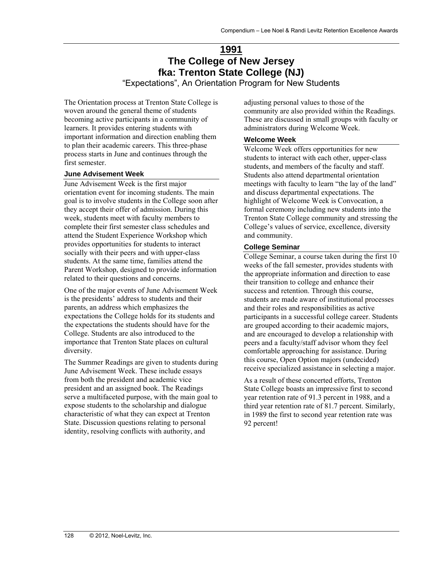# **1991 The College of New Jersey fka: Trenton State College (NJ)**

"Expectations", An Orientation Program for New Students

The Orientation process at Trenton State College is woven around the general theme of students becoming active participants in a community of learners. It provides entering students with important information and direction enabling them to plan their academic careers. This three-phase process starts in June and continues through the first semester.

#### **June Advisement Week**

June Advisement Week is the first major orientation event for incoming students. The main goal is to involve students in the College soon after they accept their offer of admission. During this week, students meet with faculty members to complete their first semester class schedules and attend the Student Experience Workshop which provides opportunities for students to interact socially with their peers and with upper-class students. At the same time, families attend the Parent Workshop, designed to provide information related to their questions and concerns.

One of the major events of June Advisement Week is the presidents' address to students and their parents, an address which emphasizes the expectations the College holds for its students and the expectations the students should have for the College. Students are also introduced to the importance that Trenton State places on cultural diversity.

The Summer Readings are given to students during June Advisement Week. These include essays from both the president and academic vice president and an assigned book. The Readings serve a multifaceted purpose, with the main goal to expose students to the scholarship and dialogue characteristic of what they can expect at Trenton State. Discussion questions relating to personal identity, resolving conflicts with authority, and

adjusting personal values to those of the community are also provided within the Readings. These are discussed in small groups with faculty or administrators during Welcome Week.

#### **Welcome Week**

Welcome Week offers opportunities for new students to interact with each other, upper-class students, and members of the faculty and staff. Students also attend departmental orientation meetings with faculty to learn "the lay of the land" and discuss departmental expectations. The highlight of Welcome Week is Convocation, a formal ceremony including new students into the Trenton State College community and stressing the College's values of service, excellence, diversity and community.

#### **College Seminar**

College Seminar, a course taken during the first 10 weeks of the fall semester, provides students with the appropriate information and direction to ease their transition to college and enhance their success and retention. Through this course, students are made aware of institutional processes and their roles and responsibilities as active participants in a successful college career. Students are grouped according to their academic majors, and are encouraged to develop a relationship with peers and a faculty/staff advisor whom they feel comfortable approaching for assistance. During this course, Open Option majors (undecided) receive specialized assistance in selecting a major.

As a result of these concerted efforts, Trenton State College boasts an impressive first to second year retention rate of 91.3 percent in 1988, and a third year retention rate of 81.7 percent. Similarly, in 1989 the first to second year retention rate was 92 percent!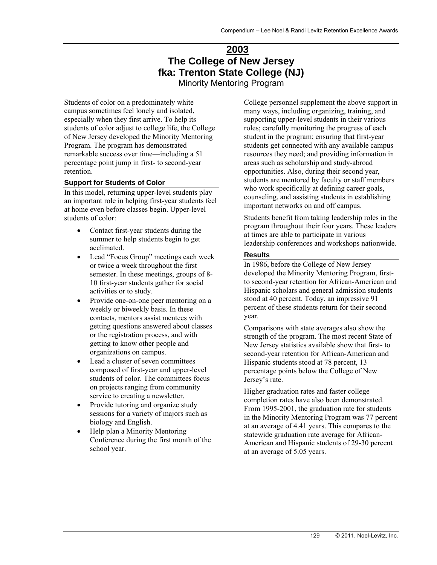# **2003 The College of New Jersey fka: Trenton State College (NJ)**

Minority Mentoring Program

Students of color on a predominately white campus sometimes feel lonely and isolated, especially when they first arrive. To help its students of color adjust to college life, the College of New Jersey developed the Minority Mentoring Program. The program has demonstrated remarkable success over time—including a 51 percentage point jump in first- to second-year retention.

#### **Support for Students of Color**

In this model, returning upper-level students play an important role in helping first-year students feel at home even before classes begin. Upper-level students of color:

- Contact first-year students during the summer to help students begin to get acclimated.
- Lead "Focus Group" meetings each week or twice a week throughout the first semester. In these meetings, groups of 8- 10 first-year students gather for social activities or to study.
- Provide one-on-one peer mentoring on a weekly or biweekly basis. In these contacts, mentors assist mentees with getting questions answered about classes or the registration process, and with getting to know other people and organizations on campus.
- Lead a cluster of seven committees composed of first-year and upper-level students of color. The committees focus on projects ranging from community service to creating a newsletter.
- Provide tutoring and organize study sessions for a variety of majors such as biology and English.
- Help plan a Minority Mentoring Conference during the first month of the school year.

College personnel supplement the above support in many ways, including organizing, training, and supporting upper-level students in their various roles; carefully monitoring the progress of each student in the program; ensuring that first-year students get connected with any available campus resources they need; and providing information in areas such as scholarship and study-abroad opportunities. Also, during their second year, students are mentored by faculty or staff members who work specifically at defining career goals, counseling, and assisting students in establishing important networks on and off campus.

Students benefit from taking leadership roles in the program throughout their four years. These leaders at times are able to participate in various leadership conferences and workshops nationwide.

#### **Results**

In 1986, before the College of New Jersey developed the Minority Mentoring Program, firstto second-year retention for African-American and Hispanic scholars and general admission students stood at 40 percent. Today, an impressive 91 percent of these students return for their second year.

Comparisons with state averages also show the strength of the program. The most recent State of New Jersey statistics available show that first- to second-year retention for African-American and Hispanic students stood at 78 percent, 13 percentage points below the College of New Jersey's rate.

Higher graduation rates and faster college completion rates have also been demonstrated. From 1995-2001, the graduation rate for students in the Minority Mentoring Program was 77 percent at an average of 4.41 years. This compares to the statewide graduation rate average for African-American and Hispanic students of 29-30 percent at an average of 5.05 years.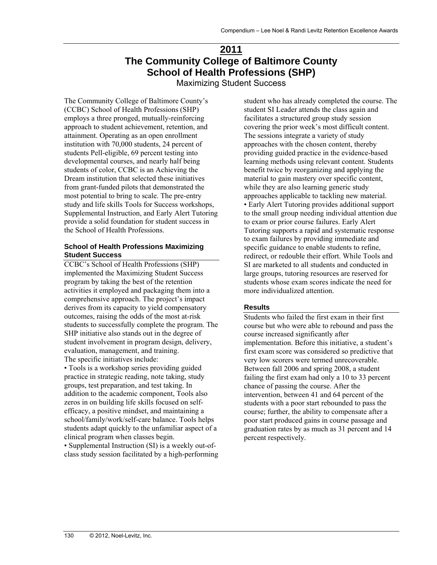# **2011 The Community College of Baltimore County School of Health Professions (SHP)**

Maximizing Student Success

The Community College of Baltimore County's (CCBC) School of Health Professions (SHP) employs a three pronged, mutually-reinforcing approach to student achievement, retention, and attainment. Operating as an open enrollment institution with 70,000 students, 24 percent of students Pell-eligible, 69 percent testing into developmental courses, and nearly half being students of color, CCBC is an Achieving the Dream institution that selected these initiatives from grant-funded pilots that demonstrated the most potential to bring to scale. The pre-entry study and life skills Tools for Success workshops, Supplemental Instruction, and Early Alert Tutoring provide a solid foundation for student success in the School of Health Professions.

#### **School of Health Professions Maximizing Student Success**

CCBC's School of Health Professions (SHP) implemented the Maximizing Student Success program by taking the best of the retention activities it employed and packaging them into a comprehensive approach. The project's impact derives from its capacity to yield compensatory outcomes, raising the odds of the most at-risk students to successfully complete the program. The SHP initiative also stands out in the degree of student involvement in program design, delivery, evaluation, management, and training. The specific initiatives include:

• Tools is a workshop series providing guided practice in strategic reading, note taking, study groups, test preparation, and test taking. In addition to the academic component, Tools also zeros in on building life skills focused on selfefficacy, a positive mindset, and maintaining a school/family/work/self-care balance. Tools helps students adapt quickly to the unfamiliar aspect of a clinical program when classes begin.

• Supplemental Instruction (SI) is a weekly out-ofclass study session facilitated by a high-performing

student who has already completed the course. The student SI Leader attends the class again and facilitates a structured group study session covering the prior week's most difficult content. The sessions integrate a variety of study approaches with the chosen content, thereby providing guided practice in the evidence-based learning methods using relevant content. Students benefit twice by reorganizing and applying the material to gain mastery over specific content, while they are also learning generic study approaches applicable to tackling new material. • Early Alert Tutoring provides additional support to the small group needing individual attention due to exam or prior course failures. Early Alert Tutoring supports a rapid and systematic response to exam failures by providing immediate and specific guidance to enable students to refine, redirect, or redouble their effort. While Tools and SI are marketed to all students and conducted in large groups, tutoring resources are reserved for students whose exam scores indicate the need for more individualized attention.

### **Results**

Students who failed the first exam in their first course but who were able to rebound and pass the course increased significantly after implementation. Before this initiative, a student's first exam score was considered so predictive that very low scorers were termed unrecoverable. Between fall 2006 and spring 2008, a student failing the first exam had only a 10 to 33 percent chance of passing the course. After the intervention, between 41 and 64 percent of the students with a poor start rebounded to pass the course; further, the ability to compensate after a poor start produced gains in course passage and graduation rates by as much as 31 percent and 14 percent respectively.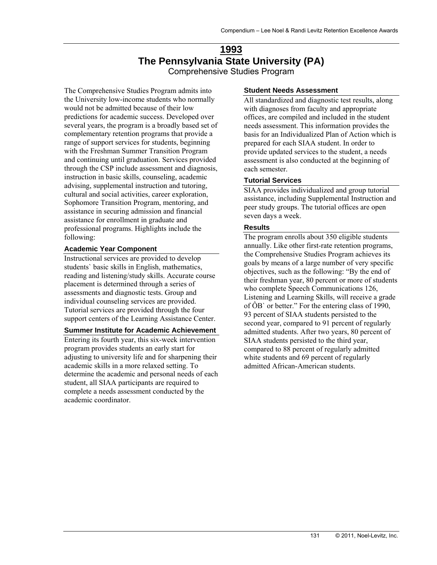## **1993 The Pennsylvania State University (PA)**  Comprehensive Studies Program

The Comprehensive Studies Program admits into the University low-income students who normally would not be admitted because of their low predictions for academic success. Developed over several years, the program is a broadly based set of complementary retention programs that provide a range of support services for students, beginning with the Freshman Summer Transition Program and continuing until graduation. Services provided through the CSP include assessment and diagnosis, instruction in basic skills, counseling, academic advising, supplemental instruction and tutoring, cultural and social activities, career exploration, Sophomore Transition Program, mentoring, and assistance in securing admission and financial assistance for enrollment in graduate and professional programs. Highlights include the following:

#### **Academic Year Component**

Instructional services are provided to develop students` basic skills in English, mathematics, reading and listening/study skills. Accurate course placement is determined through a series of assessments and diagnostic tests. Group and individual counseling services are provided. Tutorial services are provided through the four support centers of the Learning Assistance Center.

### **Summer Institute for Academic Achievement**

Entering its fourth year, this six-week intervention program provides students an early start for adjusting to university life and for sharpening their academic skills in a more relaxed setting. To determine the academic and personal needs of each student, all SIAA participants are required to complete a needs assessment conducted by the academic coordinator.

#### **Student Needs Assessment**

All standardized and diagnostic test results, along with diagnoses from faculty and appropriate offices, are compiled and included in the student needs assessment. This information provides the basis for an Individualized Plan of Action which is prepared for each SIAA student. In order to provide updated services to the student, a needs assessment is also conducted at the beginning of each semester.

#### **Tutorial Services**

SIAA provides individualized and group tutorial assistance, including Supplemental Instruction and peer study groups. The tutorial offices are open seven days a week.

#### **Results**

The program enrolls about 350 eligible students annually. Like other first-rate retention programs, the Comprehensive Studies Program achieves its goals by means of a large number of very specific objectives, such as the following: "By the end of their freshman year, 80 percent or more of students who complete Speech Communications 126, Listening and Learning Skills, will receive a grade of ÔB` or better." For the entering class of 1990, 93 percent of SIAA students persisted to the second year, compared to 91 percent of regularly admitted students. After two years, 80 percent of SIAA students persisted to the third year, compared to 88 percent of regularly admitted white students and 69 percent of regularly admitted African-American students.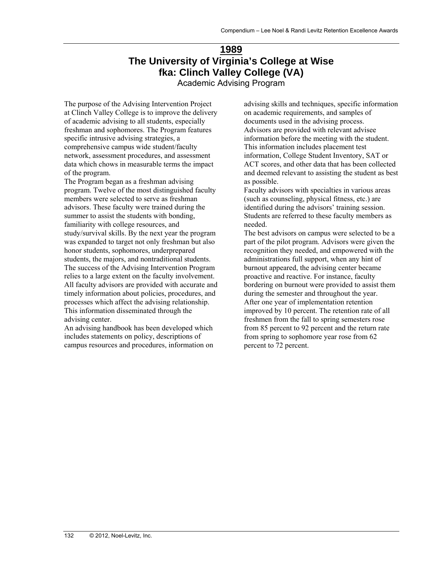# **1989 The University of Virginia's College at Wise fka: Clinch Valley College (VA)**

Academic Advising Program

The purpose of the Advising Intervention Project at Clinch Valley College is to improve the delivery of academic advising to all students, especially freshman and sophomores. The Program features specific intrusive advising strategies, a comprehensive campus wide student/faculty network, assessment procedures, and assessment data which chows in measurable terms the impact of the program.

The Program began as a freshman advising program. Twelve of the most distinguished faculty members were selected to serve as freshman advisors. These faculty were trained during the summer to assist the students with bonding, familiarity with college resources, and study/survival skills. By the next year the program was expanded to target not only freshman but also honor students, sophomores, underprepared students, the majors, and nontraditional students. The success of the Advising Intervention Program relies to a large extent on the faculty involvement. All faculty advisors are provided with accurate and timely information about policies, procedures, and processes which affect the advising relationship. This information disseminated through the advising center.

An advising handbook has been developed which includes statements on policy, descriptions of campus resources and procedures, information on advising skills and techniques, specific information on academic requirements, and samples of documents used in the advising process. Advisors are provided with relevant advisee information before the meeting with the student. This information includes placement test information, College Student Inventory, SAT or ACT scores, and other data that has been collected and deemed relevant to assisting the student as best as possible.

Faculty advisors with specialties in various areas (such as counseling, physical fitness, etc.) are identified during the advisors' training session. Students are referred to these faculty members as needed.

The best advisors on campus were selected to be a part of the pilot program. Advisors were given the recognition they needed, and empowered with the administrations full support, when any hint of burnout appeared, the advising center became proactive and reactive. For instance, faculty bordering on burnout were provided to assist them during the semester and throughout the year. After one year of implementation retention improved by 10 percent. The retention rate of all freshmen from the fall to spring semesters rose from 85 percent to 92 percent and the return rate from spring to sophomore year rose from 62 percent to 72 percent.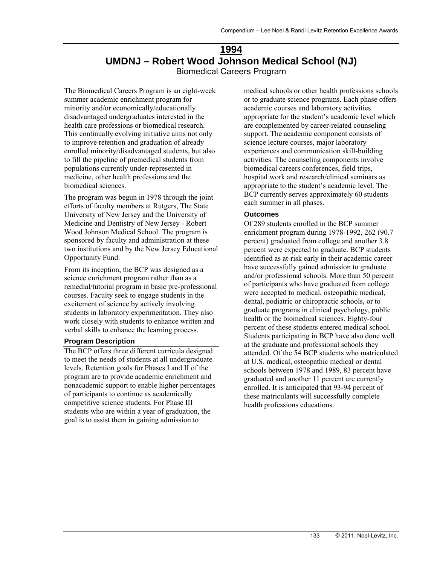# **1994 UMDNJ – Robert Wood Johnson Medical School (NJ)**  Biomedical Careers Program

The Biomedical Careers Program is an eight-week summer academic enrichment program for minority and/or economically/educationally disadvantaged undergraduates interested in the health care professions or biomedical research. This continually evolving initiative aims not only to improve retention and graduation of already enrolled minority/disadvantaged students, but also to fill the pipeline of premedical students from populations currently under-represented in medicine, other health professions and the biomedical sciences.

The program was begun in 1978 through the joint efforts of faculty members at Rutgers, The State University of New Jersey and the University of Medicine and Dentistry of New Jersey - Robert Wood Johnson Medical School. The program is sponsored by faculty and administration at these two institutions and by the New Jersey Educational Opportunity Fund.

From its inception, the BCP was designed as a science enrichment program rather than as a remedial/tutorial program in basic pre-professional courses. Faculty seek to engage students in the excitement of science by actively involving students in laboratory experimentation. They also work closely with students to enhance written and verbal skills to enhance the learning process.

### **Program Description**

The BCP offers three different curricula designed to meet the needs of students at all undergraduate levels. Retention goals for Phases I and II of the program are to provide academic enrichment and nonacademic support to enable higher percentages of participants to continue as academically competitive science students. For Phase III students who are within a year of graduation, the goal is to assist them in gaining admission to

medical schools or other health professions schools or to graduate science programs. Each phase offers academic courses and laboratory activities appropriate for the student's academic level which are complemented by career-related counseling support. The academic component consists of science lecture courses, major laboratory experiences and communication skill-building activities. The counseling components involve biomedical careers conferences, field trips, hospital work and research/clinical seminars as appropriate to the student's academic level. The BCP currently serves approximately 60 students each summer in all phases.

#### **Outcomes**

Of 289 students enrolled in the BCP summer enrichment program during 1978-1992, 262 (90.7 percent) graduated from college and another 3.8 percent were expected to graduate. BCP students identified as at-risk early in their academic career have successfully gained admission to graduate and/or professional schools. More than 50 percent of participants who have graduated from college were accepted to medical, osteopathic medical, dental, podiatric or chiropractic schools, or to graduate programs in clinical psychology, public health or the biomedical sciences. Eighty-four percent of these students entered medical school. Students participating in BCP have also done well at the graduate and professional schools they attended. Of the 54 BCP students who matriculated at U.S. medical, osteopathic medical or dental schools between 1978 and 1989, 83 percent have graduated and another 11 percent are currently enrolled. It is anticipated that 93-94 percent of these matriculants will successfully complete health professions educations.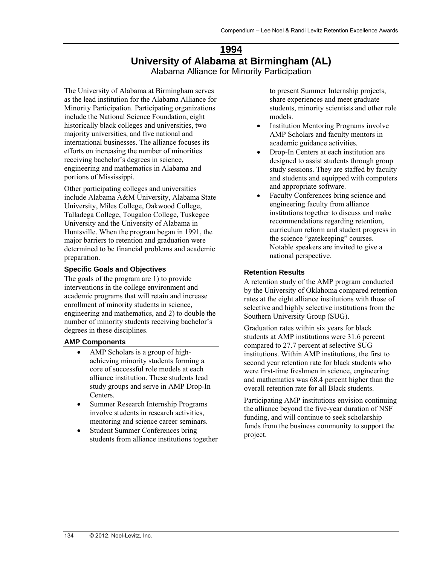## **1994 University of Alabama at Birmingham (AL)**  Alabama Alliance for Minority Participation

The University of Alabama at Birmingham serves as the lead institution for the Alabama Alliance for Minority Participation. Participating organizations include the National Science Foundation, eight historically black colleges and universities, two majority universities, and five national and international businesses. The alliance focuses its efforts on increasing the number of minorities receiving bachelor's degrees in science, engineering and mathematics in Alabama and portions of Mississippi.

Other participating colleges and universities include Alabama A&M University, Alabama State University, Miles College, Oakwood College, Talladega College, Tougaloo College, Tuskegee University and the University of Alabama in Huntsville. When the program began in 1991, the major barriers to retention and graduation were determined to be financial problems and academic preparation.

#### **Specific Goals and Objectives**

The goals of the program are 1) to provide interventions in the college environment and academic programs that will retain and increase enrollment of minority students in science, engineering and mathematics, and 2) to double the number of minority students receiving bachelor's degrees in these disciplines.

### **AMP Components**

- AMP Scholars is a group of highachieving minority students forming a core of successful role models at each alliance institution. These students lead study groups and serve in AMP Drop-In Centers.
- Summer Research Internship Programs involve students in research activities, mentoring and science career seminars.
- Student Summer Conferences bring students from alliance institutions together

to present Summer Internship projects, share experiences and meet graduate students, minority scientists and other role models.

- Institution Mentoring Programs involve AMP Scholars and faculty mentors in academic guidance activities.
- Drop-In Centers at each institution are designed to assist students through group study sessions. They are staffed by faculty and students and equipped with computers and appropriate software.
- Faculty Conferences bring science and engineering faculty from alliance institutions together to discuss and make recommendations regarding retention, curriculum reform and student progress in the science "gatekeeping" courses. Notable speakers are invited to give a national perspective.

#### **Retention Results**

A retention study of the AMP program conducted by the University of Oklahoma compared retention rates at the eight alliance institutions with those of selective and highly selective institutions from the Southern University Group (SUG).

Graduation rates within six years for black students at AMP institutions were 31.6 percent compared to 27.7 percent at selective SUG institutions. Within AMP institutions, the first to second year retention rate for black students who were first-time freshmen in science, engineering and mathematics was 68.4 percent higher than the overall retention rate for all Black students.

Participating AMP institutions envision continuing the alliance beyond the five-year duration of NSF funding, and will continue to seek scholarship funds from the business community to support the project.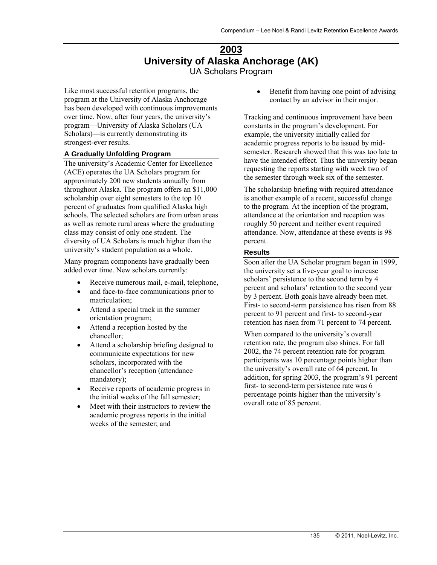# **2003 University of Alaska Anchorage (AK)**  UA Scholars Program

Like most successful retention programs, the program at the University of Alaska Anchorage has been developed with continuous improvements over time. Now, after four years, the university's program—University of Alaska Scholars (UA Scholars)—is currently demonstrating its strongest-ever results.

#### **A Gradually Unfolding Program**

The university's Academic Center for Excellence (ACE) operates the UA Scholars program for approximately 200 new students annually from throughout Alaska. The program offers an \$11,000 scholarship over eight semesters to the top 10 percent of graduates from qualified Alaska high schools. The selected scholars are from urban areas as well as remote rural areas where the graduating class may consist of only one student. The diversity of UA Scholars is much higher than the university's student population as a whole.

Many program components have gradually been added over time. New scholars currently:

- Receive numerous mail, e-mail, telephone,
- and face-to-face communications prior to matriculation;
- Attend a special track in the summer orientation program;
- Attend a reception hosted by the chancellor;
- Attend a scholarship briefing designed to communicate expectations for new scholars, incorporated with the chancellor's reception (attendance mandatory);
- Receive reports of academic progress in the initial weeks of the fall semester;
- Meet with their instructors to review the academic progress reports in the initial weeks of the semester; and

 Benefit from having one point of advising contact by an advisor in their major.

Tracking and continuous improvement have been constants in the program's development. For example, the university initially called for academic progress reports to be issued by midsemester. Research showed that this was too late to have the intended effect. Thus the university began requesting the reports starting with week two of the semester through week six of the semester.

The scholarship briefing with required attendance is another example of a recent, successful change to the program. At the inception of the program, attendance at the orientation and reception was roughly 50 percent and neither event required attendance. Now, attendance at these events is 98 percent.

#### **Results**

Soon after the UA Scholar program began in 1999, the university set a five-year goal to increase scholars' persistence to the second term by 4 percent and scholars' retention to the second year by 3 percent. Both goals have already been met. First- to second-term persistence has risen from 88 percent to 91 percent and first- to second-year retention has risen from 71 percent to 74 percent.

When compared to the university's overall retention rate, the program also shines. For fall 2002, the 74 percent retention rate for program participants was 10 percentage points higher than the university's overall rate of 64 percent. In addition, for spring 2003, the program's 91 percent first- to second-term persistence rate was 6 percentage points higher than the university's overall rate of 85 percent.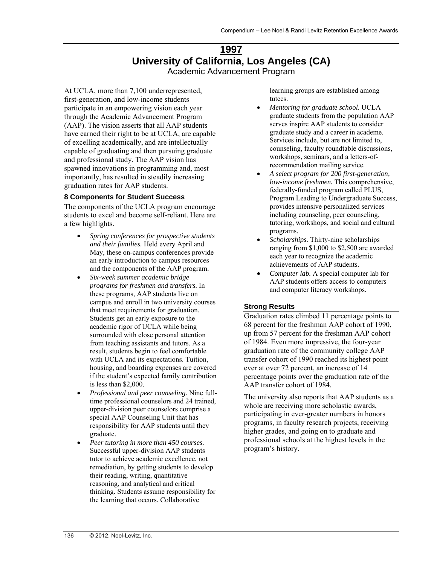# **1997 University of California, Los Angeles (CA)**  Academic Advancement Program

At UCLA, more than 7,100 underrepresented, first-generation, and low-income students participate in an empowering vision each year through the Academic Advancement Program (AAP). The vision asserts that all AAP students have earned their right to be at UCLA, are capable of excelling academically, and are intellectually capable of graduating and then pursuing graduate and professional study. The AAP vision has spawned innovations in programming and, most importantly, has resulted in steadily increasing graduation rates for AAP students.

#### **8 Components for Student Success**

The components of the UCLA program encourage students to excel and become self-reliant. Here are a few highlights.

- *Spring conferences for prospective students and their families.* Held every April and May, these on-campus conferences provide an early introduction to campus resources and the components of the AAP program.
- *Six-week summer academic bridge programs for freshmen and transfers.* In these programs, AAP students live on campus and enroll in two university courses that meet requirements for graduation. Students get an early exposure to the academic rigor of UCLA while being surrounded with close personal attention from teaching assistants and tutors. As a result, students begin to feel comfortable with UCLA and its expectations. Tuition, housing, and boarding expenses are covered if the student's expected family contribution is less than \$2,000.
- *Professional and peer counseling.* Nine fulltime professional counselors and 24 trained, upper-division peer counselors comprise a special AAP Counseling Unit that has responsibility for AAP students until they graduate.
- *Peer tutoring in more than 450 courses.*  Successful upper-division AAP students tutor to achieve academic excellence, not remediation, by getting students to develop their reading, writing, quantitative reasoning, and analytical and critical thinking. Students assume responsibility for the learning that occurs. Collaborative

learning groups are established among tutees.

- *Mentoring for graduate school.* UCLA graduate students from the population AAP serves inspire AAP students to consider graduate study and a career in academe. Services include, but are not limited to, counseling, faculty roundtable discussions, workshops, seminars, and a letters-ofrecommendation mailing service.
- *A select program for 200 first-generation, low-income freshmen.* This comprehensive, federally-funded program called PLUS, Program Leading to Undergraduate Success, provides intensive personalized services including counseling, peer counseling, tutoring, workshops, and social and cultural programs.
- *Scholarships.* Thirty-nine scholarships ranging from \$1,000 to \$2,500 are awarded each year to recognize the academic achievements of AAP students.
- *Computer lab.* A special computer lab for AAP students offers access to computers and computer literacy workshops.

### **Strong Results**

Graduation rates climbed 11 percentage points to 68 percent for the freshman AAP cohort of 1990, up from 57 percent for the freshman AAP cohort of 1984. Even more impressive, the four-year graduation rate of the community college AAP transfer cohort of 1990 reached its highest point ever at over 72 percent, an increase of 14 percentage points over the graduation rate of the AAP transfer cohort of 1984.

The university also reports that AAP students as a whole are receiving more scholastic awards, participating in ever-greater numbers in honors programs, in faculty research projects, receiving higher grades, and going on to graduate and professional schools at the highest levels in the program's history.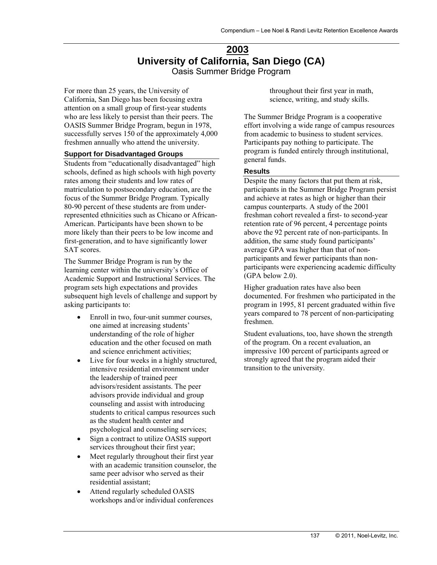## **2003 University of California, San Diego (CA)**  Oasis Summer Bridge Program

For more than 25 years, the University of California, San Diego has been focusing extra attention on a small group of first-year students who are less likely to persist than their peers. The OASIS Summer Bridge Program, begun in 1978, successfully serves 150 of the approximately 4,000 freshmen annually who attend the university.

#### **Support for Disadvantaged Groups**

Students from "educationally disadvantaged" high schools, defined as high schools with high poverty rates among their students and low rates of matriculation to postsecondary education, are the focus of the Summer Bridge Program. Typically 80-90 percent of these students are from underrepresented ethnicities such as Chicano or African-American. Participants have been shown to be more likely than their peers to be low income and first-generation, and to have significantly lower SAT scores.

The Summer Bridge Program is run by the learning center within the university's Office of Academic Support and Instructional Services. The program sets high expectations and provides subsequent high levels of challenge and support by asking participants to:

- Enroll in two, four-unit summer courses, one aimed at increasing students' understanding of the role of higher education and the other focused on math and science enrichment activities;
- Live for four weeks in a highly structured, intensive residential environment under the leadership of trained peer advisors/resident assistants. The peer advisors provide individual and group counseling and assist with introducing students to critical campus resources such as the student health center and psychological and counseling services;
- Sign a contract to utilize OASIS support services throughout their first year;
- Meet regularly throughout their first year with an academic transition counselor, the same peer advisor who served as their residential assistant;
- Attend regularly scheduled OASIS workshops and/or individual conferences

throughout their first year in math, science, writing, and study skills.

The Summer Bridge Program is a cooperative effort involving a wide range of campus resources from academic to business to student services. Participants pay nothing to participate. The program is funded entirely through institutional, general funds.

#### **Results**

Despite the many factors that put them at risk, participants in the Summer Bridge Program persist and achieve at rates as high or higher than their campus counterparts. A study of the 2001 freshman cohort revealed a first- to second-year retention rate of 96 percent, 4 percentage points above the 92 percent rate of non-participants. In addition, the same study found participants' average GPA was higher than that of nonparticipants and fewer participants than nonparticipants were experiencing academic difficulty (GPA below 2.0).

Higher graduation rates have also been documented. For freshmen who participated in the program in 1995, 81 percent graduated within five years compared to 78 percent of non-participating freshmen.

Student evaluations, too, have shown the strength of the program. On a recent evaluation, an impressive 100 percent of participants agreed or strongly agreed that the program aided their transition to the university.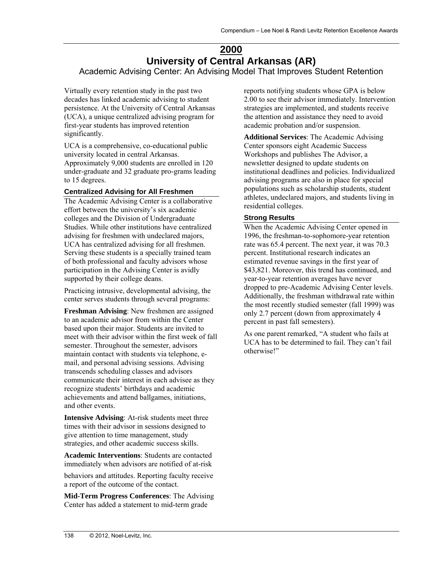# **2000 University of Central Arkansas (AR)**

Academic Advising Center: An Advising Model That Improves Student Retention

Virtually every retention study in the past two decades has linked academic advising to student persistence. At the University of Central Arkansas (UCA), a unique centralized advising program for first-year students has improved retention significantly.

UCA is a comprehensive, co-educational public university located in central Arkansas. Approximately 9,000 students are enrolled in 120 under-graduate and 32 graduate pro-grams leading to 15 degrees.

### **Centralized Advising for All Freshmen**

The Academic Advising Center is a collaborative effort between the university's six academic colleges and the Division of Undergraduate Studies. While other institutions have centralized advising for freshmen with undeclared majors, UCA has centralized advising for all freshmen. Serving these students is a specially trained team of both professional and faculty advisors whose participation in the Advising Center is avidly supported by their college deans.

Practicing intrusive, developmental advising, the center serves students through several programs:

**Freshman Advising**: New freshmen are assigned to an academic advisor from within the Center based upon their major. Students are invited to meet with their advisor within the first week of fall semester. Throughout the semester, advisors maintain contact with students via telephone, email, and personal advising sessions. Advising transcends scheduling classes and advisors communicate their interest in each advisee as they recognize students' birthdays and academic achievements and attend ballgames, initiations, and other events.

**Intensive Advising**: At-risk students meet three times with their advisor in sessions designed to give attention to time management, study strategies, and other academic success skills.

**Academic Interventions**: Students are contacted immediately when advisors are notified of at-risk

behaviors and attitudes. Reporting faculty receive a report of the outcome of the contact.

**Mid-Term Progress Conferences**: The Advising Center has added a statement to mid-term grade

reports notifying students whose GPA is below 2.00 to see their advisor immediately. Intervention strategies are implemented, and students receive the attention and assistance they need to avoid academic probation and/or suspension.

**Additional Services**: The Academic Advising Center sponsors eight Academic Success Workshops and publishes The Advisor, a newsletter designed to update students on institutional deadlines and policies. Individualized advising programs are also in place for special populations such as scholarship students, student athletes, undeclared majors, and students living in residential colleges.

## **Strong Results**

When the Academic Advising Center opened in 1996, the freshman-to-sophomore-year retention rate was 65.4 percent. The next year, it was 70.3 percent. Institutional research indicates an estimated revenue savings in the first year of \$43,821. Moreover, this trend has continued, and year-to-year retention averages have never dropped to pre-Academic Advising Center levels. Additionally, the freshman withdrawal rate within the most recently studied semester (fall 1999) was only 2.7 percent (down from approximately 4 percent in past fall semesters).

As one parent remarked, "A student who fails at UCA has to be determined to fail. They can't fail otherwise!"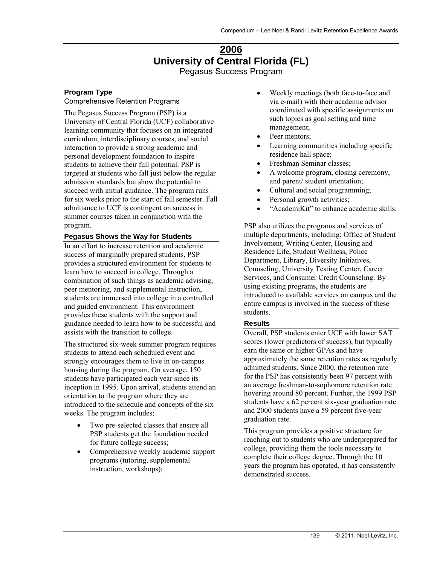# **2006 University of Central Florida (FL)**  Pegasus Success Program

### **Program Type**

#### Comprehensive Retention Programs

The Pegasus Success Program (PSP) is a University of Central Florida (UCF) collaborative learning community that focuses on an integrated curriculum, interdisciplinary courses, and social interaction to provide a strong academic and personal development foundation to inspire students to achieve their full potential. PSP is targeted at students who fall just below the regular admission standards but show the potential to succeed with initial guidance. The program runs for six weeks prior to the start of fall semester. Fall admittance to UCF is contingent on success in summer courses taken in conjunction with the program.

#### **Pegasus Shows the Way for Students**

In an effort to increase retention and academic success of marginally prepared students, PSP provides a structured environment for students to learn how to succeed in college. Through a combination of such things as academic advising, peer mentoring, and supplemental instruction, students are immersed into college in a controlled and guided environment. This environment provides these students with the support and guidance needed to learn how to be successful and assists with the transition to college.

The structured six-week summer program requires students to attend each scheduled event and strongly encourages them to live in on-campus housing during the program. On average, 150 students have participated each year since its inception in 1995. Upon arrival, students attend an orientation to the program where they are introduced to the schedule and concepts of the six weeks. The program includes:

- Two pre-selected classes that ensure all PSP students get the foundation needed for future college success;
- Comprehensive weekly academic support programs (tutoring, supplemental instruction, workshops);
- Weekly meetings (both face-to-face and via e-mail) with their academic advisor coordinated with specific assignments on such topics as goal setting and time management;
- Peer mentors;
- Learning communities including specific residence hall space;
- Freshman Seminar classes;
- A welcome program, closing ceremony, and parent/ student orientation;
- Cultural and social programming;
- Personal growth activities;
- "AcademiKit" to enhance academic skills.

PSP also utilizes the programs and services of multiple departments, including: Office of Student Involvement, Writing Center, Housing and Residence Life, Student Wellness, Police Department, Library, Diversity Initiatives, Counseling, University Testing Center, Career Services, and Consumer Credit Counseling. By using existing programs, the students are introduced to available services on campus and the entire campus is involved in the success of these students.

#### **Results**

Overall, PSP students enter UCF with lower SAT scores (lower predictors of success), but typically earn the same or higher GPAs and have approximately the same retention rates as regularly admitted students. Since 2000, the retention rate for the PSP has consistently been 97 percent with an average freshman-to-sophomore retention rate hovering around 80 percent. Further, the 1999 PSP students have a 62 percent six-year graduation rate and 2000 students have a 59 percent five-year graduation rate.

This program provides a positive structure for reaching out to students who are underprepared for college, providing them the tools necessary to complete their college degree. Through the 10 years the program has operated, it has consistently demonstrated success.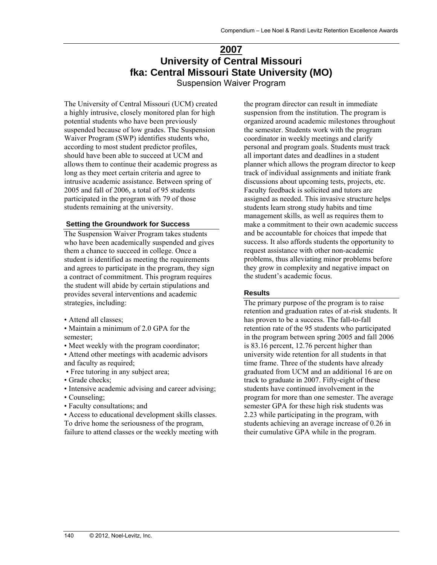# **2007 University of Central Missouri fka: Central Missouri State University (MO)**

Suspension Waiver Program

The University of Central Missouri (UCM) created a highly intrusive, closely monitored plan for high potential students who have been previously suspended because of low grades. The Suspension Waiver Program (SWP) identifies students who, according to most student predictor profiles, should have been able to succeed at UCM and allows them to continue their academic progress as long as they meet certain criteria and agree to intrusive academic assistance. Between spring of 2005 and fall of 2006, a total of 95 students participated in the program with 79 of those students remaining at the university.

#### **Setting the Groundwork for Success**

The Suspension Waiver Program takes students who have been academically suspended and gives them a chance to succeed in college. Once a student is identified as meeting the requirements and agrees to participate in the program, they sign a contract of commitment. This program requires the student will abide by certain stipulations and provides several interventions and academic strategies, including:

- Attend all classes;
- Maintain a minimum of 2.0 GPA for the semester;

• Meet weekly with the program coordinator;

- Attend other meetings with academic advisors and faculty as required;
- Free tutoring in any subject area;
- Grade checks;
- Intensive academic advising and career advising;
- Counseling;
- Faculty consultations; and

• Access to educational development skills classes. To drive home the seriousness of the program, failure to attend classes or the weekly meeting with

the program director can result in immediate suspension from the institution. The program is organized around academic milestones throughout the semester. Students work with the program coordinator in weekly meetings and clarify personal and program goals. Students must track all important dates and deadlines in a student planner which allows the program director to keep track of individual assignments and initiate frank discussions about upcoming tests, projects, etc. Faculty feedback is solicited and tutors are assigned as needed. This invasive structure helps students learn strong study habits and time management skills, as well as requires them to make a commitment to their own academic success and be accountable for choices that impede that success. It also affords students the opportunity to request assistance with other non-academic problems, thus alleviating minor problems before they grow in complexity and negative impact on the student's academic focus.

#### **Results**

The primary purpose of the program is to raise retention and graduation rates of at-risk students. It has proven to be a success. The fall-to-fall retention rate of the 95 students who participated in the program between spring 2005 and fall 2006 is 83.16 percent, 12.76 percent higher than university wide retention for all students in that time frame. Three of the students have already graduated from UCM and an additional 16 are on track to graduate in 2007. Fifty-eight of these students have continued involvement in the program for more than one semester. The average semester GPA for these high risk students was 2.23 while participating in the program, with students achieving an average increase of 0.26 in their cumulative GPA while in the program.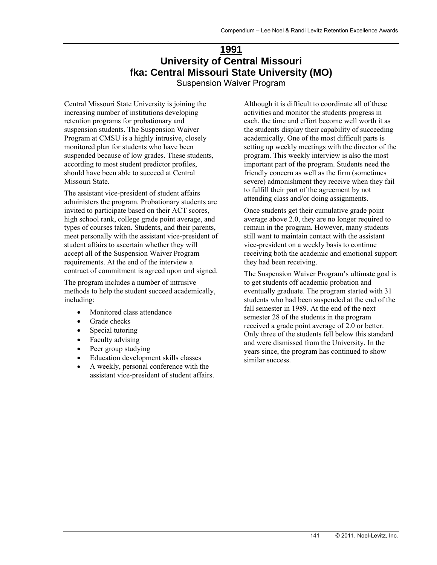# **1991 University of Central Missouri fka: Central Missouri State University (MO)**

Suspension Waiver Program

Central Missouri State University is joining the increasing number of institutions developing retention programs for probationary and suspension students. The Suspension Waiver Program at CMSU is a highly intrusive, closely monitored plan for students who have been suspended because of low grades. These students, according to most student predictor profiles, should have been able to succeed at Central Missouri State.

The assistant vice-president of student affairs administers the program. Probationary students are invited to participate based on their ACT scores, high school rank, college grade point average, and types of courses taken. Students, and their parents, meet personally with the assistant vice-president of student affairs to ascertain whether they will accept all of the Suspension Waiver Program requirements. At the end of the interview a contract of commitment is agreed upon and signed.

The program includes a number of intrusive methods to help the student succeed academically, including:

- Monitored class attendance
- Grade checks
- Special tutoring
- Faculty advising
- Peer group studying
- Education development skills classes
- A weekly, personal conference with the assistant vice-president of student affairs.

Although it is difficult to coordinate all of these activities and monitor the students progress in each, the time and effort become well worth it as the students display their capability of succeeding academically. One of the most difficult parts is setting up weekly meetings with the director of the program. This weekly interview is also the most important part of the program. Students need the friendly concern as well as the firm (sometimes severe) admonishment they receive when they fail to fulfill their part of the agreement by not attending class and/or doing assignments.

Once students get their cumulative grade point average above 2.0, they are no longer required to remain in the program. However, many students still want to maintain contact with the assistant vice-president on a weekly basis to continue receiving both the academic and emotional support they had been receiving.

The Suspension Waiver Program's ultimate goal is to get students off academic probation and eventually graduate. The program started with 31 students who had been suspended at the end of the fall semester in 1989. At the end of the next semester 28 of the students in the program received a grade point average of 2.0 or better. Only three of the students fell below this standard and were dismissed from the University. In the years since, the program has continued to show similar success.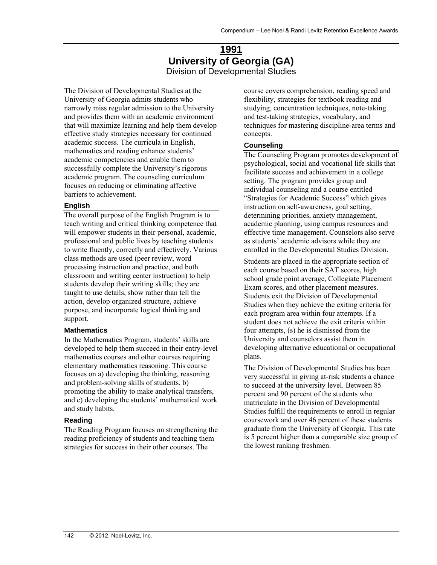# **1991 University of Georgia (GA)**  Division of Developmental Studies

The Division of Developmental Studies at the University of Georgia admits students who narrowly miss regular admission to the University and provides them with an academic environment that will maximize learning and help them develop effective study strategies necessary for continued academic success. The curricula in English, mathematics and reading enhance students' academic competencies and enable them to successfully complete the University's rigorous academic program. The counseling curriculum focuses on reducing or eliminating affective barriers to achievement.

#### **English**

The overall purpose of the English Program is to teach writing and critical thinking competence that will empower students in their personal, academic, professional and public lives by teaching students to write fluently, correctly and effectively. Various class methods are used (peer review, word processing instruction and practice, and both classroom and writing center instruction) to help students develop their writing skills; they are taught to use details, show rather than tell the action, develop organized structure, achieve purpose, and incorporate logical thinking and support.

### **Mathematics**

In the Mathematics Program, students' skills are developed to help them succeed in their entry-level mathematics courses and other courses requiring elementary mathematics reasoning. This course focuses on a) developing the thinking, reasoning and problem-solving skills of students, b) promoting the ability to make analytical transfers, and c) developing the students' mathematical work and study habits.

### **Reading**

The Reading Program focuses on strengthening the reading proficiency of students and teaching them strategies for success in their other courses. The

course covers comprehension, reading speed and flexibility, strategies for textbook reading and studying, concentration techniques, note-taking and test-taking strategies, vocabulary, and techniques for mastering discipline-area terms and concepts.

### **Counseling**

The Counseling Program promotes development of psychological, social and vocational life skills that facilitate success and achievement in a college setting. The program provides group and individual counseling and a course entitled "Strategies for Academic Success" which gives instruction on self-awareness, goal setting, determining priorities, anxiety management, academic planning, using campus resources and effective time management. Counselors also serve as students' academic advisors while they are enrolled in the Developmental Studies Division.

Students are placed in the appropriate section of each course based on their SAT scores, high school grade point average, Collegiate Placement Exam scores, and other placement measures. Students exit the Division of Developmental Studies when they achieve the exiting criteria for each program area within four attempts. If a student does not achieve the exit criteria within four attempts, (s) he is dismissed from the University and counselors assist them in developing alternative educational or occupational plans.

The Division of Developmental Studies has been very successful in giving at-risk students a chance to succeed at the university level. Between 85 percent and 90 percent of the students who matriculate in the Division of Developmental Studies fulfill the requirements to enroll in regular coursework and over 46 percent of these students graduate from the University of Georgia. This rate is 5 percent higher than a comparable size group of the lowest ranking freshmen.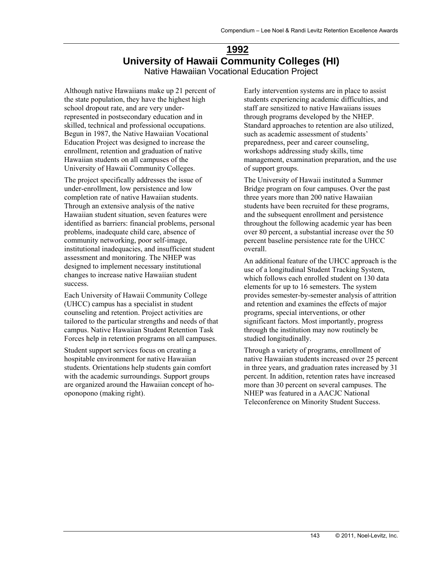# **1992 University of Hawaii Community Colleges (HI)**  Native Hawaiian Vocational Education Project

Although native Hawaiians make up 21 percent of the state population, they have the highest high school dropout rate, and are very underrepresented in postsecondary education and in skilled, technical and professional occupations. Begun in 1987, the Native Hawaiian Vocational Education Project was designed to increase the enrollment, retention and graduation of native Hawaiian students on all campuses of the University of Hawaii Community Colleges.

The project specifically addresses the issue of under-enrollment, low persistence and low completion rate of native Hawaiian students. Through an extensive analysis of the native Hawaiian student situation, seven features were identified as barriers: financial problems, personal problems, inadequate child care, absence of community networking, poor self-image, institutional inadequacies, and insufficient student assessment and monitoring. The NHEP was designed to implement necessary institutional changes to increase native Hawaiian student success.

Each University of Hawaii Community College (UHCC) campus has a specialist in student counseling and retention. Project activities are tailored to the particular strengths and needs of that campus. Native Hawaiian Student Retention Task Forces help in retention programs on all campuses.

Student support services focus on creating a hospitable environment for native Hawaiian students. Orientations help students gain comfort with the academic surroundings. Support groups are organized around the Hawaiian concept of hooponopono (making right).

Early intervention systems are in place to assist students experiencing academic difficulties, and staff are sensitized to native Hawaiians issues through programs developed by the NHEP. Standard approaches to retention are also utilized, such as academic assessment of students' preparedness, peer and career counseling, workshops addressing study skills, time management, examination preparation, and the use of support groups.

The University of Hawaii instituted a Summer Bridge program on four campuses. Over the past three years more than 200 native Hawaiian students have been recruited for these programs, and the subsequent enrollment and persistence throughout the following academic year has been over 80 percent, a substantial increase over the 50 percent baseline persistence rate for the UHCC overall.

An additional feature of the UHCC approach is the use of a longitudinal Student Tracking System, which follows each enrolled student on 130 data elements for up to 16 semesters. The system provides semester-by-semester analysis of attrition and retention and examines the effects of major programs, special interventions, or other significant factors. Most importantly, progress through the institution may now routinely be studied longitudinally.

Through a variety of programs, enrollment of native Hawaiian students increased over 25 percent in three years, and graduation rates increased by 31 percent. In addition, retention rates have increased more than 30 percent on several campuses. The NHEP was featured in a AACJC National Teleconference on Minority Student Success.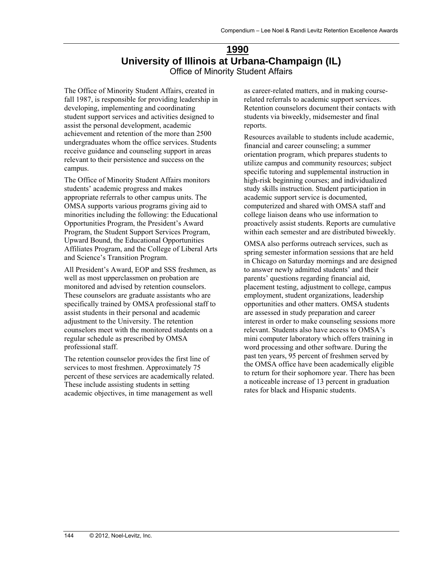# **1990 University of Illinois at Urbana-Champaign (IL)**  Office of Minority Student Affairs

The Office of Minority Student Affairs, created in fall 1987, is responsible for providing leadership in developing, implementing and coordinating student support services and activities designed to assist the personal development, academic achievement and retention of the more than 2500 undergraduates whom the office services. Students receive guidance and counseling support in areas relevant to their persistence and success on the campus.

The Office of Minority Student Affairs monitors students' academic progress and makes appropriate referrals to other campus units. The OMSA supports various programs giving aid to minorities including the following: the Educational Opportunities Program, the President's Award Program, the Student Support Services Program, Upward Bound, the Educational Opportunities Affiliates Program, and the College of Liberal Arts and Science's Transition Program.

All President's Award, EOP and SSS freshmen, as well as most upperclassmen on probation are monitored and advised by retention counselors. These counselors are graduate assistants who are specifically trained by OMSA professional staff to assist students in their personal and academic adjustment to the University. The retention counselors meet with the monitored students on a regular schedule as prescribed by OMSA professional staff.

The retention counselor provides the first line of services to most freshmen. Approximately 75 percent of these services are academically related. These include assisting students in setting academic objectives, in time management as well

as career-related matters, and in making courserelated referrals to academic support services. Retention counselors document their contacts with students via biweekly, midsemester and final reports.

Resources available to students include academic, financial and career counseling; a summer orientation program, which prepares students to utilize campus and community resources; subject specific tutoring and supplemental instruction in high-risk beginning courses; and individualized study skills instruction. Student participation in academic support service is documented, computerized and shared with OMSA staff and college liaison deans who use information to proactively assist students. Reports are cumulative within each semester and are distributed biweekly.

OMSA also performs outreach services, such as spring semester information sessions that are held in Chicago on Saturday mornings and are designed to answer newly admitted students' and their parents' questions regarding financial aid, placement testing, adjustment to college, campus employment, student organizations, leadership opportunities and other matters. OMSA students are assessed in study preparation and career interest in order to make counseling sessions more relevant. Students also have access to OMSA's mini computer laboratory which offers training in word processing and other software. During the past ten years, 95 percent of freshmen served by the OMSA office have been academically eligible to return for their sophomore year. There has been a noticeable increase of 13 percent in graduation rates for black and Hispanic students.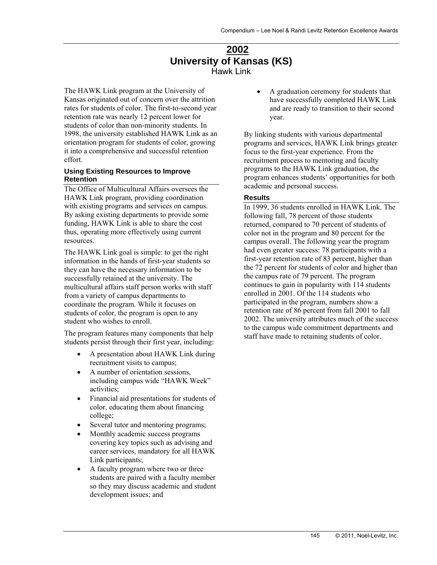## **2002 University of Kansas (KS)**  Hawk Link

The HAWK Link program at the University of Kansas originated out of concern over the attrition rates for students of color. The first-to-second year retention rate was nearly 12 percent lower for students of color than non-minority students. In 1998, the university established HAWK Link as an orientation program for students of color, growing it into a comprehensive and successful retention effort.

#### **Using Existing Resources to Improve Retention**

The Office of Multicultural Affairs oversees the HAWK Link program, providing coordination with existing programs and services on campus. By asking existing departments to provide some funding, HAWK Link is able to share the cost thus, operating more effectively using current resources.

The HAWK Link goal is simple: to get the right information in the hands of first-year students so they can have the necessary information to be successfully retained at the university. The multicultural affairs staff person works with staff from a variety of campus departments to coordinate the program. While it focuses on students of color, the program is open to any student who wishes to enroll.

The program features many components that help students persist through their first year, including:

- A presentation about HAWK Link during recruitment visits to campus;
- A number of orientation sessions, including campus wide "HAWK Week" activities;
- Financial aid presentations for students of color, educating them about financing college;
- Several tutor and mentoring programs;
- Monthly academic success programs covering key topics such as advising and career services, mandatory for all HAWK Link participants;
- A faculty program where two or three students are paired with a faculty member so they may discuss academic and student development issues; and

 A graduation ceremony for students that have successfully completed HAWK Link and are ready to transition to their second year.

By linking students with various departmental programs and services, HAWK Link brings greater focus to the first-year experience. From the recruitment process to mentoring and faculty programs to the HAWK Link graduation, the program enhances students' opportunities for both academic and personal success.

#### **Results**

In 1999, 36 students enrolled in HAWK Link. The following fall, 78 percent of those students returned, compared to 70 percent of students of color not in the program and 80 percent for the campus overall. The following year the program had even greater success: 78 participants with a first-year retention rate of 83 percent, higher than the 72 percent for students of color and higher than the campus rate of 79 percent. The program continues to gain in popularity with 114 students enrolled in 2001. Of the 114 students who participated in the program, numbers show a retention rate of 86 percent from fall 2001 to fall 2002. The university attributes much of the success to the campus wide commitment departments and staff have made to retaining students of color.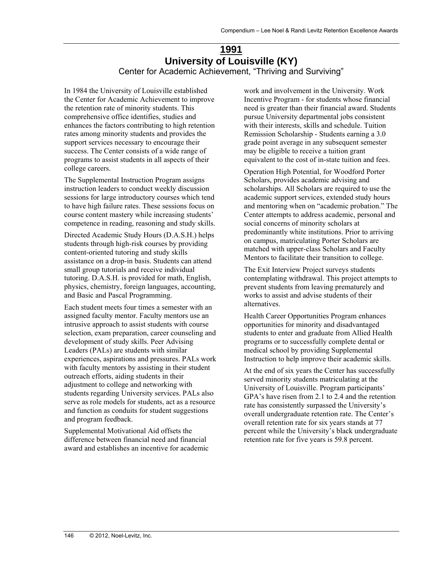## **1991 University of Louisville (KY)**  Center for Academic Achievement, "Thriving and Surviving"

In 1984 the University of Louisville established the Center for Academic Achievement to improve the retention rate of minority students. This comprehensive office identifies, studies and enhances the factors contributing to high retention rates among minority students and provides the support services necessary to encourage their success. The Center consists of a wide range of programs to assist students in all aspects of their college careers.

The Supplemental Instruction Program assigns instruction leaders to conduct weekly discussion sessions for large introductory courses which tend to have high failure rates. These sessions focus on course content mastery while increasing students' competence in reading, reasoning and study skills.

Directed Academic Study Hours (D.A.S.H.) helps students through high-risk courses by providing content-oriented tutoring and study skills assistance on a drop-in basis. Students can attend small group tutorials and receive individual tutoring. D.A.S.H. is provided for math, English, physics, chemistry, foreign languages, accounting, and Basic and Pascal Programming.

Each student meets four times a semester with an assigned faculty mentor. Faculty mentors use an intrusive approach to assist students with course selection, exam preparation, career counseling and development of study skills. Peer Advising Leaders (PALs) are students with similar experiences, aspirations and pressures. PALs work with faculty mentors by assisting in their student outreach efforts, aiding students in their adjustment to college and networking with students regarding University services. PALs also serve as role models for students, act as a resource and function as conduits for student suggestions and program feedback.

Supplemental Motivational Aid offsets the difference between financial need and financial award and establishes an incentive for academic work and involvement in the University. Work Incentive Program - for students whose financial need is greater than their financial award. Students pursue University departmental jobs consistent with their interests, skills and schedule. Tuition Remission Scholarship - Students earning a 3.0 grade point average in any subsequent semester may be eligible to receive a tuition grant equivalent to the cost of in-state tuition and fees.

Operation High Potential, for Woodford Porter Scholars, provides academic advising and scholarships. All Scholars are required to use the academic support services, extended study hours and mentoring when on "academic probation." The Center attempts to address academic, personal and social concerns of minority scholars at predominantly white institutions. Prior to arriving on campus, matriculating Porter Scholars are matched with upper-class Scholars and Faculty Mentors to facilitate their transition to college.

The Exit Interview Project surveys students contemplating withdrawal. This project attempts to prevent students from leaving prematurely and works to assist and advise students of their alternatives.

Health Career Opportunities Program enhances opportunities for minority and disadvantaged students to enter and graduate from Allied Health programs or to successfully complete dental or medical school by providing Supplemental Instruction to help improve their academic skills.

At the end of six years the Center has successfully served minority students matriculating at the University of Louisville. Program participants' GPA's have risen from 2.1 to 2.4 and the retention rate has consistently surpassed the University's overall undergraduate retention rate. The Center's overall retention rate for six years stands at 77 percent while the University's black undergraduate retention rate for five years is 59.8 percent.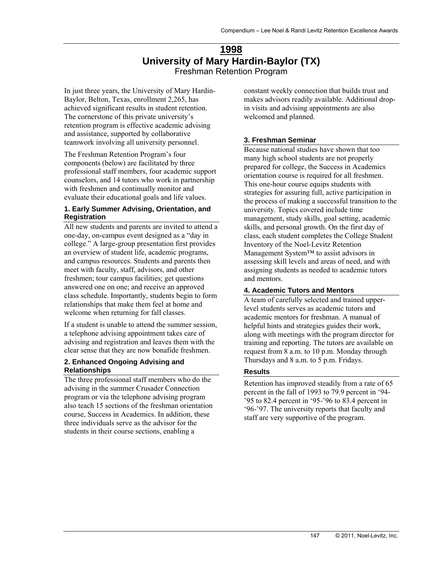## **1998 University of Mary Hardin-Baylor (TX)**  Freshman Retention Program

In just three years, the University of Mary Hardin-Baylor, Belton, Texas, enrollment 2,265, has achieved significant results in student retention. The cornerstone of this private university's retention program is effective academic advising and assistance, supported by collaborative teamwork involving all university personnel.

The Freshman Retention Program's four components (below) are facilitated by three professional staff members, four academic support counselors, and 14 tutors who work in partnership with freshmen and continually monitor and evaluate their educational goals and life values.

#### **1. Early Summer Advising, Orientation, and Registration**

All new students and parents are invited to attend a one-day, on-campus event designed as a "day in college." A large-group presentation first provides an overview of student life, academic programs, and campus resources. Students and parents then meet with faculty, staff, advisors, and other freshmen; tour campus facilities; get questions answered one on one; and receive an approved class schedule. Importantly, students begin to form relationships that make them feel at home and welcome when returning for fall classes.

If a student is unable to attend the summer session, a telephone advising appointment takes care of advising and registration and leaves them with the clear sense that they are now bonafide freshmen.

#### **2. Enhanced Ongoing Advising and Relationships**

The three professional staff members who do the advising in the summer Crusader Connection program or via the telephone advising program also teach 15 sections of the freshman orientation course, Success in Academics. In addition, these three individuals serve as the advisor for the students in their course sections, enabling a

constant weekly connection that builds trust and makes advisors readily available. Additional dropin visits and advising appointments are also welcomed and planned.

#### **3. Freshman Seminar**

Because national studies have shown that too many high school students are not properly prepared for college, the Success in Academics orientation course is required for all freshmen. This one-hour course equips students with strategies for assuring full, active participation in the process of making a successful transition to the university. Topics covered include time management, study skills, goal setting, academic skills, and personal growth. On the first day of class, each student completes the College Student Inventory of the Noel-Levitz Retention Management System™ to assist advisors in assessing skill levels and areas of need, and with assigning students as needed to academic tutors and mentors.

#### **4. Academic Tutors and Mentors**

A team of carefully selected and trained upperlevel students serves as academic tutors and academic mentors for freshman. A manual of helpful hints and strategies guides their work, along with meetings with the program director for training and reporting. The tutors are available on request from 8 a.m. to 10 p.m. Monday through Thursdays and 8 a.m. to 5 p.m. Fridays.

#### **Results**

Retention has improved steadily from a rate of 65 percent in the fall of 1993 to 79.9 percent in '94-  $\frac{1}{2}$ , 95 to 82.4 percent in '95-'96 to 83.4 percent in '96-'97. The university reports that faculty and staff are very supportive of the program.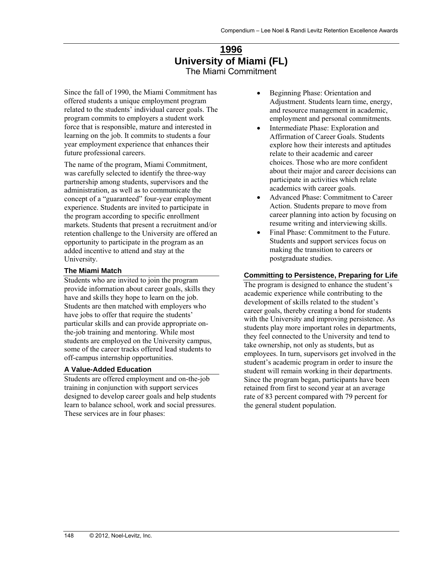## **1996 University of Miami (FL)**  The Miami Commitment

Since the fall of 1990, the Miami Commitment has offered students a unique employment program related to the students' individual career goals. The program commits to employers a student work force that is responsible, mature and interested in learning on the job. It commits to students a four year employment experience that enhances their future professional careers.

The name of the program, Miami Commitment, was carefully selected to identify the three-way partnership among students, supervisors and the administration, as well as to communicate the concept of a "guaranteed" four-year employment experience. Students are invited to participate in the program according to specific enrollment markets. Students that present a recruitment and/or retention challenge to the University are offered an opportunity to participate in the program as an added incentive to attend and stay at the University.

### **The Miami Match**

Students who are invited to join the program provide information about career goals, skills they have and skills they hope to learn on the job. Students are then matched with employers who have jobs to offer that require the students' particular skills and can provide appropriate onthe-job training and mentoring. While most students are employed on the University campus, some of the career tracks offered lead students to off-campus internship opportunities.

#### **A Value-Added Education**

Students are offered employment and on-the-job training in conjunction with support services designed to develop career goals and help students learn to balance school, work and social pressures. These services are in four phases:

- Beginning Phase: Orientation and Adjustment. Students learn time, energy, and resource management in academic, employment and personal commitments.
- Intermediate Phase: Exploration and Affirmation of Career Goals. Students explore how their interests and aptitudes relate to their academic and career choices. Those who are more confident about their major and career decisions can participate in activities which relate academics with career goals.
- Advanced Phase: Commitment to Career Action. Students prepare to move from career planning into action by focusing on resume writing and interviewing skills.
- Final Phase: Commitment to the Future. Students and support services focus on making the transition to careers or postgraduate studies.

### **Committing to Persistence, Preparing for Life**

The program is designed to enhance the student's academic experience while contributing to the development of skills related to the student's career goals, thereby creating a bond for students with the University and improving persistence. As students play more important roles in departments, they feel connected to the University and tend to take ownership, not only as students, but as employees. In turn, supervisors get involved in the student's academic program in order to insure the student will remain working in their departments. Since the program began, participants have been retained from first to second year at an average rate of 83 percent compared with 79 percent for the general student population.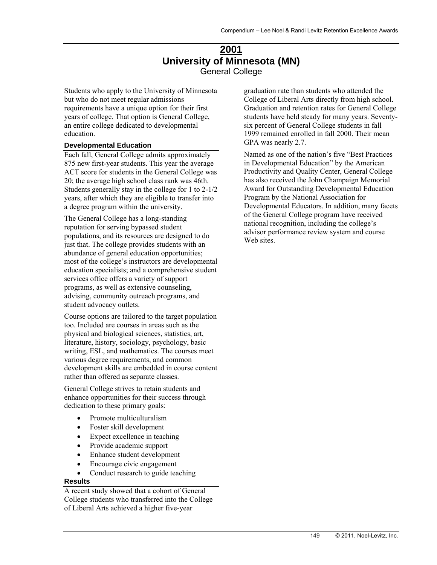## **2001 University of Minnesota (MN)**  General College

Students who apply to the University of Minnesota but who do not meet regular admissions requirements have a unique option for their first years of college. That option is General College, an entire college dedicated to developmental education.

#### **Developmental Education**

Each fall, General College admits approximately 875 new first-year students. This year the average ACT score for students in the General College was 20; the average high school class rank was 46th. Students generally stay in the college for 1 to 2-1/2 years, after which they are eligible to transfer into a degree program within the university.

The General College has a long-standing reputation for serving bypassed student populations, and its resources are designed to do just that. The college provides students with an abundance of general education opportunities; most of the college's instructors are developmental education specialists; and a comprehensive student services office offers a variety of support programs, as well as extensive counseling, advising, community outreach programs, and student advocacy outlets.

Course options are tailored to the target population too. Included are courses in areas such as the physical and biological sciences, statistics, art, literature, history, sociology, psychology, basic writing, ESL, and mathematics. The courses meet various degree requirements, and common development skills are embedded in course content rather than offered as separate classes.

General College strives to retain students and enhance opportunities for their success through dedication to these primary goals:

- Promote multiculturalism
- Foster skill development
- Expect excellence in teaching
- Provide academic support
- Enhance student development
- Encourage civic engagement
- Conduct research to guide teaching

#### **Results**

A recent study showed that a cohort of General College students who transferred into the College of Liberal Arts achieved a higher five-year

graduation rate than students who attended the College of Liberal Arts directly from high school. Graduation and retention rates for General College students have held steady for many years. Seventysix percent of General College students in fall 1999 remained enrolled in fall 2000. Their mean GPA was nearly 2.7.

Named as one of the nation's five "Best Practices in Developmental Education" by the American Productivity and Quality Center, General College has also received the John Champaign Memorial Award for Outstanding Developmental Education Program by the National Association for Developmental Educators. In addition, many facets of the General College program have received national recognition, including the college's advisor performance review system and course Web sites.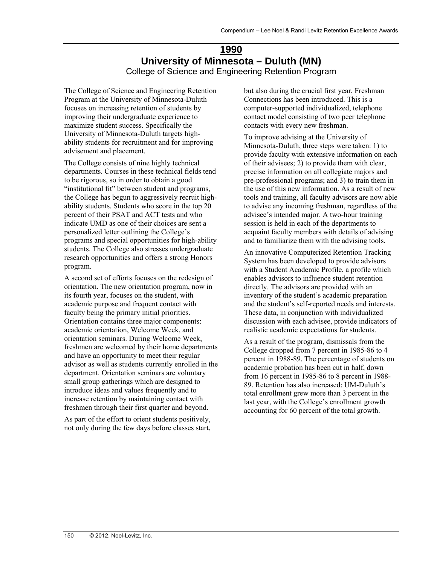## **1990 University of Minnesota – Duluth (MN)**  College of Science and Engineering Retention Program

The College of Science and Engineering Retention Program at the University of Minnesota-Duluth focuses on increasing retention of students by improving their undergraduate experience to maximize student success. Specifically the University of Minnesota-Duluth targets highability students for recruitment and for improving advisement and placement.

The College consists of nine highly technical departments. Courses in these technical fields tend to be rigorous, so in order to obtain a good "institutional fit" between student and programs, the College has begun to aggressively recruit highability students. Students who score in the top 20 percent of their PSAT and ACT tests and who indicate UMD as one of their choices are sent a personalized letter outlining the College's programs and special opportunities for high-ability students. The College also stresses undergraduate research opportunities and offers a strong Honors program.

A second set of efforts focuses on the redesign of orientation. The new orientation program, now in its fourth year, focuses on the student, with academic purpose and frequent contact with faculty being the primary initial priorities. Orientation contains three major components: academic orientation, Welcome Week, and orientation seminars. During Welcome Week, freshmen are welcomed by their home departments and have an opportunity to meet their regular advisor as well as students currently enrolled in the department. Orientation seminars are voluntary small group gatherings which are designed to introduce ideas and values frequently and to increase retention by maintaining contact with freshmen through their first quarter and beyond.

As part of the effort to orient students positively, not only during the few days before classes start,

but also during the crucial first year, Freshman Connections has been introduced. This is a computer-supported individualized, telephone contact model consisting of two peer telephone contacts with every new freshman.

To improve advising at the University of Minnesota-Duluth, three steps were taken: 1) to provide faculty with extensive information on each of their advisees; 2) to provide them with clear, precise information on all collegiate majors and pre-professional programs; and 3) to train them in the use of this new information. As a result of new tools and training, all faculty advisors are now able to advise any incoming freshman, regardless of the advisee's intended major. A two-hour training session is held in each of the departments to acquaint faculty members with details of advising and to familiarize them with the advising tools.

An innovative Computerized Retention Tracking System has been developed to provide advisors with a Student Academic Profile, a profile which enables advisors to influence student retention directly. The advisors are provided with an inventory of the student's academic preparation and the student's self-reported needs and interests. These data, in conjunction with individualized discussion with each advisee, provide indicators of realistic academic expectations for students.

As a result of the program, dismissals from the College dropped from 7 percent in 1985-86 to 4 percent in 1988-89. The percentage of students on academic probation has been cut in half, down from 16 percent in 1985-86 to 8 percent in 1988- 89. Retention has also increased: UM-Duluth's total enrollment grew more than 3 percent in the last year, with the College's enrollment growth accounting for 60 percent of the total growth.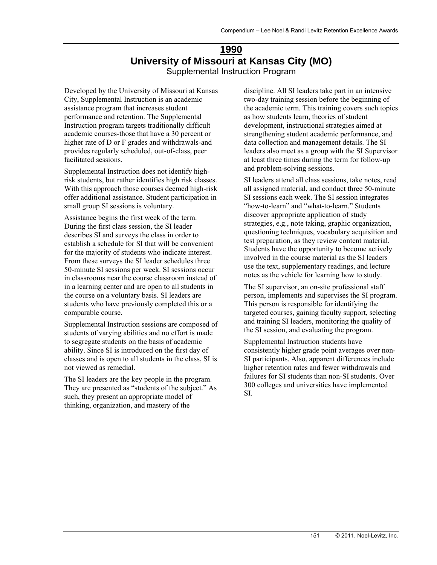## **1990 University of Missouri at Kansas City (MO)**  Supplemental Instruction Program

Developed by the University of Missouri at Kansas City, Supplemental Instruction is an academic assistance program that increases student performance and retention. The Supplemental Instruction program targets traditionally difficult academic courses-those that have a 30 percent or higher rate of D or F grades and withdrawals-and provides regularly scheduled, out-of-class, peer facilitated sessions.

Supplemental Instruction does not identify highrisk students, but rather identifies high risk classes. With this approach those courses deemed high-risk offer additional assistance. Student participation in small group SI sessions is voluntary.

Assistance begins the first week of the term. During the first class session, the SI leader describes SI and surveys the class in order to establish a schedule for SI that will be convenient for the majority of students who indicate interest. From these surveys the SI leader schedules three 50-minute SI sessions per week. SI sessions occur in classrooms near the course classroom instead of in a learning center and are open to all students in the course on a voluntary basis. SI leaders are students who have previously completed this or a comparable course.

Supplemental Instruction sessions are composed of students of varying abilities and no effort is made to segregate students on the basis of academic ability. Since SI is introduced on the first day of classes and is open to all students in the class, SI is not viewed as remedial.

The SI leaders are the key people in the program. They are presented as "students of the subject." As such, they present an appropriate model of thinking, organization, and mastery of the

discipline. All SI leaders take part in an intensive two-day training session before the beginning of the academic term. This training covers such topics as how students learn, theories of student development, instructional strategies aimed at strengthening student academic performance, and data collection and management details. The SI leaders also meet as a group with the SI Supervisor at least three times during the term for follow-up and problem-solving sessions.

SI leaders attend all class sessions, take notes, read all assigned material, and conduct three 50-minute SI sessions each week. The SI session integrates "how-to-learn" and "what-to-learn." Students discover appropriate application of study strategies, e.g., note taking, graphic organization, questioning techniques, vocabulary acquisition and test preparation, as they review content material. Students have the opportunity to become actively involved in the course material as the SI leaders use the text, supplementary readings, and lecture notes as the vehicle for learning how to study.

The SI supervisor, an on-site professional staff person, implements and supervises the SI program. This person is responsible for identifying the targeted courses, gaining faculty support, selecting and training SI leaders, monitoring the quality of the SI session, and evaluating the program.

Supplemental Instruction students have consistently higher grade point averages over non-SI participants. Also, apparent differences include higher retention rates and fewer withdrawals and failures for SI students than non-SI students. Over 300 colleges and universities have implemented SI.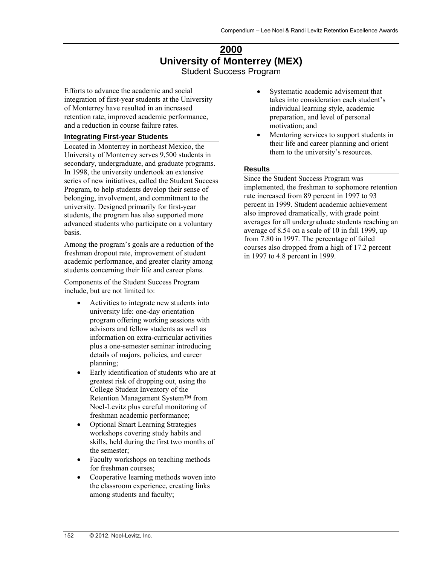## **2000 University of Monterrey (MEX)**  Student Success Program

Efforts to advance the academic and social integration of first-year students at the University of Monterrey have resulted in an increased retention rate, improved academic performance, and a reduction in course failure rates.

#### **Integrating First-year Students**

Located in Monterrey in northeast Mexico, the University of Monterrey serves 9,500 students in secondary, undergraduate, and graduate programs. In 1998, the university undertook an extensive series of new initiatives, called the Student Success Program, to help students develop their sense of belonging, involvement, and commitment to the university. Designed primarily for first-year students, the program has also supported more advanced students who participate on a voluntary basis.

Among the program's goals are a reduction of the freshman dropout rate, improvement of student academic performance, and greater clarity among students concerning their life and career plans.

Components of the Student Success Program include, but are not limited to:

- Activities to integrate new students into university life: one-day orientation program offering working sessions with advisors and fellow students as well as information on extra-curricular activities plus a one-semester seminar introducing details of majors, policies, and career planning;
- Early identification of students who are at greatest risk of dropping out, using the College Student Inventory of the Retention Management System™ from Noel-Levitz plus careful monitoring of freshman academic performance;
- Optional Smart Learning Strategies workshops covering study habits and skills, held during the first two months of the semester;
- Faculty workshops on teaching methods for freshman courses;
- Cooperative learning methods woven into the classroom experience, creating links among students and faculty;
- Systematic academic advisement that takes into consideration each student's individual learning style, academic preparation, and level of personal motivation; and
- Mentoring services to support students in their life and career planning and orient them to the university's resources.

#### **Results**

Since the Student Success Program was implemented, the freshman to sophomore retention rate increased from 89 percent in 1997 to 93 percent in 1999. Student academic achievement also improved dramatically, with grade point averages for all undergraduate students reaching an average of 8.54 on a scale of 10 in fall 1999, up from 7.80 in 1997. The percentage of failed courses also dropped from a high of 17.2 percent in 1997 to 4.8 percent in 1999.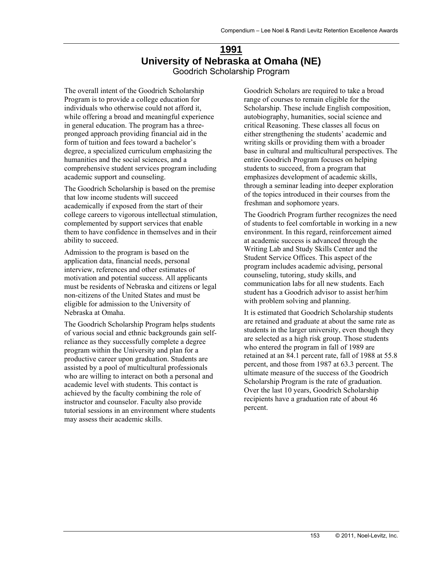## **1991 University of Nebraska at Omaha (NE)**  Goodrich Scholarship Program

The overall intent of the Goodrich Scholarship Program is to provide a college education for individuals who otherwise could not afford it, while offering a broad and meaningful experience in general education. The program has a threepronged approach providing financial aid in the form of tuition and fees toward a bachelor's degree, a specialized curriculum emphasizing the humanities and the social sciences, and a comprehensive student services program including academic support and counseling.

The Goodrich Scholarship is based on the premise that low income students will succeed academically if exposed from the start of their college careers to vigorous intellectual stimulation, complemented by support services that enable them to have confidence in themselves and in their ability to succeed.

Admission to the program is based on the application data, financial needs, personal interview, references and other estimates of motivation and potential success. All applicants must be residents of Nebraska and citizens or legal non-citizens of the United States and must be eligible for admission to the University of Nebraska at Omaha.

The Goodrich Scholarship Program helps students of various social and ethnic backgrounds gain selfreliance as they successfully complete a degree program within the University and plan for a productive career upon graduation. Students are assisted by a pool of multicultural professionals who are willing to interact on both a personal and academic level with students. This contact is achieved by the faculty combining the role of instructor and counselor. Faculty also provide tutorial sessions in an environment where students may assess their academic skills.

Goodrich Scholars are required to take a broad range of courses to remain eligible for the Scholarship. These include English composition, autobiography, humanities, social science and critical Reasoning. These classes all focus on either strengthening the students' academic and writing skills or providing them with a broader base in cultural and multicultural perspectives. The entire Goodrich Program focuses on helping students to succeed, from a program that emphasizes development of academic skills, through a seminar leading into deeper exploration of the topics introduced in their courses from the freshman and sophomore years.

The Goodrich Program further recognizes the need of students to feel comfortable in working in a new environment. In this regard, reinforcement aimed at academic success is advanced through the Writing Lab and Study Skills Center and the Student Service Offices. This aspect of the program includes academic advising, personal counseling, tutoring, study skills, and communication labs for all new students. Each student has a Goodrich advisor to assist her/him with problem solving and planning.

It is estimated that Goodrich Scholarship students are retained and graduate at about the same rate as students in the larger university, even though they are selected as a high risk group. Those students who entered the program in fall of 1989 are retained at an 84.1 percent rate, fall of 1988 at 55.8 percent, and those from 1987 at 63.3 percent. The ultimate measure of the success of the Goodrich Scholarship Program is the rate of graduation. Over the last 10 years, Goodrich Scholarship recipients have a graduation rate of about 46 percent.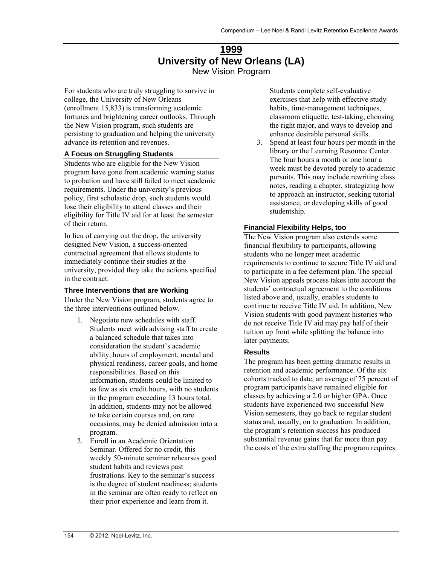## **1999 University of New Orleans (LA)**  New Vision Program

For students who are truly struggling to survive in college, the University of New Orleans (enrollment 15,833) is transforming academic fortunes and brightening career outlooks. Through the New Vision program, such students are persisting to graduation and helping the university advance its retention and revenues.

#### **A Focus on Struggling Students**

Students who are eligible for the New Vision program have gone from academic warning status to probation and have still failed to meet academic requirements. Under the university's previous policy, first scholastic drop, such students would lose their eligibility to attend classes and their eligibility for Title IV aid for at least the semester of their return.

In lieu of carrying out the drop, the university designed New Vision, a success-oriented contractual agreement that allows students to immediately continue their studies at the university, provided they take the actions specified in the contract.

#### **Three Interventions that are Working**

Under the New Vision program, students agree to the three interventions outlined below.

- 1. Negotiate new schedules with staff. Students meet with advising staff to create a balanced schedule that takes into consideration the student's academic ability, hours of employment, mental and physical readiness, career goals, and home responsibilities. Based on this information, students could be limited to as few as six credit hours, with no students in the program exceeding 13 hours total. In addition, students may not be allowed to take certain courses and, on rare occasions, may be denied admission into a program.
- 2. Enroll in an Academic Orientation Seminar. Offered for no credit, this weekly 50-minute seminar rehearses good student habits and reviews past frustrations. Key to the seminar's success is the degree of student readiness; students in the seminar are often ready to reflect on their prior experience and learn from it.

Students complete self-evaluative exercises that help with effective study habits, time-management techniques, classroom etiquette, test-taking, choosing the right major, and ways to develop and enhance desirable personal skills.

3. Spend at least four hours per month in the library or the Learning Resource Center. The four hours a month or one hour a week must be devoted purely to academic pursuits. This may include rewriting class notes, reading a chapter, strategizing how to approach an instructor, seeking tutorial assistance, or developing skills of good studentship.

#### **Financial Flexibility Helps, too**

The New Vision program also extends some financial flexibility to participants, allowing students who no longer meet academic requirements to continue to secure Title IV aid and to participate in a fee deferment plan. The special New Vision appeals process takes into account the students' contractual agreement to the conditions listed above and, usually, enables students to continue to receive Title IV aid. In addition, New Vision students with good payment histories who do not receive Title IV aid may pay half of their tuition up front while splitting the balance into later payments.

#### **Results**

The program has been getting dramatic results in retention and academic performance. Of the six cohorts tracked to date, an average of 75 percent of program participants have remained eligible for classes by achieving a 2.0 or higher GPA. Once students have experienced two successful New Vision semesters, they go back to regular student status and, usually, on to graduation. In addition, the program's retention success has produced substantial revenue gains that far more than pay the costs of the extra staffing the program requires.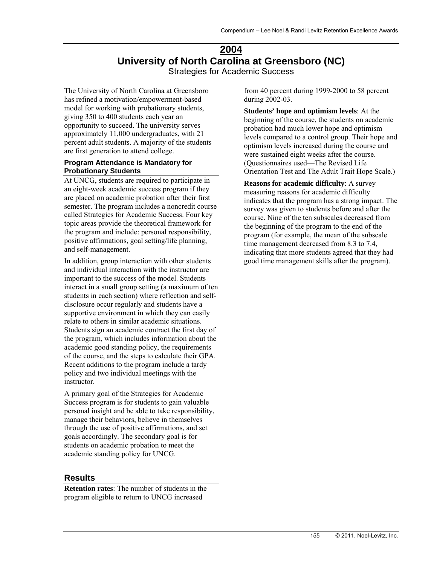## **2004 University of North Carolina at Greensboro (NC)**  Strategies for Academic Success

The University of North Carolina at Greensboro has refined a motivation/empowerment-based model for working with probationary students, giving 350 to 400 students each year an opportunity to succeed. The university serves approximately 11,000 undergraduates, with 21 percent adult students. A majority of the students are first generation to attend college.

#### **Program Attendance is Mandatory for Probationary Students**

At UNCG, students are required to participate in an eight-week academic success program if they are placed on academic probation after their first semester. The program includes a noncredit course called Strategies for Academic Success. Four key topic areas provide the theoretical framework for the program and include: personal responsibility, positive affirmations, goal setting/life planning, and self-management.

In addition, group interaction with other students and individual interaction with the instructor are important to the success of the model. Students interact in a small group setting (a maximum of ten students in each section) where reflection and selfdisclosure occur regularly and students have a supportive environment in which they can easily relate to others in similar academic situations. Students sign an academic contract the first day of the program, which includes information about the academic good standing policy, the requirements of the course, and the steps to calculate their GPA. Recent additions to the program include a tardy policy and two individual meetings with the instructor.

A primary goal of the Strategies for Academic Success program is for students to gain valuable personal insight and be able to take responsibility, manage their behaviors, believe in themselves through the use of positive affirmations, and set goals accordingly. The secondary goal is for students on academic probation to meet the academic standing policy for UNCG.

## **Results**

**Retention rates**: The number of students in the program eligible to return to UNCG increased

from 40 percent during 1999-2000 to 58 percent during 2002-03.

**Students' hope and optimism levels**: At the beginning of the course, the students on academic probation had much lower hope and optimism levels compared to a control group. Their hope and optimism levels increased during the course and were sustained eight weeks after the course. (Questionnaires used—The Revised Life Orientation Test and The Adult Trait Hope Scale.)

**Reasons for academic difficulty**: A survey measuring reasons for academic difficulty indicates that the program has a strong impact. The survey was given to students before and after the course. Nine of the ten subscales decreased from the beginning of the program to the end of the program (for example, the mean of the subscale time management decreased from 8.3 to 7.4, indicating that more students agreed that they had good time management skills after the program).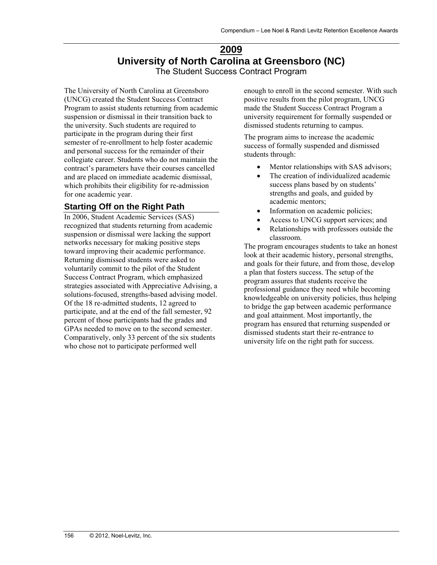## **2009 University of North Carolina at Greensboro (NC)**  The Student Success Contract Program

The University of North Carolina at Greensboro (UNCG) created the Student Success Contract Program to assist students returning from academic suspension or dismissal in their transition back to the university. Such students are required to participate in the program during their first semester of re-enrollment to help foster academic and personal success for the remainder of their collegiate career. Students who do not maintain the contract's parameters have their courses cancelled and are placed on immediate academic dismissal, which prohibits their eligibility for re-admission for one academic year.

## **Starting Off on the Right Path**

In 2006, Student Academic Services (SAS) recognized that students returning from academic suspension or dismissal were lacking the support networks necessary for making positive steps toward improving their academic performance. Returning dismissed students were asked to voluntarily commit to the pilot of the Student Success Contract Program, which emphasized strategies associated with Appreciative Advising, a solutions-focused, strengths-based advising model. Of the 18 re-admitted students, 12 agreed to participate, and at the end of the fall semester, 92 percent of those participants had the grades and GPAs needed to move on to the second semester. Comparatively, only 33 percent of the six students who chose not to participate performed well

enough to enroll in the second semester. With such positive results from the pilot program, UNCG made the Student Success Contract Program a university requirement for formally suspended or dismissed students returning to campus.

The program aims to increase the academic success of formally suspended and dismissed students through:

- Mentor relationships with SAS advisors;
- The creation of individualized academic success plans based by on students' strengths and goals, and guided by academic mentors;
- Information on academic policies;
- Access to UNCG support services; and
- Relationships with professors outside the classroom.

The program encourages students to take an honest look at their academic history, personal strengths, and goals for their future, and from those, develop a plan that fosters success. The setup of the program assures that students receive the professional guidance they need while becoming knowledgeable on university policies, thus helping to bridge the gap between academic performance and goal attainment. Most importantly, the program has ensured that returning suspended or dismissed students start their re-entrance to university life on the right path for success.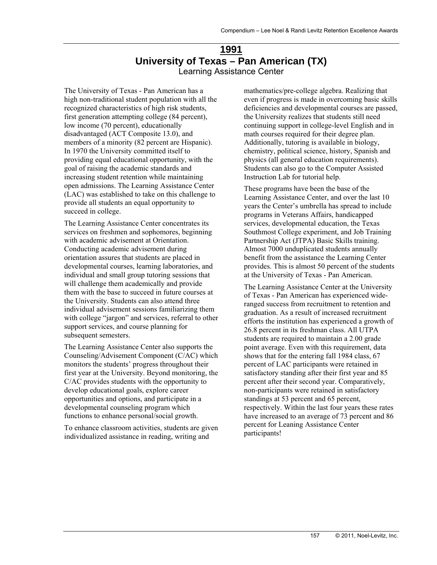## **1991 University of Texas – Pan American (TX)**  Learning Assistance Center

The University of Texas - Pan American has a high non-traditional student population with all the recognized characteristics of high risk students, first generation attempting college (84 percent), low income (70 percent), educationally disadvantaged (ACT Composite 13.0), and members of a minority (82 percent are Hispanic). In 1970 the University committed itself to providing equal educational opportunity, with the goal of raising the academic standards and increasing student retention while maintaining open admissions. The Learning Assistance Center (LAC) was established to take on this challenge to provide all students an equal opportunity to succeed in college.

The Learning Assistance Center concentrates its services on freshmen and sophomores, beginning with academic advisement at Orientation. Conducting academic advisement during orientation assures that students are placed in developmental courses, learning laboratories, and individual and small group tutoring sessions that will challenge them academically and provide them with the base to succeed in future courses at the University. Students can also attend three individual advisement sessions familiarizing them with college "jargon" and services, referral to other support services, and course planning for subsequent semesters.

The Learning Assistance Center also supports the Counseling/Advisement Component (C/AC) which monitors the students' progress throughout their first year at the University. Beyond monitoring, the C/AC provides students with the opportunity to develop educational goals, explore career opportunities and options, and participate in a developmental counseling program which functions to enhance personal/social growth.

To enhance classroom activities, students are given individualized assistance in reading, writing and

mathematics/pre-college algebra. Realizing that even if progress is made in overcoming basic skills deficiencies and developmental courses are passed, the University realizes that students still need continuing support in college-level English and in math courses required for their degree plan. Additionally, tutoring is available in biology, chemistry, political science, history, Spanish and physics (all general education requirements). Students can also go to the Computer Assisted Instruction Lab for tutorial help.

These programs have been the base of the Learning Assistance Center, and over the last 10 years the Center's umbrella has spread to include programs in Veterans Affairs, handicapped services, developmental education, the Texas Southmost College experiment, and Job Training Partnership Act (JTPA) Basic Skills training. Almost 7000 unduplicated students annually benefit from the assistance the Learning Center provides. This is almost 50 percent of the students at the University of Texas - Pan American.

The Learning Assistance Center at the University of Texas - Pan American has experienced wideranged success from recruitment to retention and graduation. As a result of increased recruitment efforts the institution has experienced a growth of 26.8 percent in its freshman class. All UTPA students are required to maintain a 2.00 grade point average. Even with this requirement, data shows that for the entering fall 1984 class, 67 percent of LAC participants were retained in satisfactory standing after their first year and 85 percent after their second year. Comparatively, non-participants were retained in satisfactory standings at 53 percent and 65 percent, respectively. Within the last four years these rates have increased to an average of 73 percent and 86 percent for Leaning Assistance Center participants!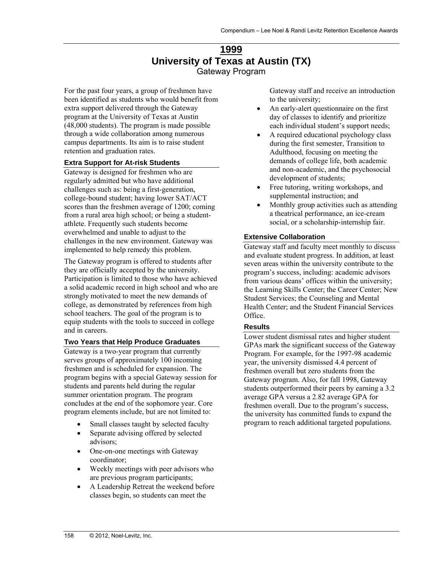## **1999 University of Texas at Austin (TX)**  Gateway Program

For the past four years, a group of freshmen have been identified as students who would benefit from extra support delivered through the Gateway program at the University of Texas at Austin (48,000 students). The program is made possible through a wide collaboration among numerous campus departments. Its aim is to raise student retention and graduation rates.

#### **Extra Support for At-risk Students**

Gateway is designed for freshmen who are regularly admitted but who have additional challenges such as: being a first-generation, college-bound student; having lower SAT/ACT scores than the freshmen average of 1200; coming from a rural area high school; or being a studentathlete. Frequently such students become overwhelmed and unable to adjust to the challenges in the new environment. Gateway was implemented to help remedy this problem.

The Gateway program is offered to students after they are officially accepted by the university. Participation is limited to those who have achieved a solid academic record in high school and who are strongly motivated to meet the new demands of college, as demonstrated by references from high school teachers. The goal of the program is to equip students with the tools to succeed in college and in careers.

#### **Two Years that Help Produce Graduates**

Gateway is a two-year program that currently serves groups of approximately 100 incoming freshmen and is scheduled for expansion. The program begins with a special Gateway session for students and parents held during the regular summer orientation program. The program concludes at the end of the sophomore year. Core program elements include, but are not limited to:

- Small classes taught by selected faculty
- Separate advising offered by selected advisors;
- One-on-one meetings with Gateway coordinator;
- Weekly meetings with peer advisors who are previous program participants;
- A Leadership Retreat the weekend before classes begin, so students can meet the

Gateway staff and receive an introduction to the university;

- An early-alert questionnaire on the first day of classes to identify and prioritize each individual student's support needs;
- A required educational psychology class during the first semester, Transition to Adulthood, focusing on meeting the demands of college life, both academic and non-academic, and the psychosocial development of students;
- Free tutoring, writing workshops, and supplemental instruction; and
- Monthly group activities such as attending a theatrical performance, an ice-cream social, or a scholarship-internship fair.

#### **Extensive Collaboration**

Gateway staff and faculty meet monthly to discuss and evaluate student progress. In addition, at least seven areas within the university contribute to the program's success, including: academic advisors from various deans' offices within the university; the Learning Skills Center; the Career Center; New Student Services; the Counseling and Mental Health Center; and the Student Financial Services Office.

#### **Results**

Lower student dismissal rates and higher student GPAs mark the significant success of the Gateway Program. For example, for the 1997-98 academic year, the university dismissed 4.4 percent of freshmen overall but zero students from the Gateway program. Also, for fall 1998, Gateway students outperformed their peers by earning a 3.2 average GPA versus a 2.82 average GPA for freshmen overall. Due to the program's success, the university has committed funds to expand the program to reach additional targeted populations.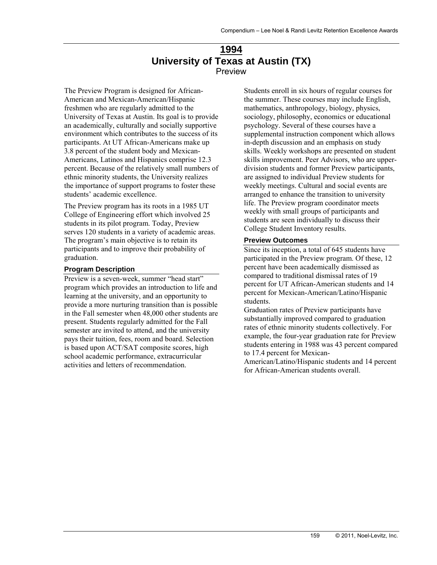## **1994 University of Texas at Austin (TX)**  Preview

The Preview Program is designed for African-American and Mexican-American/Hispanic freshmen who are regularly admitted to the University of Texas at Austin. Its goal is to provide an academically, culturally and socially supportive environment which contributes to the success of its participants. At UT African-Americans make up 3.8 percent of the student body and Mexican-Americans, Latinos and Hispanics comprise 12.3 percent. Because of the relatively small numbers of ethnic minority students, the University realizes the importance of support programs to foster these students' academic excellence.

The Preview program has its roots in a 1985 UT College of Engineering effort which involved 25 students in its pilot program. Today, Preview serves 120 students in a variety of academic areas. The program's main objective is to retain its participants and to improve their probability of graduation.

#### **Program Description**

Preview is a seven-week, summer "head start" program which provides an introduction to life and learning at the university, and an opportunity to provide a more nurturing transition than is possible in the Fall semester when 48,000 other students are present. Students regularly admitted for the Fall semester are invited to attend, and the university pays their tuition, fees, room and board. Selection is based upon ACT/SAT composite scores, high school academic performance, extracurricular activities and letters of recommendation.

Students enroll in six hours of regular courses for the summer. These courses may include English, mathematics, anthropology, biology, physics, sociology, philosophy, economics or educational psychology. Several of these courses have a supplemental instruction component which allows in-depth discussion and an emphasis on study skills. Weekly workshops are presented on student skills improvement. Peer Advisors, who are upperdivision students and former Preview participants, are assigned to individual Preview students for weekly meetings. Cultural and social events are arranged to enhance the transition to university life. The Preview program coordinator meets weekly with small groups of participants and students are seen individually to discuss their College Student Inventory results.

#### **Preview Outcomes**

Since its inception, a total of 645 students have participated in the Preview program. Of these, 12 percent have been academically dismissed as compared to traditional dismissal rates of 19 percent for UT African-American students and 14 percent for Mexican-American/Latino/Hispanic students.

Graduation rates of Preview participants have substantially improved compared to graduation rates of ethnic minority students collectively. For example, the four-year graduation rate for Preview students entering in 1988 was 43 percent compared to 17.4 percent for Mexican-

American/Latino/Hispanic students and 14 percent for African-American students overall.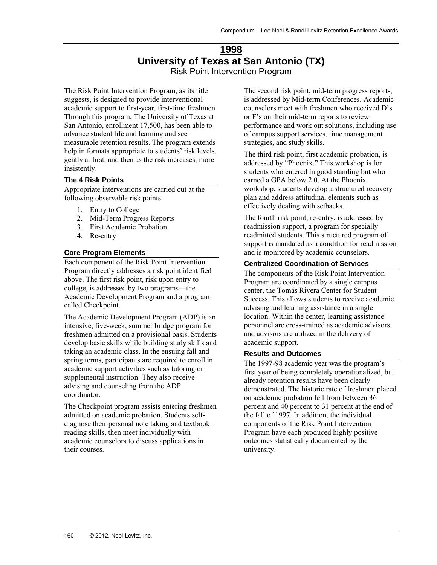## **1998 University of Texas at San Antonio (TX)**  Risk Point Intervention Program

The Risk Point Intervention Program, as its title suggests, is designed to provide interventional academic support to first-year, first-time freshmen. Through this program, The University of Texas at San Antonio, enrollment 17,500, has been able to advance student life and learning and see measurable retention results. The program extends help in formats appropriate to students' risk levels, gently at first, and then as the risk increases, more insistently.

#### **The 4 Risk Points**

Appropriate interventions are carried out at the following observable risk points:

- 1. Entry to College
- 2. Mid-Term Progress Reports
- 3. First Academic Probation
- 4. Re-entry

#### **Core Program Elements**

Each component of the Risk Point Intervention Program directly addresses a risk point identified above. The first risk point, risk upon entry to college, is addressed by two programs—the Academic Development Program and a program called Checkpoint.

The Academic Development Program (ADP) is an intensive, five-week, summer bridge program for freshmen admitted on a provisional basis. Students develop basic skills while building study skills and taking an academic class. In the ensuing fall and spring terms, participants are required to enroll in academic support activities such as tutoring or supplemental instruction. They also receive advising and counseling from the ADP coordinator.

The Checkpoint program assists entering freshmen admitted on academic probation. Students selfdiagnose their personal note taking and textbook reading skills, then meet individually with academic counselors to discuss applications in their courses.

The second risk point, mid-term progress reports, is addressed by Mid-term Conferences. Academic counselors meet with freshmen who received D's or F's on their mid-term reports to review performance and work out solutions, including use of campus support services, time management strategies, and study skills.

The third risk point, first academic probation, is addressed by "Phoenix." This workshop is for students who entered in good standing but who earned a GPA below 2.0. At the Phoenix workshop, students develop a structured recovery plan and address attitudinal elements such as effectively dealing with setbacks.

The fourth risk point, re-entry, is addressed by readmission support, a program for specially readmitted students. This structured program of support is mandated as a condition for readmission and is monitored by academic counselors.

#### **Centralized Coordination of Services**

The components of the Risk Point Intervention Program are coordinated by a single campus center, the Tomás Rivera Center for Student Success. This allows students to receive academic advising and learning assistance in a single location. Within the center, learning assistance personnel are cross-trained as academic advisors, and advisors are utilized in the delivery of academic support.

#### **Results and Outcomes**

The 1997-98 academic year was the program's first year of being completely operationalized, but already retention results have been clearly demonstrated. The historic rate of freshmen placed on academic probation fell from between 36 percent and 40 percent to 31 percent at the end of the fall of 1997. In addition, the individual components of the Risk Point Intervention Program have each produced highly positive outcomes statistically documented by the university.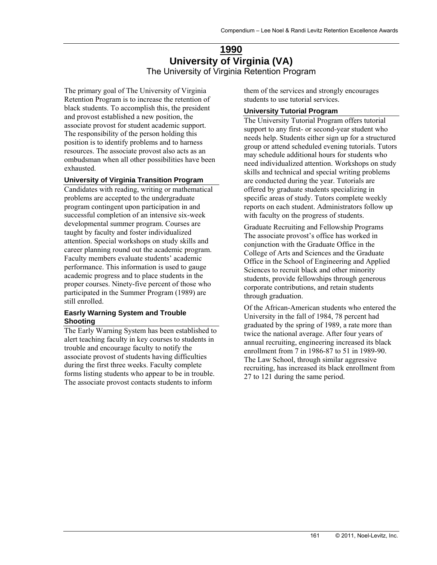## **1990 University of Virginia (VA)**  The University of Virginia Retention Program

The primary goal of The University of Virginia Retention Program is to increase the retention of black students. To accomplish this, the president and provost established a new position, the associate provost for student academic support. The responsibility of the person holding this position is to identify problems and to harness resources. The associate provost also acts as an ombudsman when all other possibilities have been exhausted.

#### **University of Virginia Transition Program**

Candidates with reading, writing or mathematical problems are accepted to the undergraduate program contingent upon participation in and successful completion of an intensive six-week developmental summer program. Courses are taught by faculty and foster individualized attention. Special workshops on study skills and career planning round out the academic program. Faculty members evaluate students' academic performance. This information is used to gauge academic progress and to place students in the proper courses. Ninety-five percent of those who participated in the Summer Program (1989) are still enrolled.

#### **Easrly Warning System and Trouble Shooting**

The Early Warning System has been established to alert teaching faculty in key courses to students in trouble and encourage faculty to notify the associate provost of students having difficulties during the first three weeks. Faculty complete forms listing students who appear to be in trouble. The associate provost contacts students to inform

them of the services and strongly encourages students to use tutorial services.

#### **University Tutorial Program**

The University Tutorial Program offers tutorial support to any first- or second-year student who needs help. Students either sign up for a structured group or attend scheduled evening tutorials. Tutors may schedule additional hours for students who need individualized attention. Workshops on study skills and technical and special writing problems are conducted during the year. Tutorials are offered by graduate students specializing in specific areas of study. Tutors complete weekly reports on each student. Administrators follow up with faculty on the progress of students.

Graduate Recruiting and Fellowship Programs The associate provost's office has worked in conjunction with the Graduate Office in the College of Arts and Sciences and the Graduate Office in the School of Engineering and Applied Sciences to recruit black and other minority students, provide fellowships through generous corporate contributions, and retain students through graduation.

Of the African-American students who entered the University in the fall of 1984, 78 percent had graduated by the spring of 1989, a rate more than twice the national average. After four years of annual recruiting, engineering increased its black enrollment from 7 in 1986-87 to 51 in 1989-90. The Law School, through similar aggressive recruiting, has increased its black enrollment from 27 to 121 during the same period.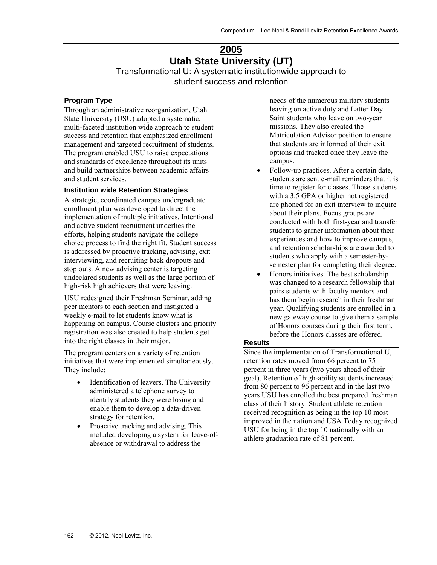## **2005 Utah State University (UT)**  Transformational U: A systematic institutionwide approach to student success and retention

#### **Program Type**

Through an administrative reorganization, Utah State University (USU) adopted a systematic, multi-faceted institution wide approach to student success and retention that emphasized enrollment management and targeted recruitment of students. The program enabled USU to raise expectations and standards of excellence throughout its units and build partnerships between academic affairs and student services.

#### **Institution wide Retention Strategies**

A strategic, coordinated campus undergraduate enrollment plan was developed to direct the implementation of multiple initiatives. Intentional and active student recruitment underlies the efforts, helping students navigate the college choice process to find the right fit. Student success is addressed by proactive tracking, advising, exit interviewing, and recruiting back dropouts and stop outs. A new advising center is targeting undeclared students as well as the large portion of high-risk high achievers that were leaving.

USU redesigned their Freshman Seminar, adding peer mentors to each section and instigated a weekly e-mail to let students know what is happening on campus. Course clusters and priority registration was also created to help students get into the right classes in their major.

The program centers on a variety of retention initiatives that were implemented simultaneously. They include:

- Identification of leavers. The University administered a telephone survey to identify students they were losing and enable them to develop a data-driven strategy for retention.
- Proactive tracking and advising. This included developing a system for leave-ofabsence or withdrawal to address the

needs of the numerous military students leaving on active duty and Latter Day Saint students who leave on two-year missions. They also created the Matriculation Advisor position to ensure that students are informed of their exit options and tracked once they leave the campus.

- Follow-up practices. After a certain date, students are sent e-mail reminders that it is time to register for classes. Those students with a 3.5 GPA or higher not registered are phoned for an exit interview to inquire about their plans. Focus groups are conducted with both first-year and transfer students to garner information about their experiences and how to improve campus, and retention scholarships are awarded to students who apply with a semester-bysemester plan for completing their degree.
- Honors initiatives. The best scholarship was changed to a research fellowship that pairs students with faculty mentors and has them begin research in their freshman year. Qualifying students are enrolled in a new gateway course to give them a sample of Honors courses during their first term, before the Honors classes are offered.

#### **Results**

Since the implementation of Transformational U, retention rates moved from 66 percent to 75 percent in three years (two years ahead of their goal). Retention of high-ability students increased from 80 percent to 96 percent and in the last two years USU has enrolled the best prepared freshman class of their history. Student athlete retention received recognition as being in the top 10 most improved in the nation and USA Today recognized USU for being in the top 10 nationally with an athlete graduation rate of 81 percent.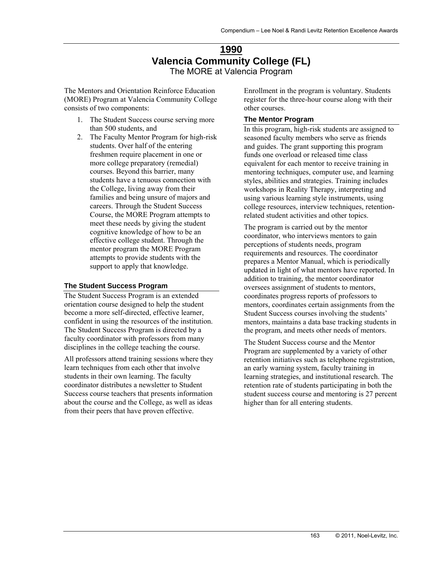## **1990 Valencia Community College (FL)**  The MORE at Valencia Program

The Mentors and Orientation Reinforce Education (MORE) Program at Valencia Community College consists of two components:

- 1. The Student Success course serving more than 500 students, and
- 2. The Faculty Mentor Program for high-risk students. Over half of the entering freshmen require placement in one or more college preparatory (remedial) courses. Beyond this barrier, many students have a tenuous connection with the College, living away from their families and being unsure of majors and careers. Through the Student Success Course, the MORE Program attempts to meet these needs by giving the student cognitive knowledge of how to be an effective college student. Through the mentor program the MORE Program attempts to provide students with the support to apply that knowledge.

#### **The Student Success Program**

The Student Success Program is an extended orientation course designed to help the student become a more self-directed, effective learner, confident in using the resources of the institution. The Student Success Program is directed by a faculty coordinator with professors from many disciplines in the college teaching the course.

All professors attend training sessions where they learn techniques from each other that involve students in their own learning. The faculty coordinator distributes a newsletter to Student Success course teachers that presents information about the course and the College, as well as ideas from their peers that have proven effective.

Enrollment in the program is voluntary. Students register for the three-hour course along with their other courses.

#### **The Mentor Program**

In this program, high-risk students are assigned to seasoned faculty members who serve as friends and guides. The grant supporting this program funds one overload or released time class equivalent for each mentor to receive training in mentoring techniques, computer use, and learning styles, abilities and strategies. Training includes workshops in Reality Therapy, interpreting and using various learning style instruments, using college resources, interview techniques, retentionrelated student activities and other topics.

The program is carried out by the mentor coordinator, who interviews mentors to gain perceptions of students needs, program requirements and resources. The coordinator prepares a Mentor Manual, which is periodically updated in light of what mentors have reported. In addition to training, the mentor coordinator oversees assignment of students to mentors, coordinates progress reports of professors to mentors, coordinates certain assignments from the Student Success courses involving the students' mentors, maintains a data base tracking students in the program, and meets other needs of mentors.

The Student Success course and the Mentor Program are supplemented by a variety of other retention initiatives such as telephone registration, an early warning system, faculty training in learning strategies, and institutional research. The retention rate of students participating in both the student success course and mentoring is 27 percent higher than for all entering students.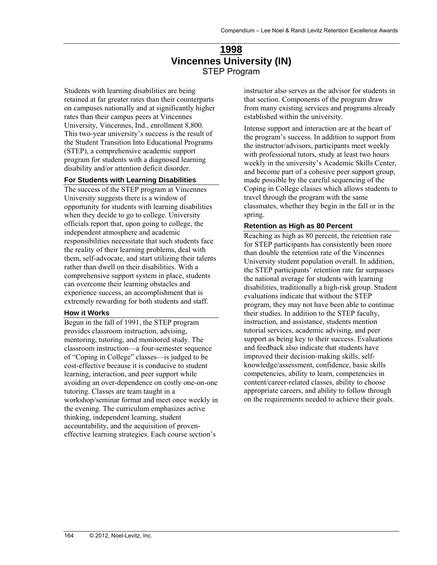## **1998 Vincennes University (IN)**  STEP Program

Students with learning disabilities are being retained at far greater rates than their counterparts on campuses nationally and at significantly higher rates than their campus peers at Vincennes University, Vincennes, Ind., enrollment 8,800. This two-year university's success is the result of the Student Transition Into Educational Programs (STEP), a comprehensive academic support program for students with a diagnosed learning disability and/or attention deficit disorder.

#### **For Students with Learning Disabilities**

The success of the STEP program at Vincennes University suggests there is a window of opportunity for students with learning disabilities when they decide to go to college. University officials report that, upon going to college, the independent atmosphere and academic responsibilities necessitate that such students face the reality of their learning problems, deal with them, self-advocate, and start utilizing their talents rather than dwell on their disabilities. With a comprehensive support system in place, students can overcome their learning obstacles and experience success, an accomplishment that is extremely rewarding for both students and staff.

#### **How it Works**

Begun in the fall of 1991, the STEP program provides classroom instruction, advising, mentoring, tutoring, and monitored study. The classroom instruction—a four-semester sequence of "Coping in College" classes—is judged to be cost-effective because it is conducive to student learning, interaction, and peer support while avoiding an over-dependence on costly one-on-one tutoring. Classes are team taught in a workshop/seminar format and meet once weekly in the evening. The curriculum emphasizes active thinking, independent learning, student accountability, and the acquisition of proveneffective learning strategies. Each course section's

instructor also serves as the advisor for students in that section. Components of the program draw from many existing services and programs already established within the university.

Intense support and interaction are at the heart of the program's success. In addition to support from the instructor/advisors, participants meet weekly with professional tutors, study at least two hours weekly in the university's Academic Skills Center, and become part of a cohesive peer support group, made possible by the careful sequencing of the Coping in College classes which allows students to travel through the program with the same classmates, whether they begin in the fall or in the spring.

#### **Retention as High as 80 Percent**

Reaching as high as 80 percent, the retention rate for STEP participants has consistently been more than double the retention rate of the Vincennes University student population overall. In addition, the STEP participants' retention rate far surpasses the national average for students with learning disabilities, traditionally a high-risk group. Student evaluations indicate that without the STEP program, they may not have been able to continue their studies. In addition to the STEP faculty, instruction, and assistance, students mention tutorial services, academic advising, and peer support as being key to their success. Evaluations and feedback also indicate that students have improved their decision-making skills, selfknowledge/assessment, confidence, basic skills competencies, ability to learn, competencies in content/career-related classes, ability to choose appropriate careers, and ability to follow through on the requirements needed to achieve their goals.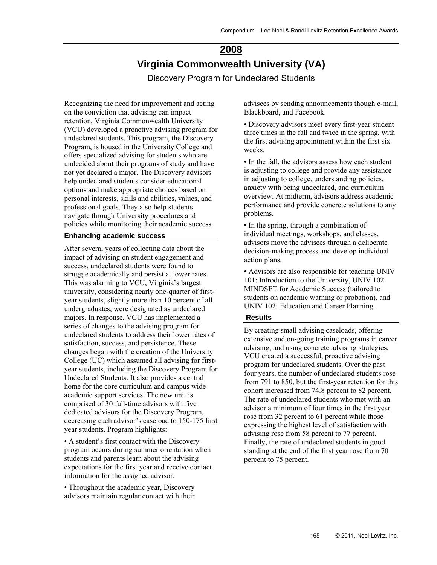# **2008 Virginia Commonwealth University (VA)**

Discovery Program for Undeclared Students

Recognizing the need for improvement and acting on the conviction that advising can impact retention, Virginia Commonwealth University (VCU) developed a proactive advising program for undeclared students. This program, the Discovery Program, is housed in the University College and offers specialized advising for students who are undecided about their programs of study and have not yet declared a major. The Discovery advisors help undeclared students consider educational options and make appropriate choices based on personal interests, skills and abilities, values, and professional goals. They also help students navigate through University procedures and policies while monitoring their academic success.

#### **Enhancing academic success**

After several years of collecting data about the impact of advising on student engagement and success, undeclared students were found to struggle academically and persist at lower rates. This was alarming to VCU, Virginia's largest university, considering nearly one-quarter of firstyear students, slightly more than 10 percent of all undergraduates, were designated as undeclared majors. In response, VCU has implemented a series of changes to the advising program for undeclared students to address their lower rates of satisfaction, success, and persistence. These changes began with the creation of the University College (UC) which assumed all advising for firstyear students, including the Discovery Program for Undeclared Students. It also provides a central home for the core curriculum and campus wide academic support services. The new unit is comprised of 30 full-time advisors with five dedicated advisors for the Discovery Program, decreasing each advisor's caseload to 150-175 first year students. Program highlights:

• A student's first contact with the Discovery program occurs during summer orientation when students and parents learn about the advising expectations for the first year and receive contact information for the assigned advisor.

• Throughout the academic year, Discovery advisors maintain regular contact with their advisees by sending announcements though e-mail, Blackboard, and Facebook.

• Discovery advisors meet every first-year student three times in the fall and twice in the spring, with the first advising appointment within the first six weeks.

• In the fall, the advisors assess how each student is adjusting to college and provide any assistance in adjusting to college, understanding policies, anxiety with being undeclared, and curriculum overview. At midterm, advisors address academic performance and provide concrete solutions to any problems.

• In the spring, through a combination of individual meetings, workshops, and classes, advisors move the advisees through a deliberate decision-making process and develop individual action plans.

• Advisors are also responsible for teaching UNIV 101: Introduction to the University, UNIV 102: MINDSET for Academic Success (tailored to students on academic warning or probation), and UNIV 102: Education and Career Planning.

#### **Results**

By creating small advising caseloads, offering extensive and on-going training programs in career advising, and using concrete advising strategies, VCU created a successful, proactive advising program for undeclared students. Over the past four years, the number of undeclared students rose from 791 to 850, but the first-year retention for this cohort increased from 74.8 percent to 82 percent. The rate of undeclared students who met with an advisor a minimum of four times in the first year rose from 32 percent to 61 percent while those expressing the highest level of satisfaction with advising rose from 58 percent to 77 percent. Finally, the rate of undeclared students in good standing at the end of the first year rose from 70 percent to 75 percent.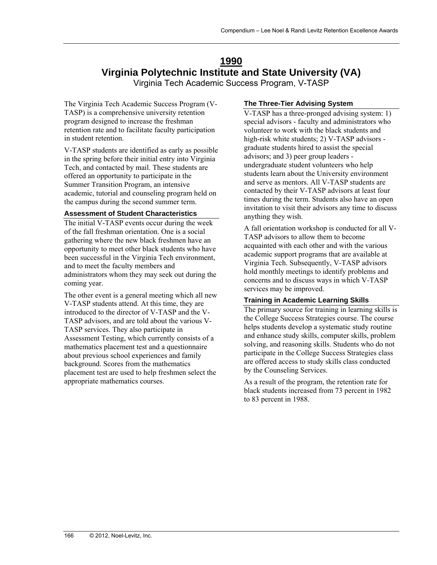## **1990 Virginia Polytechnic Institute and State University (VA)**

Virginia Tech Academic Success Program, V-TASP

The Virginia Tech Academic Success Program (V-TASP) is a comprehensive university retention program designed to increase the freshman retention rate and to facilitate faculty participation in student retention.

V-TASP students are identified as early as possible in the spring before their initial entry into Virginia Tech, and contacted by mail. These students are offered an opportunity to participate in the Summer Transition Program, an intensive academic, tutorial and counseling program held on the campus during the second summer term.

#### **Assessment of Student Characteristics**

The initial V-TASP events occur during the week of the fall freshman orientation. One is a social gathering where the new black freshmen have an opportunity to meet other black students who have been successful in the Virginia Tech environment, and to meet the faculty members and administrators whom they may seek out during the coming year.

The other event is a general meeting which all new V-TASP students attend. At this time, they are introduced to the director of V-TASP and the V-TASP advisors, and are told about the various V-TASP services. They also participate in Assessment Testing, which currently consists of a mathematics placement test and a questionnaire about previous school experiences and family background. Scores from the mathematics placement test are used to help freshmen select the appropriate mathematics courses.

#### **The Three-Tier Advising System**

V-TASP has a three-pronged advising system: 1) special advisors - faculty and administrators who volunteer to work with the black students and high-risk white students; 2) V-TASP advisors graduate students hired to assist the special advisors; and 3) peer group leaders undergraduate student volunteers who help students learn about the University environment and serve as mentors. All V-TASP students are contacted by their V-TASP advisors at least four times during the term. Students also have an open invitation to visit their advisors any time to discuss anything they wish.

A fall orientation workshop is conducted for all V-TASP advisors to allow them to become acquainted with each other and with the various academic support programs that are available at Virginia Tech. Subsequently, V-TASP advisors hold monthly meetings to identify problems and concerns and to discuss ways in which V-TASP services may be improved.

#### **Training in Academic Learning Skills**

The primary source for training in learning skills is the College Success Strategies course. The course helps students develop a systematic study routine and enhance study skills, computer skills, problem solving, and reasoning skills. Students who do not participate in the College Success Strategies class are offered access to study skills class conducted by the Counseling Services.

As a result of the program, the retention rate for black students increased from 73 percent in 1982 to 83 percent in 1988.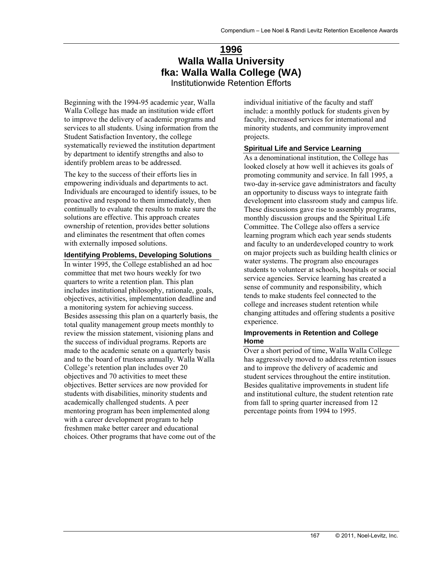# **1996 Walla Walla University fka: Walla Walla College (WA)**

Institutionwide Retention Efforts

Beginning with the 1994-95 academic year, Walla Walla College has made an institution wide effort to improve the delivery of academic programs and services to all students. Using information from the Student Satisfaction Inventory, the college systematically reviewed the institution department by department to identify strengths and also to identify problem areas to be addressed.

The key to the success of their efforts lies in empowering individuals and departments to act. Individuals are encouraged to identify issues, to be proactive and respond to them immediately, then continually to evaluate the results to make sure the solutions are effective. This approach creates ownership of retention, provides better solutions and eliminates the resentment that often comes with externally imposed solutions.

#### **Identifying Problems, Developing Solutions**

In winter 1995, the College established an ad hoc committee that met two hours weekly for two quarters to write a retention plan. This plan includes institutional philosophy, rationale, goals, objectives, activities, implementation deadline and a monitoring system for achieving success. Besides assessing this plan on a quarterly basis, the total quality management group meets monthly to review the mission statement, visioning plans and the success of individual programs. Reports are made to the academic senate on a quarterly basis and to the board of trustees annually. Walla Walla College's retention plan includes over 20 objectives and 70 activities to meet these objectives. Better services are now provided for students with disabilities, minority students and academically challenged students. A peer mentoring program has been implemented along with a career development program to help freshmen make better career and educational choices. Other programs that have come out of the

individual initiative of the faculty and staff include: a monthly potluck for students given by faculty, increased services for international and minority students, and community improvement projects.

#### **Spiritual Life and Service Learning**

As a denominational institution, the College has looked closely at how well it achieves its goals of promoting community and service. In fall 1995, a two-day in-service gave administrators and faculty an opportunity to discuss ways to integrate faith development into classroom study and campus life. These discussions gave rise to assembly programs, monthly discussion groups and the Spiritual Life Committee. The College also offers a service learning program which each year sends students and faculty to an underdeveloped country to work on major projects such as building health clinics or water systems. The program also encourages students to volunteer at schools, hospitals or social service agencies. Service learning has created a sense of community and responsibility, which tends to make students feel connected to the college and increases student retention while changing attitudes and offering students a positive experience.

#### **Improvements in Retention and College Home**

Over a short period of time, Walla Walla College has aggressively moved to address retention issues and to improve the delivery of academic and student services throughout the entire institution. Besides qualitative improvements in student life and institutional culture, the student retention rate from fall to spring quarter increased from 12 percentage points from 1994 to 1995.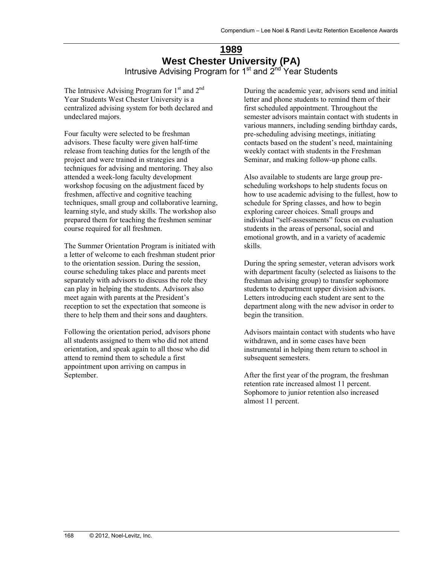## **1989 West Chester University (PA)**  Intrusive Advising Program for 1<sup>st</sup> and 2<sup>nd</sup> Year Students

The Intrusive Advising Program for  $1<sup>st</sup>$  and  $2<sup>nd</sup>$ Year Students West Chester University is a centralized advising system for both declared and undeclared majors.

Four faculty were selected to be freshman advisors. These faculty were given half-time release from teaching duties for the length of the project and were trained in strategies and techniques for advising and mentoring. They also attended a week-long faculty development workshop focusing on the adjustment faced by freshmen, affective and cognitive teaching techniques, small group and collaborative learning, learning style, and study skills. The workshop also prepared them for teaching the freshmen seminar course required for all freshmen.

The Summer Orientation Program is initiated with a letter of welcome to each freshman student prior to the orientation session. During the session, course scheduling takes place and parents meet separately with advisors to discuss the role they can play in helping the students. Advisors also meet again with parents at the President's reception to set the expectation that someone is there to help them and their sons and daughters.

Following the orientation period, advisors phone all students assigned to them who did not attend orientation, and speak again to all those who did attend to remind them to schedule a first appointment upon arriving on campus in September.

During the academic year, advisors send and initial letter and phone students to remind them of their first scheduled appointment. Throughout the semester advisors maintain contact with students in various manners, including sending birthday cards, pre-scheduling advising meetings, initiating contacts based on the student's need, maintaining weekly contact with students in the Freshman Seminar, and making follow-up phone calls.

Also available to students are large group prescheduling workshops to help students focus on how to use academic advising to the fullest, how to schedule for Spring classes, and how to begin exploring career choices. Small groups and individual "self-assessments" focus on evaluation students in the areas of personal, social and emotional growth, and in a variety of academic skills.

During the spring semester, veteran advisors work with department faculty (selected as liaisons to the freshman advising group) to transfer sophomore students to department upper division advisors. Letters introducing each student are sent to the department along with the new advisor in order to begin the transition.

Advisors maintain contact with students who have withdrawn, and in some cases have been instrumental in helping them return to school in subsequent semesters.

After the first year of the program, the freshman retention rate increased almost 11 percent. Sophomore to junior retention also increased almost 11 percent.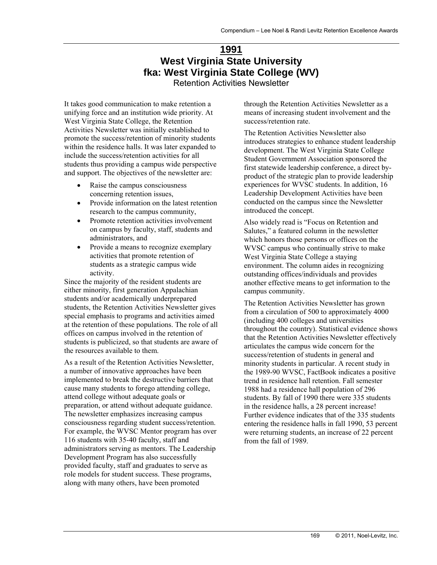## **1991 West Virginia State University fka: West Virginia State College (WV)**  Retention Activities Newsletter

It takes good communication to make retention a unifying force and an institution wide priority. At West Virginia State College, the Retention Activities Newsletter was initially established to promote the success/retention of minority students within the residence halls. It was later expanded to include the success/retention activities for all students thus providing a campus wide perspective and support. The objectives of the newsletter are:

- Raise the campus consciousness concerning retention issues,
- Provide information on the latest retention research to the campus community,
- Promote retention activities involvement on campus by faculty, staff, students and administrators, and
- Provide a means to recognize exemplary activities that promote retention of students as a strategic campus wide activity.

Since the majority of the resident students are either minority, first generation Appalachian students and/or academically underprepared students, the Retention Activities Newsletter gives special emphasis to programs and activities aimed at the retention of these populations. The role of all offices on campus involved in the retention of students is publicized, so that students are aware of the resources available to them.

As a result of the Retention Activities Newsletter, a number of innovative approaches have been implemented to break the destructive barriers that cause many students to forego attending college, attend college without adequate goals or preparation, or attend without adequate guidance. The newsletter emphasizes increasing campus consciousness regarding student success/retention. For example, the WVSC Mentor program has over 116 students with 35-40 faculty, staff and administrators serving as mentors. The Leadership Development Program has also successfully provided faculty, staff and graduates to serve as role models for student success. These programs, along with many others, have been promoted

through the Retention Activities Newsletter as a means of increasing student involvement and the success/retention rate.

The Retention Activities Newsletter also introduces strategies to enhance student leadership development. The West Virginia State College Student Government Association sponsored the first statewide leadership conference, a direct byproduct of the strategic plan to provide leadership experiences for WVSC students. In addition, 16 Leadership Development Activities have been conducted on the campus since the Newsletter introduced the concept.

Also widely read is "Focus on Retention and Salutes," a featured column in the newsletter which honors those persons or offices on the WVSC campus who continually strive to make West Virginia State College a staying environment. The column aides in recognizing outstanding offices/individuals and provides another effective means to get information to the campus community.

The Retention Activities Newsletter has grown from a circulation of 500 to approximately 4000 (including 400 colleges and universities throughout the country). Statistical evidence shows that the Retention Activities Newsletter effectively articulates the campus wide concern for the success/retention of students in general and minority students in particular. A recent study in the 1989-90 WVSC, FactBook indicates a positive trend in residence hall retention. Fall semester 1988 had a residence hall population of 296 students. By fall of 1990 there were 335 students in the residence halls, a 28 percent increase! Further evidence indicates that of the 335 students entering the residence halls in fall 1990, 53 percent were returning students, an increase of 22 percent from the fall of 1989.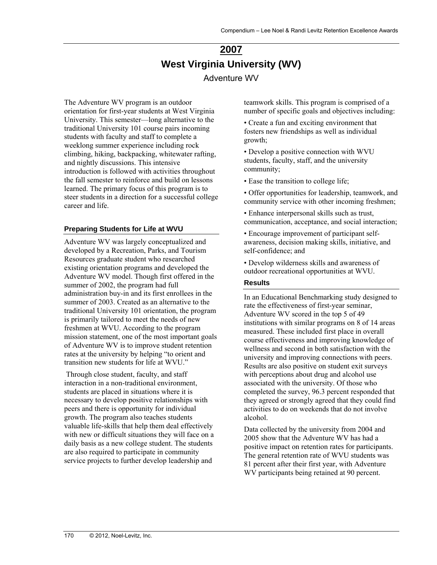## **2007 West Virginia University (WV)**  Adventure WV

The Adventure WV program is an outdoor orientation for first-year students at West Virginia University. This semester—long alternative to the traditional University 101 course pairs incoming students with faculty and staff to complete a weeklong summer experience including rock climbing, hiking, backpacking, whitewater rafting, and nightly discussions. This intensive introduction is followed with activities throughout the fall semester to reinforce and build on lessons learned. The primary focus of this program is to steer students in a direction for a successful college career and life.

#### **Preparing Students for Life at WVU**

Adventure WV was largely conceptualized and developed by a Recreation, Parks, and Tourism Resources graduate student who researched existing orientation programs and developed the Adventure WV model. Though first offered in the summer of 2002, the program had full administration buy-in and its first enrollees in the summer of 2003. Created as an alternative to the traditional University 101 orientation, the program is primarily tailored to meet the needs of new freshmen at WVU. According to the program mission statement, one of the most important goals of Adventure WV is to improve student retention rates at the university by helping "to orient and transition new students for life at WVU."

 Through close student, faculty, and staff interaction in a non-traditional environment, students are placed in situations where it is necessary to develop positive relationships with peers and there is opportunity for individual growth. The program also teaches students valuable life-skills that help them deal effectively with new or difficult situations they will face on a daily basis as a new college student. The students are also required to participate in community service projects to further develop leadership and

teamwork skills. This program is comprised of a number of specific goals and objectives including:

• Create a fun and exciting environment that fosters new friendships as well as individual growth;

• Develop a positive connection with WVU students, faculty, staff, and the university community;

• Ease the transition to college life;

• Offer opportunities for leadership, teamwork, and community service with other incoming freshmen;

• Enhance interpersonal skills such as trust, communication, acceptance, and social interaction;

• Encourage improvement of participant selfawareness, decision making skills, initiative, and self-confidence; and

• Develop wilderness skills and awareness of outdoor recreational opportunities at WVU.

#### **Results**

In an Educational Benchmarking study designed to rate the effectiveness of first-year seminar, Adventure WV scored in the top 5 of 49 institutions with similar programs on 8 of 14 areas measured. These included first place in overall course effectiveness and improving knowledge of wellness and second in both satisfaction with the university and improving connections with peers. Results are also positive on student exit surveys with perceptions about drug and alcohol use associated with the university. Of those who completed the survey, 96.3 percent responded that they agreed or strongly agreed that they could find activities to do on weekends that do not involve alcohol.

Data collected by the university from 2004 and 2005 show that the Adventure WV has had a positive impact on retention rates for participants. The general retention rate of WVU students was 81 percent after their first year, with Adventure WV participants being retained at 90 percent.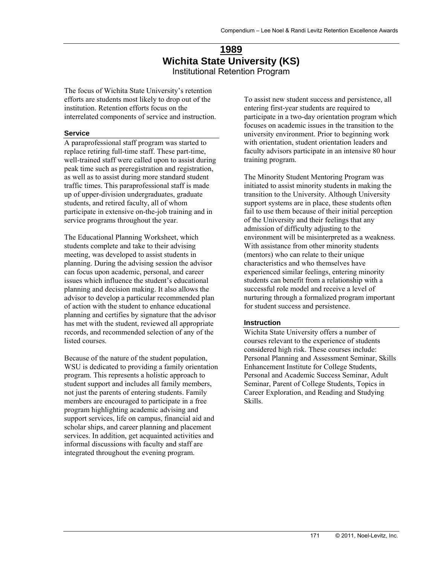## **1989 Wichita State University (KS)**  Institutional Retention Program

The focus of Wichita State University's retention efforts are students most likely to drop out of the institution. Retention efforts focus on the interrelated components of service and instruction.

#### **Service**

A paraprofessional staff program was started to replace retiring full-time staff. These part-time, well-trained staff were called upon to assist during peak time such as preregistration and registration, as well as to assist during more standard student traffic times. This paraprofessional staff is made up of upper-division undergraduates, graduate students, and retired faculty, all of whom participate in extensive on-the-job training and in service programs throughout the year.

The Educational Planning Worksheet, which students complete and take to their advising meeting, was developed to assist students in planning. During the advising session the advisor can focus upon academic, personal, and career issues which influence the student's educational planning and decision making. It also allows the advisor to develop a particular recommended plan of action with the student to enhance educational planning and certifies by signature that the advisor has met with the student, reviewed all appropriate records, and recommended selection of any of the listed courses.

Because of the nature of the student population, WSU is dedicated to providing a family orientation program. This represents a holistic approach to student support and includes all family members, not just the parents of entering students. Family members are encouraged to participate in a free program highlighting academic advising and support services, life on campus, financial aid and scholar ships, and career planning and placement services. In addition, get acquainted activities and informal discussions with faculty and staff are integrated throughout the evening program.

To assist new student success and persistence, all entering first-year students are required to participate in a two-day orientation program which focuses on academic issues in the transition to the university environment. Prior to beginning work with orientation, student orientation leaders and faculty advisors participate in an intensive 80 hour training program.

The Minority Student Mentoring Program was initiated to assist minority students in making the transition to the University. Although University support systems are in place, these students often fail to use them because of their initial perception of the University and their feelings that any admission of difficulty adjusting to the environment will be misinterpreted as a weakness. With assistance from other minority students (mentors) who can relate to their unique characteristics and who themselves have experienced similar feelings, entering minority students can benefit from a relationship with a successful role model and receive a level of nurturing through a formalized program important for student success and persistence.

#### **Instruction**

Wichita State University offers a number of courses relevant to the experience of students considered high risk. These courses include: Personal Planning and Assessment Seminar, Skills Enhancement Institute for College Students, Personal and Academic Success Seminar, Adult Seminar, Parent of College Students, Topics in Career Exploration, and Reading and Studying Skills.